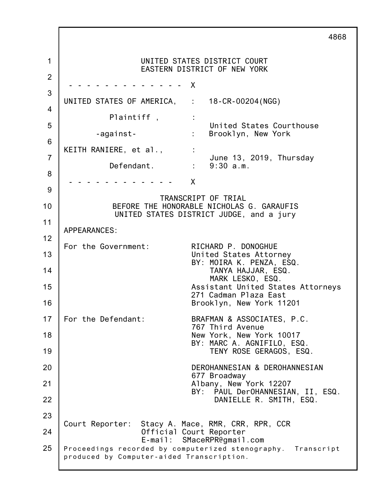1 2 3 4 5 6 7 8 9 10 11 12 13 14 15 16 17 18 19 20 21 22 23 24 25 4868 UNITED STATES DISTRICT COURT EASTERN DISTRICT OF NEW YORK - - - - - - - - - - - - - X UNITED STATES OF AMERICA, : 18-CR-00204(NGG) Plaintiff, : United States Courthouse -against- : Brooklyn, New York KEITH RANIERE, et al.,  $\cdot$ June 13, 2019, Thursday Defendant. : 9:30 a.m. - - - - - - - - - - - - X TRANSCRIPT OF TRIAL BEFORE THE HONORABLE NICHOLAS G. GARAUFIS UNITED STATES DISTRICT JUDGE, and a jury APPEARANCES: For the Government: RICHARD P. DONOGHUE United States Attorney BY: MOIRA K. PENZA, ESQ. TANYA HAJJAR, ESQ. MARK LESKO, ESQ. Assistant United States Attorneys 271 Cadman Plaza East Brooklyn, New York 11201 For the Defendant: BRAFMAN & ASSOCIATES, P.C. 767 Third Avenue New York, New York 10017 BY: MARC A. AGNIFILO, ESQ. TENY ROSE GERAGOS, ESQ. DEROHANNESIAN & DEROHANNESIAN 677 Broadway Albany, New York 12207 BY: PAUL DerOHANNESIAN, II, ESQ. DANIELLE R. SMITH, ESQ. Court Reporter: Stacy A. Mace, RMR, CRR, RPR, CCR Official Court Reporter E-mail: SMaceRPR@gmail.com Proceedings recorded by computerized stenography. Transcript produced by Computer-aided Transcription.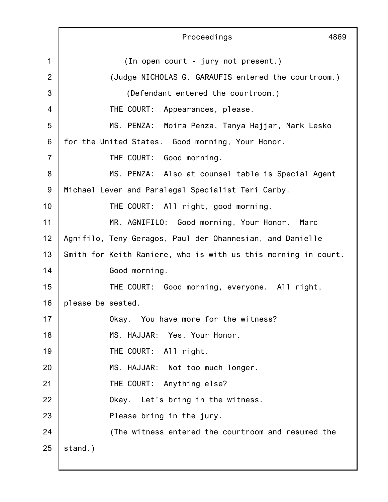|                | Proceedings<br>4869                                            |
|----------------|----------------------------------------------------------------|
| 1              | (In open court - jury not present.)                            |
| $\overline{2}$ | (Judge NICHOLAS G. GARAUFIS entered the courtroom.)            |
| 3              | (Defendant entered the courtroom.)                             |
| $\overline{4}$ | THE COURT: Appearances, please.                                |
| 5              | MS. PENZA: Moira Penza, Tanya Hajjar, Mark Lesko               |
| 6              | for the United States. Good morning, Your Honor.               |
| $\overline{7}$ | THE COURT: Good morning.                                       |
| 8              | MS. PENZA: Also at counsel table is Special Agent              |
| $9\,$          | Michael Lever and Paralegal Specialist Teri Carby.             |
| 10             | THE COURT: All right, good morning.                            |
| 11             | MR. AGNIFILO: Good morning, Your Honor. Marc                   |
| 12             | Agnifilo, Teny Geragos, Paul der Ohannesian, and Danielle      |
| 13             | Smith for Keith Raniere, who is with us this morning in court. |
| 14             | Good morning.                                                  |
| 15             | THE COURT: Good morning, everyone. All right,                  |
| 16             | please be seated.                                              |
| 17             | Okay. You have more for the witness?                           |
| 18             | MS. HAJJAR: Yes, Your Honor.                                   |
| 19             | THE COURT: All right.                                          |
| 20             | MS. HAJJAR: Not too much longer.                               |
| 21             | THE COURT: Anything else?                                      |
| 22             | Okay. Let's bring in the witness.                              |
| 23             | Please bring in the jury.                                      |
| 24             | (The witness entered the courtroom and resumed the             |
| 25             | stand.)                                                        |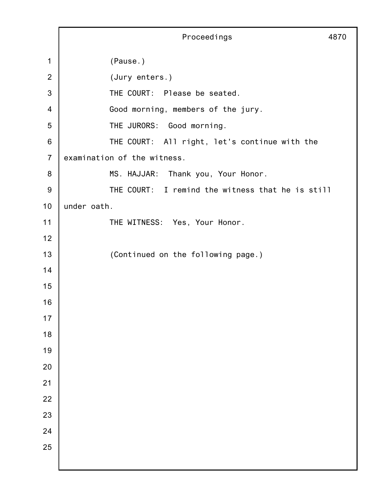Proceedings 4870 (Pause.) (Jury enters.) THE COURT: Please be seated. Good morning, members of the jury. THE JURORS: Good morning. THE COURT: All right, let's continue with the examination of the witness. MS. HAJJAR: Thank you, Your Honor. THE COURT: I remind the witness that he is still under oath. THE WITNESS: Yes, Your Honor. (Continued on the following page.)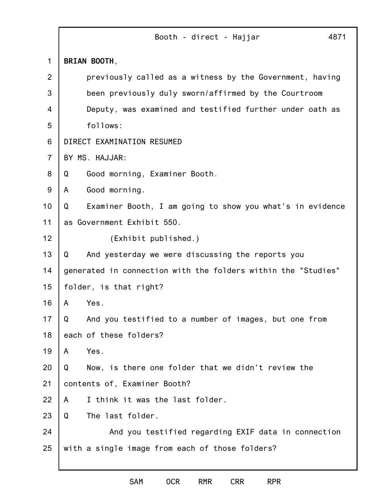|                | Booth - direct - Hajjar<br>4871                                |  |
|----------------|----------------------------------------------------------------|--|
| $\mathbf 1$    | BRIAN BOOTH,                                                   |  |
| 2              | previously called as a witness by the Government, having       |  |
| 3              | been previously duly sworn/affirmed by the Courtroom           |  |
| 4              | Deputy, was examined and testified further under oath as       |  |
| 5              | follows:                                                       |  |
| 6              | DIRECT EXAMINATION RESUMED                                     |  |
| $\overline{7}$ | BY MS. HAJJAR:                                                 |  |
| 8              | Good morning, Examiner Booth.<br>Q                             |  |
| 9              | Good morning.<br>A                                             |  |
| 10             | Examiner Booth, I am going to show you what's in evidence<br>Q |  |
| 11             | as Government Exhibit 550.                                     |  |
| 12             | (Exhibit published.)                                           |  |
| 13             | And yesterday we were discussing the reports you<br>Q          |  |
| 14             | generated in connection with the folders within the "Studies"  |  |
| 15             | folder, is that right?                                         |  |
| 16             | Yes.<br>A                                                      |  |
| 17             | And you testified to a number of images, but one from<br>Q     |  |
| 18             | each of these folders?                                         |  |
| 19             | Yes.<br>A                                                      |  |
| 20             | Now, is there one folder that we didn't review the<br>Q        |  |
| 21             | contents of, Examiner Booth?                                   |  |
| 22             | I think it was the last folder.<br>A                           |  |
| 23             | The last folder.<br>Q                                          |  |
| 24             | And you testified regarding EXIF data in connection            |  |
| 25             | with a single image from each of those folders?                |  |
|                |                                                                |  |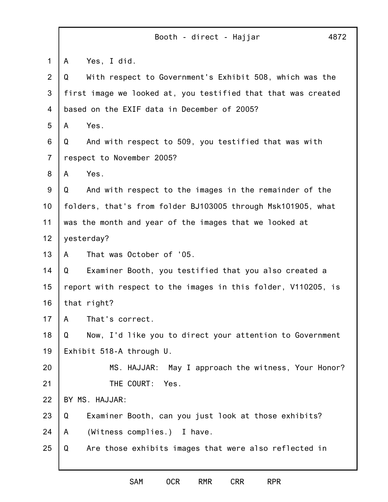|                | 4872<br>Booth - direct - Hajjar                               |  |
|----------------|---------------------------------------------------------------|--|
| $\mathbf 1$    | Yes, I did.<br>A                                              |  |
| $\overline{2}$ | With respect to Government's Exhibit 508, which was the<br>Q  |  |
| 3              | first image we looked at, you testified that that was created |  |
| 4              | based on the EXIF data in December of 2005?                   |  |
| 5              | Yes.<br>A                                                     |  |
| 6              | And with respect to 509, you testified that was with<br>Q     |  |
| $\overline{7}$ | respect to November 2005?                                     |  |
| 8              | Yes.<br>A                                                     |  |
| 9              | And with respect to the images in the remainder of the<br>Q   |  |
| 10             | folders, that's from folder BJ103005 through Msk101905, what  |  |
| 11             | was the month and year of the images that we looked at        |  |
| 12             | yesterday?                                                    |  |
| 13             | That was October of '05.<br>A                                 |  |
| 14             | Examiner Booth, you testified that you also created a<br>Q    |  |
| 15             | report with respect to the images in this folder, V110205, is |  |
| 16             | that right?                                                   |  |
| 17             | That's correct.<br>A                                          |  |
| 18             | Now, I'd like you to direct your attention to Government<br>Q |  |
| 19             | Exhibit 518-A through U.                                      |  |
| 20             | MS. HAJJAR:<br>May I approach the witness, Your Honor?        |  |
| 21             | THE COURT:<br>Yes.                                            |  |
| 22             | BY MS. HAJJAR:                                                |  |
| 23             | Examiner Booth, can you just look at those exhibits?<br>Q     |  |
| 24             | (Witness complies.) I have.<br>A                              |  |
| 25             | Are those exhibits images that were also reflected in<br>Q    |  |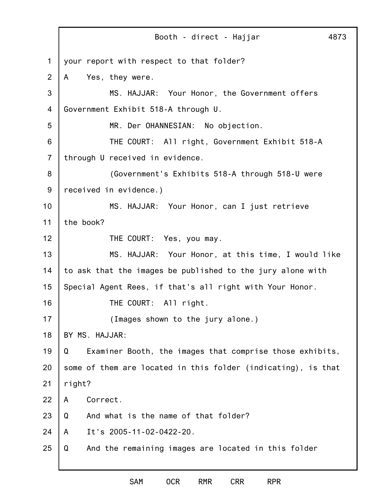1 2 3 4 5 6 7 8 9 10 11 12 13 14 15 16 17 18 19 20 21 22 23 24 25 Booth - direct - Hajjar 4873 your report with respect to that folder? A Yes, they were. MS. HAJJAR: Your Honor, the Government offers Government Exhibit 518-A through U. MR. Der OHANNESIAN: No objection. THE COURT: All right, Government Exhibit 518-A through U received in evidence. (Government's Exhibits 518-A through 518-U were received in evidence.) MS. HAJJAR: Your Honor, can I just retrieve the book? THE COURT: Yes, you may. MS. HAJJAR: Your Honor, at this time, I would like to ask that the images be published to the jury alone with Special Agent Rees, if that's all right with Your Honor. THE COURT: All right. (Images shown to the jury alone.) BY MS. HAJJAR: Q Examiner Booth, the images that comprise those exhibits, some of them are located in this folder (indicating), is that right? A Correct. Q And what is the name of that folder? A It's 2005-11-02-0422-20. Q And the remaining images are located in this folder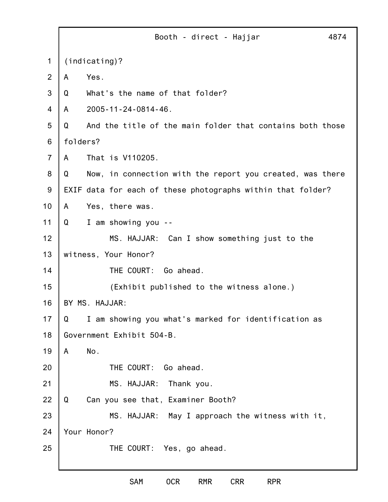|                | Booth - direct - Hajjar<br>4874                                |  |
|----------------|----------------------------------------------------------------|--|
| 1              | (indicating)?                                                  |  |
| 2              | Yes.<br>A                                                      |  |
| 3              | What's the name of that folder?<br>Q                           |  |
| 4              | 2005-11-24-0814-46.<br>A                                       |  |
| 5              | And the title of the main folder that contains both those<br>Q |  |
| 6              | folders?                                                       |  |
| $\overline{7}$ | That is V110205.<br>A                                          |  |
| 8              | Q<br>Now, in connection with the report you created, was there |  |
| $9\,$          | EXIF data for each of these photographs within that folder?    |  |
| 10             | Yes, there was.<br>A                                           |  |
| 11             | I am showing you<br>Q<br>$\sim$ $-$                            |  |
| 12             | MS. HAJJAR: Can I show something just to the                   |  |
| 13             | witness, Your Honor?                                           |  |
| 14             | THE COURT:<br>Go ahead.                                        |  |
| 15             | (Exhibit published to the witness alone.)                      |  |
| 16             | BY MS. HAJJAR:                                                 |  |
| 17             | I am showing you what's marked for identification as<br>Q      |  |
| 18             | Government Exhibit 504-B.                                      |  |
| 19             | No.<br>A                                                       |  |
| 20             | THE COURT:<br>Go ahead.                                        |  |
| 21             | MS. HAJJAR:<br>Thank you.                                      |  |
| 22             | Can you see that, Examiner Booth?<br>Q                         |  |
| 23             | MS. HAJJAR: May I approach the witness with it,                |  |
| 24             | Your Honor?                                                    |  |
| 25             | THE COURT: Yes, go ahead.                                      |  |
|                |                                                                |  |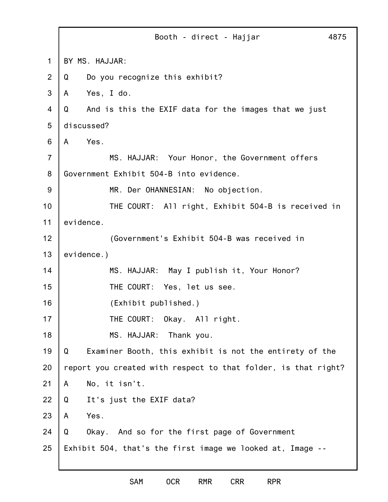|                | Booth - direct - Hajjar<br>4875                                |  |
|----------------|----------------------------------------------------------------|--|
| 1              | BY MS. HAJJAR:                                                 |  |
| 2              | Do you recognize this exhibit?<br>Q                            |  |
| 3              | Yes, I do.<br>A                                                |  |
| $\overline{4}$ | And is this the EXIF data for the images that we just<br>Q     |  |
| 5              | discussed?                                                     |  |
| 6              | Yes.<br>A                                                      |  |
| $\overline{7}$ | MS. HAJJAR: Your Honor, the Government offers                  |  |
| 8              | Government Exhibit 504-B into evidence.                        |  |
| 9              | MR. Der OHANNESIAN: No objection.                              |  |
| 10             | THE COURT: All right, Exhibit 504-B is received in             |  |
| 11             | evidence.                                                      |  |
| 12             | (Government's Exhibit 504-B was received in                    |  |
| 13             | evidence.)                                                     |  |
| 14             | MS. HAJJAR: May I publish it, Your Honor?                      |  |
| 15             | THE COURT: Yes, let us see.                                    |  |
| 16             | (Exhibit published.)                                           |  |
| 17             | THE COURT: Okay. All right.                                    |  |
| 18             | MS. HAJJAR: Thank you.                                         |  |
| 19             | Examiner Booth, this exhibit is not the entirety of the<br>Q   |  |
| 20             | report you created with respect to that folder, is that right? |  |
| 21             | No, it isn't.<br>A                                             |  |
| 22             | It's just the EXIF data?<br>Q                                  |  |
| 23             | Yes.<br>A                                                      |  |
| 24             | Okay. And so for the first page of Government<br>Q             |  |
| 25             | Exhibit 504, that's the first image we looked at, Image --     |  |
|                |                                                                |  |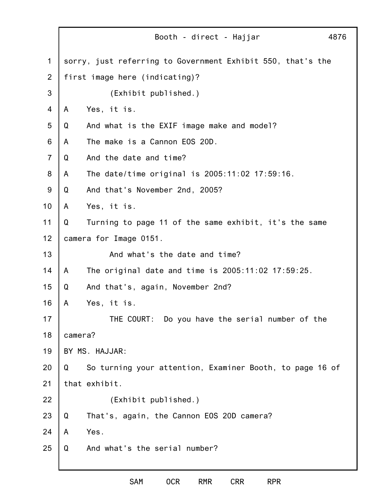1 2 3 4 5 6 7 8 9 10 11 12 13 14 15 16 17 18 19 20 21 22 23 24 25 Booth - direct - Hajjar 4876 sorry, just referring to Government Exhibit 550, that's the first image here (indicating)? (Exhibit published.) A Yes, it is. Q And what is the EXIF image make and model? A The make is a Cannon EOS 20D. Q And the date and time? A The date/time original is 2005:11:02 17:59:16. Q And that's November 2nd, 2005? A Yes, it is. Q Turning to page 11 of the same exhibit, it's the same camera for Image 0151. And what's the date and time? A The original date and time is 2005:11:02 17:59:25. Q And that's, again, November 2nd? A Yes, it is. THE COURT: Do you have the serial number of the camera? BY MS. HAJJAR: Q So turning your attention, Examiner Booth, to page 16 of that exhibit. (Exhibit published.) Q That's, again, the Cannon EOS 20D camera? A Yes. Q And what's the serial number?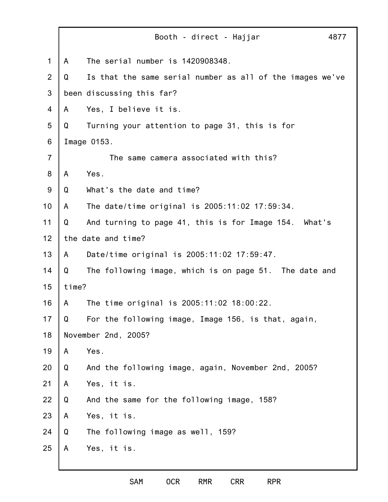|                | Booth - direct - Hajjar<br>4877                                |  |
|----------------|----------------------------------------------------------------|--|
| $\mathbf 1$    | The serial number is 1420908348.<br>A                          |  |
| $\overline{2}$ | Is that the same serial number as all of the images we've<br>Q |  |
| 3              | been discussing this far?                                      |  |
| 4              | Yes, I believe it is.<br>A                                     |  |
| 5              | Turning your attention to page 31, this is for<br>Q            |  |
| 6              | Image 0153.                                                    |  |
| $\overline{7}$ | The same camera associated with this?                          |  |
| 8              | Yes.<br>A                                                      |  |
| 9              | What's the date and time?<br>Q                                 |  |
| 10             | The date/time original is 2005:11:02 17:59:34.<br>A            |  |
| 11             | And turning to page 41, this is for Image 154. What's<br>Q     |  |
| 12             | the date and time?                                             |  |
| 13             | Date/time original is 2005:11:02 17:59:47.<br>A                |  |
| 14             | Q<br>The following image, which is on page 51. The date and    |  |
| 15             | time?                                                          |  |
| 16             | The time original is 2005:11:02 18:00:22.<br>A                 |  |
| 17             | For the following image, Image 156, is that, again,<br>Q       |  |
| 18             | November 2nd, 2005?                                            |  |
| 19             | Yes.<br>A                                                      |  |
| 20             | And the following image, again, November 2nd, 2005?<br>Q       |  |
| 21             | Yes, it is.<br>A                                               |  |
| 22             | And the same for the following image, 158?<br>Q                |  |
| 23             | Yes, it is.<br>A                                               |  |
| 24             | The following image as well, 159?<br>Q                         |  |
| 25             | Yes, it is.<br>A                                               |  |
|                |                                                                |  |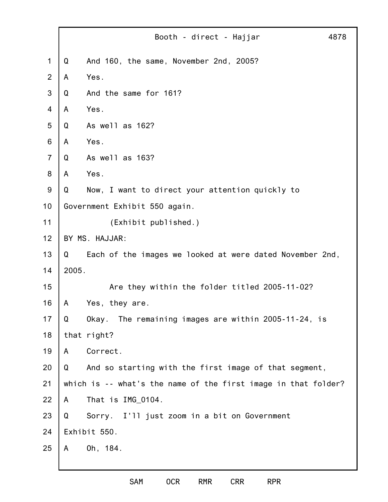|                |                               | Booth - direct - Hajjar                                        | 4878 |
|----------------|-------------------------------|----------------------------------------------------------------|------|
| $\mathbf 1$    | Q                             | And 160, the same, November 2nd, 2005?                         |      |
| 2              | A                             | Yes.                                                           |      |
| 3              | Q                             | And the same for 161?                                          |      |
| 4              | A                             | Yes.                                                           |      |
| 5              | Q                             | As well as 162?                                                |      |
| 6              | A                             | Yes.                                                           |      |
| $\overline{7}$ | Q                             | As well as 163?                                                |      |
| 8              | A                             | Yes.                                                           |      |
| $9\,$          | Q                             | Now, I want to direct your attention quickly to                |      |
| 10             | Government Exhibit 550 again. |                                                                |      |
| 11             |                               | (Exhibit published.)                                           |      |
| 12             | BY MS. HAJJAR:                |                                                                |      |
| 13             | Q                             | Each of the images we looked at were dated November 2nd,       |      |
| 14             | 2005.                         |                                                                |      |
| 15             |                               | Are they within the folder titled 2005-11-02?                  |      |
| 16             | A                             | Yes, they are.                                                 |      |
| 17             | Q                             | Okay. The remaining images are within 2005-11-24, is           |      |
| 18             |                               | that right?                                                    |      |
| 19             | A                             | Correct.                                                       |      |
| 20             | Q                             | And so starting with the first image of that segment,          |      |
| 21             |                               | which is -- what's the name of the first image in that folder? |      |
| 22             | A                             | That is IMG_0104.                                              |      |
| 23             | Q                             | Sorry. I'll just zoom in a bit on Government                   |      |
| 24             | Exhibit 550.                  |                                                                |      |
| 25             | A                             | Oh, 184.                                                       |      |
|                |                               |                                                                |      |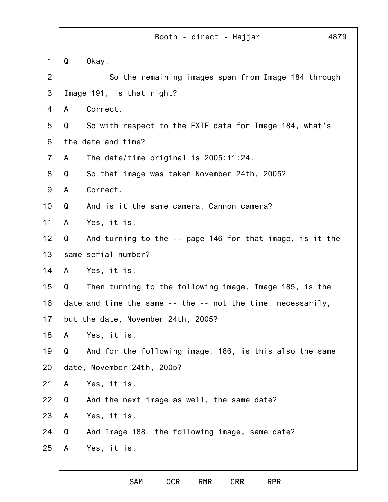|                |   | 4879<br>Booth - direct - Hajjar                             |
|----------------|---|-------------------------------------------------------------|
| 1              | Q | Okay.                                                       |
| $\overline{2}$ |   | So the remaining images span from Image 184 through         |
| 3              |   | Image 191, is that right?                                   |
| 4              | A | Correct.                                                    |
| 5              | Q | So with respect to the EXIF data for Image 184, what's      |
| 6              |   | the date and time?                                          |
| $\overline{7}$ | A | The date/time original is $2005:11:24$ .                    |
| 8              | Q | So that image was taken November 24th, 2005?                |
| $9\,$          | A | Correct.                                                    |
| 10             | Q | And is it the same camera, Cannon camera?                   |
| 11             | A | Yes, it is.                                                 |
| 12             | Q | And turning to the -- page 146 for that image, is it the    |
| 13             |   | same serial number?                                         |
| 14             | A | Yes, it is.                                                 |
| 15             | Q | Then turning to the following image, Image 185, is the      |
| 16             |   | date and time the same -- the -- not the time, necessarily, |
| 17             |   | but the date, November 24th, 2005?                          |
| 18             | A | Yes, it is.                                                 |
| 19             | Q | And for the following image, 186, is this also the same     |
| 20             |   | date, November 24th, 2005?                                  |
| 21             | A | Yes, it is.                                                 |
| 22             | Q | And the next image as well, the same date?                  |
| 23             | A | Yes, it is.                                                 |
| 24             | Q | And Image 188, the following image, same date?              |
| 25             | A | Yes, it is.                                                 |
|                |   |                                                             |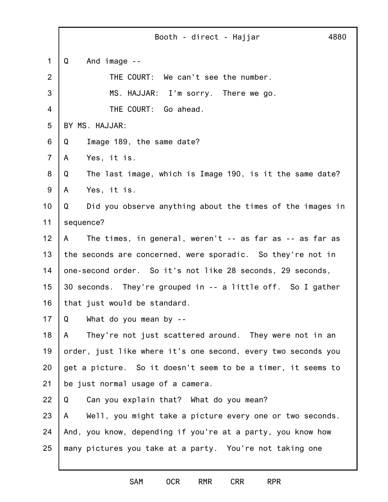1 2 3 4 5 6 7 8 9 10 11 12 13 14 15 16 17 18 19 20 21 22 23 24 25 Booth - direct - Hajjar 4880 Q And image -- THE COURT: We can't see the number. MS. HAJJAR: I'm sorry. There we go. THE COURT: Go ahead. BY MS. HAJJAR: Q Image 189, the same date? A Yes, it is. Q The last image, which is Image 190, is it the same date? A Yes, it is. Q Did you observe anything about the times of the images in sequence? A The times, in general, weren't -- as far as -- as far as the seconds are concerned, were sporadic. So they're not in one-second order. So it's not like 28 seconds, 29 seconds, 30 seconds. They're grouped in -- a little off. So I gather that just would be standard. Q What do you mean by -- A They're not just scattered around. They were not in an order, just like where it's one second, every two seconds you get a picture. So it doesn't seem to be a timer, it seems to be just normal usage of a camera. Q Can you explain that? What do you mean? A Well, you might take a picture every one or two seconds. And, you know, depending if you're at a party, you know how many pictures you take at a party. You're not taking one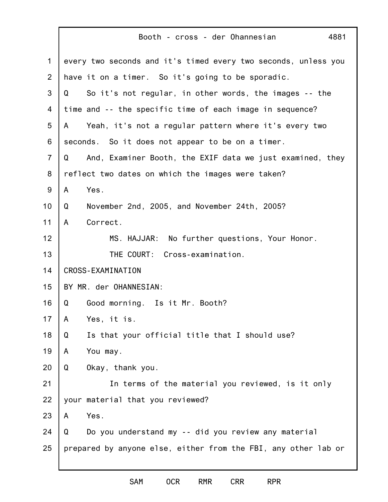|                | Booth - cross - der Ohannesian<br>4881                                |
|----------------|-----------------------------------------------------------------------|
| $\mathbf 1$    | every two seconds and it's timed every two seconds, unless you        |
| 2              | have it on a timer. So it's going to be sporadic.                     |
| 3              | So it's not regular, in other words, the images -- the<br>Q           |
| 4              | time and -- the specific time of each image in sequence?              |
| 5              | Yeah, it's not a regular pattern where it's every two<br>$\mathsf{A}$ |
| 6              | seconds. So it does not appear to be on a timer.                      |
| $\overline{7}$ | And, Examiner Booth, the EXIF data we just examined, they<br>Q        |
| 8              | reflect two dates on which the images were taken?                     |
| $9\,$          | Yes.<br>A                                                             |
| 10             | November 2nd, 2005, and November 24th, 2005?<br>Q                     |
| 11             | Correct.<br>A                                                         |
| 12             | MS. HAJJAR: No further questions, Your Honor.                         |
| 13             | THE COURT: Cross-examination.                                         |
| 14             | <b>CROSS-EXAMINATION</b>                                              |
| 15             | BY MR. der OHANNESIAN:                                                |
| 16             | Good morning. Is it Mr. Booth?<br>Q                                   |
| 17             | Yes, it is.<br>A                                                      |
| 18             | Is that your official title that I should use?<br>Q                   |
| 19             | You may.<br>A                                                         |
| 20             | Q<br>Okay, thank you.                                                 |
| 21             | In terms of the material you reviewed, is it only                     |
| 22             | your material that you reviewed?                                      |
| 23             | Yes.<br>A                                                             |
| 24             | Do you understand my -- did you review any material<br>Q              |
| 25             | prepared by anyone else, either from the FBI, any other lab or        |
|                |                                                                       |

ľ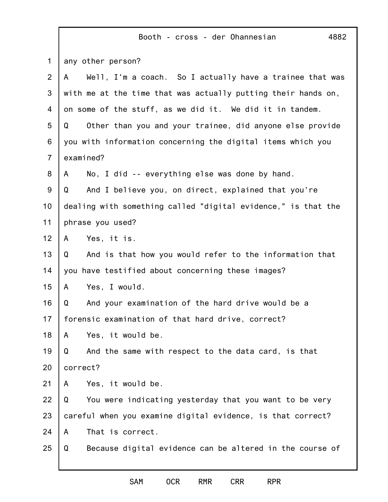|                | 4882<br>Booth - cross - der Ohannesian                        |
|----------------|---------------------------------------------------------------|
| $\mathbf 1$    | any other person?                                             |
| $\overline{2}$ | Well, I'm a coach. So I actually have a trainee that was<br>A |
| 3              | with me at the time that was actually putting their hands on, |
| 4              | on some of the stuff, as we did it. We did it in tandem.      |
| 5              | Other than you and your trainee, did anyone else provide<br>Q |
| 6              | you with information concerning the digital items which you   |
| $\overline{7}$ | examined?                                                     |
| 8              | No, I did -- everything else was done by hand.<br>A           |
| 9              | And I believe you, on direct, explained that you're<br>Q      |
| 10             | dealing with something called "digital evidence," is that the |
| 11             | phrase you used?                                              |
| 12             | Yes, it is.<br>A                                              |
| 13             | And is that how you would refer to the information that<br>Q  |
| 14             | you have testified about concerning these images?             |
| 15             | Yes, I would.<br>A                                            |
| 16             | And your examination of the hard drive would be a<br>Q        |
| 17             | forensic examination of that hard drive, correct?             |
| 18             | Yes, it would be.<br>A                                        |
| 19             | And the same with respect to the data card, is that<br>Q      |
| 20             | correct?                                                      |
| 21             | Yes, it would be.<br>A                                        |
| 22             | Q<br>You were indicating yesterday that you want to be very   |
| 23             | careful when you examine digital evidence, is that correct?   |
| 24             | That is correct.<br>A                                         |
| 25             | Because digital evidence can be altered in the course of<br>Q |
|                |                                                               |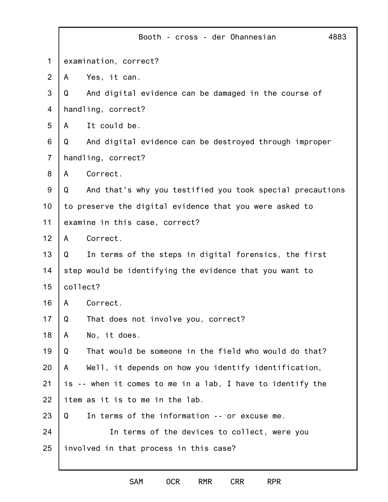|                |                                                         | Booth - cross - der Ohannesian<br>4883                     |
|----------------|---------------------------------------------------------|------------------------------------------------------------|
| $\mathbf 1$    | examination, correct?                                   |                                                            |
| $\overline{2}$ | A                                                       | Yes, it can.                                               |
| 3              | Q                                                       | And digital evidence can be damaged in the course of       |
| 4              |                                                         | handling, correct?                                         |
| 5              | A                                                       | It could be.                                               |
| 6              | Q                                                       | And digital evidence can be destroyed through improper     |
| $\overline{7}$ |                                                         | handling, correct?                                         |
| 8              | A                                                       | Correct.                                                   |
| 9              | Q                                                       | And that's why you testified you took special precautions  |
| 10             | to preserve the digital evidence that you were asked to |                                                            |
| 11             |                                                         | examine in this case, correct?                             |
| 12             | A                                                       | Correct.                                                   |
| 13             | Q                                                       | In terms of the steps in digital forensics, the first      |
| 14             |                                                         | step would be identifying the evidence that you want to    |
| 15             | collect?                                                |                                                            |
| 16             | A                                                       | Correct.                                                   |
| 17             | Q                                                       | That does not involve you, correct?                        |
| 18             | A                                                       | No, it does.                                               |
| 19             | Q                                                       | That would be someone in the field who would do that?      |
| 20             | A                                                       | Well, it depends on how you identify identification,       |
| 21             |                                                         | is -- when it comes to me in a lab, I have to identify the |
| 22             |                                                         | item as it is to me in the lab.                            |
| 23             | Q                                                       | In terms of the information -- or excuse me.               |
| 24             |                                                         | In terms of the devices to collect, were you               |
| 25             |                                                         | involved in that process in this case?                     |
|                |                                                         |                                                            |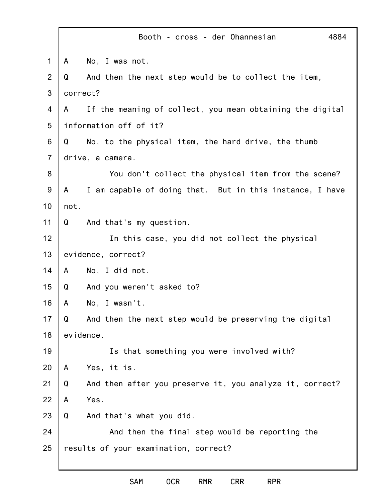|                | Booth - cross - der Ohannesian<br>4884                         |
|----------------|----------------------------------------------------------------|
| 1              | No, I was not.<br>A                                            |
| $\overline{2}$ | And then the next step would be to collect the item,<br>Q      |
| 3              | correct?                                                       |
| 4              | If the meaning of collect, you mean obtaining the digital<br>A |
| 5              | information off of it?                                         |
| 6              | No, to the physical item, the hard drive, the thumb<br>Q       |
| $\overline{7}$ | drive, a camera.                                               |
| 8              | You don't collect the physical item from the scene?            |
| $9$            | I am capable of doing that. But in this instance, I have<br>A  |
| 10             | not.                                                           |
| 11             | And that's my question.<br>Q                                   |
| 12             | In this case, you did not collect the physical                 |
| 13             | evidence, correct?                                             |
| 14             | No, I did not.<br>A                                            |
| 15             | And you weren't asked to?<br>Q                                 |
| 16             | No, I wasn't.<br>A                                             |
| 17             | And then the next step would be preserving the digital<br>Q    |
| 18             | evidence.                                                      |
| 19             | Is that something you were involved with?                      |
| 20             | Yes, it is.<br>A                                               |
| 21             | Q<br>And then after you preserve it, you analyze it, correct?  |
| 22             | Yes.<br>A                                                      |
| 23             | Q<br>And that's what you did.                                  |
| 24             | And then the final step would be reporting the                 |
| 25             | results of your examination, correct?                          |
|                |                                                                |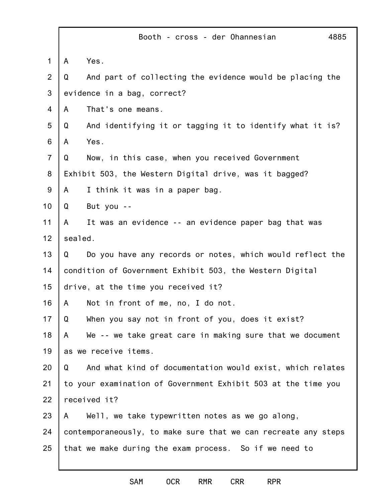|                | Booth - cross - der Ohannesian<br>4885                         |
|----------------|----------------------------------------------------------------|
| $\mathbf 1$    | Yes.<br>A                                                      |
| $\overline{2}$ | And part of collecting the evidence would be placing the<br>Q  |
| 3              | evidence in a bag, correct?                                    |
| 4              | That's one means.<br>A                                         |
| 5              | Q<br>And identifying it or tagging it to identify what it is?  |
| 6              | Yes.<br>A                                                      |
| $\overline{7}$ | Now, in this case, when you received Government<br>Q           |
| 8              | Exhibit 503, the Western Digital drive, was it bagged?         |
| 9              | I think it was in a paper bag.<br>A                            |
| 10             | But you --<br>Q                                                |
| 11             | It was an evidence -- an evidence paper bag that was<br>A      |
| 12             | sealed.                                                        |
| 13             | Do you have any records or notes, which would reflect the<br>Q |
| 14             | condition of Government Exhibit 503, the Western Digital       |
| 15             | drive, at the time you received it?                            |
| 16             | Not in front of me, no, I do not.<br>A                         |
| 17             | When you say not in front of you, does it exist?<br>Q          |
| 18             | We -- we take great care in making sure that we document<br>A  |
| 19             | as we receive items.                                           |
| 20             | And what kind of documentation would exist, which relates<br>Q |
| 21             | to your examination of Government Exhibit 503 at the time you  |
| 22             | received it?                                                   |
| 23             | Well, we take typewritten notes as we go along,<br>A           |
| 24             | contemporaneously, to make sure that we can recreate any steps |
| 25             | that we make during the exam process. So if we need to         |
|                |                                                                |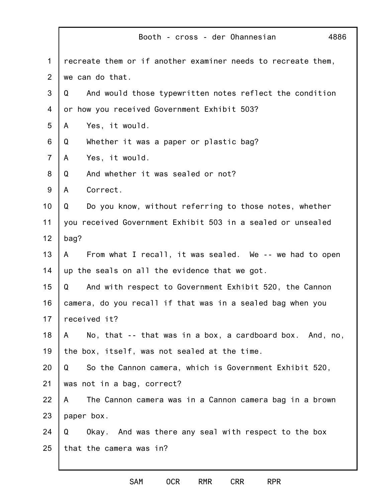|                | 4886<br>Booth - cross - der Ohannesian                        |
|----------------|---------------------------------------------------------------|
| $\mathbf 1$    | recreate them or if another examiner needs to recreate them,  |
| $\overline{2}$ | we can do that.                                               |
| 3              | And would those typewritten notes reflect the condition<br>Q  |
| 4              | or how you received Government Exhibit 503?                   |
| 5              | Yes, it would.<br>A                                           |
| 6              | Whether it was a paper or plastic bag?<br>Q                   |
| $\overline{7}$ | Yes, it would.<br>A                                           |
| 8              | Q<br>And whether it was sealed or not?                        |
| 9              | Correct.<br>A                                                 |
| 10             | Q<br>Do you know, without referring to those notes, whether   |
| 11             | you received Government Exhibit 503 in a sealed or unsealed   |
| 12             | bag?                                                          |
| 13             | From what I recall, it was sealed. We -- we had to open<br>A  |
| 14             | up the seals on all the evidence that we got.                 |
| 15             | Q<br>And with respect to Government Exhibit 520, the Cannon   |
| 16             | camera, do you recall if that was in a sealed bag when you    |
| 17             | received it?                                                  |
| 18             | No, that -- that was in a box, a cardboard box. And, no,<br>A |
| 19             | the box, itself, was not sealed at the time.                  |
| 20             | So the Cannon camera, which is Government Exhibit 520,<br>Q   |
| 21             | was not in a bag, correct?                                    |
| 22             | The Cannon camera was in a Cannon camera bag in a brown<br>A  |
| 23             | paper box.                                                    |
| 24             | Okay. And was there any seal with respect to the box<br>Q     |
| 25             | that the camera was in?                                       |
|                |                                                               |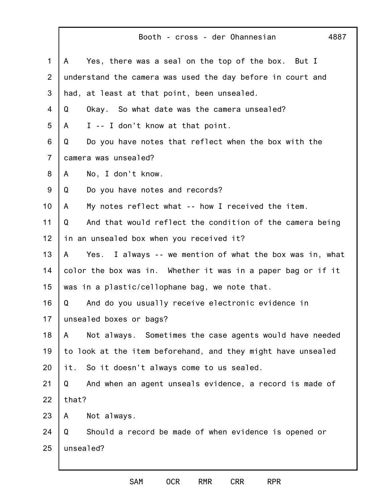|                | Booth - cross - der Ohannesian<br>4887                        |
|----------------|---------------------------------------------------------------|
| $\mathbf 1$    | Yes, there was a seal on the top of the box. But I<br>A       |
| $\overline{2}$ | understand the camera was used the day before in court and    |
| 3              | had, at least at that point, been unsealed.                   |
| 4              | Okay. So what date was the camera unsealed?<br>Q              |
| 5              | I -- I don't know at that point.<br>A                         |
| 6              | Do you have notes that reflect when the box with the<br>Q     |
| $\overline{7}$ | camera was unsealed?                                          |
| 8              | No, I don't know.<br>A                                        |
| 9              | Do you have notes and records?<br>Q                           |
| 10             | My notes reflect what -- how I received the item.<br>A        |
| 11             | And that would reflect the condition of the camera being<br>Q |
| 12             | in an unsealed box when you received it?                      |
| 13             | Yes. I always -- we mention of what the box was in, what<br>A |
| 14             | color the box was in. Whether it was in a paper bag or if it  |
| 15             | was in a plastic/cellophane bag, we note that.                |
| 16             | Q<br>And do you usually receive electronic evidence in        |
| 17             | unsealed boxes or bags?                                       |
| 18             | Not always. Sometimes the case agents would have needed<br>A  |
| 19             | to look at the item beforehand, and they might have unsealed  |
| 20             | it. So it doesn't always come to us sealed.                   |
| 21             | And when an agent unseals evidence, a record is made of<br>Q  |
| 22             | that?                                                         |
| 23             | Not always.<br>A                                              |
| 24             | Should a record be made of when evidence is opened or<br>Q    |
| 25             | unsealed?                                                     |
|                |                                                               |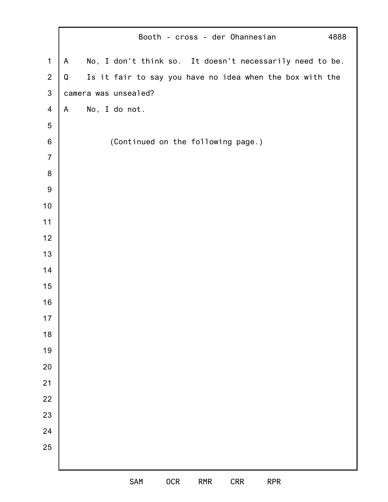|                  |   | Booth - cross - der Ohannesian                           | 4888 |
|------------------|---|----------------------------------------------------------|------|
| $\mathbf 1$      | A | No, I don't think so. It doesn't necessarily need to be. |      |
| $\overline{2}$   | Q | Is it fair to say you have no idea when the box with the |      |
| $\mathfrak{S}$   |   | camera was unsealed?                                     |      |
| $\overline{4}$   | A | No, I do not.                                            |      |
| 5                |   |                                                          |      |
| $\,6$            |   | (Continued on the following page.)                       |      |
| $\overline{7}$   |   |                                                          |      |
| $\bf 8$          |   |                                                          |      |
| $\boldsymbol{9}$ |   |                                                          |      |
| $10$             |   |                                                          |      |
| 11               |   |                                                          |      |
| 12               |   |                                                          |      |
| 13               |   |                                                          |      |
| 14               |   |                                                          |      |
| 15               |   |                                                          |      |
| 16               |   |                                                          |      |
| $17$             |   |                                                          |      |
| 18               |   |                                                          |      |
| 19               |   |                                                          |      |
| 20               |   |                                                          |      |
| 21               |   |                                                          |      |
| 22               |   |                                                          |      |
| 23               |   |                                                          |      |
| 24               |   |                                                          |      |
| 25               |   |                                                          |      |
|                  |   |                                                          |      |
|                  |   | SAM<br>0CR<br><b>CRR</b><br>RMR<br><b>RPR</b>            |      |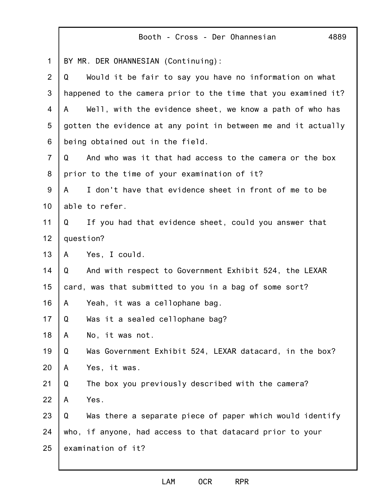|                | 4889<br>Booth - Cross - Der Ohannesian                         |
|----------------|----------------------------------------------------------------|
| 1              | BY MR. DER OHANNESIAN (Continuing):                            |
| 2              | Would it be fair to say you have no information on what<br>Q   |
| 3              | happened to the camera prior to the time that you examined it? |
| $\overline{4}$ | Well, with the evidence sheet, we know a path of who has<br>A  |
| 5              | gotten the evidence at any point in between me and it actually |
| 6              | being obtained out in the field.                               |
| $\overline{7}$ | And who was it that had access to the camera or the box<br>Q   |
| 8              | prior to the time of your examination of it?                   |
| 9              | I don't have that evidence sheet in front of me to be<br>A     |
| 10             | able to refer.                                                 |
| 11             | Q<br>If you had that evidence sheet, could you answer that     |
| 12             | question?                                                      |
| 13             | Yes, I could.<br>$\mathsf{A}$                                  |
| 14             | And with respect to Government Exhibit 524, the LEXAR<br>Q     |
| 15             | card, was that submitted to you in a bag of some sort?         |
| 16             | Yeah, it was a cellophane bag.<br>$\mathsf{A}$                 |
| 17             | Q<br>Was it a sealed cellophane bag?                           |
| 18             | No, it was not.<br>A                                           |
| 19             | Q<br>Was Government Exhibit 524, LEXAR datacard, in the box?   |
| 20             | Yes, it was.<br>A                                              |
| 21             | Q<br>The box you previously described with the camera?         |
| 22             | Yes.<br>A                                                      |
| 23             | Q<br>Was there a separate piece of paper which would identify  |
| 24             | who, if anyone, had access to that datacard prior to your      |
| 25             | examination of it?                                             |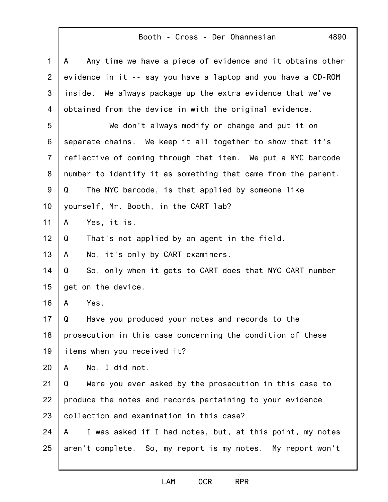## Booth - Cross - Der Ohannesian

4890

| 1              | Any time we have a piece of evidence and it obtains other<br>A |
|----------------|----------------------------------------------------------------|
| 2              | evidence in it -- say you have a laptop and you have a CD-ROM  |
| 3              | inside.<br>We always package up the extra evidence that we've  |
| 4              | obtained from the device in with the original evidence.        |
| 5              | We don't always modify or change and put it on                 |
| 6              | separate chains. We keep it all together to show that it's     |
| $\overline{7}$ | reflective of coming through that item. We put a NYC barcode   |
| 8              | number to identify it as something that came from the parent.  |
| 9              | The NYC barcode, is that applied by someone like<br>Q          |
| 10             | yourself, Mr. Booth, in the CART lab?                          |
| 11             | Yes, it is.<br>A                                               |
| 12             | That's not applied by an agent in the field.<br>Q              |
| 13             | No, it's only by CART examiners.<br>A                          |
| 14             | So, only when it gets to CART does that NYC CART number<br>Q   |
| 15             | get on the device.                                             |
| 16             | Yes.<br>A                                                      |
| 17             | Have you produced your notes and records to the<br>Q           |
| 18             | prosecution in this case concerning the condition of these     |
| 19             | items when you received it?                                    |
| 20             | No, I did not.<br>A                                            |
| 21             | Were you ever asked by the prosecution in this case to<br>Q    |
| 22             | produce the notes and records pertaining to your evidence      |
| 23             | collection and examination in this case?                       |
| 24             | I was asked if I had notes, but, at this point, my notes<br>A  |
| 25             | aren't complete. So, my report is my notes. My report won't    |
|                |                                                                |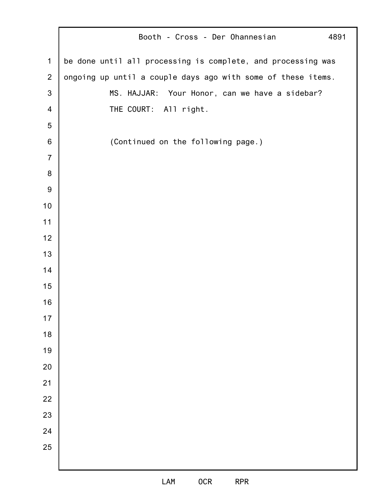|                  | Booth - Cross - Der Ohannesian<br>4891                       |
|------------------|--------------------------------------------------------------|
| $\mathbf 1$      | be done until all processing is complete, and processing was |
| $\overline{2}$   | ongoing up until a couple days ago with some of these items. |
| 3                | MS. HAJJAR: Your Honor, can we have a sidebar?               |
| $\overline{4}$   | THE COURT: All right.                                        |
| 5                |                                                              |
| 6                | (Continued on the following page.)                           |
| $\overline{7}$   |                                                              |
| $\bf 8$          |                                                              |
| $\boldsymbol{9}$ |                                                              |
| 10               |                                                              |
| 11               |                                                              |
| 12               |                                                              |
| 13               |                                                              |
| 14               |                                                              |
| 15               |                                                              |
| 16               |                                                              |
| $17$             |                                                              |
| 18               |                                                              |
| 19               |                                                              |
| 20               |                                                              |
| 21               |                                                              |
| 22               |                                                              |
| 23               |                                                              |
| 24               |                                                              |
| 25               |                                                              |
|                  |                                                              |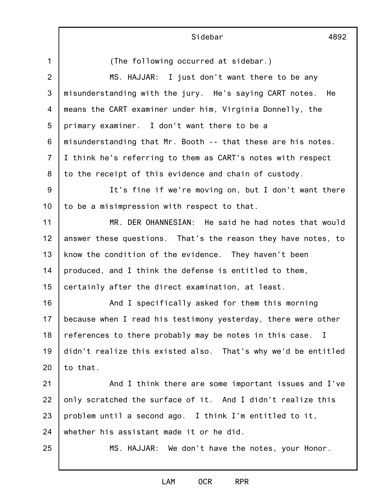|                | Sidebar<br>4892                                               |
|----------------|---------------------------------------------------------------|
| $\mathbf{1}$   | (The following occurred at sidebar.)                          |
| $\overline{2}$ | MS. HAJJAR: I just don't want there to be any                 |
| 3              | misunderstanding with the jury. He's saying CART notes. He    |
| 4              | means the CART examiner under him, Virginia Donnelly, the     |
| 5              | primary examiner. I don't want there to be a                  |
| 6              | misunderstanding that Mr. Booth -- that these are his notes.  |
| $\overline{7}$ | I think he's referring to them as CART's notes with respect   |
| 8              | to the receipt of this evidence and chain of custody.         |
| 9              | It's fine if we're moving on, but I don't want there          |
| 10             | to be a misimpression with respect to that.                   |
| 11             | MR. DER OHANNESIAN: He said he had notes that would           |
| 12             | answer these questions. That's the reason they have notes, to |
| 13             | know the condition of the evidence. They haven't been         |
| 14             | produced, and I think the defense is entitled to them,        |
| 15             | certainly after the direct examination, at least.             |
| 16             | And I specifically asked for them this morning                |
| 17             | because when I read his testimony yesterday, there were other |
| 18             | references to there probably may be notes in this case. I     |
| 19             | didn't realize this existed also. That's why we'd be entitled |
| 20             | to that.                                                      |
| 21             | And I think there are some important issues and I've          |
| 22             | only scratched the surface of it. And I didn't realize this   |
| 23             | problem until a second ago. I think I'm entitled to it,       |
| 24             | whether his assistant made it or he did.                      |
| 25             | MS. HAJJAR: We don't have the notes, your Honor.              |
|                |                                                               |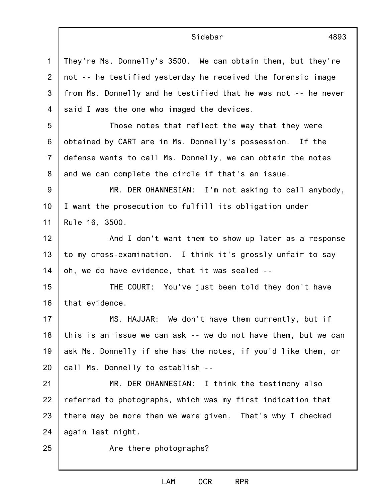|                 | Sidebar<br>4893                                                |
|-----------------|----------------------------------------------------------------|
| 1               | They're Ms. Donnelly's 3500. We can obtain them, but they're   |
| $\overline{2}$  | not -- he testified yesterday he received the forensic image   |
| 3               | from Ms. Donnelly and he testified that he was not -- he never |
| 4               | said I was the one who imaged the devices.                     |
| 5               | Those notes that reflect the way that they were                |
| 6               | obtained by CART are in Ms. Donnelly's possession. If the      |
| $\overline{7}$  | defense wants to call Ms. Donnelly, we can obtain the notes    |
| 8               | and we can complete the circle if that's an issue.             |
| 9               | MR. DER OHANNESIAN: I'm not asking to call anybody,            |
| 10 <sub>1</sub> | I want the prosecution to fulfill its obligation under         |
| 11              | Rule 16, 3500.                                                 |
| 12              | And I don't want them to show up later as a response           |
| 13              | to my cross-examination. I think it's grossly unfair to say    |
| 14              | oh, we do have evidence, that it was sealed --                 |
| 15              | THE COURT: You've just been told they don't have               |
| 16              | that evidence.                                                 |
| 17              | MS. HAJJAR: We don't have them currently, but if               |
| 18              | this is an issue we can ask -- we do not have them, but we can |
| 19              | ask Ms. Donnelly if she has the notes, if you'd like them, or  |
| 20              | call Ms. Donnelly to establish --                              |
| 21              | MR. DER OHANNESIAN: I think the testimony also                 |
| 22              | referred to photographs, which was my first indication that    |
| 23              | there may be more than we were given. That's why I checked     |
| 24              | again last night.                                              |
| 25              | Are there photographs?                                         |
|                 |                                                                |

 $\mathbf I$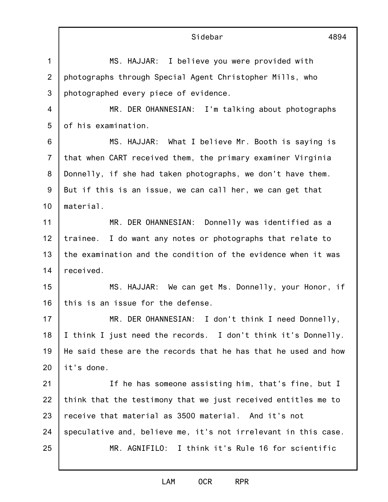1 2 3 4 5 6 7 8 9 10 11 12 13 14 15 16 17 18 19 20 21 22 23 24 25 Sidebar 4894 MS. HAJJAR: I believe you were provided with photographs through Special Agent Christopher Mills, who photographed every piece of evidence. MR. DER OHANNESIAN: I'm talking about photographs of his examination. MS. HAJJAR: What I believe Mr. Booth is saying is that when CART received them, the primary examiner Virginia Donnelly, if she had taken photographs, we don't have them. But if this is an issue, we can call her, we can get that material. MR. DER OHANNESIAN: Donnelly was identified as a trainee. I do want any notes or photographs that relate to the examination and the condition of the evidence when it was received. MS. HAJJAR: We can get Ms. Donnelly, your Honor, if this is an issue for the defense. MR. DER OHANNESIAN: I don't think I need Donnelly, I think I just need the records. I don't think it's Donnelly. He said these are the records that he has that he used and how it's done. If he has someone assisting him, that's fine, but I think that the testimony that we just received entitles me to receive that material as 3500 material. And it's not speculative and, believe me, it's not irrelevant in this case. MR. AGNIFILO: I think it's Rule 16 for scientific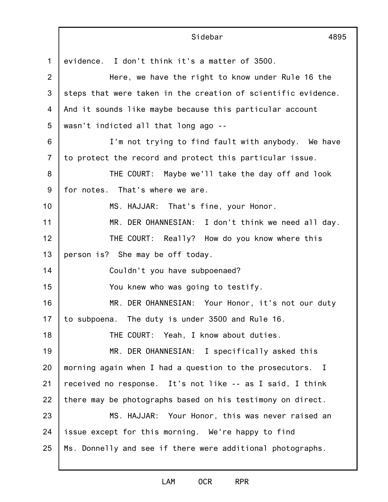|                | Sidebar<br>4895                                               |
|----------------|---------------------------------------------------------------|
| 1              | evidence. I don't think it's a matter of 3500.                |
| $\overline{2}$ | Here, we have the right to know under Rule 16 the             |
| 3              | steps that were taken in the creation of scientific evidence. |
| 4              | And it sounds like maybe because this particular account      |
| 5              | wasn't indicted all that long ago --                          |
| 6              | I'm not trying to find fault with anybody. We have            |
| $\overline{7}$ | to protect the record and protect this particular issue.      |
| 8              | THE COURT: Maybe we'll take the day off and look              |
| 9              | for notes. That's where we are.                               |
| 10             | MS. HAJJAR: That's fine, your Honor.                          |
| 11             | MR. DER OHANNESIAN: I don't think we need all day.            |
| 12             | THE COURT: Really? How do you know where this                 |
| 13             | person is? She may be off today.                              |
| 14             | Couldn't you have subpoenaed?                                 |
| 15             | You knew who was going to testify.                            |
| 16             | MR. DER OHANNESIAN: Your Honor, it's not our duty             |
| 17             | to subpoena. The duty is under 3500 and Rule 16.              |
| 18             | THE COURT: Yeah, I know about duties.                         |
| 19             | MR. DER OHANNESIAN: I specifically asked this                 |
| 20             | morning again when I had a question to the prosecutors. I     |
| 21             | received no response. It's not like -- as I said, I think     |
| 22             | there may be photographs based on his testimony on direct.    |
| 23             | MS. HAJJAR: Your Honor, this was never raised an              |
| 24             | issue except for this morning. We're happy to find            |
| 25             | Ms. Donnelly and see if there were additional photographs.    |
|                |                                                               |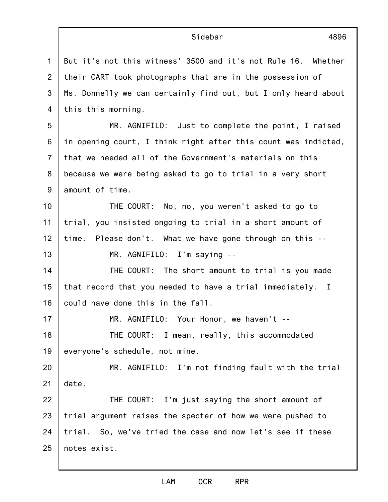1 2 3 4 5 6 7 8 9 10 11 12 13 14 15 16 17 18 19 20 21 22 23 24 25 Sidebar 4896 But it's not this witness' 3500 and it's not Rule 16. Whether their CART took photographs that are in the possession of Ms. Donnelly we can certainly find out, but I only heard about this this morning. MR. AGNIFILO: Just to complete the point, I raised in opening court, I think right after this count was indicted, that we needed all of the Government's materials on this because we were being asked to go to trial in a very short amount of time. THE COURT: No, no, you weren't asked to go to trial, you insisted ongoing to trial in a short amount of time. Please don't. What we have gone through on this -- MR. AGNIFILO: I'm saying -- THE COURT: The short amount to trial is you made that record that you needed to have a trial immediately. I could have done this in the fall. MR. AGNIFILO: Your Honor, we haven't -- THE COURT: I mean, really, this accommodated everyone's schedule, not mine. MR. AGNIFILO: I'm not finding fault with the trial date. THE COURT: I'm just saying the short amount of trial argument raises the specter of how we were pushed to trial. So, we've tried the case and now let's see if these notes exist.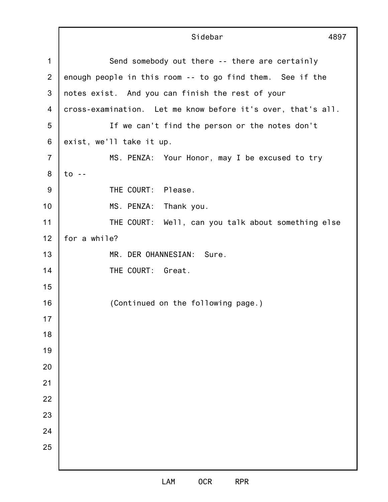|                | Sidebar<br>4897                                              |
|----------------|--------------------------------------------------------------|
| $\mathbf 1$    | Send somebody out there -- there are certainly               |
| 2              | enough people in this room -- to go find them. See if the    |
| 3              | notes exist. And you can finish the rest of your             |
| 4              | cross-examination. Let me know before it's over, that's all. |
| 5              | If we can't find the person or the notes don't               |
| 6              | exist, we'll take it up.                                     |
| $\overline{7}$ | MS. PENZA: Your Honor, may I be excused to try               |
| 8              | $to -$                                                       |
| 9              | THE COURT: Please.                                           |
| 10             | MS. PENZA: Thank you.                                        |
| 11             | THE COURT: Well, can you talk about something else           |
| 12             | for a while?                                                 |
| 13             | MR. DER OHANNESIAN: Sure.                                    |
| 14             | THE COURT: Great.                                            |
| 15             |                                                              |
| 16             | (Continued on the following page.)                           |
| 17             |                                                              |
| 18             |                                                              |
| 19             |                                                              |
| 20             |                                                              |
| 21             |                                                              |
| 22             |                                                              |
| 23             |                                                              |
| 24             |                                                              |
| 25             |                                                              |
|                |                                                              |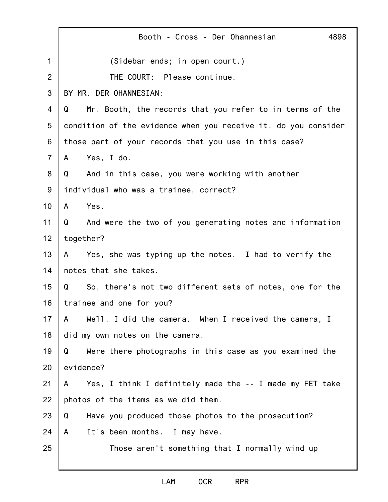|                | Booth - Cross - Der Ohannesian<br>4898                          |
|----------------|-----------------------------------------------------------------|
| 1              | (Sidebar ends; in open court.)                                  |
| $\overline{2}$ | THE COURT: Please continue.                                     |
| 3              | BY MR. DER OHANNESIAN:                                          |
| 4              | Mr. Booth, the records that you refer to in terms of the<br>Q   |
| 5              | condition of the evidence when you receive it, do you consider  |
| 6              | those part of your records that you use in this case?           |
| $\overline{7}$ | Yes, I do.<br>A                                                 |
| 8              | And in this case, you were working with another<br>Q            |
| 9              | individual who was a trainee, correct?                          |
| 10             | Yes.<br>A                                                       |
| 11             | And were the two of you generating notes and information<br>Q   |
| 12             | together?                                                       |
| 13             | Yes, she was typing up the notes. I had to verify the<br>A      |
| 14             | notes that she takes.                                           |
| 15             | So, there's not two different sets of notes, one for the<br>Q   |
| 16             | trainee and one for you?                                        |
| 17             | A Well, I did the camera. When I received the camera, I         |
| 18             | did my own notes on the camera.                                 |
| 19             | Were there photographs in this case as you examined the<br>Q    |
| 20             | evidence?                                                       |
| 21             | Yes, I think I definitely made the -- I made my FET take<br>A – |
| 22             | photos of the items as we did them.                             |
| 23             | Have you produced those photos to the prosecution?<br>Q         |
| 24             | It's been months. I may have.<br>A                              |
| 25             | Those aren't something that I normally wind up                  |
|                |                                                                 |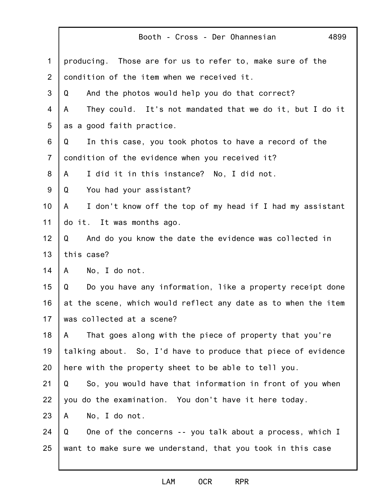|                | Booth - Cross - Der Ohannesian<br>4899                         |
|----------------|----------------------------------------------------------------|
| $\mathbf 1$    | producing. Those are for us to refer to, make sure of the      |
| 2              | condition of the item when we received it.                     |
| 3              | And the photos would help you do that correct?<br>Q            |
| 4              | They could. It's not mandated that we do it, but I do it<br>A  |
| 5              | as a good faith practice.                                      |
| 6              | In this case, you took photos to have a record of the<br>Q     |
| $\overline{7}$ | condition of the evidence when you received it?                |
| 8              | I did it in this instance? No, I did not.<br>A                 |
| 9              | You had your assistant?<br>Q                                   |
| 10             | I don't know off the top of my head if I had my assistant<br>A |
| 11             | do it. It was months ago.                                      |
| 12             | And do you know the date the evidence was collected in<br>Q    |
| 13             | this case?                                                     |
| 14             | No, I do not.<br>A                                             |
| 15             | Do you have any information, like a property receipt done<br>Q |
| 16             | at the scene, which would reflect any date as to when the item |
| 17             | was collected at a scene?                                      |
| 18             | That goes along with the piece of property that you're<br>A    |
| 19             | talking about. So, I'd have to produce that piece of evidence  |
| 20             | here with the property sheet to be able to tell you.           |
| 21             | So, you would have that information in front of you when<br>Q  |
| 22             | you do the examination. You don't have it here today.          |
| 23             | No, I do not.<br>A                                             |
| 24             | Q<br>One of the concerns -- you talk about a process, which I  |
| 25             | want to make sure we understand, that you took in this case    |
|                |                                                                |

## LAM OCR RPR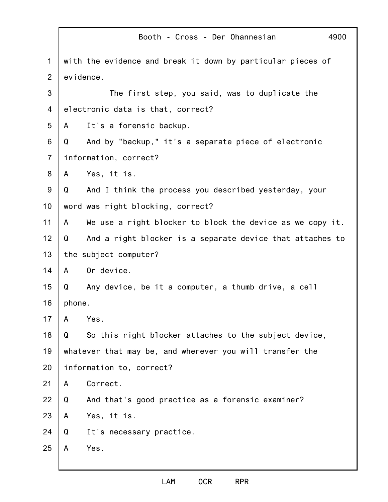|                |                                   | Booth - Cross - Der Ohannesian<br>4900                      |  |  |
|----------------|-----------------------------------|-------------------------------------------------------------|--|--|
| $\mathbf{1}$   |                                   | with the evidence and break it down by particular pieces of |  |  |
| $\overline{2}$ |                                   | evidence.                                                   |  |  |
| 3              |                                   | The first step, you said, was to duplicate the              |  |  |
| 4              | electronic data is that, correct? |                                                             |  |  |
| 5              | A                                 | It's a forensic backup.                                     |  |  |
| 6              | Q                                 | And by "backup," it's a separate piece of electronic        |  |  |
| $\overline{7}$ | information, correct?             |                                                             |  |  |
| 8              | $\mathsf{A}$                      | Yes, it is.                                                 |  |  |
| $9\,$          | Q                                 | And I think the process you described yesterday, your       |  |  |
| 10             |                                   | word was right blocking, correct?                           |  |  |
| 11             | A                                 | We use a right blocker to block the device as we copy it.   |  |  |
| 12             | Q                                 | And a right blocker is a separate device that attaches to   |  |  |
| 13             | the subject computer?             |                                                             |  |  |
| 14             | $\mathsf{A}$                      | Or device.                                                  |  |  |
| 15             | Q                                 | Any device, be it a computer, a thumb drive, a cell         |  |  |
| 16             | phone.                            |                                                             |  |  |
| 17             | A                                 | Yes.                                                        |  |  |
| 18             | Q                                 | So this right blocker attaches to the subject device,       |  |  |
| 19             |                                   | whatever that may be, and wherever you will transfer the    |  |  |
| 20             | information to, correct?          |                                                             |  |  |
| 21             | A                                 | Correct.                                                    |  |  |
| 22             | Q                                 | And that's good practice as a forensic examiner?            |  |  |
| 23             | A                                 | Yes, it is.                                                 |  |  |
| 24             | Q                                 | It's necessary practice.                                    |  |  |
| 25             | A                                 | Yes.                                                        |  |  |
|                |                                   |                                                             |  |  |

j.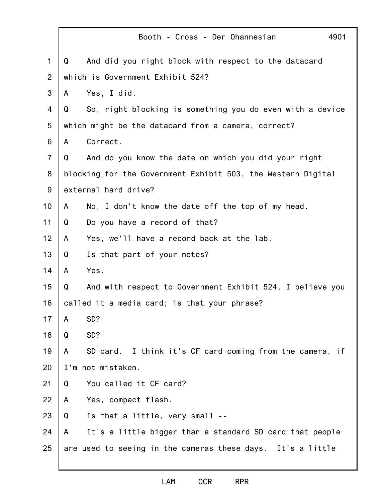|                | Booth - Cross - Der Ohannesian<br>4901                         |  |
|----------------|----------------------------------------------------------------|--|
| 1              | And did you right block with respect to the datacard<br>Q      |  |
| 2              | which is Government Exhibit 524?                               |  |
| 3              | Yes, I did.<br>A                                               |  |
| 4              | So, right blocking is something you do even with a device<br>Q |  |
| 5              | which might be the datacard from a camera, correct?            |  |
| 6              | Correct.<br>A                                                  |  |
| $\overline{7}$ | And do you know the date on which you did your right<br>Q      |  |
| 8              | blocking for the Government Exhibit 503, the Western Digital   |  |
| 9              | external hard drive?                                           |  |
| 10             | No, I don't know the date off the top of my head.<br>A         |  |
| 11             | Do you have a record of that?<br>Q                             |  |
| 12             | Yes, we'll have a record back at the lab.<br>A                 |  |
| 13             | Q<br>Is that part of your notes?                               |  |
| 14             | Yes.<br>A                                                      |  |
| 15             | And with respect to Government Exhibit 524, I believe you<br>Q |  |
| 16             | called it a media card; is that your phrase?                   |  |
| 17             | SD?<br>A                                                       |  |
| 18             | SD?<br>Q                                                       |  |
| 19             | SD card. I think it's CF card coming from the camera, if<br>A  |  |
| 20             | I'm not mistaken.                                              |  |
| 21             | You called it CF card?<br>Q                                    |  |
| 22             | Yes, compact flash.<br>A                                       |  |
| 23             | Is that a little, very small --<br>Q                           |  |
| 24             | It's a little bigger than a standard SD card that people<br>A  |  |
| 25             | are used to seeing in the cameras these days. It's a little    |  |
|                |                                                                |  |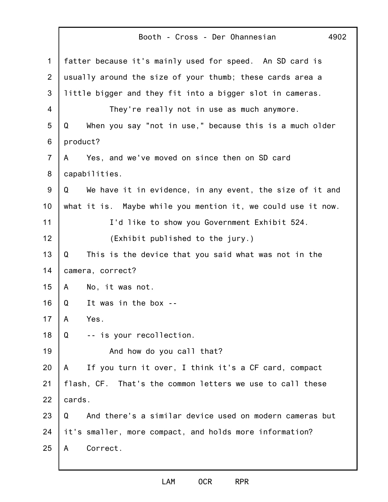|                | Booth - Cross - Der Ohannesian<br>4902                        |  |
|----------------|---------------------------------------------------------------|--|
| $\mathbf 1$    | fatter because it's mainly used for speed. An SD card is      |  |
| 2              | usually around the size of your thumb; these cards area a     |  |
| 3              | little bigger and they fit into a bigger slot in cameras.     |  |
| 4              | They're really not in use as much anymore.                    |  |
| 5              | When you say "not in use," because this is a much older<br>Q  |  |
| 6              | product?                                                      |  |
| $\overline{7}$ | Yes, and we've moved on since then on SD card<br>A            |  |
| 8              | capabilities.                                                 |  |
| 9              | We have it in evidence, in any event, the size of it and<br>Q |  |
| 10             | what it is. Maybe while you mention it, we could use it now.  |  |
| 11             | I'd like to show you Government Exhibit 524.                  |  |
| 12             | (Exhibit published to the jury.)                              |  |
| 13             | This is the device that you said what was not in the<br>Q     |  |
| 14             | camera, correct?                                              |  |
| 15             | A<br>No, it was not.                                          |  |
| 16             | It was in the box --<br>Q                                     |  |
| 17             | A<br>Yes.                                                     |  |
| 18             | -- is your recollection.<br>Q                                 |  |
| 19             | And how do you call that?                                     |  |
| 20             | If you turn it over, I think it's a CF card, compact<br>A     |  |
| 21             | flash, CF. That's the common letters we use to call these     |  |
| 22             | cards.                                                        |  |
| 23             | And there's a similar device used on modern cameras but<br>Q  |  |
| 24             | it's smaller, more compact, and holds more information?       |  |
| 25             | Correct.<br>A                                                 |  |
|                |                                                               |  |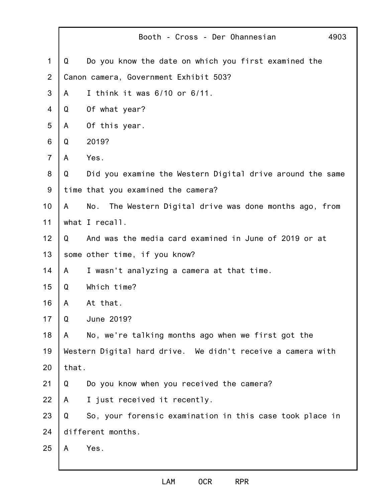|                |                                                             | Booth - Cross - Der Ohannesian<br>4903                     |  |
|----------------|-------------------------------------------------------------|------------------------------------------------------------|--|
| 1              | Q                                                           | Do you know the date on which you first examined the       |  |
| $\overline{2}$ |                                                             | Canon camera, Government Exhibit 503?                      |  |
| 3              | A                                                           | I think it was 6/10 or 6/11.                               |  |
| 4              | Q                                                           | Of what year?                                              |  |
| 5              | A                                                           | Of this year.                                              |  |
| 6              | Q                                                           | 2019?                                                      |  |
| $\overline{7}$ | A                                                           | Yes.                                                       |  |
| 8              | Q                                                           | Did you examine the Western Digital drive around the same  |  |
| 9              |                                                             | time that you examined the camera?                         |  |
| 10             | A                                                           | No.<br>The Western Digital drive was done months ago, from |  |
| 11             |                                                             | what I recall.                                             |  |
| 12             | Q                                                           | And was the media card examined in June of 2019 or at      |  |
| 13             |                                                             | some other time, if you know?                              |  |
| 14             | A                                                           | I wasn't analyzing a camera at that time.                  |  |
| 15             | Q                                                           | Which time?                                                |  |
| 16             | A                                                           | At that.                                                   |  |
| 17             | Q                                                           | June 2019?                                                 |  |
| 18             | $\mathsf{A}$                                                | No, we're talking months ago when we first got the         |  |
| 19             | Western Digital hard drive. We didn't receive a camera with |                                                            |  |
| 20             | that.                                                       |                                                            |  |
| 21             | Q                                                           | Do you know when you received the camera?                  |  |
| 22             | A                                                           | I just received it recently.                               |  |
| 23             | Q                                                           | So, your forensic examination in this case took place in   |  |
| 24             |                                                             | different months.                                          |  |
| 25             | A                                                           | Yes.                                                       |  |

j.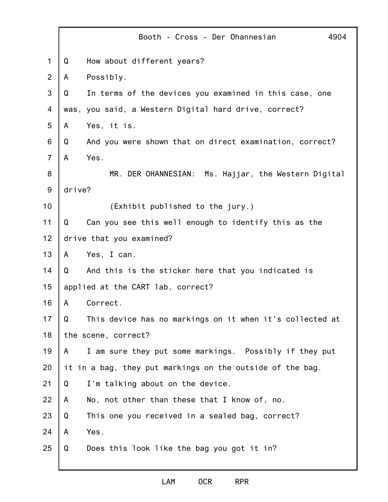|                |        | Booth - Cross - Der Ohannesian<br>4904                    |
|----------------|--------|-----------------------------------------------------------|
| $\mathbf 1$    | Q      | How about different years?                                |
| $\overline{2}$ | A      | Possibly.                                                 |
| 3              | Q      | In terms of the devices you examined in this case, one    |
| 4              | was,   | you said, a Western Digital hard drive, correct?          |
| 5              | A      | Yes, it is.                                               |
| 6              | Q      | And you were shown that on direct examination, correct?   |
| $\overline{7}$ | A      | Yes.                                                      |
| 8              |        | MR. DER OHANNESIAN:<br>Ms. Hajjar, the Western Digital    |
| $9\,$          | drive? |                                                           |
| 10             |        | (Exhibit published to the jury.)                          |
| 11             | Q      | Can you see this well enough to identify this as the      |
| 12             |        | drive that you examined?                                  |
| 13             | A      | Yes, I can.                                               |
| 14             | Q      | And this is the sticker here that you indicated is        |
| 15             |        | applied at the CART lab, correct?                         |
| 16             | A      | Correct.                                                  |
| 17             | Q      | This device has no markings on it when it's collected at  |
| 18             |        | the scene, correct?                                       |
| 19             | A      | I am sure they put some markings. Possibly if they put    |
| 20             |        | it in a bag, they put markings on the outside of the bag. |
| 21             | Q      | I'm talking about on the device.                          |
| 22             | A      | No, not other than these that I know of, no.              |
| 23             | Q      | This one you received in a sealed bag, correct?           |
| 24             | A      | Yes.                                                      |
| 25             | Q      | Does this look like the bag you got it in?                |
|                |        |                                                           |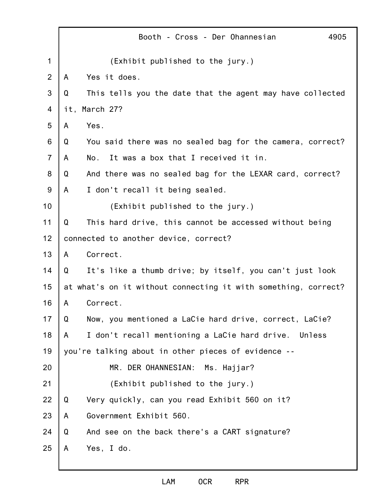|                |     | Booth - Cross - Der Ohannesian<br>4905                         |
|----------------|-----|----------------------------------------------------------------|
| 1              |     | (Exhibit published to the jury.)                               |
| $\overline{2}$ | A   | Yes it does.                                                   |
| 3              | Q   | This tells you the date that the agent may have collected      |
| 4              | it, | March 27?                                                      |
| 5              | A   | Yes.                                                           |
| 6              | Q   | You said there was no sealed bag for the camera, correct?      |
| $\overline{7}$ | A   | It was a box that I received it in.<br>No.                     |
| 8              | Q   | And there was no sealed bag for the LEXAR card, correct?       |
| 9              | A   | I don't recall it being sealed.                                |
| 10             |     | (Exhibit published to the jury.)                               |
| 11             | Q   | This hard drive, this cannot be accessed without being         |
| 12             |     | connected to another device, correct?                          |
| 13             | A   | Correct.                                                       |
| 14             | Q   | It's like a thumb drive; by itself, you can't just look        |
| 15             |     | at what's on it without connecting it with something, correct? |
| 16             | A   | Correct.                                                       |
| 17             | Q   | Now, you mentioned a LaCie hard drive, correct, LaCie?         |
| 18             | A   | I don't recall mentioning a LaCie hard drive. Unless           |
| 19             |     | you're talking about in other pieces of evidence --            |
| 20             |     | MR. DER OHANNESIAN:<br>Ms. Hajjar?                             |
| 21             |     | (Exhibit published to the jury.)                               |
| 22             | Q   | Very quickly, can you read Exhibit 560 on it?                  |
| 23             | A   | Government Exhibit 560.                                        |
| 24             | Q   | And see on the back there's a CART signature?                  |
| 25             | A   | Yes, I do.                                                     |
|                |     |                                                                |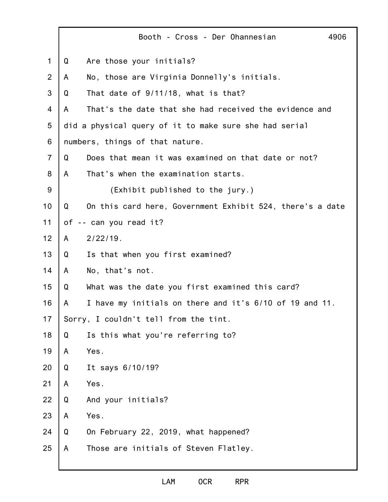|                | 4906<br>Booth - Cross - Der Ohannesian                         |
|----------------|----------------------------------------------------------------|
| $\mathbf{1}$   | Are those your initials?<br>Q                                  |
| $\overline{2}$ | No, those are Virginia Donnelly's initials.<br>A               |
| 3              | That date of 9/11/18, what is that?<br>Q                       |
| 4              | That's the date that she had received the evidence and<br>A    |
| 5              | did a physical query of it to make sure she had serial         |
| 6              | numbers, things of that nature.                                |
| $\overline{7}$ | Does that mean it was examined on that date or not?<br>Q       |
| 8              | That's when the examination starts.<br>A                       |
| 9              | (Exhibit published to the jury.)                               |
| 10             | On this card here, Government Exhibit 524, there's a date<br>Q |
| 11             | -- can you read it?<br>оf                                      |
| 12             | $2/22/19$ .<br>A                                               |
| 13             | Is that when you first examined?<br>Q                          |
| 14             | No, that's not.<br>A                                           |
| 15             | Q<br>What was the date you first examined this card?           |
| 16             | I have my initials on there and it's 6/10 of 19 and 11.<br>A   |
| 17             | Sorry, I couldn't tell from the tint.                          |
| 18             | Is this what you're referring to?<br>Q                         |
| 19             | Yes.<br>A                                                      |
| 20             | It says 6/10/19?<br>Q                                          |
| 21             | Yes.<br>A                                                      |
| 22             | And your initials?<br>Q                                        |
| 23             | Yes.<br>A                                                      |
| 24             | Q<br>On February 22, 2019, what happened?                      |
| 25             | Those are initials of Steven Flatley.<br>A                     |
|                |                                                                |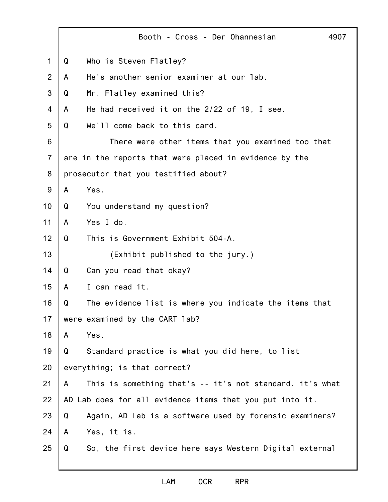|                |   | Booth - Cross - Der Ohannesian<br>4907                   |
|----------------|---|----------------------------------------------------------|
| $\mathbf 1$    | Q | Who is Steven Flatley?                                   |
| $\overline{2}$ | A | He's another senior examiner at our lab.                 |
| 3              | Q | Mr. Flatley examined this?                               |
| $\overline{4}$ | A | He had received it on the 2/22 of 19, I see.             |
| 5              | Q | We'll come back to this card.                            |
| 6              |   | There were other items that you examined too that        |
| $\overline{7}$ |   | are in the reports that were placed in evidence by the   |
| 8              |   | prosecutor that you testified about?                     |
| 9              | A | Yes.                                                     |
| 10             | Q | You understand my question?                              |
| 11             | A | Yes I do.                                                |
| 12             | Q | This is Government Exhibit 504-A.                        |
| 13             |   | (Exhibit published to the jury.)                         |
| 14             | Q | Can you read that okay?                                  |
| 15             | A | I can read it.                                           |
| 16             | Q | The evidence list is where you indicate the items that   |
| 17             |   | were examined by the CART lab?                           |
| 18             | A | Yes.                                                     |
| 19             | Q | Standard practice is what you did here, to list          |
| 20             |   | everything; is that correct?                             |
| 21             | A | This is something that's -- it's not standard, it's what |
| 22             |   | AD Lab does for all evidence items that you put into it. |
| 23             | Q | Again, AD Lab is a software used by forensic examiners?  |
| 24             | A | Yes, it is.                                              |
| 25             | Q | So, the first device here says Western Digital external  |
|                |   |                                                          |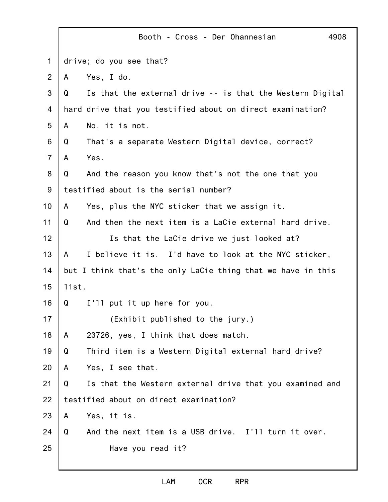|                |       | 4908<br>Booth - Cross - Der Ohannesian                       |
|----------------|-------|--------------------------------------------------------------|
| $\mathbf 1$    |       | drive; do you see that?                                      |
| $\overline{2}$ | A     | Yes, I do.                                                   |
| 3              | Q     | Is that the external drive -- is that the Western Digital    |
| 4              |       | hard drive that you testified about on direct examination?   |
| 5              | A     | No, it is not.                                               |
| 6              | Q     | That's a separate Western Digital device, correct?           |
| $\overline{7}$ | A     | Yes.                                                         |
| 8              | Q     | And the reason you know that's not the one that you          |
| 9              |       | testified about is the serial number?                        |
| 10             | A     | Yes, plus the NYC sticker that we assign it.                 |
| 11             | Q     | And then the next item is a LaCie external hard drive.       |
| 12             |       | Is that the LaCie drive we just looked at?                   |
| 13             | A     | I believe it is. I'd have to look at the NYC sticker,        |
| 14             |       | but I think that's the only LaCie thing that we have in this |
| 15             | list. |                                                              |
| 16             | Q     | I'll put it up here for you.                                 |
| 17             |       | (Exhibit published to the jury.)                             |
| 18             | A     | 23726, yes, I think that does match.                         |
| 19             | Q     | Third item is a Western Digital external hard drive?         |
| 20             | A     | Yes, I see that.                                             |
| 21             | Q     | Is that the Western external drive that you examined and     |
| 22             |       | testified about on direct examination?                       |
| 23             | A     | Yes, it is.                                                  |
| 24             | Q     | And the next item is a USB drive. I'll turn it over.         |
| 25             |       | Have you read it?                                            |
|                |       |                                                              |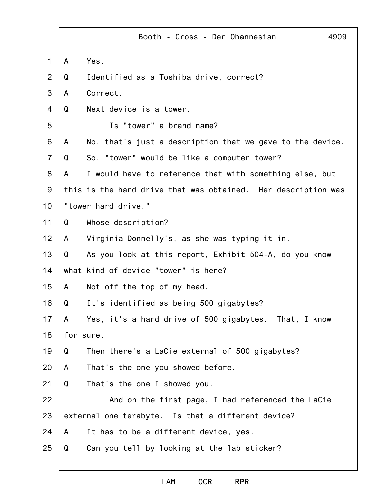|                |   | Booth - Cross - Der Ohannesian<br>4909                        |
|----------------|---|---------------------------------------------------------------|
| 1              | A | Yes.                                                          |
| $\overline{2}$ | Q | Identified as a Toshiba drive, correct?                       |
| 3              | A | Correct.                                                      |
| 4              | Q | Next device is a tower.                                       |
| 5              |   | Is "tower" a brand name?                                      |
| 6              | A | No, that's just a description that we gave to the device.     |
| $\overline{7}$ | Q | So, "tower" would be like a computer tower?                   |
| 8              | A | I would have to reference that with something else, but       |
| $9$            |   | this is the hard drive that was obtained. Her description was |
| 10             |   | "tower hard drive."                                           |
| 11             | Q | Whose description?                                            |
| 12             | A | Virginia Donnelly's, as she was typing it in.                 |
| 13             | Q | As you look at this report, Exhibit 504-A, do you know        |
| 14             |   | what kind of device "tower" is here?                          |
| 15             | A | Not off the top of my head.                                   |
| 16             | Q | It's identified as being 500 gigabytes?                       |
| 17             | A | Yes, it's a hard drive of 500 gigabytes. That, I know         |
| 18             |   | for sure.                                                     |
| 19             | Q | Then there's a LaCie external of 500 gigabytes?               |
| 20             | A | That's the one you showed before.                             |
| 21             | Q | That's the one I showed you.                                  |
| 22             |   | And on the first page, I had referenced the LaCie             |
| 23             |   | external one terabyte. Is that a different device?            |
| 24             | A | It has to be a different device, yes.                         |
| 25             | Q | Can you tell by looking at the lab sticker?                   |
|                |   |                                                               |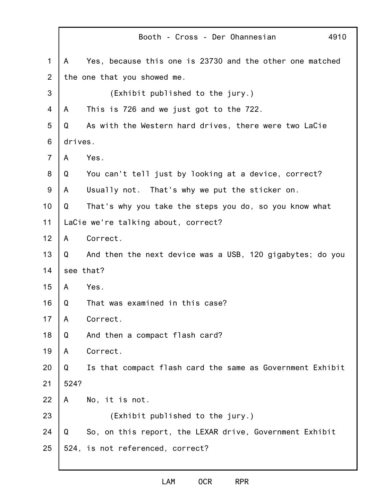|                |         | Booth - Cross - Der Ohannesian<br>4910                    |
|----------------|---------|-----------------------------------------------------------|
| $\mathbf 1$    | A       | Yes, because this one is 23730 and the other one matched  |
| $\overline{2}$ |         | the one that you showed me.                               |
| 3              |         | (Exhibit published to the jury.)                          |
| 4              | A       | This is 726 and we just got to the 722.                   |
| 5              | Q       | As with the Western hard drives, there were two LaCie     |
| 6              | drives. |                                                           |
| $\overline{7}$ | A       | Yes.                                                      |
| 8              | Q       | You can't tell just by looking at a device, correct?      |
| $9$            | A       | Usually not. That's why we put the sticker on.            |
| 10             | Q       | That's why you take the steps you do, so you know what    |
| 11             |         | LaCie we're talking about, correct?                       |
| 12             | A       | Correct.                                                  |
| 13             | Q       | And then the next device was a USB, 120 gigabytes; do you |
| 14             |         | see that?                                                 |
| 15             | A       | Yes.                                                      |
| 16             | Q       | That was examined in this case?                           |
| 17             | A       | Correct.                                                  |
| 18             | Q       | And then a compact flash card?                            |
| 19             | A       | Correct.                                                  |
| 20             | Q       | Is that compact flash card the same as Government Exhibit |
| 21             | 524?    |                                                           |
| 22             | A       | No, it is not.                                            |
| 23             |         | (Exhibit published to the jury.)                          |
| 24             | Q       | So, on this report, the LEXAR drive, Government Exhibit   |
| 25             |         | 524, is not referenced, correct?                          |
|                |         |                                                           |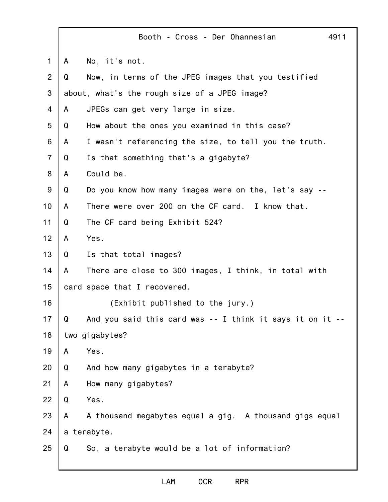|                | Booth - Cross - Der Ohannesian<br>4911                         |  |
|----------------|----------------------------------------------------------------|--|
| $\mathbf 1$    | No, it's not.<br>A                                             |  |
| $\overline{2}$ | Now, in terms of the JPEG images that you testified<br>Q       |  |
| 3              | about, what's the rough size of a JPEG image?                  |  |
| 4              | JPEGs can get very large in size.<br>A                         |  |
| 5              | How about the ones you examined in this case?<br>Q             |  |
| 6              | I wasn't referencing the size, to tell you the truth.<br>A     |  |
| $\overline{7}$ | Is that something that's a gigabyte?<br>Q                      |  |
| 8              | Could be.<br>A                                                 |  |
| 9              | Do you know how many images were on the, let's say --<br>Q     |  |
| 10             | There were over 200 on the CF card. I know that.<br>A          |  |
| 11             | The CF card being Exhibit 524?<br>Q                            |  |
| 12             | Yes.<br>A                                                      |  |
| 13             | Is that total images?<br>Q                                     |  |
| 14             | There are close to 300 images, I think, in total with<br>A     |  |
| 15             | card space that I recovered.                                   |  |
| 16             | (Exhibit published to the jury.)                               |  |
| 17             | Q<br>And you said this card was -- I think it says it on it -- |  |
| 18             | two gigabytes?                                                 |  |
| 19             | Yes.<br>A                                                      |  |
| 20             | And how many gigabytes in a terabyte?<br>Q                     |  |
| 21             | How many gigabytes?<br>A                                       |  |
| 22             | Q<br>Yes.                                                      |  |
| 23             | A thousand megabytes equal a gig. A thousand gigs equal<br>A   |  |
| 24             | a terabyte.                                                    |  |
| 25             | So, a terabyte would be a lot of information?<br>Q             |  |
|                |                                                                |  |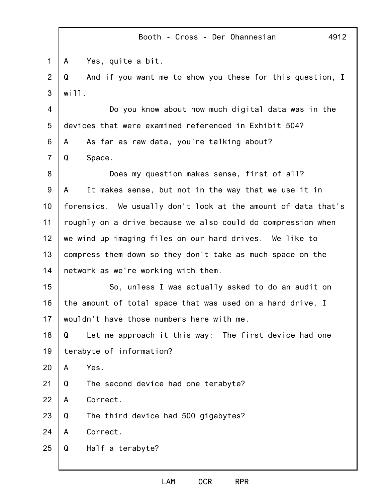1 2 3 4 5 6 7 8 9 10 11 12 13 14 15 16 17 18 19 20 21 22 23 24 25 Booth - Cross - Der Ohannesian 4912 A Yes, quite a bit. Q And if you want me to show you these for this question, I will. Do you know about how much digital data was in the devices that were examined referenced in Exhibit 504? A As far as raw data, you're talking about? Q Space. Does my question makes sense, first of all? A It makes sense, but not in the way that we use it in forensics. We usually don't look at the amount of data that's roughly on a drive because we also could do compression when we wind up imaging files on our hard drives. We like to compress them down so they don't take as much space on the network as we're working with them. So, unless I was actually asked to do an audit on the amount of total space that was used on a hard drive, I wouldn't have those numbers here with me. Q Let me approach it this way: The first device had one terabyte of information? A Yes. Q The second device had one terabyte? A Correct. Q The third device had 500 gigabytes? A Correct. Q Half a terabyte?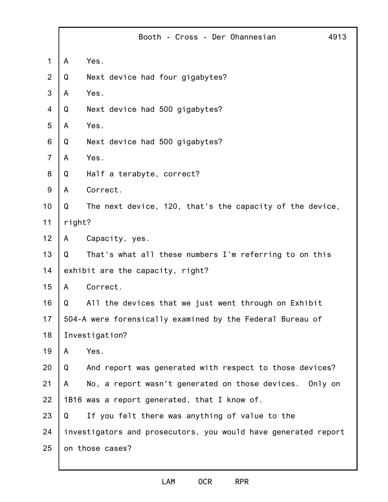|                |        | Booth - Cross - Der Ohannesian                                 | 4913 |
|----------------|--------|----------------------------------------------------------------|------|
| $\mathbf 1$    | A      | Yes.                                                           |      |
| $\overline{2}$ | Q      | Next device had four gigabytes?                                |      |
| 3              | A      | Yes.                                                           |      |
| 4              | Q      | Next device had 500 gigabytes?                                 |      |
| 5              | A      | Yes.                                                           |      |
| 6              | Q      | Next device had 500 gigabytes?                                 |      |
| $\overline{7}$ | A      | Yes.                                                           |      |
| 8              | Q      | Half a terabyte, correct?                                      |      |
| 9              | A      | Correct.                                                       |      |
| 10             | Q      | The next device, 120, that's the capacity of the device,       |      |
| 11             | right? |                                                                |      |
| 12             | A      | Capacity, yes.                                                 |      |
| 13             | Q      | That's what all these numbers I'm referring to on this         |      |
| 14             |        | exhibit are the capacity, right?                               |      |
| 15             | A      | Correct.                                                       |      |
| 16             | Q      | All the devices that we just went through on Exhibit           |      |
| 17             |        | 504-A were forensically examined by the Federal Bureau of      |      |
| 18             |        | Investigation?                                                 |      |
| 19             | A      | Yes.                                                           |      |
| 20             | Q      | And report was generated with respect to those devices?        |      |
| 21             | A      | No, a report wasn't generated on those devices. Only on        |      |
| 22             |        | 1B16 was a report generated, that I know of.                   |      |
| 23             | Q      | If you felt there was anything of value to the                 |      |
| 24             |        | investigators and prosecutors, you would have generated report |      |
| 25             |        | on those cases?                                                |      |
|                |        |                                                                |      |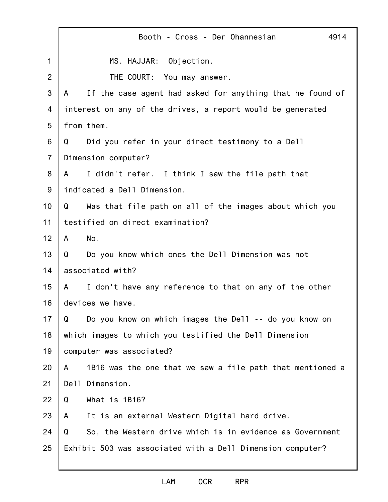|                | Booth - Cross - Der Ohannesian<br>4914                         |  |
|----------------|----------------------------------------------------------------|--|
| $\mathbf 1$    | MS. HAJJAR: Objection.                                         |  |
| 2              | THE COURT: You may answer.                                     |  |
| 3              | If the case agent had asked for anything that he found of<br>A |  |
| 4              | interest on any of the drives, a report would be generated     |  |
| 5              | from them.                                                     |  |
| 6              | Did you refer in your direct testimony to a Dell<br>Q          |  |
| $\overline{7}$ | Dimension computer?                                            |  |
| 8              | I didn't refer. I think I saw the file path that<br>A –        |  |
| $9\,$          | indicated a Dell Dimension.                                    |  |
| 10             | Was that file path on all of the images about which you<br>Q   |  |
| 11             | testified on direct examination?                               |  |
| 12             | No.<br>A                                                       |  |
| 13             | Do you know which ones the Dell Dimension was not<br>Q         |  |
| 14             | associated with?                                               |  |
| 15             | I don't have any reference to that on any of the other<br>A    |  |
| 16             | devices we have.                                               |  |
| 17             | Q<br>Do you know on which images the Dell -- do you know on    |  |
| 18             | which images to which you testified the Dell Dimension         |  |
| 19             | computer was associated?                                       |  |
| 20             | 1B16 was the one that we saw a file path that mentioned a<br>A |  |
| 21             | Dell Dimension.                                                |  |
| 22             | Q<br>What is 1B16?                                             |  |
| 23             | It is an external Western Digital hard drive.<br>A             |  |
| 24             | So, the Western drive which is in evidence as Government<br>Q  |  |
| 25             | Exhibit 503 was associated with a Dell Dimension computer?     |  |
|                |                                                                |  |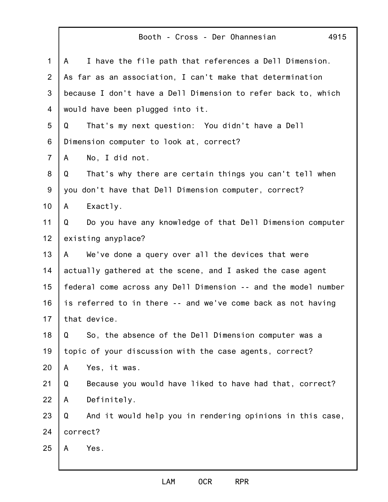|                | Booth - Cross - Der Ohannesian<br>4915                         |
|----------------|----------------------------------------------------------------|
| $\mathbf{1}$   | I have the file path that references a Dell Dimension.<br>A    |
| 2              | As far as an association, I can't make that determination      |
| 3              | because I don't have a Dell Dimension to refer back to, which  |
| 4              | would have been plugged into it.                               |
| 5              | That's my next question: You didn't have a Dell<br>Q           |
| 6              | Dimension computer to look at, correct?                        |
| $\overline{7}$ | No, I did not.<br>A                                            |
| 8              | That's why there are certain things you can't tell when<br>Q   |
| 9              | you don't have that Dell Dimension computer, correct?          |
| 10             | Exactly.<br>A                                                  |
| 11             | Do you have any knowledge of that Dell Dimension computer<br>Q |
| 12             | existing anyplace?                                             |
| 13             | We've done a query over all the devices that were<br>A         |
| 14             | actually gathered at the scene, and I asked the case agent     |
| 15             | federal come across any Dell Dimension -- and the model number |
| 16             | is referred to in there -- and we've come back as not having   |
| 17             | that device.                                                   |
| 18             | So, the absence of the Dell Dimension computer was a<br>Q      |
| 19             | topic of your discussion with the case agents, correct?        |
| 20             | Yes, it was.<br>A                                              |
| 21             | Because you would have liked to have had that, correct?<br>Q   |
| 22             | Definitely.<br>A                                               |
| 23             | And it would help you in rendering opinions in this case,<br>Q |
| 24             | correct?                                                       |
| 25             | Yes.<br>A                                                      |
|                |                                                                |

 $\Gamma$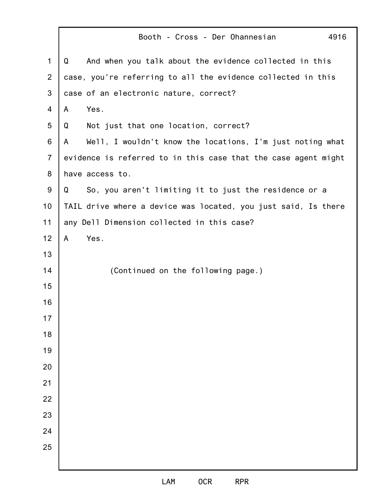|                | Booth - Cross - Der Ohannesian<br>4916                         |
|----------------|----------------------------------------------------------------|
| 1              | And when you talk about the evidence collected in this<br>Q    |
| $\overline{2}$ | case, you're referring to all the evidence collected in this   |
| 3              | case of an electronic nature, correct?                         |
| 4              | Yes.<br>A                                                      |
| 5              | Not just that one location, correct?<br>Q                      |
| 6              | Well, I wouldn't know the locations, I'm just noting what<br>A |
| $\overline{7}$ | evidence is referred to in this case that the case agent might |
| 8              | have access to.                                                |
| 9              | So, you aren't limiting it to just the residence or a<br>Q     |
| 10             | TAIL drive where a device was located, you just said, Is there |
| 11             | any Dell Dimension collected in this case?                     |
| 12             | Yes.<br>A                                                      |
| 13             |                                                                |
| 14             | (Continued on the following page.)                             |
| 15             |                                                                |
| 16             |                                                                |
| 17             |                                                                |
| 18             |                                                                |
| 19             |                                                                |
| 20             |                                                                |
| 21             |                                                                |
| 22             |                                                                |
| 23             |                                                                |
| 24             |                                                                |
| 25             |                                                                |
|                |                                                                |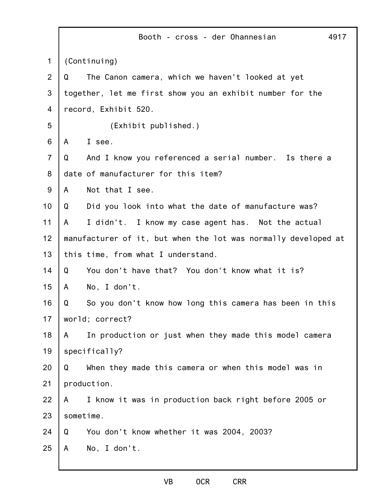|                | Booth - cross - der Ohannesian<br>4917                         |
|----------------|----------------------------------------------------------------|
| 1              | (Continuing)                                                   |
| 2              | The Canon camera, which we haven't looked at yet<br>Q          |
| 3              | together, let me first show you an exhibit number for the      |
| 4              | record, Exhibit 520.                                           |
| 5              | (Exhibit published.)                                           |
| 6              | I see.<br>A                                                    |
| $\overline{7}$ | And I know you referenced a serial number. Is there a<br>Q     |
| 8              | date of manufacturer for this item?                            |
| 9              | Not that I see.<br>A                                           |
| 10             | Did you look into what the date of manufacture was?<br>Q       |
| 11             | A<br>I didn't. I know my case agent has. Not the actual        |
| 12             | manufacturer of it, but when the lot was normally developed at |
| 13             | this time, from what I understand.                             |
| 14             | You don't have that? You don't know what it is?<br>Q           |
| 15             | No, I don't.<br>A                                              |
| 16             | So you don't know how long this camera has been in this<br>Q   |
| 17             | world; correct?                                                |
| 18             | In production or just when they made this model camera<br>A    |
| 19             | specifically?                                                  |
| 20             | When they made this camera or when this model was in<br>Q      |
| 21             | production.                                                    |
| 22             | I know it was in production back right before 2005 or<br>A     |
| 23             | sometime.                                                      |
| 24             | You don't know whether it was 2004, 2003?<br>Q                 |
| 25             | No, I don't.<br>A                                              |
|                |                                                                |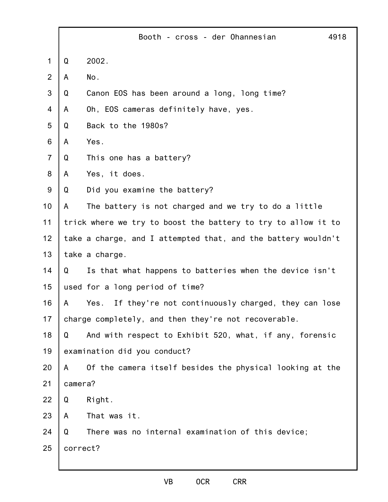|                |          | Booth - cross - der Ohannesian                                | 4918 |
|----------------|----------|---------------------------------------------------------------|------|
| $\mathbf 1$    | Q        | 2002.                                                         |      |
| 2              | A        | No.                                                           |      |
| 3              | Q        | Canon EOS has been around a long, long time?                  |      |
| 4              | A        | Oh, EOS cameras definitely have, yes.                         |      |
| 5              | Q        | Back to the 1980s?                                            |      |
| 6              | A        | Yes.                                                          |      |
| $\overline{7}$ | Q        | This one has a battery?                                       |      |
| 8              | A        | Yes, it does.                                                 |      |
| $9$            | Q        | Did you examine the battery?                                  |      |
| 10             | A        | The battery is not charged and we try to do a little          |      |
| 11             |          | trick where we try to boost the battery to try to allow it to |      |
| 12             |          | take a charge, and I attempted that, and the battery wouldn't |      |
| 13             |          | take a charge.                                                |      |
| 14             | Q        | Is that what happens to batteries when the device isn't       |      |
| 15             |          | used for a long period of time?                               |      |
| 16             | A        | If they're not continuously charged, they can lose<br>Yes.    |      |
| 17             |          | charge completely, and then they're not recoverable.          |      |
| 18             | Q        | And with respect to Exhibit 520, what, if any, forensic       |      |
| 19             |          | examination did you conduct?                                  |      |
| 20             | A        | Of the camera itself besides the physical looking at the      |      |
| 21             | camera?  |                                                               |      |
| 22             | Q        | Right.                                                        |      |
| 23             | A        | That was it.                                                  |      |
| 24             | Q        | There was no internal examination of this device;             |      |
| 25             | correct? |                                                               |      |
|                |          |                                                               |      |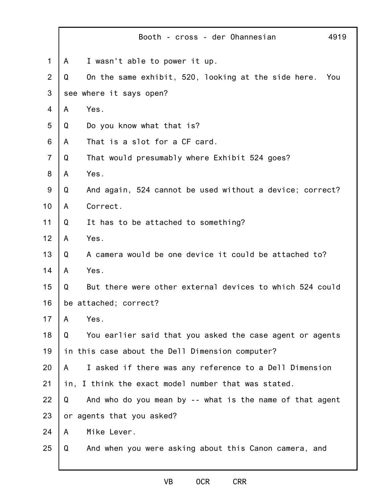|                | 4919<br>Booth - cross - der Ohannesian                          |  |
|----------------|-----------------------------------------------------------------|--|
| $\mathbf 1$    | I wasn't able to power it up.<br>A                              |  |
| $\overline{2}$ | On the same exhibit, 520, looking at the side here.<br>Q<br>You |  |
| 3              | see where it says open?                                         |  |
| $\overline{4}$ | Yes.<br>A                                                       |  |
| 5              | Do you know what that is?<br>Q                                  |  |
| 6              | That is a slot for a CF card.<br>A                              |  |
| $\overline{7}$ | That would presumably where Exhibit 524 goes?<br>Q              |  |
| 8              | Yes.<br>A                                                       |  |
| 9              | And again, 524 cannot be used without a device; correct?<br>Q   |  |
| 10             | Correct.<br>A                                                   |  |
| 11             | It has to be attached to something?<br>Q                        |  |
| 12             | Yes.<br>A                                                       |  |
| 13             | A camera would be one device it could be attached to?<br>Q      |  |
| 14             | Yes.<br>A                                                       |  |
| 15             | But there were other external devices to which 524 could<br>Q   |  |
| 16             | be attached; correct?                                           |  |
| 17             | A<br>Yes.                                                       |  |
| 18             | You earlier said that you asked the case agent or agents<br>Q   |  |
| 19             | in this case about the Dell Dimension computer?                 |  |
| 20             | I asked if there was any reference to a Dell Dimension<br>A     |  |
| 21             | in, I think the exact model number that was stated.             |  |
| 22             | And who do you mean by -- what is the name of that agent<br>Q   |  |
| 23             | or agents that you asked?                                       |  |
| 24             | Mike Lever.<br>A                                                |  |
| 25             | And when you were asking about this Canon camera, and<br>Q      |  |
|                |                                                                 |  |

## VB OCR CRR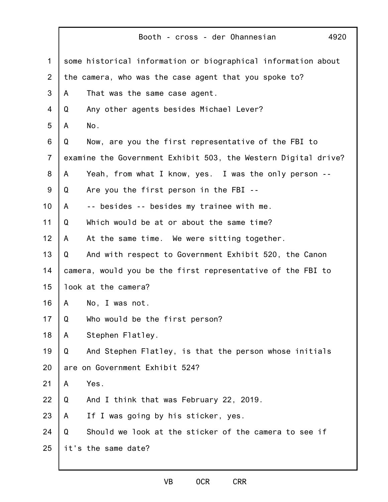|                |   | 4920<br>Booth - cross - der Ohannesian                         |
|----------------|---|----------------------------------------------------------------|
| 1              |   | some historical information or biographical information about  |
| 2              |   | the camera, who was the case agent that you spoke to?          |
| 3              | A | That was the same case agent.                                  |
| 4              | Q | Any other agents besides Michael Lever?                        |
| 5              | A | No.                                                            |
| 6              | Q | Now, are you the first representative of the FBI to            |
| $\overline{7}$ |   | examine the Government Exhibit 503, the Western Digital drive? |
| 8              | A | Yeah, from what I know, yes. I was the only person --          |
| 9              | Q | Are you the first person in the FBI --                         |
| 10             | A | -- besides -- besides my trainee with me.                      |
| 11             | Q | Which would be at or about the same time?                      |
| 12             | A | At the same time. We were sitting together.                    |
| 13             | Q | And with respect to Government Exhibit 520, the Canon          |
| 14             |   | camera, would you be the first representative of the FBI to    |
| 15             |   | look at the camera?                                            |
| 16             | A | No, I was not.                                                 |
| 17             | Q | Who would be the first person?                                 |
| 18             | A | Stephen Flatley.                                               |
| 19             | Q | And Stephen Flatley, is that the person whose initials         |
| 20             |   | are on Government Exhibit 524?                                 |
| 21             | A | Yes.                                                           |
| 22             | Q | And I think that was February 22, 2019.                        |
| 23             | A | If I was going by his sticker, yes.                            |
| 24             | Q | Should we look at the sticker of the camera to see if          |
| 25             |   | it's the same date?                                            |
|                |   |                                                                |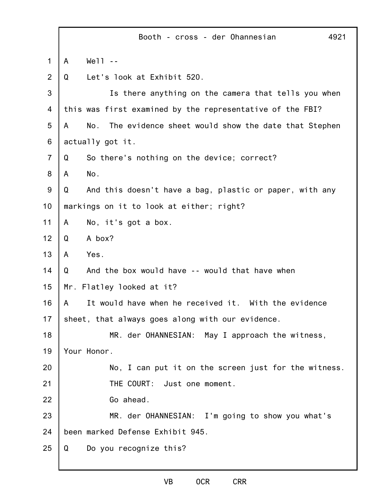|                |   | Booth - cross - der Ohannesian                             | 4921 |
|----------------|---|------------------------------------------------------------|------|
| 1              | A | $We'll - -$                                                |      |
| $\overline{2}$ | Q | Let's look at Exhibit 520.                                 |      |
| 3              |   | Is there anything on the camera that tells you when        |      |
| 4              |   | this was first examined by the representative of the FBI?  |      |
| 5              | A | No.<br>The evidence sheet would show the date that Stephen |      |
| 6              |   | actually got it.                                           |      |
| $\overline{7}$ | Q | So there's nothing on the device; correct?                 |      |
| 8              | A | No.                                                        |      |
| 9              | Q | And this doesn't have a bag, plastic or paper, with any    |      |
| 10             |   | markings on it to look at either; right?                   |      |
| 11             | A | No, it's got a box.                                        |      |
| 12             | Q | A box?                                                     |      |
| 13             | A | Yes.                                                       |      |
| 14             | Q | And the box would have -- would that have when             |      |
| 15             |   | Mr. Flatley looked at it?                                  |      |
| 16             | A | It would have when he received it. With the evidence       |      |
| 17             |   | sheet, that always goes along with our evidence.           |      |
| 18             |   | MR. der OHANNESIAN: May I approach the witness,            |      |
| 19             |   | Your Honor.                                                |      |
| 20             |   | No, I can put it on the screen just for the witness.       |      |
| 21             |   | THE COURT: Just one moment.                                |      |
| 22             |   | Go ahead.                                                  |      |
| 23             |   | MR. der OHANNESIAN: I'm going to show you what's           |      |
| 24             |   | been marked Defense Exhibit 945.                           |      |
| 25             | Q | Do you recognize this?                                     |      |
|                |   |                                                            |      |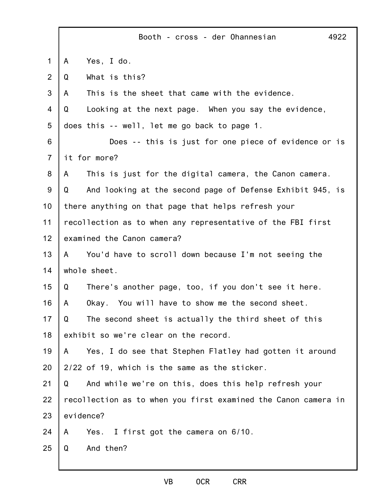|   | Booth - cross - der Ohannesian<br>4922                         |
|---|----------------------------------------------------------------|
| A | Yes, I do.                                                     |
| Q | What is this?                                                  |
| A | This is the sheet that came with the evidence.                 |
| Q | Looking at the next page. When you say the evidence,           |
|   | does this -- well, let me go back to page 1.                   |
|   | Does -- this is just for one piece of evidence or is           |
|   | it for more?                                                   |
| A | This is just for the digital camera, the Canon camera.         |
| Q | And looking at the second page of Defense Exhibit 945, is      |
|   | there anything on that page that helps refresh your            |
|   | recollection as to when any representative of the FBI first    |
|   | examined the Canon camera?                                     |
| A | You'd have to scroll down because I'm not seeing the           |
|   | whole sheet.                                                   |
| Q | There's another page, too, if you don't see it here.           |
| A | Okay. You will have to show me the second sheet.               |
| Q | The second sheet is actually the third sheet of this           |
|   | exhibit so we're clear on the record.                          |
| A | Yes, I do see that Stephen Flatley had gotten it around        |
|   | 2/22 of 19, which is the same as the sticker.                  |
| Q | And while we're on this, does this help refresh your           |
|   | recollection as to when you first examined the Canon camera in |
|   | evidence?                                                      |
| A | Yes. I first got the camera on 6/10.                           |
| Q | And then?                                                      |
|   |                                                                |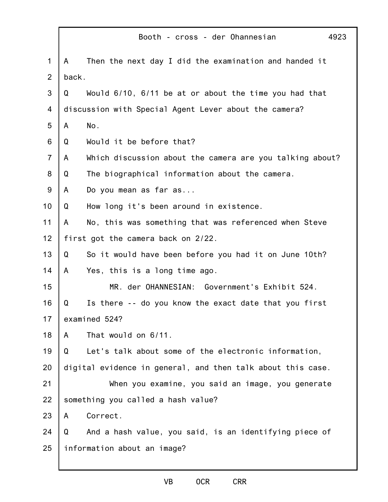|                |       | 4923<br>Booth - cross - der Ohannesian                      |
|----------------|-------|-------------------------------------------------------------|
| $\mathbf{1}$   | A     | Then the next day I did the examination and handed it       |
| $\overline{2}$ | back. |                                                             |
| 3              | Q     | Would 6/10, 6/11 be at or about the time you had that       |
| 4              |       | discussion with Special Agent Lever about the camera?       |
| 5              | A     | No.                                                         |
| 6              | Q     | Would it be before that?                                    |
| $\overline{7}$ | A     | Which discussion about the camera are you talking about?    |
| 8              | Q     | The biographical information about the camera.              |
| 9              | A     | Do you mean as far as                                       |
| 10             | Q     | How long it's been around in existence.                     |
| 11             | A     | No, this was something that was referenced when Steve       |
| 12             |       | first got the camera back on 2/22.                          |
| 13             | Q     | So it would have been before you had it on June 10th?       |
| 14             | A     | Yes, this is a long time ago.                               |
| 15             |       | MR. der OHANNESIAN: Government's Exhibit 524.               |
| 16             | Q     | Is there -- do you know the exact date that you first       |
| 17             |       | examined 524?                                               |
| 18             | A     | That would on 6/11.                                         |
| 19             | Q     | Let's talk about some of the electronic information,        |
| 20             |       | digital evidence in general, and then talk about this case. |
| 21             |       | When you examine, you said an image, you generate           |
| 22             |       | something you called a hash value?                          |
| 23             | A     | Correct.                                                    |
| 24             | Q     | And a hash value, you said, is an identifying piece of      |
| 25             |       | information about an image?                                 |
|                |       |                                                             |

## VB OCR CRR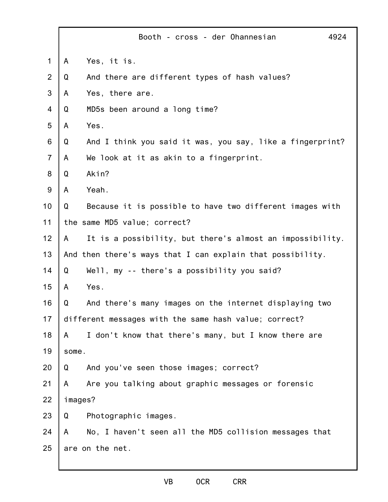|                |         | 4924<br>Booth - cross - der Ohannesian                     |
|----------------|---------|------------------------------------------------------------|
| 1              | A       | Yes, it is.                                                |
| $\overline{2}$ | Q       | And there are different types of hash values?              |
| 3              | A       | Yes, there are.                                            |
| 4              | Q       | MD5s been around a long time?                              |
| 5              | A       | Yes.                                                       |
| 6              | Q       | And I think you said it was, you say, like a fingerprint?  |
| $\overline{7}$ | A       | We look at it as akin to a fingerprint.                    |
| 8              | Q       | Akin?                                                      |
| $9$            | A       | Yeah.                                                      |
| 10             | Q       | Because it is possible to have two different images with   |
| 11             |         | the same MD5 value; correct?                               |
| 12             | A       | It is a possibility, but there's almost an impossibility.  |
| 13             |         | And then there's ways that I can explain that possibility. |
| 14             | Q       | Well, my -- there's a possibility you said?                |
| 15             | A       | Yes.                                                       |
| 16             | Q       | And there's many images on the internet displaying two     |
| 17             |         | different messages with the same hash value; correct?      |
| 18             | A       | I don't know that there's many, but I know there are       |
| 19             | some.   |                                                            |
| 20             | Q       | And you've seen those images; correct?                     |
| 21             | A       | Are you talking about graphic messages or forensic         |
| 22             | images? |                                                            |
| 23             | Q       | Photographic images.                                       |
| 24             | A       | No, I haven't seen all the MD5 collision messages that     |
| 25             |         | are on the net.                                            |
|                |         |                                                            |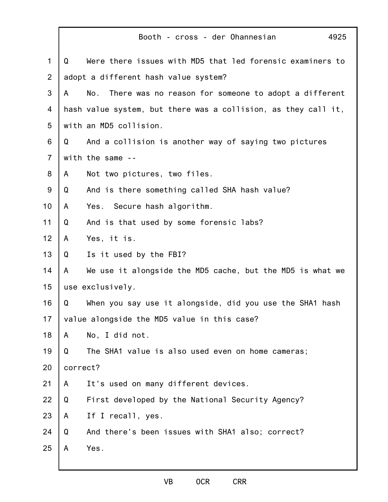|                |          | Booth - cross - der Ohannesian<br>4925                         |
|----------------|----------|----------------------------------------------------------------|
| $\mathbf 1$    | Q        | Were there issues with MD5 that led forensic examiners to      |
| $\overline{2}$ |          | adopt a different hash value system?                           |
| 3              | A        | No.<br>There was no reason for someone to adopt a different    |
| 4              |          | hash value system, but there was a collision, as they call it, |
| 5              |          | with an MD5 collision.                                         |
| 6              | Q        | And a collision is another way of saying two pictures          |
| $\overline{7}$ |          | with the same --                                               |
| 8              | A        | Not two pictures, two files.                                   |
| $9\,$          | Q        | And is there something called SHA hash value?                  |
| 10             | A        | Yes. Secure hash algorithm.                                    |
| 11             | Q        | And is that used by some forensic labs?                        |
| 12             | A        | Yes, it is.                                                    |
| 13             | Q        | Is it used by the FBI?                                         |
| 14             | A        | We use it alongside the MD5 cache, but the MD5 is what we      |
| 15             |          | use exclusively.                                               |
| 16             | Q        | When you say use it alongside, did you use the SHA1 hash       |
| 17             |          | value alongside the MD5 value in this case?                    |
| 18             | A        | No, I did not.                                                 |
| 19             | Q        | The SHA1 value is also used even on home cameras;              |
| 20             | correct? |                                                                |
| 21             | A        | It's used on many different devices.                           |
| 22             | Q        | First developed by the National Security Agency?               |
| 23             | A        | If I recall, yes.                                              |
| 24             | Q        | And there's been issues with SHA1 also; correct?               |
| 25             | A        | Yes.                                                           |
|                |          |                                                                |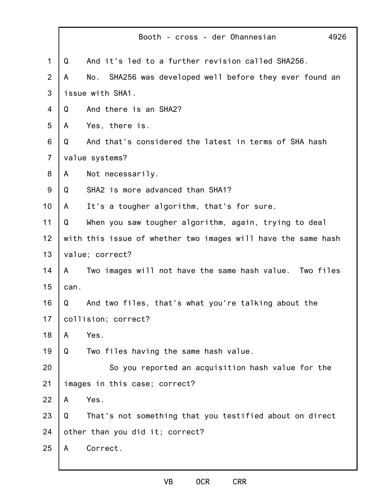|                |      | 4926<br>Booth - cross - der Ohannesian                        |
|----------------|------|---------------------------------------------------------------|
| 1              | Q    | And it's led to a further revision called SHA256.             |
| $\overline{2}$ | A    | No.<br>SHA256 was developed well before they ever found an    |
| 3              |      | issue with SHA1.                                              |
| 4              | Q    | And there is an SHA2?                                         |
| 5              | A    | Yes, there is.                                                |
| 6              | Q    | And that's considered the latest in terms of SHA hash         |
| $\overline{7}$ |      | value systems?                                                |
| 8              | A    | Not necessarily.                                              |
| $9\,$          | Q    | SHA2 is more advanced than SHA1?                              |
| 10             | A    | It's a tougher algorithm, that's for sure.                    |
| 11             | Q    | When you saw tougher algorithm, again, trying to deal         |
| 12             |      | with this issue of whether two images will have the same hash |
| 13             |      | value; correct?                                               |
| 14             | A    | Two images will not have the same hash value. Two files       |
| 15             | can. |                                                               |
| 16             | Q    | And two files, that's what you're talking about the           |
| 17             |      | collision; correct?                                           |
| 18             | A    | Yes.                                                          |
| 19             | Q    | Two files having the same hash value.                         |
| 20             |      | So you reported an acquisition hash value for the             |
| 21             |      | images in this case; correct?                                 |
| 22             | A    | Yes.                                                          |
| 23             | Q    | That's not something that you testified about on direct       |
| 24             |      | other than you did it; correct?                               |
| 25             | A    | Correct.                                                      |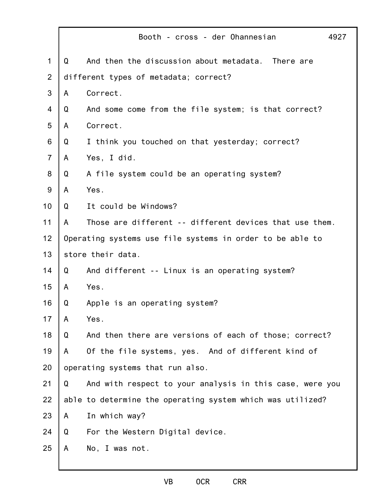|                |   | Booth - cross - der Ohannesian<br>4927                     |
|----------------|---|------------------------------------------------------------|
| $\mathbf 1$    | Q | And then the discussion about metadata.<br>There are       |
| $\overline{2}$ |   | different types of metadata; correct?                      |
| 3              | A | Correct.                                                   |
| 4              | Q | And some come from the file system; is that correct?       |
| 5              | A | Correct.                                                   |
| 6              | Q | I think you touched on that yesterday; correct?            |
| $\overline{7}$ | A | Yes, I did.                                                |
| 8              | Q | A file system could be an operating system?                |
| 9              | A | Yes.                                                       |
| 10             | Q | It could be Windows?                                       |
| 11             | A | Those are different -- different devices that use them.    |
| 12             |   | Operating systems use file systems in order to be able to  |
| 13             |   | store their data.                                          |
| 14             | Q | And different -- Linux is an operating system?             |
| 15             | A | Yes.                                                       |
| 16             | Q | Apple is an operating system?                              |
| 17             | A | Yes.                                                       |
| 18             | Q | And then there are versions of each of those; correct?     |
| 19             | A | Of the file systems, yes. And of different kind of         |
| 20             |   | operating systems that run also.                           |
| 21             | Q | And with respect to your analysis in this case, were you   |
| 22             |   | able to determine the operating system which was utilized? |
| 23             | A | In which way?                                              |
| 24             | Q | For the Western Digital device.                            |
| 25             | A | No, I was not.                                             |
|                |   |                                                            |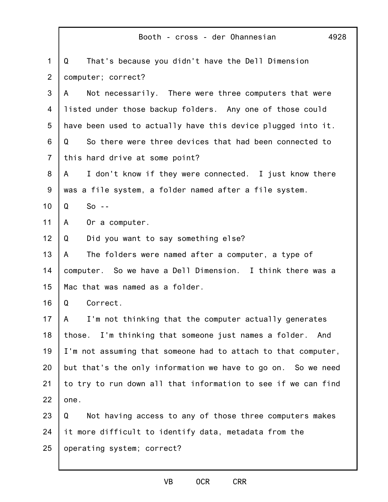|                | 4928<br>Booth - cross - der Ohannesian                        |
|----------------|---------------------------------------------------------------|
| $\mathbf{1}$   | That's because you didn't have the Dell Dimension<br>Q        |
| $\overline{2}$ | computer; correct?                                            |
| 3              | Not necessarily. There were three computers that were<br>A    |
| 4              | listed under those backup folders. Any one of those could     |
| 5              | have been used to actually have this device plugged into it.  |
| 6              | So there were three devices that had been connected to<br>Q   |
| $\overline{7}$ | this hard drive at some point?                                |
| 8              | I don't know if they were connected. I just know there<br>A   |
| 9              | was a file system, a folder named after a file system.        |
| 10             | $So - -$<br>Q                                                 |
| 11             | Or a computer.<br>A                                           |
| 12             | Did you want to say something else?<br>Q                      |
| 13             | The folders were named after a computer, a type of<br>A       |
| 14             | computer. So we have a Dell Dimension. I think there was a    |
| 15             | Mac that was named as a folder.                               |
| 16             | Correct.<br>Q                                                 |
| 17             | I'm not thinking that the computer actually generates<br>A    |
| 18             | those. I'm thinking that someone just names a folder.<br>And  |
| 19             | I'm not assuming that someone had to attach to that computer, |
| 20             | but that's the only information we have to go on. So we need  |
| 21             | to try to run down all that information to see if we can find |
| 22             | one.                                                          |
| 23             | Not having access to any of those three computers makes<br>Q  |
| 24             | it more difficult to identify data, metadata from the         |
| 25             | operating system; correct?                                    |
|                |                                                               |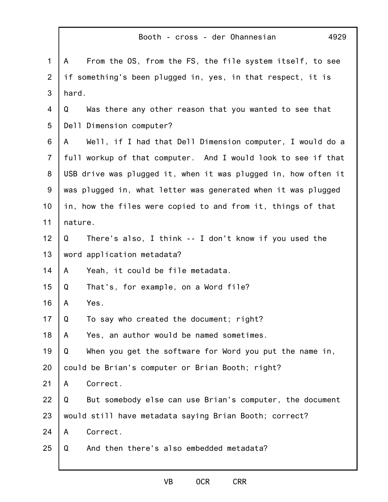|                | Booth - cross - der Ohannesian<br>4929                         |
|----------------|----------------------------------------------------------------|
| $\mathbf 1$    | From the OS, from the FS, the file system itself, to see<br>A  |
| 2              | if something's been plugged in, yes, in that respect, it is    |
| 3              | hard.                                                          |
| 4              | Was there any other reason that you wanted to see that<br>Q    |
| 5              | Dell Dimension computer?                                       |
| 6              | Well, if I had that Dell Dimension computer, I would do a<br>A |
| $\overline{7}$ | full workup of that computer. And I would look to see if that  |
| 8              | USB drive was plugged it, when it was plugged in, how often it |
| 9              | was plugged in, what letter was generated when it was plugged  |
| 10             | in, how the files were copied to and from it, things of that   |
| 11             | nature.                                                        |
| 12             | There's also, I think -- I don't know if you used the<br>Q     |
| 13             | word application metadata?                                     |
| 14             | Yeah, it could be file metadata.<br>A                          |
| 15             | That's, for example, on a Word file?<br>Q                      |
| 16             | Yes.<br>A                                                      |
| 17             | To say who created the document; right?<br>Q                   |
| 18             | Yes, an author would be named sometimes.<br>A                  |
| 19             | When you get the software for Word you put the name in,<br>Q   |
| 20             | could be Brian's computer or Brian Booth; right?               |
| 21             | Correct.<br>A                                                  |
| 22             | Q<br>But somebody else can use Brian's computer, the document  |
| 23             | would still have metadata saying Brian Booth; correct?         |
| 24             | Correct.<br>A                                                  |
| 25             | And then there's also embedded metadata?<br>Q                  |
|                |                                                                |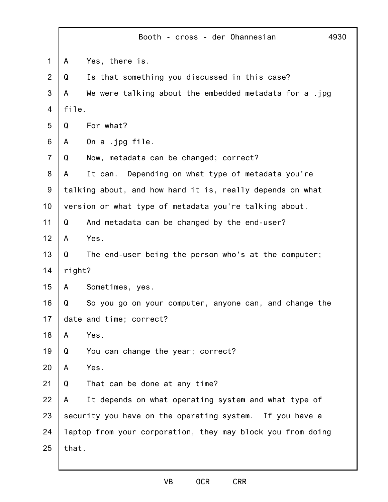|                |        | 4930<br>Booth - cross - der Ohannesian                      |
|----------------|--------|-------------------------------------------------------------|
| $\mathbf{1}$   | A      | Yes, there is.                                              |
| $\overline{2}$ | Q      | Is that something you discussed in this case?               |
| 3              | A      | We were talking about the embedded metadata for a .jpg      |
| 4              | file.  |                                                             |
| 5              | Q      | For what?                                                   |
| 6              | A      | On a .jpg file.                                             |
| $\overline{7}$ | Q      | Now, metadata can be changed; correct?                      |
| 8              | A      | It can. Depending on what type of metadata you're           |
| 9              |        | talking about, and how hard it is, really depends on what   |
| 10             |        | version or what type of metadata you're talking about.      |
| 11             | Q      | And metadata can be changed by the end-user?                |
| 12             | A      | Yes.                                                        |
| 13             | Q      | The end-user being the person who's at the computer;        |
| 14             | right? |                                                             |
| 15             | A      | Sometimes, yes.                                             |
| 16             | Q      | So you go on your computer, anyone can, and change the      |
| 17             |        | date and time; correct?                                     |
| 18             | A      | Yes.                                                        |
| 19             | Q      | You can change the year; correct?                           |
| 20             | A      | Yes.                                                        |
| 21             | Q      | That can be done at any time?                               |
| 22             | A      | It depends on what operating system and what type of        |
| 23             |        | security you have on the operating system.<br>If you have a |
| 24             |        | laptop from your corporation, they may block you from doing |
| 25             | that.  |                                                             |
|                |        |                                                             |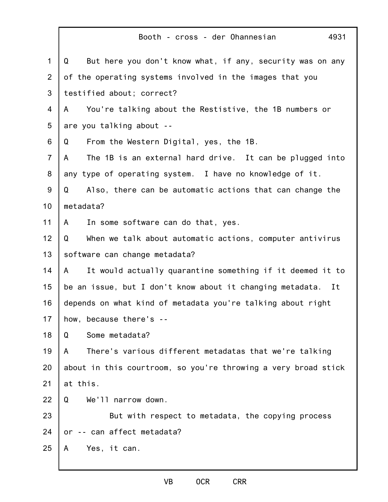|                | Booth - cross - der Ohannesian<br>4931                          |
|----------------|-----------------------------------------------------------------|
| $\mathbf 1$    | But here you don't know what, if any, security was on any<br>Q  |
| 2              | of the operating systems involved in the images that you        |
| 3              | testified about; correct?                                       |
| 4              | You're talking about the Restistive, the 1B numbers or<br>A     |
| 5              | are you talking about --                                        |
| 6              | From the Western Digital, yes, the 1B.<br>Q                     |
| $\overline{7}$ | The 1B is an external hard drive. It can be plugged into<br>A   |
| 8              | any type of operating system. I have no knowledge of it.        |
| 9              | Also, there can be automatic actions that can change the<br>Q   |
| 10             | metadata?                                                       |
| 11             | In some software can do that, yes.<br>A                         |
| 12             | Q<br>When we talk about automatic actions, computer antivirus   |
| 13             | software can change metadata?                                   |
| 14             | It would actually quarantine something if it deemed it to<br>A  |
| 15             | be an issue, but I don't know about it changing metadata.<br>It |
| 16             | depends on what kind of metadata you're talking about right     |
| 17             | how, because there's --                                         |
| 18             | Some metadata?<br>Q                                             |
| 19             | There's various different metadatas that we're talking<br>A     |
| 20             | about in this courtroom, so you're throwing a very broad stick  |
| 21             | at this.                                                        |
| 22             | We'll narrow down.<br>Q                                         |
| 23             | But with respect to metadata, the copying process               |
| 24             | -- can affect metadata?<br>or                                   |
| 25             | Yes, it can.<br>A                                               |
|                |                                                                 |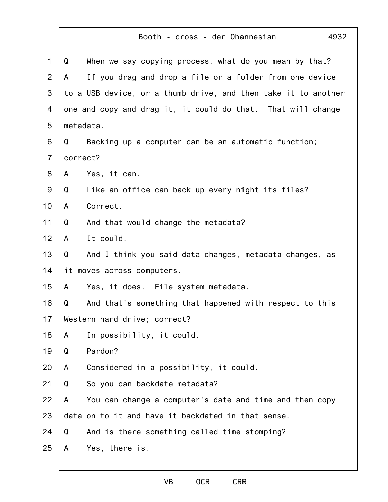|                |          | Booth - cross - der Ohannesian<br>4932                         |
|----------------|----------|----------------------------------------------------------------|
| $\mathbf 1$    | Q        | When we say copying process, what do you mean by that?         |
| $\overline{2}$ | A        | If you drag and drop a file or a folder from one device        |
| 3              |          | to a USB device, or a thumb drive, and then take it to another |
| 4              |          | one and copy and drag it, it could do that. That will change   |
| 5              |          | metadata.                                                      |
| 6              | Q        | Backing up a computer can be an automatic function;            |
| $\overline{7}$ | correct? |                                                                |
| 8              | A        | Yes, it can.                                                   |
| 9              | Q        | Like an office can back up every night its files?              |
| 10             | A        | Correct.                                                       |
| 11             | Q        | And that would change the metadata?                            |
| 12             | A        | It could.                                                      |
| 13             | Q        | And I think you said data changes, metadata changes, as        |
| 14             |          | it moves across computers.                                     |
| 15             | A        | Yes, it does. File system metadata.                            |
| 16             | Q        | And that's something that happened with respect to this        |
| 17             |          | Western hard drive; correct?                                   |
| 18             | A        | In possibility, it could.                                      |
| 19             | Q        | Pardon?                                                        |
| 20             | A        | Considered in a possibility, it could.                         |
| 21             | Q        | So you can backdate metadata?                                  |
| 22             | A        | You can change a computer's date and time and then copy        |
| 23             |          | data on to it and have it backdated in that sense.             |
| 24             | Q        | And is there something called time stomping?                   |
| 25             | A        | Yes, there is.                                                 |
|                |          |                                                                |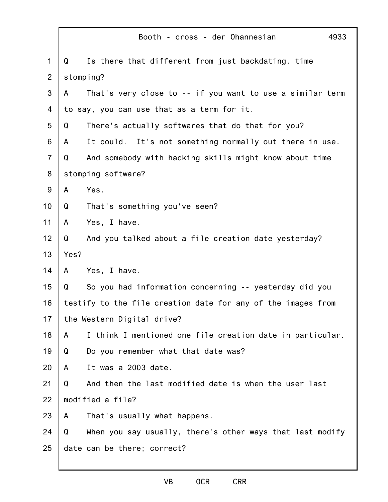|                |      | 4933<br>Booth - cross - der Ohannesian                       |
|----------------|------|--------------------------------------------------------------|
| 1              | Q    | Is there that different from just backdating, time           |
| $\overline{2}$ |      | stomping?                                                    |
| 3              | A    | That's very close to -- if you want to use a similar term    |
| 4              |      | to say, you can use that as a term for it.                   |
| 5              | Q    | There's actually softwares that do that for you?             |
| 6              | A    | It could. It's not something normally out there in use.      |
| $\overline{7}$ | Q    | And somebody with hacking skills might know about time       |
| 8              |      | stomping software?                                           |
| $9\,$          | A    | Yes.                                                         |
| 10             | Q    | That's something you've seen?                                |
| 11             | A    | Yes, I have.                                                 |
| 12             | Q    | And you talked about a file creation date yesterday?         |
| 13             | Yes? |                                                              |
| 14             | A    | Yes, I have.                                                 |
| 15             | Q    | So you had information concerning -- yesterday did you       |
| 16             |      | testify to the file creation date for any of the images from |
| 17             |      | the Western Digital drive?                                   |
| 18             | A    | I think I mentioned one file creation date in particular.    |
| 19             | Q    | Do you remember what that date was?                          |
| 20             | A    | It was a 2003 date.                                          |
| 21             | Q    | And then the last modified date is when the user last        |
| 22             |      | modified a file?                                             |
| 23             | A    | That's usually what happens.                                 |
| 24             | Q    | When you say usually, there's other ways that last modify    |
| 25             |      | date can be there; correct?                                  |
|                |      |                                                              |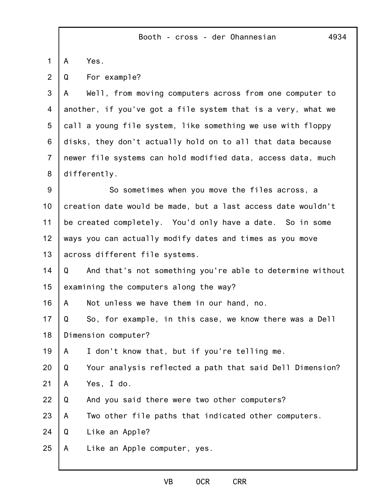1 A Yes.

2 Q For example?

3 4 5 6 7 8 A Well, from moving computers across from one computer to another, if you've got a file system that is a very, what we call a young file system, like something we use with floppy disks, they don't actually hold on to all that data because newer file systems can hold modified data, access data, much differently.

9 10 11 12 13 So sometimes when you move the files across, a creation date would be made, but a last access date wouldn't be created completely. You'd only have a date. So in some ways you can actually modify dates and times as you move across different file systems.

14 15 Q And that's not something you're able to determine without examining the computers along the way?

16 A Not unless we have them in our hand, no.

17 18 Q So, for example, in this case, we know there was a Dell Dimension computer?

19 A I don't know that, but if you're telling me.

20 Q Your analysis reflected a path that said Dell Dimension?

- 21 A Yes, I do.
- 22 Q And you said there were two other computers?
- 23 A Two other file paths that indicated other computers.

24 Q Like an Apple?

25 A Like an Apple computer, yes.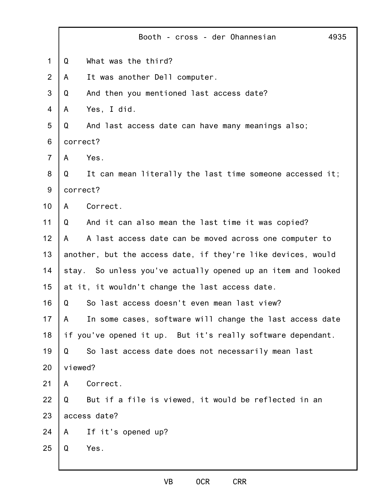|                |         | Booth - cross - der Ohannesian                               | 4935 |
|----------------|---------|--------------------------------------------------------------|------|
| 1              | Q       | What was the third?                                          |      |
| 2              | A       | It was another Dell computer.                                |      |
| 3              | Q       | And then you mentioned last access date?                     |      |
| $\overline{4}$ | A       | Yes, I did.                                                  |      |
| 5              | Q       | And last access date can have many meanings also;            |      |
| 6              |         | correct?                                                     |      |
| $\overline{7}$ | A       | Yes.                                                         |      |
| 8              | Q       | It can mean literally the last time someone accessed it;     |      |
| $9\,$          |         | correct?                                                     |      |
| 10             | A       | Correct.                                                     |      |
| 11             | Q       | And it can also mean the last time it was copied?            |      |
| 12             | A       | A last access date can be moved across one computer to       |      |
| 13             |         | another, but the access date, if they're like devices, would |      |
| 14             |         | stay. So unless you've actually opened up an item and looked |      |
| 15             |         | at it, it wouldn't change the last access date.              |      |
| 16             | Q       | So last access doesn't even mean last view?                  |      |
| 17             | A       | In some cases, software will change the last access date     |      |
| 18             |         | if you've opened it up. But it's really software dependant.  |      |
| 19             | Q       | So last access date does not necessarily mean last           |      |
| 20             | viewed? |                                                              |      |
| 21             | A       | Correct.                                                     |      |
| 22             | Q       | But if a file is viewed, it would be reflected in an         |      |
| 23             |         | access date?                                                 |      |
| 24             | A       | If it's opened up?                                           |      |
| 25             | Q       | Yes.                                                         |      |
|                |         |                                                              |      |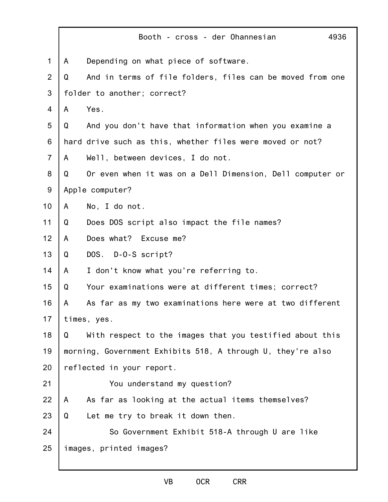|                |   | Booth - cross - der Ohannesian<br>4936                      |
|----------------|---|-------------------------------------------------------------|
| $\mathbf 1$    | A | Depending on what piece of software.                        |
| 2              | Q | And in terms of file folders, files can be moved from one   |
| 3              |   | folder to another; correct?                                 |
| 4              | A | Yes.                                                        |
| 5              | Q | And you don't have that information when you examine a      |
| 6              |   | hard drive such as this, whether files were moved or not?   |
| $\overline{7}$ | A | Well, between devices, I do not.                            |
| 8              | Q | Or even when it was on a Dell Dimension, Dell computer or   |
| 9              |   | Apple computer?                                             |
| 10             | A | No, I do not.                                               |
| 11             | Q | Does DOS script also impact the file names?                 |
| 12             | A | Does what? Excuse me?                                       |
| 13             | Q | DOS. D-0-S script?                                          |
| 14             | A | I don't know what you're referring to.                      |
| 15             | Q | Your examinations were at different times; correct?         |
| 16             | A | As far as my two examinations here were at two different    |
| 17             |   | times, yes.                                                 |
| 18             | Q | With respect to the images that you testified about this    |
| 19             |   | morning, Government Exhibits 518, A through U, they're also |
| 20             |   | reflected in your report.                                   |
| 21             |   | You understand my question?                                 |
| 22             | A | As far as looking at the actual items themselves?           |
| 23             | Q | Let me try to break it down then.                           |
| 24             |   | So Government Exhibit 518-A through U are like              |
| 25             |   | images, printed images?                                     |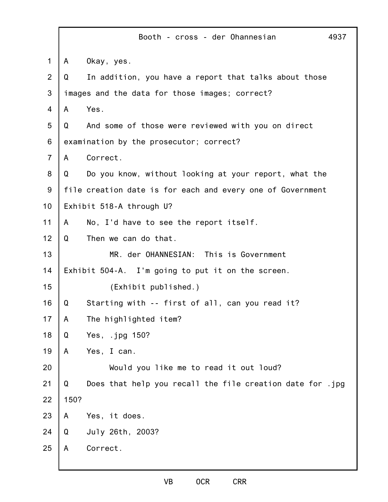|                |      | Booth - cross - der Ohannesian                             | 4937 |
|----------------|------|------------------------------------------------------------|------|
| $\mathbf{1}$   | A    | Okay, yes.                                                 |      |
| $\overline{2}$ | Q    | In addition, you have a report that talks about those      |      |
| 3              |      | images and the data for those images; correct?             |      |
| 4              | A    | Yes.                                                       |      |
| 5              | Q    | And some of those were reviewed with you on direct         |      |
| 6              |      | examination by the prosecutor; correct?                    |      |
| $\overline{7}$ | A    | Correct.                                                   |      |
| 8              | Q    | Do you know, without looking at your report, what the      |      |
| 9              |      | file creation date is for each and every one of Government |      |
| 10             |      | Exhibit 518-A through U?                                   |      |
| 11             | A    | No, I'd have to see the report itself.                     |      |
| 12             | Q    | Then we can do that.                                       |      |
| 13             |      | MR. der OHANNESIAN: This is Government                     |      |
| 14             |      | Exhibit 504-A. I'm going to put it on the screen.          |      |
| 15             |      | (Exhibit published.)                                       |      |
| 16             | Q    | Starting with -- first of all, can you read it?            |      |
| 17             | A    | The highlighted item?                                      |      |
| 18             | Q    | Yes, .jpg 150?                                             |      |
| 19             | A    | Yes, I can.                                                |      |
| 20             |      | Would you like me to read it out loud?                     |      |
| 21             | Q    | Does that help you recall the file creation date for .jpg  |      |
| 22             | 150? |                                                            |      |
| 23             | A    | Yes, it does.                                              |      |
| 24             | Q    | July 26th, 2003?                                           |      |
| 25             | A    | Correct.                                                   |      |
|                |      |                                                            |      |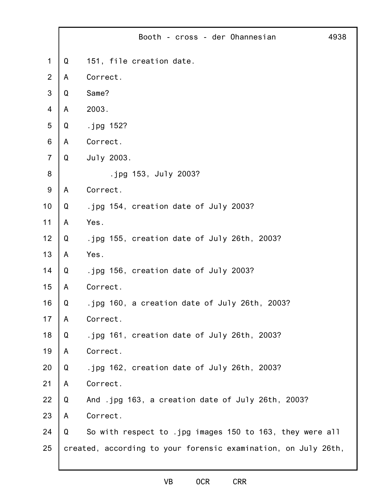|                |   | Booth - cross - der Ohannesian                                 | 4938 |
|----------------|---|----------------------------------------------------------------|------|
| $\mathbf 1$    | Q | 151, file creation date.                                       |      |
| $\overline{2}$ | A | Correct.                                                       |      |
| 3              | Q | Same?                                                          |      |
| 4              | A | 2003.                                                          |      |
| 5              | Q | .jpg 152?                                                      |      |
| 6              | A | Correct.                                                       |      |
| $\overline{7}$ | Q | July 2003.                                                     |      |
| 8              |   | .jpg 153, July 2003?                                           |      |
| 9              | A | Correct.                                                       |      |
| 10             | Q | .jpg 154, creation date of July 2003?                          |      |
| 11             | A | Yes.                                                           |      |
| 12             | Q | .jpg 155, creation date of July 26th, 2003?                    |      |
| 13             | A | Yes.                                                           |      |
| 14             | Q | .jpg 156, creation date of July 2003?                          |      |
| 15             | A | Correct.                                                       |      |
| 16             | Q | .jpg 160, a creation date of July 26th, 2003?                  |      |
| 17             | A | Correct.                                                       |      |
| 18             | Q | .jpg 161, creation date of July 26th, 2003?                    |      |
| 19             | A | Correct.                                                       |      |
| 20             | Q | .jpg 162, creation date of July 26th, 2003?                    |      |
| 21             | A | Correct.                                                       |      |
| 22             | Q | And .jpg 163, a creation date of July 26th, 2003?              |      |
| 23             | A | Correct.                                                       |      |
| 24             | Q | So with respect to .jpg images 150 to 163, they were all       |      |
| 25             |   | created, according to your forensic examination, on July 26th, |      |
|                |   |                                                                |      |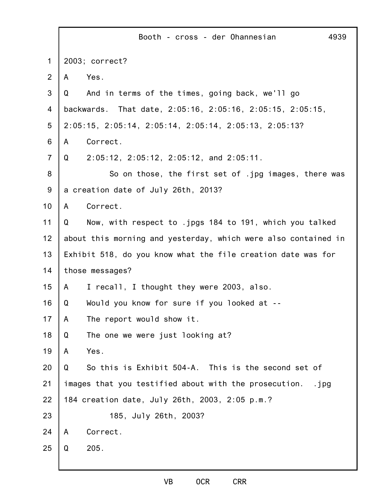|                | 4939<br>Booth - cross - der Ohannesian                         |
|----------------|----------------------------------------------------------------|
| $\mathbf 1$    | 2003; correct?                                                 |
| 2              | Yes.<br>A                                                      |
| 3              | And in terms of the times, going back, we'll go<br>Q           |
| 4              | backwards. That date, 2:05:16, 2:05:16, 2:05:15, 2:05:15,      |
| 5              | 2:05:15, 2:05:14, 2:05:14, 2:05:14, 2:05:13, 2:05:13?          |
| 6              | Correct.<br>A                                                  |
| $\overline{7}$ | $2:05:12$ , $2:05:12$ , $2:05:12$ , and $2:05:11$ .<br>Q       |
| 8              | So on those, the first set of .jpg images, there was           |
| 9              | a creation date of July 26th, 2013?                            |
| 10             | Correct.<br>A                                                  |
| 11             | Now, with respect to .jpgs 184 to 191, which you talked<br>Q   |
| 12             | about this morning and yesterday, which were also contained in |
| 13             | Exhibit 518, do you know what the file creation date was for   |
| 14             | those messages?                                                |
| 15             | I recall, I thought they were 2003, also.<br>A                 |
| 16             | Would you know for sure if you looked at --<br>Q               |
| 17             | The report would show it.<br>A                                 |
| 18             | The one we were just looking at?<br>Q                          |
| 19             | Yes.<br>A                                                      |
| 20             | So this is Exhibit 504-A. This is the second set of<br>Q       |
| 21             | images that you testified about with the prosecution.<br>.jpg  |
| 22             | 184 creation date, July 26th, 2003, 2:05 p.m.?                 |
| 23             | 185, July 26th, 2003?                                          |
| 24             | Correct.<br>A                                                  |
| 25             | 205.<br>Q                                                      |
|                |                                                                |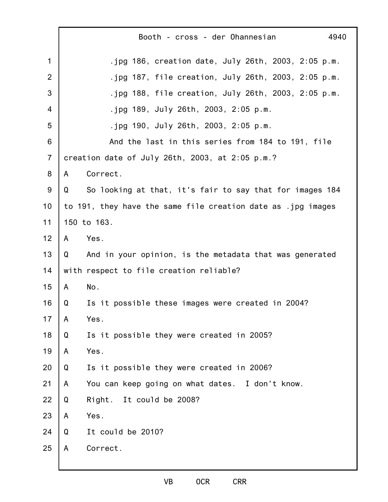|                |   | Booth - cross - der Ohannesian<br>4940                       |
|----------------|---|--------------------------------------------------------------|
| 1              |   | .jpg $186$ , creation date, July 26th, 2003, 2:05 p.m.       |
| 2              |   | .jpg $187$ , file creation, July 26th, 2003, 2:05 p.m.       |
| 3              |   | .jpg $188$ , file creation, July 26th, 2003, 2:05 p.m.       |
| 4              |   | .jpg 189, July 26th, 2003, 2:05 p.m.                         |
| 5              |   | .jpg 190, July 26th, 2003, 2:05 p.m.                         |
| 6              |   | And the last in this series from 184 to 191, file            |
| $\overline{7}$ |   | creation date of July 26th, 2003, at 2:05 p.m.?              |
| 8              | A | Correct.                                                     |
| $9\,$          | Q | So looking at that, it's fair to say that for images 184     |
| 10             |   | to 191, they have the same file creation date as .jpg images |
| 11             |   | 150 to 163.                                                  |
| 12             | A | Yes.                                                         |
| 13             | Q | And in your opinion, is the metadata that was generated      |
| 14             |   | with respect to file creation reliable?                      |
| 15             | A | No.                                                          |
| 16             | Q | Is it possible these images were created in 2004?            |
| 17             | A | Yes.                                                         |
| 18             | Q | Is it possible they were created in 2005?                    |
| 19             | A | Yes.                                                         |
| 20             | Q | Is it possible they were created in 2006?                    |
| 21             | A | You can keep going on what dates. I don't know.              |
| 22             | Q | Right. It could be 2008?                                     |
| 23             | A | Yes.                                                         |
| 24             | Q | It could be 2010?                                            |
| 25             | A | Correct.                                                     |
|                |   |                                                              |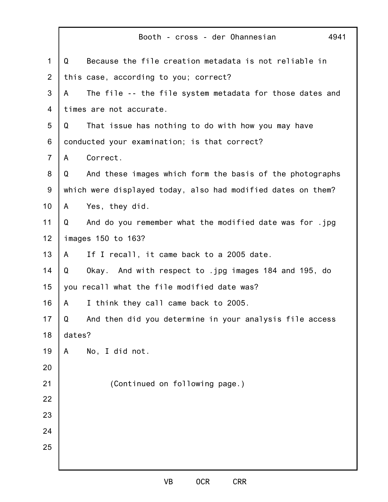|                | 4941<br>Booth - cross - der Ohannesian                        |
|----------------|---------------------------------------------------------------|
| $\mathbf{1}$   | Because the file creation metadata is not reliable in<br>Q    |
| $\overline{2}$ | this case, according to you; correct?                         |
| 3              | The file -- the file system metadata for those dates and<br>A |
| 4              | times are not accurate.                                       |
| 5              | That issue has nothing to do with how you may have<br>Q       |
| 6              | conducted your examination; is that correct?                  |
| $\overline{7}$ | Correct.<br>A                                                 |
| 8              | And these images which form the basis of the photographs<br>Q |
| $9\,$          | which were displayed today, also had modified dates on them?  |
| 10             | Yes, they did.<br>A                                           |
| 11             | And do you remember what the modified date was for .jpg<br>Q  |
| 12             | images 150 to 163?                                            |
| 13             | If I recall, it came back to a 2005 date.<br>A                |
| 14             | Okay. And with respect to .jpg images 184 and 195, do<br>Q    |
| 15             | you recall what the file modified date was?                   |
| 16             | I think they call came back to 2005.<br>A                     |
| 17             | And then did you determine in your analysis file access<br>Q  |
| 18             | dates?                                                        |
| 19             | No, I did not.<br>A                                           |
| 20             |                                                               |
| 21             | (Continued on following page.)                                |
| 22             |                                                               |
| 23             |                                                               |
| 24             |                                                               |
| 25             |                                                               |
|                |                                                               |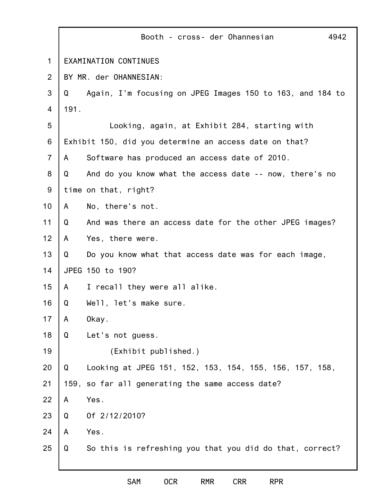|                | Booth - cross- der Ohannesian<br>4942                          |
|----------------|----------------------------------------------------------------|
| 1              | EXAMINATION CONTINUES                                          |
| 2              | BY MR. der OHANNESIAN:                                         |
| 3              | Again, I'm focusing on JPEG Images 150 to 163, and 184 to<br>Q |
| 4              | 191.                                                           |
| 5              | Looking, again, at Exhibit 284, starting with                  |
| 6              | Exhibit 150, did you determine an access date on that?         |
| $\overline{7}$ | Software has produced an access date of 2010.<br>A             |
| 8              | Q<br>And do you know what the access date -- now, there's no   |
| 9              | time on that, right?                                           |
| 10             | No, there's not.<br>A                                          |
| 11             | And was there an access date for the other JPEG images?<br>Q   |
| 12             | Yes, there were.<br>A                                          |
| 13             | Do you know what that access date was for each image,<br>Q     |
| 14             | JPEG 150 to 190?                                               |
| 15             | I recall they were all alike.<br>A                             |
| 16             | Well, let's make sure.<br>Q                                    |
| 17             | A<br>Okay.                                                     |
| 18             | Let's not guess.<br>Q                                          |
| 19             | (Exhibit published.)                                           |
| 20             | Q<br>Looking at JPEG 151, 152, 153, 154, 155, 156, 157, 158,   |
| 21             | 159, so far all generating the same access date?               |
| 22             | Yes.<br>A                                                      |
| 23             | Of 2/12/2010?<br>Q                                             |
| 24             | Yes.<br>A                                                      |
| 25             | So this is refreshing you that you did do that, correct?<br>Q  |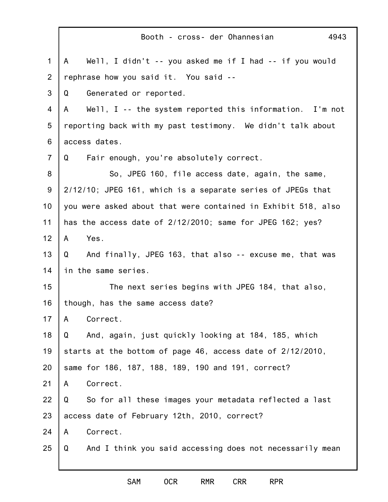|                | 4943<br>Booth - cross- der Ohannesian                          |
|----------------|----------------------------------------------------------------|
| $\mathbf 1$    | A Well, I didn't -- you asked me if I had -- if you would      |
| 2              | rephrase how you said it. You said --                          |
| 3              | Generated or reported.<br>Q                                    |
| 4              | Well, $I -$ the system reported this information. I'm not<br>A |
| 5              | reporting back with my past testimony. We didn't talk about    |
| 6              | access dates.                                                  |
| $\overline{7}$ | Fair enough, you're absolutely correct.<br>Q                   |
| 8              | So, JPEG 160, file access date, again, the same,               |
| $9\,$          | 2/12/10; JPEG 161, which is a separate series of JPEGs that    |
| 10             | you were asked about that were contained in Exhibit 518, also  |
| 11             | has the access date of 2/12/2010; same for JPEG 162; yes?      |
| 12             | Yes.<br>A                                                      |
| 13             | And finally, JPEG 163, that also -- excuse me, that was<br>Q   |
| 14             | in the same series.                                            |
| 15             | The next series begins with JPEG 184, that also,               |
| 16             | though, has the same access date?                              |
| 17             | Correct.<br>A                                                  |
| 18             | And, again, just quickly looking at 184, 185, which<br>Q       |
| 19             | starts at the bottom of page 46, access date of 2/12/2010,     |
| 20             | same for 186, 187, 188, 189, 190 and 191, correct?             |
| 21             | Correct.<br>A                                                  |
| 22             | So for all these images your metadata reflected a last<br>Q    |
| 23             | access date of February 12th, 2010, correct?                   |
| 24             | Correct.<br>A                                                  |
| 25             | And I think you said accessing does not necessarily mean<br>Q  |
|                |                                                                |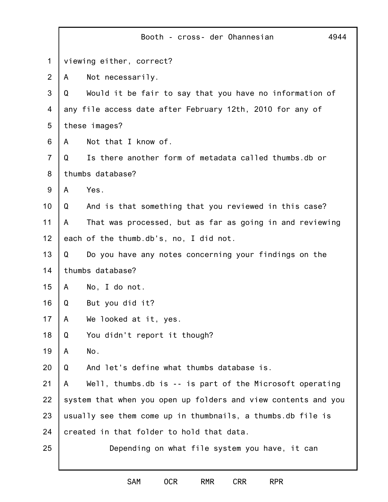|                | 4944<br>Booth - cross- der Ohannesian                          |
|----------------|----------------------------------------------------------------|
| 1              | viewing either, correct?                                       |
| $\overline{2}$ | Not necessarily.<br>A                                          |
| 3              | Would it be fair to say that you have no information of<br>Q   |
| 4              | any file access date after February 12th, 2010 for any of      |
| 5              | these images?                                                  |
| 6              | Not that I know of.<br>A                                       |
| $\overline{7}$ | Is there another form of metadata called thumbs.db or<br>Q     |
| 8              | thumbs database?                                               |
| 9              | Yes.<br>A                                                      |
| 10             | And is that something that you reviewed in this case?<br>Q     |
| 11             | That was processed, but as far as going in and reviewing<br>A  |
| 12             | each of the thumb.db's, no, I did not.                         |
| 13             | Do you have any notes concerning your findings on the<br>Q     |
| 14             | thumbs database?                                               |
| 15             | No, I do not.<br>A                                             |
| 16             | Q<br>But you did it?                                           |
| 17             | We looked at it, yes.<br>A                                     |
| 18             | You didn't report it though?<br>Q                              |
| 19             | No.<br>A                                                       |
| 20             | And let's define what thumbs database is.<br>Q                 |
| 21             | Well, thumbs.db is $-$ is part of the Microsoft operating<br>A |
| 22             | system that when you open up folders and view contents and you |
| 23             | usually see them come up in thumbnails, a thumbs.db file is    |
| 24             | created in that folder to hold that data.                      |
| 25             | Depending on what file system you have, it can                 |
|                |                                                                |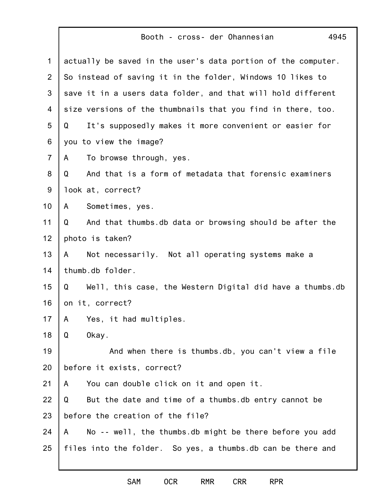## Booth - cross- der Ohannesian

4945

| $\mathbf 1$    | actually be saved in the user's data portion of the computer.  |
|----------------|----------------------------------------------------------------|
| $\overline{2}$ | So instead of saving it in the folder, Windows 10 likes to     |
| 3              | save it in a users data folder, and that will hold different   |
| 4              | size versions of the thumbnails that you find in there, too.   |
| 5              | It's supposedly makes it more convenient or easier for<br>Q    |
| 6              | you to view the image?                                         |
| $\overline{7}$ | To browse through, yes.<br>A                                   |
| 8              | And that is a form of metadata that forensic examiners<br>Q    |
| $9\,$          | look at, correct?                                              |
| 10             | Sometimes, yes.<br>A                                           |
| 11             | And that thumbs.db data or browsing should be after the<br>Q   |
| 12             | photo is taken?                                                |
| 13             | Not necessarily. Not all operating systems make a<br>A         |
| 14             | thumb.db folder.                                               |
| 15             | Well, this case, the Western Digital did have a thumbs.db<br>Q |
| 16             | on it, correct?                                                |
| 17             | Yes, it had multiples.<br>A                                    |
| 18             | Okay.<br>Q                                                     |
| 19             | And when there is thumbs.db, you can't view a file             |
| 20             | before it exists, correct?                                     |
| 21             | You can double click on it and open it.<br>A                   |
| 22             | But the date and time of a thumbs.db entry cannot be<br>Q      |
| 23             | before the creation of the file?                               |
| 24             | No -- well, the thumbs.db might be there before you add<br>A   |
| 25             | files into the folder. So yes, a thumbs.db can be there and    |
|                |                                                                |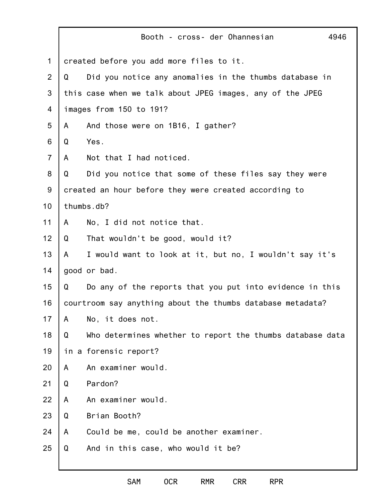|                |   | 4946<br>Booth - cross- der Ohannesian                      |
|----------------|---|------------------------------------------------------------|
| $\mathbf 1$    |   | created before you add more files to it.                   |
| $\overline{2}$ | Q | Did you notice any anomalies in the thumbs database in     |
| 3              |   | this case when we talk about JPEG images, any of the JPEG  |
| 4              |   | images from 150 to 191?                                    |
| 5              | A | And those were on 1B16, I gather?                          |
| 6              | Q | Yes.                                                       |
| $\overline{7}$ | A | Not that I had noticed.                                    |
| 8              | Q | Did you notice that some of these files say they were      |
| 9              |   | created an hour before they were created according to      |
| 10             |   | thumbs.db?                                                 |
| 11             | A | No, I did not notice that.                                 |
| 12             | Q | That wouldn't be good, would it?                           |
| 13             | A | I would want to look at it, but no, I wouldn't say it's    |
| 14             |   | good or bad.                                               |
| 15             | Q | Do any of the reports that you put into evidence in this   |
| 16             |   | courtroom say anything about the thumbs database metadata? |
| 17             | A | No, it does not.                                           |
| 18             | Q | Who determines whether to report the thumbs database data  |
| 19             |   | in a forensic report?                                      |
| 20             | A | An examiner would.                                         |
| 21             | Q | Pardon?                                                    |
| 22             | A | An examiner would.                                         |
| 23             | Q | Brian Booth?                                               |
| 24             | A | Could be me, could be another examiner.                    |
| 25             | Q | And in this case, who would it be?                         |
|                |   |                                                            |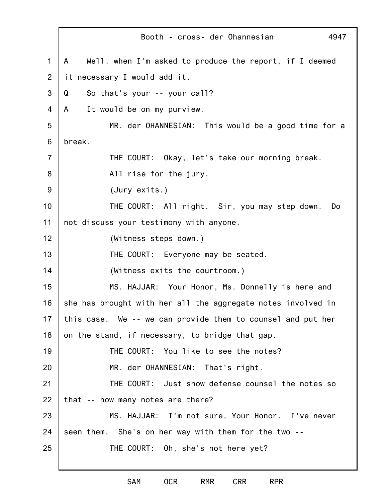1 2 3 4 5 6 7 8 9 10 11 12 13 14 15 16 17 18 19 20 21 22 23 24 25 Booth - cross- der Ohannesian 4947 A Well, when I'm asked to produce the report, if I deemed it necessary I would add it. Q So that's your -- your call? A It would be on my purview. MR. der OHANNESIAN: This would be a good time for a break. THE COURT: Okay, let's take our morning break. All rise for the jury. (Jury exits.) THE COURT: All right. Sir, you may step down. Do not discuss your testimony with anyone. (Witness steps down.) THE COURT: Everyone may be seated. (Witness exits the courtroom.) MS. HAJJAR: Your Honor, Ms. Donnelly is here and she has brought with her all the aggregate notes involved in this case. We -- we can provide them to counsel and put her on the stand, if necessary, to bridge that gap. THE COURT: You like to see the notes? MR. der OHANNESIAN: That's right. THE COURT: Just show defense counsel the notes so that -- how many notes are there? MS. HAJJAR: I'm not sure, Your Honor. I've never seen them. She's on her way with them for the two -- THE COURT: Oh, she's not here yet?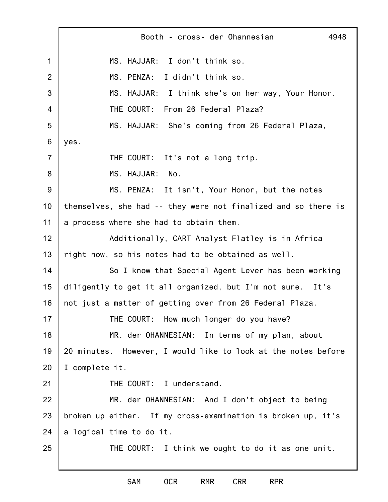1 2 3 4 5 6 7 8 9 10 11 12 13 14 15 16 17 18 19 20 21 22 23 24 25 Booth - cross- der Ohannesian 4948 MS. HAJJAR: I don't think so. MS. PENZA: I didn't think so. MS. HAJJAR: I think she's on her way, Your Honor. THE COURT: From 26 Federal Plaza? MS. HAJJAR: She's coming from 26 Federal Plaza, yes. THE COURT: It's not a long trip. MS. HAJJAR: No. MS. PENZA: It isn't, Your Honor, but the notes themselves, she had -- they were not finalized and so there is a process where she had to obtain them. Additionally, CART Analyst Flatley is in Africa right now, so his notes had to be obtained as well. So I know that Special Agent Lever has been working diligently to get it all organized, but I'm not sure. It's not just a matter of getting over from 26 Federal Plaza. THE COURT: How much longer do you have? MR. der OHANNESIAN: In terms of my plan, about 20 minutes. However, I would like to look at the notes before I complete it. THE COURT: I understand. MR. der OHANNESIAN: And I don't object to being broken up either. If my cross-examination is broken up, it's a logical time to do it. THE COURT: I think we ought to do it as one unit.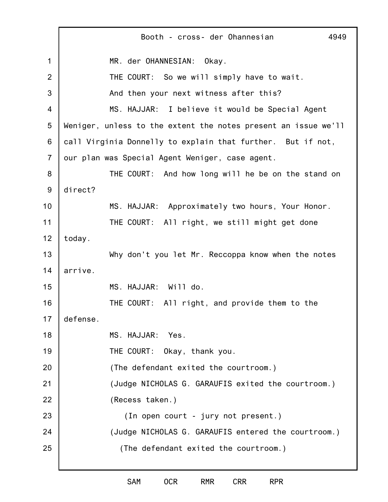1 2 3 4 5 6 7 8 9 10 11 12 13 14 15 16 17 18 19 20 21 22 23 24 25 Booth - cross- der Ohannesian 4949 MR. der OHANNESIAN: Okay. THE COURT: So we will simply have to wait. And then your next witness after this? MS. HAJJAR: I believe it would be Special Agent Weniger, unless to the extent the notes present an issue we'll call Virginia Donnelly to explain that further. But if not, our plan was Special Agent Weniger, case agent. THE COURT: And how long will he be on the stand on direct? MS. HAJJAR: Approximately two hours, Your Honor. THE COURT: All right, we still might get done today. Why don't you let Mr. Reccoppa know when the notes arrive. MS. HAJJAR: Will do. THE COURT: All right, and provide them to the defense. MS. HAJJAR: Yes. THE COURT: Okay, thank you. (The defendant exited the courtroom.) (Judge NICHOLAS G. GARAUFIS exited the courtroom.) (Recess taken.) (In open court - jury not present.) (Judge NICHOLAS G. GARAUFIS entered the courtroom.) (The defendant exited the courtroom.)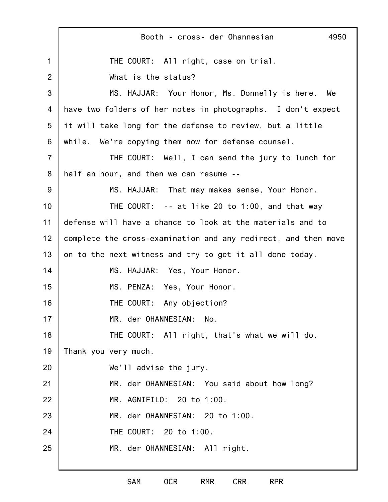|                | Booth - cross- der Ohannesian<br>4950                          |
|----------------|----------------------------------------------------------------|
| 1              | THE COURT: All right, case on trial.                           |
| $\overline{2}$ | What is the status?                                            |
| 3              | MS. HAJJAR: Your Honor, Ms. Donnelly is here. We               |
| 4              | have two folders of her notes in photographs. I don't expect   |
| 5              | it will take long for the defense to review, but a little      |
| 6              | while. We're copying them now for defense counsel.             |
| $\overline{7}$ | THE COURT: Well, I can send the jury to lunch for              |
| 8              | half an hour, and then we can resume --                        |
| 9              | MS. HAJJAR: That may makes sense, Your Honor.                  |
| 10             | THE COURT: $- -$ at like 20 to 1:00, and that way              |
| 11             | defense will have a chance to look at the materials and to     |
| 12             | complete the cross-examination and any redirect, and then move |
| 13             | on to the next witness and try to get it all done today.       |
| 14             | MS. HAJJAR: Yes, Your Honor.                                   |
| 15             | MS. PENZA: Yes, Your Honor.                                    |
| 16             | THE COURT: Any objection?                                      |
| 17             | MR. der OHANNESIAN: No.                                        |
| 18             | THE COURT: All right, that's what we will do.                  |
| 19             | Thank you very much.                                           |
| 20             | We'll advise the jury.                                         |
| 21             | MR. der OHANNESIAN: You said about how long?                   |
| 22             | MR. AGNIFILO: 20 to 1:00.                                      |
| 23             | MR. der OHANNESIAN: 20 to 1:00.                                |
| 24             | THE COURT: 20 to 1:00.                                         |
| 25             | MR. der OHANNESIAN: All right.                                 |
|                |                                                                |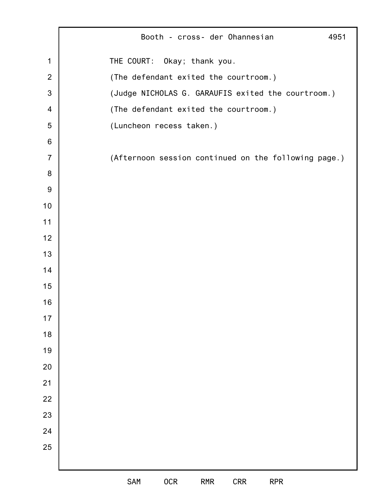|                         | Booth - cross- der Ohannesian<br>4951                |
|-------------------------|------------------------------------------------------|
| 1                       | THE COURT: Okay; thank you.                          |
| $\overline{2}$          | (The defendant exited the courtroom.)                |
| $\mathfrak{S}$          | (Judge NICHOLAS G. GARAUFIS exited the courtroom.)   |
| $\overline{\mathbf{4}}$ | (The defendant exited the courtroom.)                |
| 5                       | (Luncheon recess taken.)                             |
| 6                       |                                                      |
| $\overline{7}$          | (Afternoon session continued on the following page.) |
| 8                       |                                                      |
| 9                       |                                                      |
| 10                      |                                                      |
| 11                      |                                                      |
| 12                      |                                                      |
| 13                      |                                                      |
| 14                      |                                                      |
| 15                      |                                                      |
| 16                      |                                                      |
| $17$                    |                                                      |
| 18                      |                                                      |
| 19                      |                                                      |
| 20                      |                                                      |
| 21                      |                                                      |
| 22                      |                                                      |
| 23                      |                                                      |
| 24                      |                                                      |
| 25                      |                                                      |
|                         |                                                      |
|                         | <b>SAM</b><br>0CR<br>RMR<br><b>CRR</b><br><b>RPR</b> |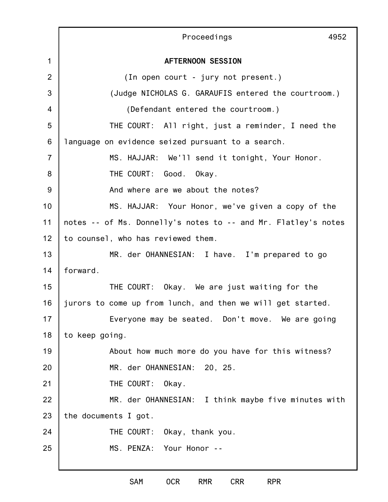|                | Proceedings<br>4952                                            |
|----------------|----------------------------------------------------------------|
| $\mathbf 1$    | <b>AFTERNOON SESSION</b>                                       |
| $\overline{2}$ | (In open court - jury not present.)                            |
| 3              | (Judge NICHOLAS G. GARAUFIS entered the courtroom.)            |
| 4              | (Defendant entered the courtroom.)                             |
| 5              | THE COURT: All right, just a reminder, I need the              |
| 6              | language on evidence seized pursuant to a search.              |
| $\overline{7}$ | MS. HAJJAR: We'll send it tonight, Your Honor.                 |
| 8              | THE COURT: Good. Okay.                                         |
| 9              | And where are we about the notes?                              |
| 10             | MS. HAJJAR: Your Honor, we've given a copy of the              |
| 11             | notes -- of Ms. Donnelly's notes to -- and Mr. Flatley's notes |
| 12             | to counsel, who has reviewed them.                             |
| 13             | MR. der OHANNESIAN: I have. I'm prepared to go                 |
| 14             | forward.                                                       |
| 15             | THE COURT: Okay. We are just waiting for the                   |
| 16             | jurors to come up from lunch, and then we will get started.    |
| 17             | Everyone may be seated. Don't move. We are going               |
| 18             | to keep going.                                                 |
| 19             | About how much more do you have for this witness?              |
| 20             | MR. der OHANNESIAN: 20, 25.                                    |
| 21             | THE COURT: Okay.                                               |
| 22             | MR. der OHANNESIAN: I think maybe five minutes with            |
| 23             | the documents I got.                                           |
| 24             | THE COURT: Okay, thank you.                                    |
| 25             | MS. PENZA: Your Honor --                                       |
|                |                                                                |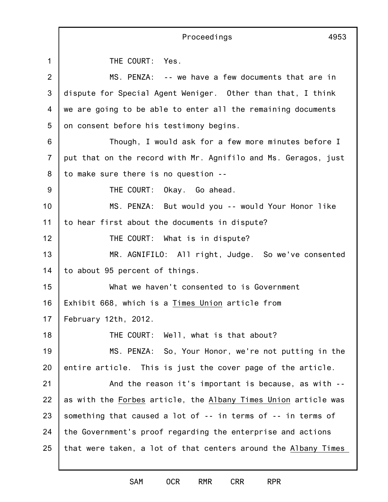|                | Proceedings<br>4953                                            |
|----------------|----------------------------------------------------------------|
| $\mathbf{1}$   | THE COURT: Yes.                                                |
| $\overline{2}$ | MS. PENZA: -- we have a few documents that are in              |
| 3              | dispute for Special Agent Weniger. Other than that, I think    |
| 4              | we are going to be able to enter all the remaining documents   |
| 5              | on consent before his testimony begins.                        |
| 6              | Though, I would ask for a few more minutes before I            |
| $\overline{7}$ | put that on the record with Mr. Agnifilo and Ms. Geragos, just |
| 8              | to make sure there is no question --                           |
| 9              | THE COURT: Okay. Go ahead.                                     |
| 10             | MS. PENZA: But would you -- would Your Honor like              |
| 11             | to hear first about the documents in dispute?                  |
| 12             | THE COURT: What is in dispute?                                 |
| 13             | MR. AGNIFILO: All right, Judge. So we've consented             |
| 14             | to about 95 percent of things.                                 |
| 15             | What we haven't consented to is Government                     |
| 16             | Exhibit 668, which is a Times Union article from               |
| 17             | February 12th, 2012.                                           |
| 18             | THE COURT: Well, what is that about?                           |
| 19             | MS. PENZA: So, Your Honor, we're not putting in the            |
| 20             | entire article. This is just the cover page of the article.    |
| 21             | And the reason it's important is because, as with --           |
| 22             | as with the Forbes article, the Albany Times Union article was |
| 23             | something that caused a lot of -- in terms of -- in terms of   |
| 24             | the Government's proof regarding the enterprise and actions    |
| 25             | that were taken, a lot of that centers around the Albany Times |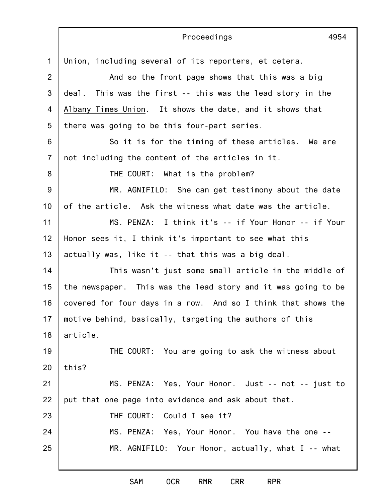|                | Proceedings<br>4954                                           |
|----------------|---------------------------------------------------------------|
| $\mathbf{1}$   | Union, including several of its reporters, et cetera.         |
| $\overline{2}$ | And so the front page shows that this was a big               |
| 3              | This was the first -- this was the lead story in the<br>deal. |
| 4              | Albany Times Union. It shows the date, and it shows that      |
| 5              | there was going to be this four-part series.                  |
| 6              | So it is for the timing of these articles. We are             |
| $\overline{7}$ | not including the content of the articles in it.              |
| 8              | THE COURT: What is the problem?                               |
| $9\,$          | MR. AGNIFILO: She can get testimony about the date            |
| 10             | of the article. Ask the witness what date was the article.    |
| 11             | MS. PENZA: I think it's -- if Your Honor -- if Your           |
| 12             | Honor sees it, I think it's important to see what this        |
| 13             | actually was, like it -- that this was a big deal.            |
| 14             | This wasn't just some small article in the middle of          |
| 15             | the newspaper. This was the lead story and it was going to be |
| 16             | covered for four days in a row. And so I think that shows the |
| 17             | motive behind, basically, targeting the authors of this       |
| 18             | article.                                                      |
| 19             | THE COURT: You are going to ask the witness about             |
| 20             | this?                                                         |
| 21             | MS. PENZA: Yes, Your Honor. Just -- not -- just to            |
| 22             | put that one page into evidence and ask about that.           |
| 23             | THE COURT: Could I see it?                                    |
| 24             | MS. PENZA: Yes, Your Honor. You have the one --               |
| 25             | MR. AGNIFILO: Your Honor, actually, what I -- what            |
|                |                                                               |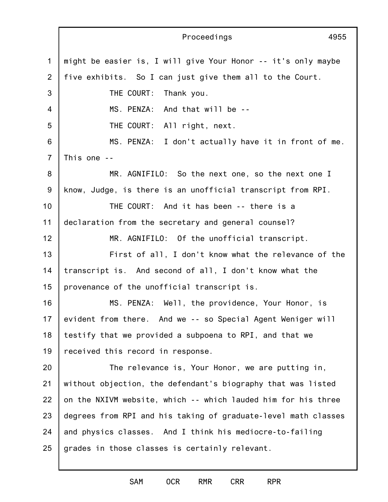1 2 3 4 5 6 7 8 9 10 11 12 13 14 15 16 17 18 19 20 21 22 23 24 25 Proceedings 4955 might be easier is, I will give Your Honor -- it's only maybe five exhibits. So I can just give them all to the Court. THE COURT: Thank you. MS. PENZA: And that will be -- THE COURT: All right, next. MS. PENZA: I don't actually have it in front of me. This one -- MR. AGNIFILO: So the next one, so the next one I know, Judge, is there is an unofficial transcript from RPI. THE COURT: And it has been -- there is a declaration from the secretary and general counsel? MR. AGNIFILO: Of the unofficial transcript. First of all, I don't know what the relevance of the transcript is. And second of all, I don't know what the provenance of the unofficial transcript is. MS. PENZA: Well, the providence, Your Honor, is evident from there. And we -- so Special Agent Weniger will testify that we provided a subpoena to RPI, and that we received this record in response. The relevance is, Your Honor, we are putting in, without objection, the defendant's biography that was listed on the NXIVM website, which -- which lauded him for his three degrees from RPI and his taking of graduate-level math classes and physics classes. And I think his mediocre-to-failing grades in those classes is certainly relevant.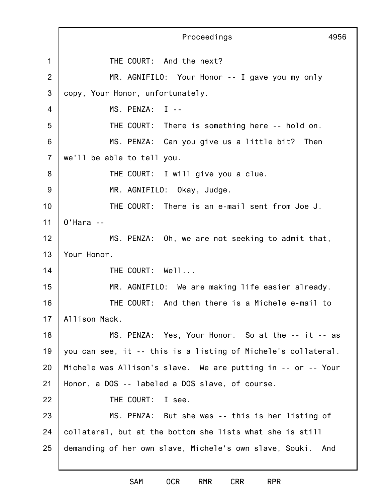1 2 3 4 5 6 7 8 9 10 11 12 13 14 15 16 17 18 19 20 21 22 23 24 25 Proceedings 4956 THE COURT: And the next? MR. AGNIFILO: Your Honor -- I gave you my only copy, Your Honor, unfortunately. MS. PENZA: I -- THE COURT: There is something here -- hold on. MS. PENZA: Can you give us a little bit? Then we'll be able to tell you. THE COURT: I will give you a clue. MR. AGNIFILO: Okay, Judge. THE COURT: There is an e-mail sent from Joe J. O'Hara -- MS. PENZA: Oh, we are not seeking to admit that, Your Honor. THE COURT: Well... MR. AGNIFILO: We are making life easier already. THE COURT: And then there is a Michele e-mail to Allison Mack. MS. PENZA: Yes, Your Honor. So at the -- it -- as you can see, it -- this is a listing of Michele's collateral. Michele was Allison's slave. We are putting in -- or -- Your Honor, a DOS -- labeled a DOS slave, of course. THE COURT: I see. MS. PENZA: But she was -- this is her listing of collateral, but at the bottom she lists what she is still demanding of her own slave, Michele's own slave, Souki. And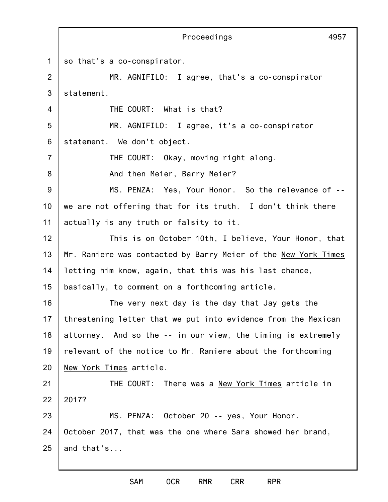1 2 3 4 5 6 7 8 9 10 11 12 13 14 15 16 17 18 19 20 21 22 23 24 25 Proceedings 4957 so that's a co-conspirator. MR. AGNIFILO: I agree, that's a co-conspirator statement. THE COURT: What is that? MR. AGNIFILO: I agree, it's a co-conspirator statement. We don't object. THE COURT: Okay, moving right along. And then Meier, Barry Meier? MS. PENZA: Yes, Your Honor. So the relevance of - we are not offering that for its truth. I don't think there actually is any truth or falsity to it. This is on October 10th, I believe, Your Honor, that Mr. Raniere was contacted by Barry Meier of the New York Times letting him know, again, that this was his last chance, basically, to comment on a forthcoming article. The very next day is the day that Jay gets the threatening letter that we put into evidence from the Mexican attorney. And so the -- in our view, the timing is extremely relevant of the notice to Mr. Raniere about the forthcoming New York Times article. THE COURT: There was a New York Times article in 2017? MS. PENZA: October 20 -- yes, Your Honor. October 2017, that was the one where Sara showed her brand, and that's...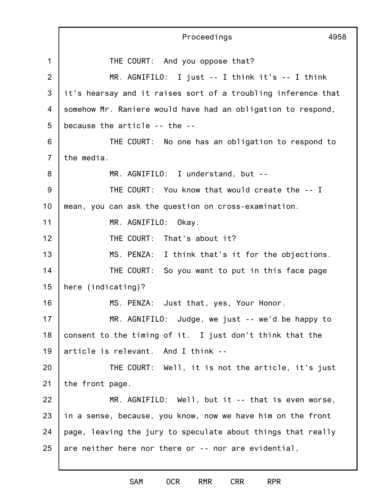|                | Proceedings<br>4958                                           |
|----------------|---------------------------------------------------------------|
| $\mathbf 1$    | THE COURT: And you oppose that?                               |
| $\overline{2}$ | MR. AGNIFILO: I just $-$ I think it's $-$ I think             |
| 3              | it's hearsay and it raises sort of a troubling inference that |
| 4              | somehow Mr. Raniere would have had an obligation to respond,  |
| 5              | because the article -- the --                                 |
| 6              | THE COURT: No one has an obligation to respond to             |
| $\overline{7}$ | the media.                                                    |
| 8              | MR. AGNIFILO: I understand, but --                            |
| 9              | THE COURT: You know that would create the -- I                |
| 10             | mean, you can ask the question on cross-examination.          |
| 11             | MR. AGNIFILO: Okay.                                           |
| 12             | THE COURT: That's about it?                                   |
| 13             | MS. PENZA: I think that's it for the objections.              |
| 14             | THE COURT: So you want to put in this face page               |
| 15             | here (indicating)?                                            |
| 16             | MS. PENZA: Just that, yes, Your Honor.                        |
| 17             | MR. AGNIFILO: Judge, we just -- we'd be happy to              |
| 18             | consent to the timing of it. I just don't think that the      |
| 19             | article is relevant. And I think --                           |
| 20             | THE COURT: Well, it is not the article, it's just             |
| 21             | the front page.                                               |
| 22             | MR. AGNIFILO: Well, but it -- that is even worse,             |
| 23             | in a sense, because, you know, now we have him on the front   |
| 24             | page, leaving the jury to speculate about things that really  |
| 25             | are neither here nor there or -- nor are evidential,          |
|                |                                                               |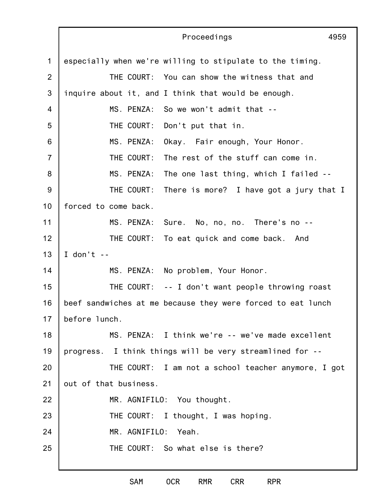|                | Proceedings<br>4959                                         |
|----------------|-------------------------------------------------------------|
| $\mathbf{1}$   | especially when we're willing to stipulate to the timing.   |
| $\overline{2}$ | THE COURT: You can show the witness that and                |
| 3              | inquire about it, and I think that would be enough.         |
| $\overline{4}$ | MS. PENZA: So we won't admit that --                        |
| 5              | THE COURT:<br>Don't put that in.                            |
| 6              | MS. PENZA:<br>Okay. Fair enough, Your Honor.                |
| $\overline{7}$ | THE COURT:<br>The rest of the stuff can come in.            |
| 8              | MS. PENZA:<br>The one last thing, which I failed --         |
| 9              | THE COURT:<br>There is more? I have got a jury that I       |
| 10             | forced to come back.                                        |
| 11             | Sure. No, no, no. There's no --<br>MS. PENZA:               |
| 12             | THE COURT: To eat quick and come back. And                  |
| 13             | I don't $-$                                                 |
| 14             | MS. PENZA: No problem, Your Honor.                          |
| 15             | THE COURT: $-$ - I don't want people throwing roast         |
| 16             | beef sandwiches at me because they were forced to eat lunch |
| 17             | before lunch.                                               |
| 18             | MS. PENZA: I think we're -- we've made excellent            |
| 19             | progress. I think things will be very streamlined for --    |
| 20             | THE COURT: I am not a school teacher anymore, I got         |
| 21             | out of that business.                                       |
| 22             | MR. AGNIFILO: You thought.                                  |
| 23             | THE COURT: I thought, I was hoping.                         |
| 24             | MR. AGNIFILO: Yeah.                                         |
| 25             | THE COURT: So what else is there?                           |
|                |                                                             |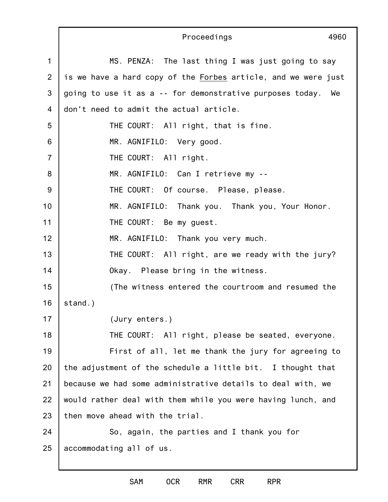1 2 3 4 5 6 7 8 9 10 11 12 13 14 15 16 17 18 19 20 21 22 23 24 25 Proceedings 4960 MS. PENZA: The last thing I was just going to say is we have a hard copy of the Forbes article, and we were just going to use it as a -- for demonstrative purposes today. We don't need to admit the actual article. THE COURT: All right, that is fine. MR. AGNIFILO: Very good. THE COURT: All right. MR. AGNIFILO: Can I retrieve my -- THE COURT: Of course. Please, please. MR. AGNIFILO: Thank you. Thank you, Your Honor. THE COURT: Be my guest. MR. AGNIFILO: Thank you very much. THE COURT: All right, are we ready with the jury? Okay. Please bring in the witness. (The witness entered the courtroom and resumed the stand.) (Jury enters.) THE COURT: All right, please be seated, everyone. First of all, let me thank the jury for agreeing to the adjustment of the schedule a little bit. I thought that because we had some administrative details to deal with, we would rather deal with them while you were having lunch, and then move ahead with the trial. So, again, the parties and I thank you for accommodating all of us.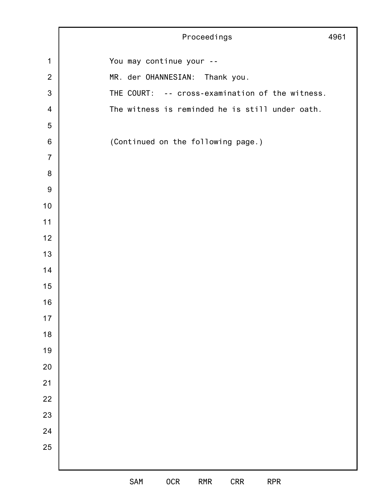|                         | Proceedings<br>4961                                         |
|-------------------------|-------------------------------------------------------------|
| $\mathbf 1$             | You may continue your --                                    |
| $\overline{2}$          | MR. der OHANNESIAN: Thank you.                              |
| $\mathbf{3}$            | THE COURT: -- cross-examination of the witness.             |
| $\overline{\mathbf{4}}$ | The witness is reminded he is still under oath.             |
| $\sqrt{5}$              |                                                             |
| $\,6$                   | (Continued on the following page.)                          |
| $\overline{7}$          |                                                             |
| $\,8\,$                 |                                                             |
| $\boldsymbol{9}$        |                                                             |
| 10                      |                                                             |
| 11                      |                                                             |
| 12                      |                                                             |
| 13                      |                                                             |
| 14                      |                                                             |
| 15                      |                                                             |
| 16                      |                                                             |
| $17$                    |                                                             |
| $18$                    |                                                             |
| 19                      |                                                             |
| $20\,$                  |                                                             |
| 21                      |                                                             |
| 22                      |                                                             |
| 23                      |                                                             |
| 24                      |                                                             |
| 25                      |                                                             |
|                         |                                                             |
|                         | <b>OCR</b><br>SAM<br><b>CRR</b><br><b>RPR</b><br><b>RMR</b> |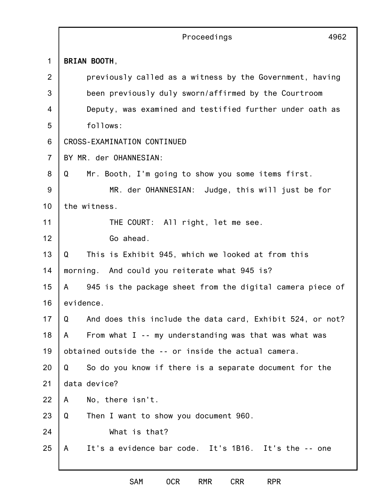|                | Proceedings<br>4962                                            |  |  |
|----------------|----------------------------------------------------------------|--|--|
| $\mathbf 1$    | BRIAN BOOTH,                                                   |  |  |
| 2              | previously called as a witness by the Government, having       |  |  |
| 3              | been previously duly sworn/affirmed by the Courtroom           |  |  |
| 4              | Deputy, was examined and testified further under oath as       |  |  |
| 5              | follows:                                                       |  |  |
| 6              | CROSS-EXAMINATION CONTINUED                                    |  |  |
| $\overline{7}$ | BY MR. der OHANNESIAN:                                         |  |  |
| 8              | Mr. Booth, I'm going to show you some items first.<br>Q        |  |  |
| 9              | MR. der OHANNESIAN: Judge, this will just be for               |  |  |
| 10             | the witness.                                                   |  |  |
| 11             | THE COURT: All right, let me see.                              |  |  |
| 12             | Go ahead.                                                      |  |  |
| 13             | This is Exhibit 945, which we looked at from this<br>Q         |  |  |
| 14             | morning. And could you reiterate what 945 is?                  |  |  |
| 15             | 945 is the package sheet from the digital camera piece of<br>A |  |  |
| 16             | evidence.                                                      |  |  |
| 17             | Q<br>And does this include the data card, Exhibit 524, or not? |  |  |
| 18             | From what I -- my understanding was that was what was<br>A     |  |  |
| 19             | obtained outside the -- or inside the actual camera.           |  |  |
| 20             | Q<br>So do you know if there is a separate document for the    |  |  |
| 21             | data device?                                                   |  |  |
| 22             | No, there isn't.<br>A                                          |  |  |
| 23             | Then I want to show you document 960.<br>Q                     |  |  |
| 24             | What is that?                                                  |  |  |
| 25             | It's a evidence bar code. It's 1B16. It's the -- one<br>A      |  |  |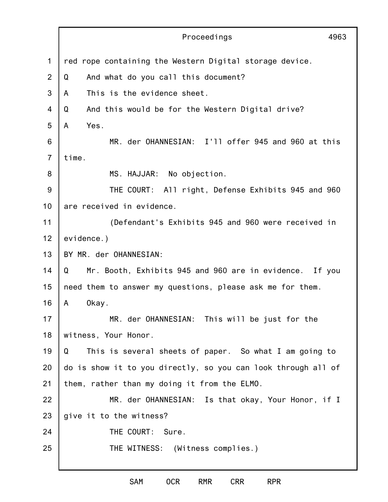|                | Proceedings<br>4963                                           |
|----------------|---------------------------------------------------------------|
| 1              | red rope containing the Western Digital storage device.       |
| 2              | Q<br>And what do you call this document?                      |
| 3              | This is the evidence sheet.<br>A                              |
| 4              | Q<br>And this would be for the Western Digital drive?         |
| 5              | Yes.<br>A                                                     |
| 6              | MR. der OHANNESIAN: I'll offer 945 and 960 at this            |
| $\overline{7}$ | time.                                                         |
| 8              | MS. HAJJAR: No objection.                                     |
| $9\,$          | THE COURT: All right, Defense Exhibits 945 and 960            |
| 10             | are received in evidence.                                     |
| 11             | (Defendant's Exhibits 945 and 960 were received in            |
| 12             | evidence.)                                                    |
| 13             | BY MR. der OHANNESIAN:                                        |
| 14             | Q<br>Mr. Booth, Exhibits 945 and 960 are in evidence. If you  |
| 15             | need them to answer my questions, please ask me for them.     |
| 16             | Okay.<br>A                                                    |
| 17             | MR. der OHANNESIAN: This will be just for the                 |
| 18             | witness, Your Honor.                                          |
| 19             | This is several sheets of paper. So what I am going to<br>Q   |
| 20             | do is show it to you directly, so you can look through all of |
| 21             | them, rather than my doing it from the ELMO.                  |
| 22             | MR. der OHANNESIAN: Is that okay, Your Honor, if I            |
| 23             | give it to the witness?                                       |
| 24             | THE COURT: Sure.                                              |
| 25             | THE WITNESS: (Witness complies.)                              |
|                |                                                               |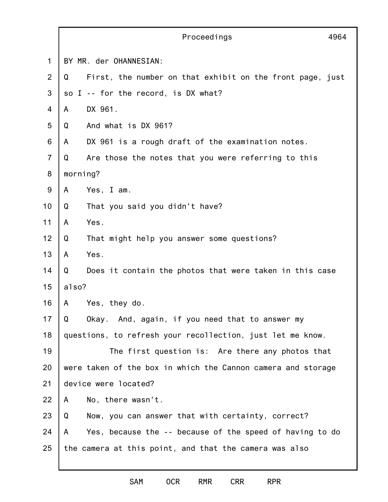|                | Proceedings<br>4964                                            |  |  |
|----------------|----------------------------------------------------------------|--|--|
| 1              | BY MR. der OHANNESIAN:                                         |  |  |
| 2              | First, the number on that exhibit on the front page, just<br>Q |  |  |
| 3              | so I -- for the record, is DX what?                            |  |  |
| 4              | DX 961.<br>A                                                   |  |  |
| 5              | And what is DX 961?<br>Q                                       |  |  |
| 6              | DX 961 is a rough draft of the examination notes.<br>A         |  |  |
| $\overline{7}$ | Are those the notes that you were referring to this<br>Q       |  |  |
| 8              | morning?                                                       |  |  |
| 9              | Yes, I am.<br>A                                                |  |  |
| 10             | Q<br>That you said you didn't have?                            |  |  |
| 11             | Yes.<br>A                                                      |  |  |
| 12             | Q<br>That might help you answer some questions?                |  |  |
| 13             | Yes.<br>A                                                      |  |  |
| 14             | Q<br>Does it contain the photos that were taken in this case   |  |  |
| 15             | also?                                                          |  |  |
| 16             | Yes, they do.<br>A                                             |  |  |
| 17             | Q<br>Okay. And, again, if you need that to answer my           |  |  |
| 18             | questions, to refresh your recollection, just let me know.     |  |  |
| 19             | The first question is: Are there any photos that               |  |  |
| 20             | were taken of the box in which the Cannon camera and storage   |  |  |
| 21             | device were located?                                           |  |  |
| 22             | A<br>No, there wasn't.                                         |  |  |
| 23             | Q<br>Now, you can answer that with certainty, correct?         |  |  |
| 24             | Yes, because the -- because of the speed of having to do<br>A  |  |  |
| 25             | the camera at this point, and that the camera was also         |  |  |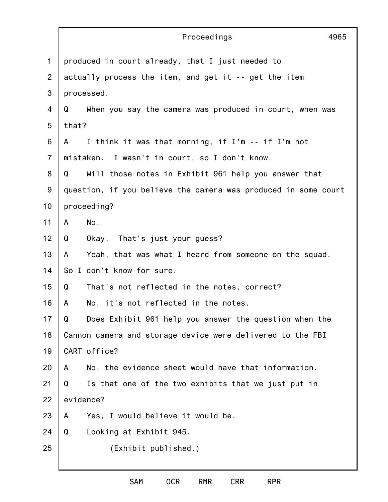|                | Proceedings<br>4965                                            |  |  |  |
|----------------|----------------------------------------------------------------|--|--|--|
| 1              | produced in court already, that I just needed to               |  |  |  |
| $\overline{2}$ | actually process the item, and get it -- get the item          |  |  |  |
| 3              | processed.                                                     |  |  |  |
| $\overline{4}$ | When you say the camera was produced in court, when was<br>Q   |  |  |  |
| 5              | that?                                                          |  |  |  |
| 6              | I think it was that morning, if I'm -- if I'm not<br>A         |  |  |  |
| $\overline{7}$ | mistaken. I wasn't in court, so I don't know.                  |  |  |  |
| 8              | Will those notes in Exhibit 961 help you answer that<br>Q      |  |  |  |
| $9\,$          | question, if you believe the camera was produced in some court |  |  |  |
| 10             | proceeding?                                                    |  |  |  |
| 11             | No.<br>A                                                       |  |  |  |
| 12             | Okay. That's just your guess?<br>Q                             |  |  |  |
| 13             | Yeah, that was what I heard from someone on the squad.<br>A    |  |  |  |
| 14             | So I don't know for sure.                                      |  |  |  |
| 15             | Q<br>That's not reflected in the notes, correct?               |  |  |  |
| 16             | No, it's not reflected in the notes.<br>A                      |  |  |  |
| 17             | Q<br>Does Exhibit 961 help you answer the question when the    |  |  |  |
| 18             | Cannon camera and storage device were delivered to the FBI     |  |  |  |
| 19             | CART office?                                                   |  |  |  |
| 20             | No, the evidence sheet would have that information.<br>A       |  |  |  |
| 21             | Is that one of the two exhibits that we just put in<br>Q       |  |  |  |
| 22             | evidence?                                                      |  |  |  |
| 23             | Yes, I would believe it would be.<br>A                         |  |  |  |
| 24             | Looking at Exhibit 945.<br>Q                                   |  |  |  |
| 25             | (Exhibit published.)                                           |  |  |  |
|                |                                                                |  |  |  |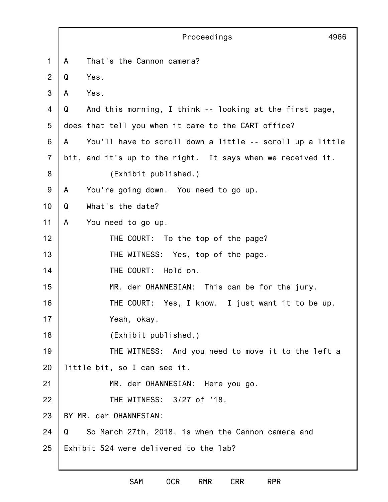|                |                                        | Proceedings                                                 | 4966 |
|----------------|----------------------------------------|-------------------------------------------------------------|------|
| 1              | That's the Cannon camera?<br>A         |                                                             |      |
| 2              | Yes.<br>Q                              |                                                             |      |
| 3              | Yes.<br>A                              |                                                             |      |
| 4              | Q                                      | And this morning, I think -- looking at the first page,     |      |
| 5              |                                        | does that tell you when it came to the CART office?         |      |
| 6              | A                                      | You'll have to scroll down a little -- scroll up a little   |      |
| $\overline{7}$ |                                        | bit, and it's up to the right. It says when we received it. |      |
| 8              | (Exhibit published.)                   |                                                             |      |
| 9              | A                                      | You're going down. You need to go up.                       |      |
| 10             | What's the date?<br>Q                  |                                                             |      |
| 11             | A<br>You need to go up.                |                                                             |      |
| 12             |                                        | THE COURT: To the top of the page?                          |      |
| 13             |                                        | THE WITNESS: Yes, top of the page.                          |      |
| 14             | THE COURT:                             | Hold on.                                                    |      |
| 15             |                                        | MR. der OHANNESIAN: This can be for the jury.               |      |
| 16             | THE COURT:                             | Yes, I know. I just want it to be up.                       |      |
| 17             | Yeah, okay.                            |                                                             |      |
| 18             | (Exhibit published.)                   |                                                             |      |
| 19             |                                        | THE WITNESS: And you need to move it to the left a          |      |
| 20             | little bit, so I can see it.           |                                                             |      |
| 21             |                                        | MR. der OHANNESIAN: Here you go.                            |      |
| 22             |                                        | THE WITNESS: 3/27 of '18.                                   |      |
| 23             | BY MR. der OHANNESIAN:                 |                                                             |      |
| 24             | Q                                      | So March 27th, 2018, is when the Cannon camera and          |      |
| 25             | Exhibit 524 were delivered to the lab? |                                                             |      |
|                |                                        |                                                             |      |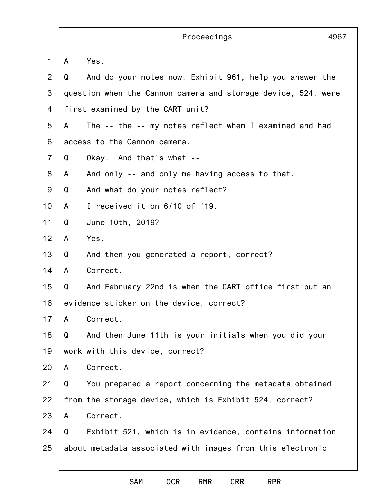|                |   | Proceedings<br>4967                                           |
|----------------|---|---------------------------------------------------------------|
| 1              | A | Yes.                                                          |
| 2              | Q | And do your notes now, Exhibit 961, help you answer the       |
| 3              |   | question when the Cannon camera and storage device, 524, were |
| 4              |   | first examined by the CART unit?                              |
| 5              | A | The -- the -- my notes reflect when I examined and had        |
| 6              |   | access to the Cannon camera.                                  |
| $\overline{7}$ | Q | Okay. And that's what --                                      |
| 8              | A | And only -- and only me having access to that.                |
| 9              | Q | And what do your notes reflect?                               |
| 10             | A | I received it on 6/10 of '19.                                 |
| 11             | Q | June 10th, 2019?                                              |
| 12             | A | Yes.                                                          |
| 13             | Q | And then you generated a report, correct?                     |
| 14             | A | Correct.                                                      |
| 15             | Q | And February 22nd is when the CART office first put an        |
| 16             |   | evidence sticker on the device, correct?                      |
| 17             | A | Correct.                                                      |
| 18             | Q | And then June 11th is your initials when you did your         |
| 19             |   | work with this device, correct?                               |
| 20             | A | Correct.                                                      |
| 21             | Q | You prepared a report concerning the metadata obtained        |
| 22             |   | from the storage device, which is Exhibit 524, correct?       |
| 23             | A | Correct.                                                      |
| 24             | Q | Exhibit 521, which is in evidence, contains information       |
| 25             |   | about metadata associated with images from this electronic    |
|                |   |                                                               |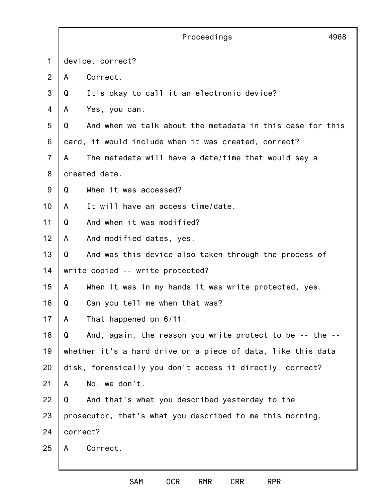|                |                                                              | Proceedings                                               | 4968 |
|----------------|--------------------------------------------------------------|-----------------------------------------------------------|------|
| 1              | device, correct?                                             |                                                           |      |
| $\overline{2}$ | A                                                            | Correct.                                                  |      |
| 3              | Q                                                            | It's okay to call it an electronic device?                |      |
| 4              | A                                                            | Yes, you can.                                             |      |
| 5              | Q                                                            | And when we talk about the metadata in this case for this |      |
| 6              |                                                              | card, it would include when it was created, correct?      |      |
| $\overline{7}$ | A                                                            | The metadata will have a date/time that would say a       |      |
| 8              |                                                              | created date.                                             |      |
| 9              | Q                                                            | When it was accessed?                                     |      |
| 10             | A                                                            | It will have an access time/date.                         |      |
| 11             | Q                                                            | And when it was modified?                                 |      |
| 12             | A                                                            | And modified dates, yes.                                  |      |
| 13             | Q                                                            | And was this device also taken through the process of     |      |
| 14             | write copied -- write protected?                             |                                                           |      |
| 15             | A                                                            | When it was in my hands it was write protected, yes.      |      |
| 16             | Q                                                            | Can you tell me when that was?                            |      |
| 17             | A                                                            | That happened on 6/11.                                    |      |
| 18             | Q                                                            | And, again, the reason you write protect to be -- the --  |      |
| 19             | whether it's a hard drive or a piece of data, like this data |                                                           |      |
| 20             |                                                              | disk, forensically you don't access it directly, correct? |      |
| 21             | A                                                            | No, we don't.                                             |      |
| 22             | Q                                                            | And that's what you described yesterday to the            |      |
| 23             |                                                              | prosecutor, that's what you described to me this morning, |      |
| 24             | correct?                                                     |                                                           |      |
| 25             | A                                                            | Correct.                                                  |      |
|                |                                                              |                                                           |      |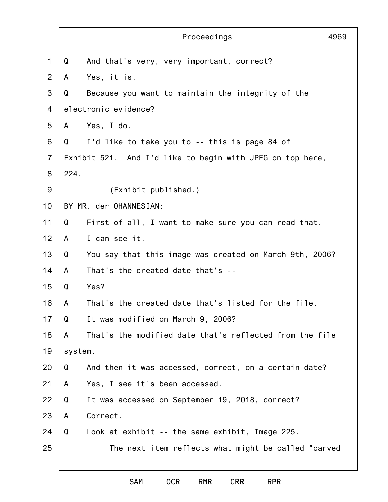|                | Proceedings                                                  | 4969 |  |  |
|----------------|--------------------------------------------------------------|------|--|--|
| 1              | Q<br>And that's very, very important, correct?               |      |  |  |
| 2              | Yes, it is.<br>A                                             |      |  |  |
| 3              | Because you want to maintain the integrity of the<br>Q       |      |  |  |
| 4              | electronic evidence?                                         |      |  |  |
| 5              | Yes, I do.<br>A                                              |      |  |  |
| 6              | I'd like to take you to -- this is page 84 of<br>Q           |      |  |  |
| $\overline{7}$ | Exhibit 521. And I'd like to begin with JPEG on top here,    |      |  |  |
| 8              | 224.                                                         |      |  |  |
| $9\,$          | (Exhibit published.)                                         |      |  |  |
| 10             | BY MR. der OHANNESIAN:                                       |      |  |  |
| 11             | First of all, I want to make sure you can read that.<br>Q    |      |  |  |
| 12             | I can see it.<br>A                                           |      |  |  |
| 13             | Q<br>You say that this image was created on March 9th, 2006? |      |  |  |
| 14             | That's the created date that's --<br>A                       |      |  |  |
| 15             | Yes?<br>Q                                                    |      |  |  |
| 16             | That's the created date that's listed for the file.<br>A     |      |  |  |
| 17             | Q<br>It was modified on March 9, 2006?                       |      |  |  |
| 18             | That's the modified date that's reflected from the file<br>A |      |  |  |
| 19             | system.                                                      |      |  |  |
| 20             | And then it was accessed, correct, on a certain date?<br>Q   |      |  |  |
| 21             | Yes, I see it's been accessed.<br>A                          |      |  |  |
| 22             | Q<br>It was accessed on September 19, 2018, correct?         |      |  |  |
| 23             | Correct.<br>A                                                |      |  |  |
| 24             | Look at exhibit -- the same exhibit, Image 225.<br>Q         |      |  |  |
| 25             | The next item reflects what might be called "carved          |      |  |  |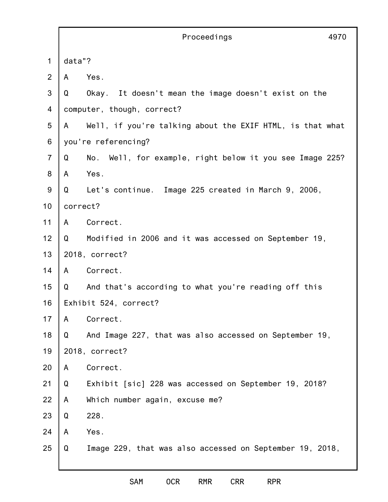|                |                       | Proceedings<br>4970                                       |  |
|----------------|-----------------------|-----------------------------------------------------------|--|
| 1              | data"?                |                                                           |  |
| 2              | A                     | Yes.                                                      |  |
| 3              | Q                     | Okay. It doesn't mean the image doesn't exist on the      |  |
| 4              |                       | computer, though, correct?                                |  |
| 5              | A                     | Well, if you're talking about the EXIF HTML, is that what |  |
| 6              |                       | you're referencing?                                       |  |
| $\overline{7}$ | Q                     | No. Well, for example, right below it you see Image 225?  |  |
| 8              | A                     | Yes.                                                      |  |
| 9              | Q                     | Let's continue. Image 225 created in March 9, 2006,       |  |
| 10             | correct?              |                                                           |  |
| 11             | A                     | Correct.                                                  |  |
| 12             | Q                     | Modified in 2006 and it was accessed on September 19,     |  |
| 13             |                       | 2018, correct?                                            |  |
| 14             | A                     | Correct.                                                  |  |
| 15             | Q                     | And that's according to what you're reading off this      |  |
| 16             | Exhibit 524, correct? |                                                           |  |
| 17             | A                     | Correct.                                                  |  |
| 18             | Q                     | And Image 227, that was also accessed on September 19,    |  |
| 19             |                       | 2018, correct?                                            |  |
| 20             | A                     | Correct.                                                  |  |
| 21             | Q                     | Exhibit [sic] 228 was accessed on September 19, 2018?     |  |
| 22             | A                     | Which number again, excuse me?                            |  |
| 23             | Q                     | 228.                                                      |  |
| 24             | A                     | Yes.                                                      |  |
| 25             | Q                     | Image 229, that was also accessed on September 19, 2018,  |  |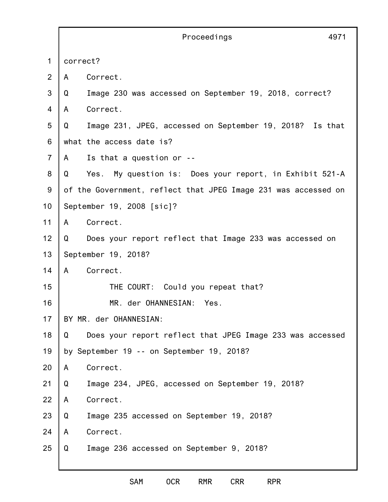|                | 4971<br>Proceedings                                              |  |  |
|----------------|------------------------------------------------------------------|--|--|
| $\mathbf 1$    | correct?                                                         |  |  |
| $\overline{2}$ | Correct.<br>A                                                    |  |  |
| 3              | Image 230 was accessed on September 19, 2018, correct?<br>Q      |  |  |
| $\overline{4}$ | Correct.<br>A                                                    |  |  |
| 5              | Image 231, JPEG, accessed on September 19, 2018?<br>Q<br>Is that |  |  |
| 6              | what the access date is?                                         |  |  |
| $\overline{7}$ | Is that a question or --<br>A                                    |  |  |
| 8              | Yes. My question is: Does your report, in Exhibit 521-A<br>Q     |  |  |
| $9\,$          | of the Government, reflect that JPEG Image 231 was accessed on   |  |  |
| 10             | September 19, 2008 [sic]?                                        |  |  |
| 11             | Correct.<br>A                                                    |  |  |
| 12             | Does your report reflect that Image 233 was accessed on<br>Q     |  |  |
| 13             | September 19, 2018?                                              |  |  |
| 14             | Correct.<br>A                                                    |  |  |
| 15             | THE COURT: Could you repeat that?                                |  |  |
| 16             | MR. der OHANNESIAN:<br>Yes.                                      |  |  |
| 17             | BY MR. der OHANNESIAN:                                           |  |  |
| 18             | Does your report reflect that JPEG Image 233 was accessed<br>Q   |  |  |
| 19             | by September 19 -- on September 19, 2018?                        |  |  |
| 20             | Correct.<br>A                                                    |  |  |
| 21             | Q<br>Image 234, JPEG, accessed on September 19, 2018?            |  |  |
| 22             | Correct.<br>A                                                    |  |  |
| 23             | Image 235 accessed on September 19, 2018?<br>Q                   |  |  |
| 24             | Correct.<br>A                                                    |  |  |
| 25             | Image 236 accessed on September 9, 2018?<br>Q                    |  |  |
|                |                                                                  |  |  |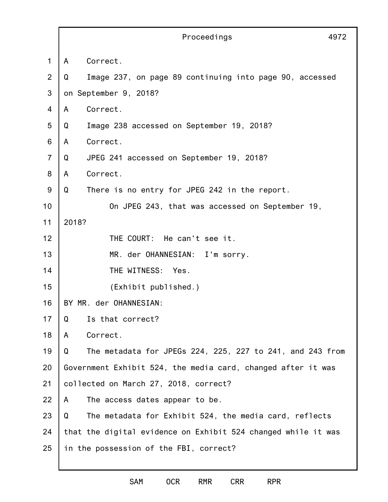|                | Proceedings                                                    | 4972 |  |
|----------------|----------------------------------------------------------------|------|--|
| 1              | Correct.<br>A                                                  |      |  |
| 2              | Q<br>Image 237, on page 89 continuing into page 90, accessed   |      |  |
| 3              | on September 9, 2018?                                          |      |  |
| $\overline{4}$ | Correct.<br>A                                                  |      |  |
| 5              | Image 238 accessed on September 19, 2018?<br>Q                 |      |  |
| 6              | Correct.<br>A                                                  |      |  |
| $\overline{7}$ | Q<br>JPEG 241 accessed on September 19, 2018?                  |      |  |
| 8              | Correct.<br>A                                                  |      |  |
| 9              | Q<br>There is no entry for JPEG 242 in the report.             |      |  |
| 10             | On JPEG 243, that was accessed on September 19,                |      |  |
| 11             | 2018?                                                          |      |  |
| 12             | THE COURT: He can't see it.                                    |      |  |
| 13             | MR. der OHANNESIAN: I'm sorry.                                 |      |  |
| 14             | THE WITNESS: Yes.                                              |      |  |
| 15             | (Exhibit published.)                                           |      |  |
| 16             | BY MR. der OHANNESIAN:                                         |      |  |
| 17             | Q<br>Is that correct?                                          |      |  |
| 18             | Correct.<br>A                                                  |      |  |
| 19             | The metadata for JPEGs 224, 225, 227 to 241, and 243 from<br>Q |      |  |
| 20             | Government Exhibit 524, the media card, changed after it was   |      |  |
| 21             | collected on March 27, 2018, correct?                          |      |  |
| 22             | A<br>The access dates appear to be.                            |      |  |
| 23             | The metadata for Exhibit 524, the media card, reflects<br>Q    |      |  |
| 24             | that the digital evidence on Exhibit 524 changed while it was  |      |  |
| 25             | in the possession of the FBI, correct?                         |      |  |
|                |                                                                |      |  |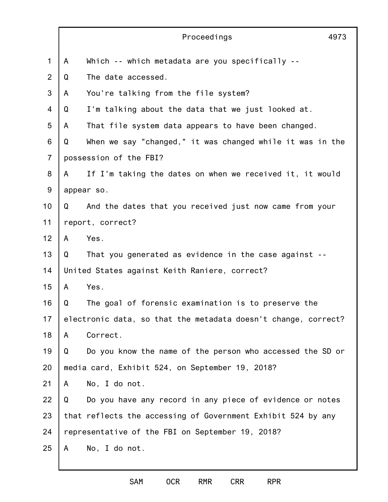|                |                                                                | Proceedings                                                  | 4973 |
|----------------|----------------------------------------------------------------|--------------------------------------------------------------|------|
| $\mathbf 1$    | A                                                              | Which -- which metadata are you specifically --              |      |
| 2              | Q                                                              | The date accessed.                                           |      |
| 3              | A                                                              | You're talking from the file system?                         |      |
| 4              | Q                                                              | I'm talking about the data that we just looked at.           |      |
| 5              | A                                                              | That file system data appears to have been changed.          |      |
| 6              | Q                                                              | When we say "changed," it was changed while it was in the    |      |
| $\overline{7}$ | possession of the FBI?                                         |                                                              |      |
| 8              | A                                                              | If I'm taking the dates on when we received it, it would     |      |
| $9\,$          | appear so.                                                     |                                                              |      |
| 10             | Q                                                              | And the dates that you received just now came from your      |      |
| 11             |                                                                | report, correct?                                             |      |
| 12             | A                                                              | Yes.                                                         |      |
| 13             | Q                                                              | That you generated as evidence in the case against --        |      |
| 14             |                                                                | United States against Keith Raniere, correct?                |      |
| 15             | A                                                              | Yes.                                                         |      |
| 16             | Q                                                              | The goal of forensic examination is to preserve the          |      |
| 17             | electronic data, so that the metadata doesn't change, correct? |                                                              |      |
| 18             | A                                                              | Correct.                                                     |      |
| 19             | Q                                                              | Do you know the name of the person who accessed the SD or    |      |
| 20             |                                                                | media card, Exhibit 524, on September 19, 2018?              |      |
| 21             | A                                                              | No, I do not.                                                |      |
| 22             | Q                                                              | Do you have any record in any piece of evidence or notes     |      |
| 23             |                                                                | that reflects the accessing of Government Exhibit 524 by any |      |
| 24             | representative of the FBI on September 19, 2018?               |                                                              |      |
| 25             | A                                                              | No, I do not.                                                |      |
|                |                                                                |                                                              |      |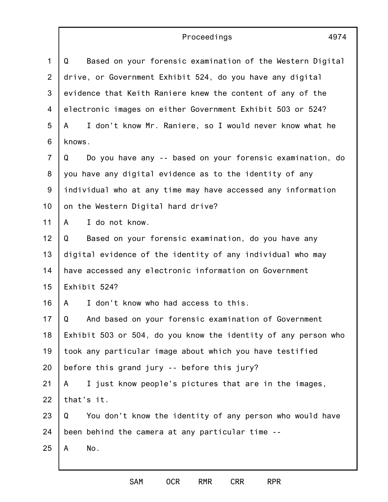## Proceedings

| 1               | Based on your forensic examination of the Western Digital<br>Q |  |  |  |
|-----------------|----------------------------------------------------------------|--|--|--|
| $\overline{2}$  | drive, or Government Exhibit 524, do you have any digital      |  |  |  |
| 3               | evidence that Keith Raniere knew the content of any of the     |  |  |  |
| 4               | electronic images on either Government Exhibit 503 or 524?     |  |  |  |
| 5               | I don't know Mr. Raniere, so I would never know what he<br>A   |  |  |  |
| 6               | knows.                                                         |  |  |  |
| $\overline{7}$  | Do you have any -- based on your forensic examination, do<br>Q |  |  |  |
| 8               | you have any digital evidence as to the identity of any        |  |  |  |
| 9               | individual who at any time may have accessed any information   |  |  |  |
| 10 <sub>1</sub> | on the Western Digital hard drive?                             |  |  |  |
| 11              | I do not know.<br>A                                            |  |  |  |
| 12              | Based on your forensic examination, do you have any<br>Q       |  |  |  |
| 13              | digital evidence of the identity of any individual who may     |  |  |  |
| 14              | have accessed any electronic information on Government         |  |  |  |
| 15              | Exhibit 524?                                                   |  |  |  |
| 16              | I don't know who had access to this.<br>A                      |  |  |  |
| 17              | Q<br>And based on your forensic examination of Government      |  |  |  |
| 18              | Exhibit 503 or 504, do you know the identity of any person who |  |  |  |
| 19              | took any particular image about which you have testified       |  |  |  |
| 20              | before this grand jury -- before this jury?                    |  |  |  |
| 21              | I just know people's pictures that are in the images,<br>A     |  |  |  |
| 22              | that's it.                                                     |  |  |  |
| 23              | You don't know the identity of any person who would have<br>Q  |  |  |  |
| 24              | been behind the camera at any particular time --               |  |  |  |
| 25              | No.<br>A                                                       |  |  |  |
|                 |                                                                |  |  |  |

4974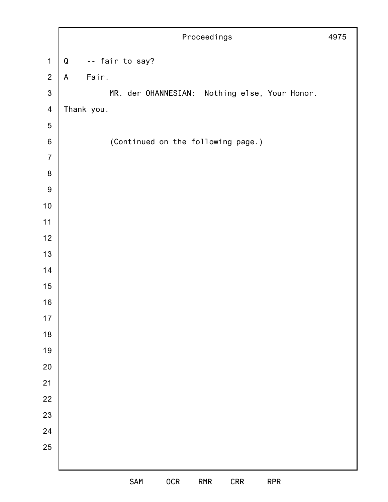|                         | Proceedings<br>4975 |                                               |  |
|-------------------------|---------------------|-----------------------------------------------|--|
| $\mathbf 1$             | ${\mathsf Q}$       | -- fair to say?                               |  |
| $\overline{2}$          | $\mathsf{A}$        | Fair.                                         |  |
| $\mathbf{3}$            |                     | MR. der OHANNESIAN: Nothing else, Your Honor. |  |
| $\overline{\mathbf{4}}$ |                     | Thank you.                                    |  |
| 5                       |                     |                                               |  |
| $\,6\,$                 |                     | (Continued on the following page.)            |  |
| $\overline{7}$          |                     |                                               |  |
| $\bf 8$                 |                     |                                               |  |
| $\boldsymbol{9}$        |                     |                                               |  |
| $10$                    |                     |                                               |  |
| $11$                    |                     |                                               |  |
| 12                      |                     |                                               |  |
| 13                      |                     |                                               |  |
| 14                      |                     |                                               |  |
| 15                      |                     |                                               |  |
| $16$                    |                     |                                               |  |
| 17                      |                     |                                               |  |
| 18                      |                     |                                               |  |
| 19                      |                     |                                               |  |
| 20                      |                     |                                               |  |
| 21                      |                     |                                               |  |
| 22                      |                     |                                               |  |
| 23                      |                     |                                               |  |
| 24                      |                     |                                               |  |
| 25                      |                     |                                               |  |
|                         |                     |                                               |  |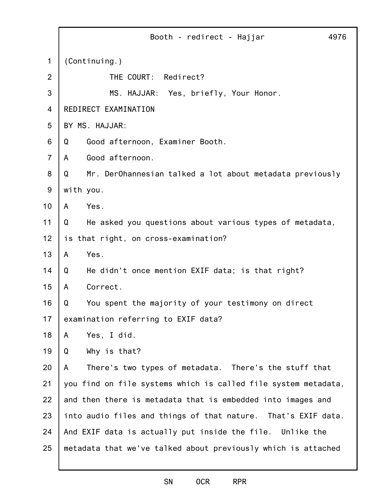|                | 4976<br>Booth - redirect - Hajjar                              |
|----------------|----------------------------------------------------------------|
| 1              | (Continuing.)                                                  |
| 2              | THE COURT: Redirect?                                           |
| 3              | MS. HAJJAR: Yes, briefly, Your Honor.                          |
| 4              | REDIRECT EXAMINATION                                           |
| 5              | BY MS. HAJJAR:                                                 |
| 6              | Good afternoon, Examiner Booth.<br>Q                           |
| $\overline{7}$ | Good afternoon.<br>A                                           |
| 8              | Mr. DerOhannesian talked a lot about metadata previously<br>Q  |
| 9              | with you.                                                      |
| 10             | Yes.<br>A                                                      |
| 11             | He asked you questions about various types of metadata,<br>Q   |
| 12             | is that right, on cross-examination?                           |
| 13             | Yes.<br>A                                                      |
| 14             | He didn't once mention EXIF data; is that right?<br>Q          |
| 15             | Correct.<br>A                                                  |
| 16             | You spent the majority of your testimony on direct<br>Q        |
| 17             | examination referring to EXIF data?                            |
| 18             | Yes, I did.<br>A                                               |
| 19             | Why is that?<br>Q                                              |
| 20             | There's two types of metadata. There's the stuff that<br>A     |
| 21             | you find on file systems which is called file system metadata, |
| 22             | and then there is metadata that is embedded into images and    |
| 23             | into audio files and things of that nature. That's EXIF data.  |
| 24             | And EXIF data is actually put inside the file. Unlike the      |
| 25             | metadata that we've talked about previously which is attached  |
|                |                                                                |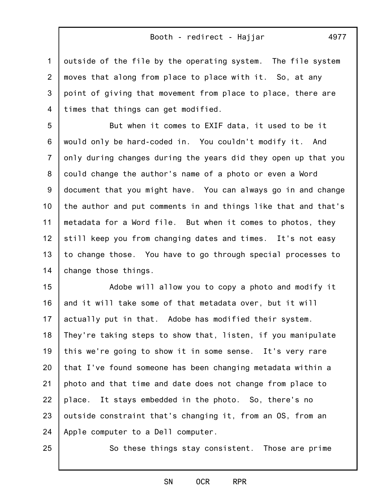1 2 3 4 outside of the file by the operating system. The file system moves that along from place to place with it. So, at any point of giving that movement from place to place, there are times that things can get modified.

5 6 7 8 9 10 11 12 13 14 But when it comes to EXIF data, it used to be it would only be hard-coded in. You couldn't modify it. And only during changes during the years did they open up that you could change the author's name of a photo or even a Word document that you might have. You can always go in and change the author and put comments in and things like that and that's metadata for a Word file. But when it comes to photos, they still keep you from changing dates and times. It's not easy to change those. You have to go through special processes to change those things.

15 16 17 18 19 20 21 22 23 24 Adobe will allow you to copy a photo and modify it and it will take some of that metadata over, but it will actually put in that. Adobe has modified their system. They're taking steps to show that, listen, if you manipulate this we're going to show it in some sense. It's very rare that I've found someone has been changing metadata within a photo and that time and date does not change from place to place. It stays embedded in the photo. So, there's no outside constraint that's changing it, from an OS, from an Apple computer to a Dell computer.

25

So these things stay consistent. Those are prime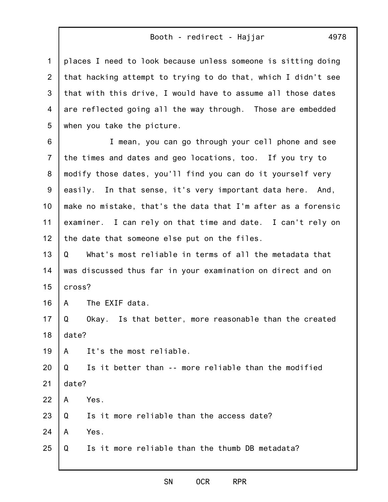places I need to look because unless someone is sitting doing that hacking attempt to trying to do that, which I didn't see that with this drive, I would have to assume all those dates are reflected going all the way through. Those are embedded

6 7 8 9 10 11 12 I mean, you can go through your cell phone and see the times and dates and geo locations, too. If you try to modify those dates, you'll find you can do it yourself very easily. In that sense, it's very important data here. And, make no mistake, that's the data that I'm after as a forensic examiner. I can rely on that time and date. I can't rely on the date that someone else put on the files.

13 14 15 Q What's most reliable in terms of all the metadata that was discussed thus far in your examination on direct and on cross?

16 A The EXIF data.

17 18 Q Okay. Is that better, more reasonable than the created date?

19 A It's the most reliable.

when you take the picture.

20 21 Q Is it better than -- more reliable than the modified date?

22 A Yes.

1

2

3

4

5

23 Q Is it more reliable than the access date?

24 A Yes.

25 Q Is it more reliable than the thumb DB metadata?

#### SN OCR RPR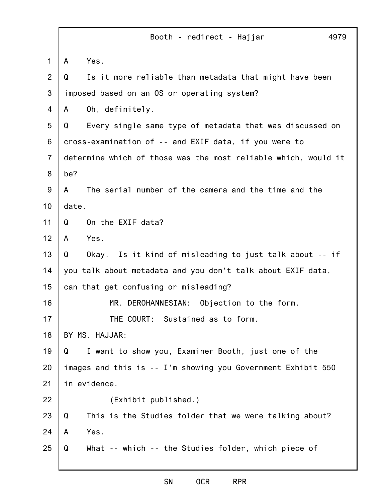1 2 3 4 5 6 7 8 9 10 11 12 13 14 15 16 17 18 19 20 21 22 23 24 25 Booth - redirect - Hajjar 4979 A Yes. Q Is it more reliable than metadata that might have been imposed based on an OS or operating system? A Oh, definitely. Q Every single same type of metadata that was discussed on cross-examination of -- and EXIF data, if you were to determine which of those was the most reliable which, would it be? A The serial number of the camera and the time and the date. Q On the EXIF data? A Yes. Q Okay. Is it kind of misleading to just talk about -- if you talk about metadata and you don't talk about EXIF data, can that get confusing or misleading? MR. DEROHANNESIAN: Objection to the form. THE COURT: Sustained as to form. BY MS. HAJJAR: Q I want to show you, Examiner Booth, just one of the images and this is -- I'm showing you Government Exhibit 550 in evidence. (Exhibit published.) Q This is the Studies folder that we were talking about? A Yes. Q What -- which -- the Studies folder, which piece of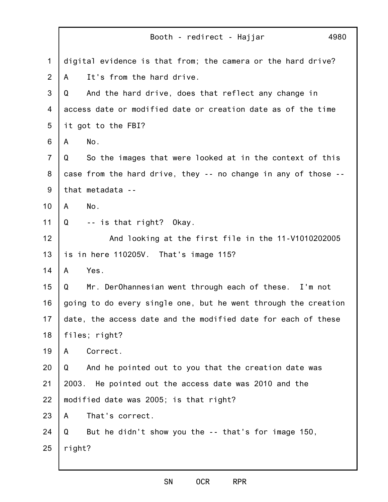| 4980<br>Booth - redirect - Hajjar                              |
|----------------------------------------------------------------|
| digital evidence is that from; the camera or the hard drive?   |
| It's from the hard drive.<br>A                                 |
| And the hard drive, does that reflect any change in<br>Q       |
| access date or modified date or creation date as of the time   |
| it got to the FBI?                                             |
| No.<br>A                                                       |
| So the images that were looked at in the context of this<br>Q  |
| case from the hard drive, they -- no change in any of those -- |
| that metadata --                                               |
| No.<br>A                                                       |
| -- is that right? Okay.<br>Q                                   |
| And looking at the first file in the 11-V1010202005            |
| is in here 110205V. That's image 115?                          |
| Yes.<br>A                                                      |
| Mr. DerOhannesian went through each of these. I'm not<br>Q     |
| going to do every single one, but he went through the creation |
| date, the access date and the modified date for each of these  |
| files; right?                                                  |
| Correct.<br>A                                                  |
| Q<br>And he pointed out to you that the creation date was      |
| 2003. He pointed out the access date was 2010 and the          |
| modified date was 2005; is that right?                         |
| That's correct.<br>A                                           |
| But he didn't show you the -- that's for image 150,<br>Q       |
| right?                                                         |
|                                                                |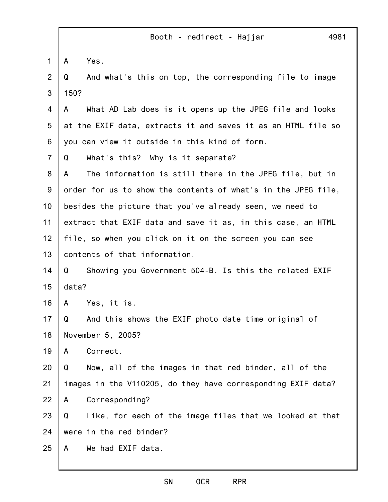1 2 3 4 5 6 7 8 9 10 11 12 13 14 15 16 17 18 19 20 21 22 23 24 25 Booth - redirect - Hajjar 4981 A Yes. Q And what's this on top, the corresponding file to image 150? A What AD Lab does is it opens up the JPEG file and looks at the EXIF data, extracts it and saves it as an HTML file so you can view it outside in this kind of form. Q What's this? Why is it separate? A The information is still there in the JPEG file, but in order for us to show the contents of what's in the JPEG file, besides the picture that you've already seen, we need to extract that EXIF data and save it as, in this case, an HTML file, so when you click on it on the screen you can see contents of that information. Q Showing you Government 504-B. Is this the related EXIF data? A Yes, it is. Q And this shows the EXIF photo date time original of November 5, 2005? A Correct. Q Now, all of the images in that red binder, all of the images in the V110205, do they have corresponding EXIF data? A Corresponding? Q Like, for each of the image files that we looked at that were in the red binder? A We had EXIF data.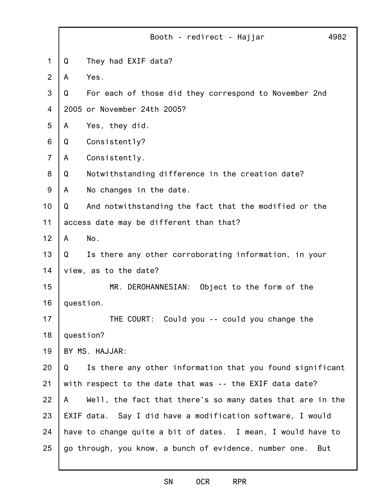|                | Booth - redirect - Hajjar<br>4982                              |  |
|----------------|----------------------------------------------------------------|--|
| 1              | Q<br>They had EXIF data?                                       |  |
| $\overline{2}$ | Yes.<br>A                                                      |  |
| 3              | For each of those did they correspond to November 2nd<br>Q     |  |
| 4              | 2005 or November 24th 2005?                                    |  |
| 5              | Yes, they did.<br>A                                            |  |
| 6              | Consistently?<br>Q                                             |  |
| $\overline{7}$ | Consistently.<br>A                                             |  |
| 8              | Notwithstanding difference in the creation date?<br>Q          |  |
| $9\,$          | A<br>No changes in the date.                                   |  |
| 10             | Q<br>And notwithstanding the fact that the modified or the     |  |
| 11             | access date may be different than that?                        |  |
| 12             | No.<br>A                                                       |  |
| 13             | Q<br>Is there any other corroborating information, in your     |  |
| 14             | view, as to the date?                                          |  |
| 15             | MR. DEROHANNESIAN:<br>Object to the form of the                |  |
| 16             | question.                                                      |  |
| 17             | THE COURT: Could you -- could you change the                   |  |
| 18             | question?                                                      |  |
| 19             | BY MS. HAJJAR:                                                 |  |
| 20             | Is there any other information that you found significant<br>Q |  |
| 21             | with respect to the date that was -- the EXIF data date?       |  |
| 22             | Well, the fact that there's so many dates that are in the<br>A |  |
| 23             | EXIF data. Say I did have a modification software, I would     |  |
| 24             | have to change quite a bit of dates. I mean, I would have to   |  |
| 25             | go through, you know, a bunch of evidence, number one.<br>But  |  |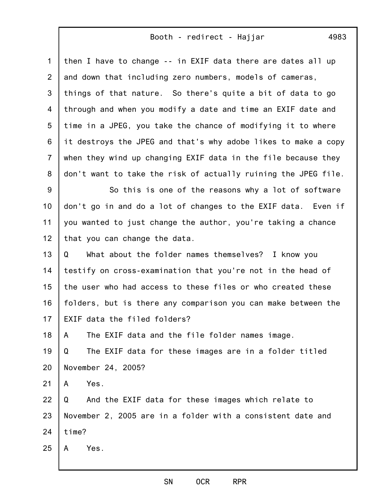1 2 3 4 5 6 7 8 then I have to change -- in EXIF data there are dates all up and down that including zero numbers, models of cameras, things of that nature. So there's quite a bit of data to go through and when you modify a date and time an EXIF date and time in a JPEG, you take the chance of modifying it to where it destroys the JPEG and that's why adobe likes to make a copy when they wind up changing EXIF data in the file because they don't want to take the risk of actually ruining the JPEG file.

9 10 11 12 So this is one of the reasons why a lot of software don't go in and do a lot of changes to the EXIF data. Even if you wanted to just change the author, you're taking a chance that you can change the data.

13 14 15 16 17 Q What about the folder names themselves? I know you testify on cross-examination that you're not in the head of the user who had access to these files or who created these folders, but is there any comparison you can make between the EXIF data the filed folders?

18 A The EXIF data and the file folder names image.

19 20 Q The EXIF data for these images are in a folder titled November 24, 2005?

21 A Yes.

22 23 24 Q And the EXIF data for these images which relate to November 2, 2005 are in a folder with a consistent date and time?

25 A Yes.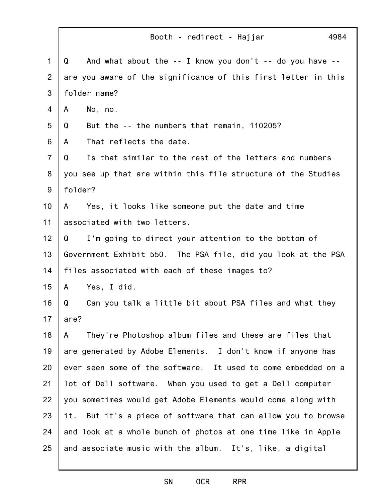|                | 4984<br>Booth - redirect - Hajjar                                      |  |
|----------------|------------------------------------------------------------------------|--|
| $\mathbf 1$    | And what about the $-$ - I know you don't $-$ - do you have $-$ -<br>Q |  |
| $\overline{2}$ | are you aware of the significance of this first letter in this         |  |
| 3              | folder name?                                                           |  |
| $\overline{4}$ | No, no.<br>A                                                           |  |
| 5              | But the -- the numbers that remain, 110205?<br>Q                       |  |
| 6              | That reflects the date.<br>A                                           |  |
| $\overline{7}$ | Is that similar to the rest of the letters and numbers<br>Q            |  |
| 8              | you see up that are within this file structure of the Studies          |  |
| 9              | folder?                                                                |  |
| 10             | Yes, it looks like someone put the date and time<br>A                  |  |
| 11             | associated with two letters.                                           |  |
| 12             | I'm going to direct your attention to the bottom of<br>Q               |  |
| 13             | Government Exhibit 550. The PSA file, did you look at the PSA          |  |
| 14             | files associated with each of these images to?                         |  |
| 15             | Yes, I did.<br>A                                                       |  |
| 16             | Q<br>Can you talk a little bit about PSA files and what they           |  |
| 17             | are?                                                                   |  |
| 18             | They're Photoshop album files and these are files that<br>A            |  |
| 19             | are generated by Adobe Elements. I don't know if anyone has            |  |
| 20             | ever seen some of the software. It used to come embedded on a          |  |
| 21             | lot of Dell software. When you used to get a Dell computer             |  |
| 22             | you sometimes would get Adobe Elements would come along with           |  |
| 23             | But it's a piece of software that can allow you to browse<br>it.       |  |
| 24             | and look at a whole bunch of photos at one time like in Apple          |  |
| 25             | and associate music with the album. It's, like, a digital              |  |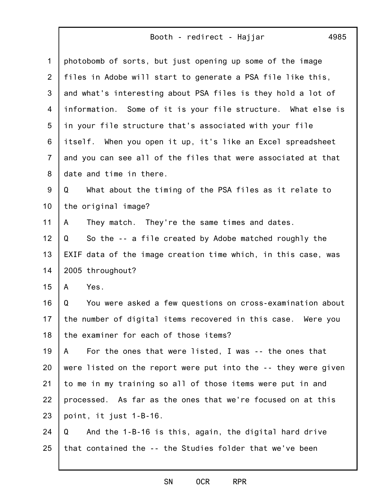| $\mathbf{1}$   | photobomb of sorts, but just opening up some of the image      |
|----------------|----------------------------------------------------------------|
| $\overline{2}$ | files in Adobe will start to generate a PSA file like this,    |
| 3              | and what's interesting about PSA files is they hold a lot of   |
| 4              | information. Some of it is your file structure. What else is   |
| 5              | in your file structure that's associated with your file        |
| 6              | itself.<br>When you open it up, it's like an Excel spreadsheet |
| $\overline{7}$ | and you can see all of the files that were associated at that  |
| 8              | date and time in there.                                        |
| 9              | What about the timing of the PSA files as it relate to<br>Q    |
| 10             | the original image?                                            |
| 11             | They match. They're the same times and dates.<br>A             |
| 12             | So the -- a file created by Adobe matched roughly the<br>Q     |
| 13             | EXIF data of the image creation time which, in this case, was  |
| 14             | 2005 throughout?                                               |
| 15             | Yes.<br>A                                                      |
| 16             | You were asked a few questions on cross-examination about<br>Q |
| 17             | the number of digital items recovered in this case. Were you   |
| 18             | the examiner for each of those items?                          |
| 19             | For the ones that were listed, I was -- the ones that<br>A     |
| 20             | were listed on the report were put into the -- they were given |
| 21             | to me in my training so all of those items were put in and     |
| 22             | processed. As far as the ones that we're focused on at this    |
| 23             | point, it just 1-B-16.                                         |
| 24             | And the 1-B-16 is this, again, the digital hard drive<br>Q     |
| 25             | that contained the -- the Studies folder that we've been       |
|                |                                                                |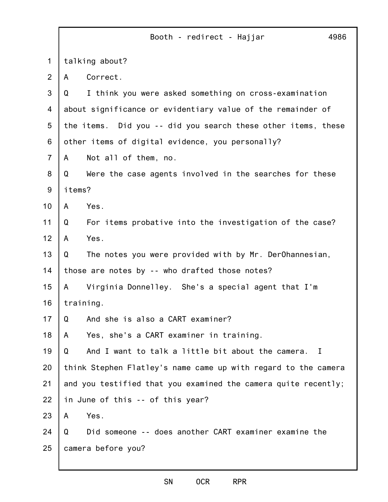|                |        | Booth - redirect - Hajjar<br>4986                              |
|----------------|--------|----------------------------------------------------------------|
| 1              |        | talking about?                                                 |
| $\overline{2}$ | A      | Correct.                                                       |
| 3              | Q      | I think you were asked something on cross-examination          |
| 4              |        | about significance or evidentiary value of the remainder of    |
| 5              |        | the items. Did you -- did you search these other items, these  |
| 6              |        | other items of digital evidence, you personally?               |
| $\overline{7}$ | A      | Not all of them, no.                                           |
| 8              | Q      | Were the case agents involved in the searches for these        |
| $9\,$          | items? |                                                                |
| 10             | A      | Yes.                                                           |
| 11             | Q      | For items probative into the investigation of the case?        |
| 12             | A      | Yes.                                                           |
| 13             | Q      | The notes you were provided with by Mr. DerOhannesian,         |
| 14             |        | those are notes by -- who drafted those notes?                 |
| 15             | A      | Virginia Donnelley. She's a special agent that I'm             |
| 16             |        | training.                                                      |
| 17             | Q      | And she is also a CART examiner?                               |
| 18             | A      | Yes, she's a CART examiner in training.                        |
| 19             | Q      | And I want to talk a little bit about the camera.<br>T         |
| 20             |        | think Stephen Flatley's name came up with regard to the camera |
| 21             |        | and you testified that you examined the camera quite recently; |
| 22             |        | in June of this -- of this year?                               |
| 23             | A      | Yes.                                                           |
| 24             | Q      | Did someone -- does another CART examiner examine the          |
| 25             |        | camera before you?                                             |
|                |        |                                                                |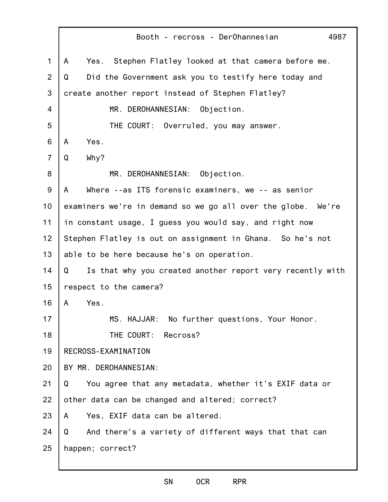|                | Booth - recross - DerOhannesian<br>4987                        |  |
|----------------|----------------------------------------------------------------|--|
| $\mathbf 1$    | Yes. Stephen Flatley looked at that camera before me.<br>A     |  |
| $\overline{2}$ | Did the Government ask you to testify here today and<br>Q      |  |
| 3              | create another report instead of Stephen Flatley?              |  |
| 4              | MR. DEROHANNESIAN:<br>Objection.                               |  |
| 5              | THE COURT: Overruled, you may answer.                          |  |
| 6              | Yes.<br>A                                                      |  |
| $\overline{7}$ | Why?<br>Q                                                      |  |
| 8              | MR. DEROHANNESIAN:<br>Objection.                               |  |
| 9              | Where --as ITS forensic examiners, we -- as senior<br>A        |  |
| 10             | examiners we're in demand so we go all over the globe. We're   |  |
| 11             | in constant usage, I guess you would say, and right now        |  |
| 12             | Stephen Flatley is out on assignment in Ghana. So he's not     |  |
| 13             | able to be here because he's on operation.                     |  |
| 14             | Is that why you created another report very recently with<br>Q |  |
| 15             | respect to the camera?                                         |  |
| 16             | Yes.<br>A                                                      |  |
| 17             | MS. HAJJAR: No further questions, Your Honor.                  |  |
| 18             | THE COURT: Recross?                                            |  |
| 19             | RECROSS-EXAMINATION                                            |  |
| 20             | BY MR. DEROHANNESIAN:                                          |  |
| 21             | You agree that any metadata, whether it's EXIF data or<br>Q    |  |
| 22             | other data can be changed and altered; correct?                |  |
| 23             | Yes, EXIF data can be altered.<br>A                            |  |
| 24             | And there's a variety of different ways that that can<br>Q     |  |
| 25             | happen; correct?                                               |  |
|                |                                                                |  |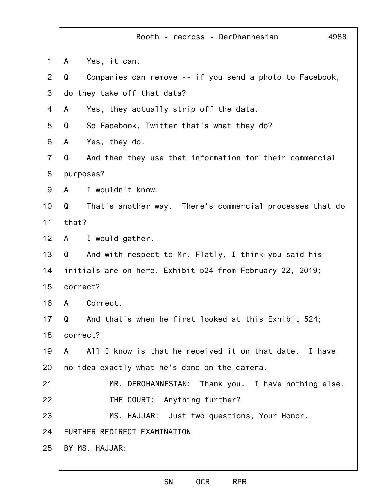|                | Booth - recross - DerOhannesian<br>4988                       |  |
|----------------|---------------------------------------------------------------|--|
| 1              | Yes, it can.<br>A                                             |  |
| 2              | Q<br>Companies can remove -- if you send a photo to Facebook, |  |
| 3              | do they take off that data?                                   |  |
| 4              | Yes, they actually strip off the data.<br>A                   |  |
| 5              | So Facebook, Twitter that's what they do?<br>Q                |  |
| 6              | Yes, they do.<br>A                                            |  |
| $\overline{7}$ | And then they use that information for their commercial<br>Q  |  |
| 8              | purposes?                                                     |  |
| 9              | I wouldn't know.<br>A                                         |  |
| 10             | Q<br>That's another way. There's commercial processes that do |  |
| 11             | that?                                                         |  |
| 12             | I would gather.<br>$\mathsf{A}$                               |  |
| 13             | Q<br>And with respect to Mr. Flatly, I think you said his     |  |
| 14             | initials are on here, Exhibit 524 from February 22, 2019;     |  |
| 15             | correct?                                                      |  |
| 16             | Correct.<br>A                                                 |  |
| 17             | And that's when he first looked at this Exhibit 524;<br>Q     |  |
| 18             | correct?                                                      |  |
| 19             | All I know is that he received it on that date. I have<br>A   |  |
| 20             | no idea exactly what he's done on the camera.                 |  |
| 21             | MR. DEROHANNESIAN:<br>Thank you. I have nothing else.         |  |
| 22             | THE COURT: Anything further?                                  |  |
| 23             | MS. HAJJAR: Just two questions, Your Honor.                   |  |
| 24             | FURTHER REDIRECT EXAMINATION                                  |  |
| 25             | BY MS. HAJJAR:                                                |  |
|                |                                                               |  |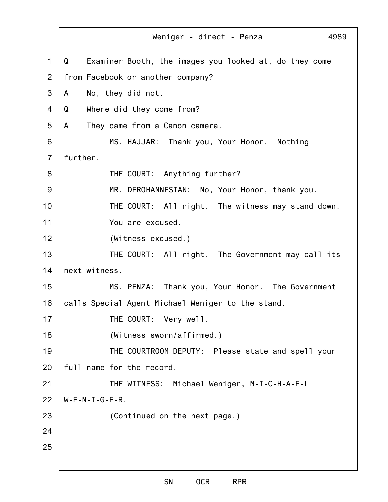1 2 3 4 5 6 7 8 9 10 11 12 13 14 15 16 17 18 19 20 21 22 23 24 25 Weniger - direct - Penza 4989 Q Examiner Booth, the images you looked at, do they come from Facebook or another company? A No, they did not. Q Where did they come from? A They came from a Canon camera. MS. HAJJAR: Thank you, Your Honor. Nothing further. THE COURT: Anything further? MR. DEROHANNESIAN: No, Your Honor, thank you. THE COURT: All right. The witness may stand down. You are excused. (Witness excused.) THE COURT: All right. The Government may call its next witness. MS. PENZA: Thank you, Your Honor. The Government calls Special Agent Michael Weniger to the stand. THE COURT: Very well. (Witness sworn/affirmed.) THE COURTROOM DEPUTY: Please state and spell your full name for the record. THE WITNESS: Michael Weniger, M-I-C-H-A-E-L  $W-E-N-I-G-E-R$ . (Continued on the next page.)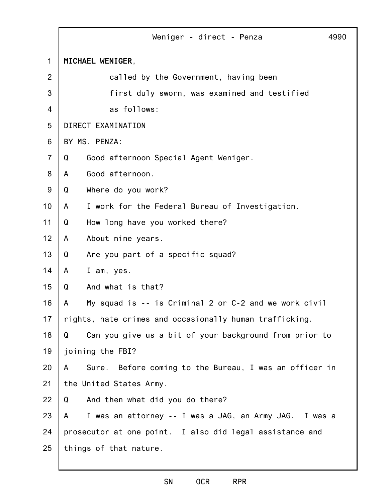|                | Weniger - direct - Penza<br>4990                            |  |  |
|----------------|-------------------------------------------------------------|--|--|
| $\mathbf 1$    | MICHAEL WENIGER,                                            |  |  |
| $\overline{2}$ | called by the Government, having been                       |  |  |
| 3              | first duly sworn, was examined and testified                |  |  |
| 4              | as follows:                                                 |  |  |
| 5              | DIRECT EXAMINATION                                          |  |  |
| 6              | BY MS. PENZA:                                               |  |  |
| $\overline{7}$ | Good afternoon Special Agent Weniger.<br>Q                  |  |  |
| 8              | Good afternoon.<br>A                                        |  |  |
| 9              | Q<br>Where do you work?                                     |  |  |
| 10             | I work for the Federal Bureau of Investigation.<br>A        |  |  |
| 11             | How long have you worked there?<br>Q                        |  |  |
| 12             | About nine years.<br>A                                      |  |  |
| 13             | Q<br>Are you part of a specific squad?                      |  |  |
| 14             | A<br>I am, yes.                                             |  |  |
| 15             | And what is that?<br>Q                                      |  |  |
| 16             | My squad is -- is Criminal 2 or C-2 and we work civil<br>A  |  |  |
| 17             | rights, hate crimes and occasionally human trafficking.     |  |  |
| 18             | Can you give us a bit of your background from prior to<br>Q |  |  |
| 19             | joining the FBI?                                            |  |  |
| 20             | Sure. Before coming to the Bureau, I was an officer in<br>A |  |  |
| 21             | the United States Army.                                     |  |  |
| 22             | And then what did you do there?<br>Q                        |  |  |
| 23             | I was an attorney -- I was a JAG, an Army JAG. I was a<br>A |  |  |
| 24             | prosecutor at one point. I also did legal assistance and    |  |  |
| 25             | things of that nature.                                      |  |  |
|                |                                                             |  |  |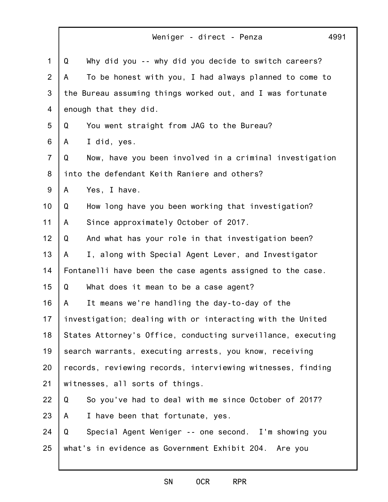|                | 4991<br>Weniger - direct - Penza                             |
|----------------|--------------------------------------------------------------|
| $\mathbf{1}$   | Why did you -- why did you decide to switch careers?<br>Q    |
| 2              | To be honest with you, I had always planned to come to<br>A  |
| 3              | the Bureau assuming things worked out, and I was fortunate   |
| 4              | enough that they did.                                        |
| 5              | You went straight from JAG to the Bureau?<br>Q               |
| 6              | I did, yes.<br>A                                             |
| $\overline{7}$ | Q<br>Now, have you been involved in a criminal investigation |
| 8              | into the defendant Keith Raniere and others?                 |
| 9              | Yes, I have.<br>A                                            |
| 10             | How long have you been working that investigation?<br>Q      |
| 11             | Since approximately October of 2017.<br>A                    |
| 12             | And what has your role in that investigation been?<br>Q      |
| 13             | I, along with Special Agent Lever, and Investigator<br>A     |
| 14             | Fontanelli have been the case agents assigned to the case.   |
| 15             | Q<br>What does it mean to be a case agent?                   |
| 16             | It means we're handling the day-to-day of the<br>A           |
| 17             | investigation; dealing with or interacting with the United   |
| 18             | States Attorney's Office, conducting surveillance, executing |
| 19             | search warrants, executing arrests, you know, receiving      |
| 20             | records, reviewing records, interviewing witnesses, finding  |
| 21             | witnesses, all sorts of things.                              |
| 22             | So you've had to deal with me since October of 2017?<br>Q    |
| 23             | I have been that fortunate, yes.<br>A                        |
| 24             | Special Agent Weniger -- one second. I'm showing you<br>Q    |
| 25             | what's in evidence as Government Exhibit 204. Are you        |
|                |                                                              |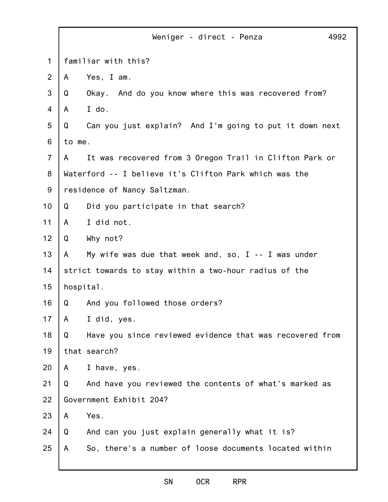|                                                        | Weniger - direct - Penza                                 | 4992                                                                                                                     |
|--------------------------------------------------------|----------------------------------------------------------|--------------------------------------------------------------------------------------------------------------------------|
| familiar with this?                                    |                                                          |                                                                                                                          |
| A                                                      | Yes, I am.                                               |                                                                                                                          |
| Q                                                      | Okay.<br>And do you know where this was recovered from?  |                                                                                                                          |
| A                                                      | I do.                                                    |                                                                                                                          |
| Q                                                      | Can you just explain? And I'm going to put it down next  |                                                                                                                          |
|                                                        |                                                          |                                                                                                                          |
| A                                                      | It was recovered from 3 Oregon Trail in Clifton Park or  |                                                                                                                          |
|                                                        |                                                          |                                                                                                                          |
| residence of Nancy Saltzman.                           |                                                          |                                                                                                                          |
| Q                                                      | Did you participate in that search?                      |                                                                                                                          |
| A                                                      | I did not.                                               |                                                                                                                          |
| Q                                                      | Why not?                                                 |                                                                                                                          |
| A                                                      | My wife was due that week and, so, $I - I$ was under     |                                                                                                                          |
| strict towards to stay within a two-hour radius of the |                                                          |                                                                                                                          |
|                                                        |                                                          |                                                                                                                          |
| Q                                                      | And you followed those orders?                           |                                                                                                                          |
| A                                                      | I did, yes.                                              |                                                                                                                          |
| Q                                                      | Have you since reviewed evidence that was recovered from |                                                                                                                          |
|                                                        |                                                          |                                                                                                                          |
| A                                                      | I have, yes.                                             |                                                                                                                          |
| Q                                                      | And have you reviewed the contents of what's marked as   |                                                                                                                          |
|                                                        |                                                          |                                                                                                                          |
| A                                                      | Yes.                                                     |                                                                                                                          |
| Q                                                      | And can you just explain generally what it is?           |                                                                                                                          |
| A                                                      | So, there's a number of loose documents located within   |                                                                                                                          |
|                                                        |                                                          | to me.<br>Waterford -- I believe it's Clifton Park which was the<br>hospital.<br>that search?<br>Government Exhibit 204? |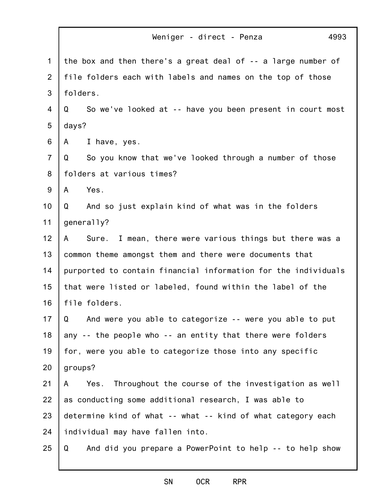|                 | 4993<br>Weniger - direct - Penza                                |  |
|-----------------|-----------------------------------------------------------------|--|
| $\mathbf{1}$    | the box and then there's a great deal of -- a large number of   |  |
| $\overline{2}$  | file folders each with labels and names on the top of those     |  |
| 3               | folders.                                                        |  |
| 4               | So we've looked at -- have you been present in court most<br>Q  |  |
| 5               | days?                                                           |  |
| 6               | I have, yes.<br>A                                               |  |
| $\overline{7}$  | So you know that we've looked through a number of those<br>Q    |  |
| 8               | folders at various times?                                       |  |
| 9               | Yes.<br>A                                                       |  |
| 10 <sub>1</sub> | And so just explain kind of what was in the folders<br>Q        |  |
| 11              | generally?                                                      |  |
| 12              | Sure. I mean, there were various things but there was a<br>A    |  |
| 13              | common theme amongst them and there were documents that         |  |
| 14              | purported to contain financial information for the individuals  |  |
| 15              | that were listed or labeled, found within the label of the      |  |
| 16              | file folders.                                                   |  |
| 17              | And were you able to categorize -- were you able to put<br>Q    |  |
| 18              | any -- the people who -- an entity that there were folders      |  |
| 19              | for, were you able to categorize those into any specific        |  |
| 20              | groups?                                                         |  |
| 21              | Yes.<br>Throughout the course of the investigation as well<br>A |  |
| 22              | as conducting some additional research, I was able to           |  |
| 23              | determine kind of what -- what -- kind of what category each    |  |
| 24              | individual may have fallen into.                                |  |
| 25              | And did you prepare a PowerPoint to help -- to help show<br>Q   |  |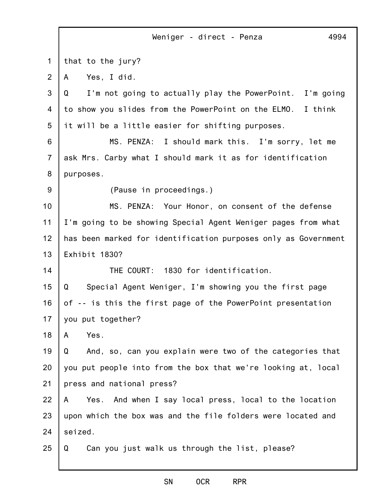|                | 4994<br>Weniger - direct - Penza                               |
|----------------|----------------------------------------------------------------|
| 1              | that to the jury?                                              |
| $\overline{2}$ | Yes, I did.<br>A                                               |
| 3              | I'm not going to actually play the PowerPoint. I'm going<br>Q  |
| 4              | to show you slides from the PowerPoint on the ELMO. I think    |
| 5              | it will be a little easier for shifting purposes.              |
| 6              | MS. PENZA: I should mark this. I'm sorry, let me               |
| $\overline{7}$ | ask Mrs. Carby what I should mark it as for identification     |
| 8              | purposes.                                                      |
| 9              | (Pause in proceedings.)                                        |
| 10             | MS. PENZA: Your Honor, on consent of the defense               |
| 11             | I'm going to be showing Special Agent Weniger pages from what  |
| 12             | has been marked for identification purposes only as Government |
| 13             | Exhibit 1830?                                                  |
| 14             | THE COURT: 1830 for identification.                            |
| 15             | Special Agent Weniger, I'm showing you the first page<br>Q     |
| 16             | of -- is this the first page of the PowerPoint presentation    |
| 17             | you put together?                                              |
| 18             | Yes.<br>A                                                      |
| 19             | And, so, can you explain were two of the categories that<br>Q  |
| 20             | you put people into from the box that we're looking at, local  |
| 21             | press and national press?                                      |
| 22             | Yes.<br>And when I say local press, local to the location<br>A |
| 23             | upon which the box was and the file folders were located and   |
| 24             | seized.                                                        |
| 25             | Can you just walk us through the list, please?<br>Q            |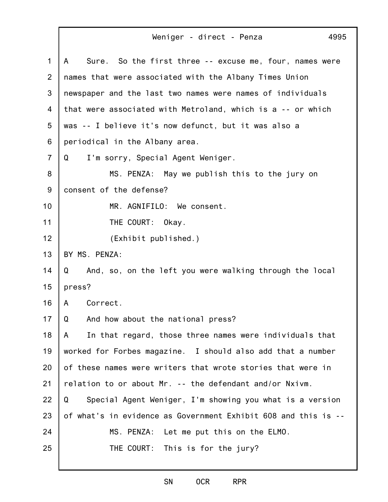| 1                | Sure. So the first three -- excuse me, four, names were<br>A   |
|------------------|----------------------------------------------------------------|
| 2                | names that were associated with the Albany Times Union         |
| 3                | newspaper and the last two names were names of individuals     |
| 4                | that were associated with Metroland, which is a -- or which    |
| 5                | was -- I believe it's now defunct, but it was also a           |
| 6                | periodical in the Albany area.                                 |
| $\overline{7}$   | I'm sorry, Special Agent Weniger.<br>Q                         |
| 8                | MS. PENZA: May we publish this to the jury on                  |
| $\boldsymbol{9}$ | consent of the defense?                                        |
| 10               | MR. AGNIFILO: We consent.                                      |
| 11               | THE COURT:<br>Okay.                                            |
| 12               | (Exhibit published.)                                           |
| 13               | BY MS. PENZA:                                                  |
| 14               | And, so, on the left you were walking through the local<br>Q   |
| 15               | press?                                                         |
| 16               | Correct.<br>A                                                  |
| 17               | And how about the national press?<br>Q                         |
| 18               | In that regard, those three names were individuals that<br>A   |
| 19               | worked for Forbes magazine. I should also add that a number    |
| 20               | of these names were writers that wrote stories that were in    |
| 21               | relation to or about Mr. -- the defendant and/or Nxivm.        |
| 22               | Special Agent Weniger, I'm showing you what is a version<br>Q  |
| 23               | of what's in evidence as Government Exhibit 608 and this is -- |
| 24               | MS. PENZA: Let me put this on the ELMO.                        |
| 25               | THE COURT: This is for the jury?                               |
|                  |                                                                |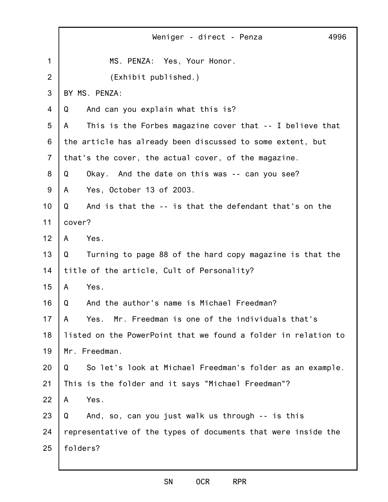|                | Weniger - direct - Penza<br>4996                               |
|----------------|----------------------------------------------------------------|
| $\mathbf 1$    | MS. PENZA: Yes, Your Honor.                                    |
| 2              | (Exhibit published.)                                           |
| 3              | BY MS. PENZA:                                                  |
| 4              | And can you explain what this is?<br>Q                         |
| 5              | This is the Forbes magazine cover that -- I believe that<br>A  |
| 6              | the article has already been discussed to some extent, but     |
| $\overline{7}$ | that's the cover, the actual cover, of the magazine.           |
| 8              | Okay. And the date on this was -- can you see?<br>Q            |
| 9              | Yes, October 13 of 2003.<br>A                                  |
| 10             | And is that the -- is that the defendant that's on the<br>Q    |
| 11             | cover?                                                         |
| 12             | Yes.<br>A                                                      |
| 13             | Turning to page 88 of the hard copy magazine is that the<br>Q  |
| 14             | title of the article, Cult of Personality?                     |
| 15             | Yes.<br>$\mathsf{A}$                                           |
| 16             | And the author's name is Michael Freedman?<br>Q                |
| 17             | Mr. Freedman is one of the individuals that's<br>A<br>Yes.     |
| 18             | listed on the PowerPoint that we found a folder in relation to |
| 19             | Mr. Freedman.                                                  |
| 20             | So let's look at Michael Freedman's folder as an example.<br>Q |
| 21             | This is the folder and it says "Michael Freedman"?             |
| 22             | Yes.<br>A                                                      |
| 23             | And, so, can you just walk us through -- is this<br>Q          |
| 24             | representative of the types of documents that were inside the  |
| 25             | folders?                                                       |
|                |                                                                |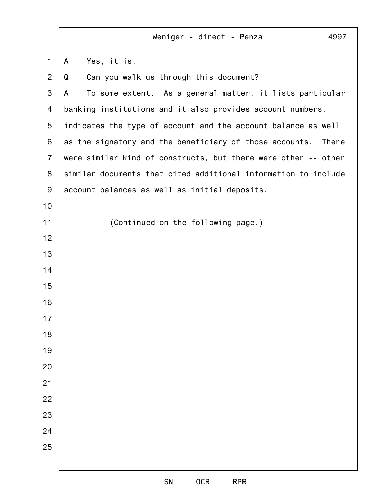|                | Weniger - direct - Penza<br>4997                                 |
|----------------|------------------------------------------------------------------|
| 1              | Yes, it is.<br>A                                                 |
| $\overline{2}$ | Can you walk us through this document?<br>Q                      |
| $\mathbf{3}$   | To some extent. As a general matter, it lists particular<br>A    |
| 4              | banking institutions and it also provides account numbers,       |
| 5              | indicates the type of account and the account balance as well    |
| 6              | as the signatory and the beneficiary of those accounts.<br>There |
| $\overline{7}$ | were similar kind of constructs, but there were other -- other   |
| 8              | similar documents that cited additional information to include   |
| $9\,$          | account balances as well as initial deposits.                    |
| 10             |                                                                  |
| 11             | (Continued on the following page.)                               |
| 12             |                                                                  |
| 13             |                                                                  |
| 14             |                                                                  |
| 15             |                                                                  |
| 16             |                                                                  |
| 17             |                                                                  |
| 18             |                                                                  |
| 19             |                                                                  |
| 20             |                                                                  |
| 21             |                                                                  |
| 22             |                                                                  |
| 23             |                                                                  |
| 24             |                                                                  |
| 25             |                                                                  |
|                |                                                                  |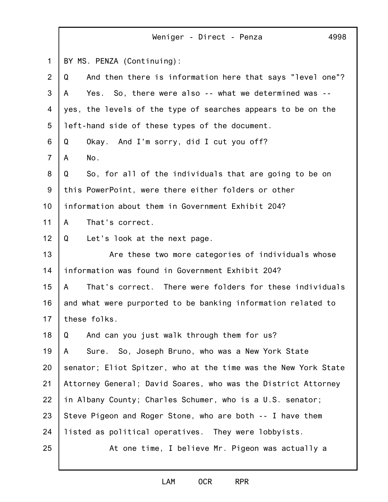|                | 4998<br>Weniger - Direct - Penza                               |
|----------------|----------------------------------------------------------------|
| $\mathbf 1$    | BY MS. PENZA (Continuing):                                     |
| 2              | And then there is information here that says "level one"?<br>Q |
| 3              | Yes. So, there were also -- what we determined was --<br>A     |
| 4              | yes, the levels of the type of searches appears to be on the   |
| 5              | left-hand side of these types of the document.                 |
| 6              | Q<br>Okay. And I'm sorry, did I cut you off?                   |
| $\overline{7}$ | No.<br>A                                                       |
| 8              | Q<br>So, for all of the individuals that are going to be on    |
| $9\,$          | this PowerPoint, were there either folders or other            |
| 10             | information about them in Government Exhibit 204?              |
| 11             | That's correct.<br>A                                           |
| 12             | Let's look at the next page.<br>Q                              |
| 13             | Are these two more categories of individuals whose             |
| 14             | information was found in Government Exhibit 204?               |
| 15             | That's correct. There were folders for these individuals<br>A  |
| 16             | and what were purported to be banking information related to   |
| 17             | these folks.                                                   |
| 18             | And can you just walk through them for us?<br>Q                |
| 19             | Sure. So, Joseph Bruno, who was a New York State<br>A          |
| 20             | senator; Eliot Spitzer, who at the time was the New York State |
| 21             | Attorney General; David Soares, who was the District Attorney  |
| 22             | in Albany County; Charles Schumer, who is a U.S. senator;      |
| 23             | Steve Pigeon and Roger Stone, who are both -- I have them      |
| 24             | listed as political operatives. They were lobbyists.           |
| 25             | At one time, I believe Mr. Pigeon was actually a               |
|                |                                                                |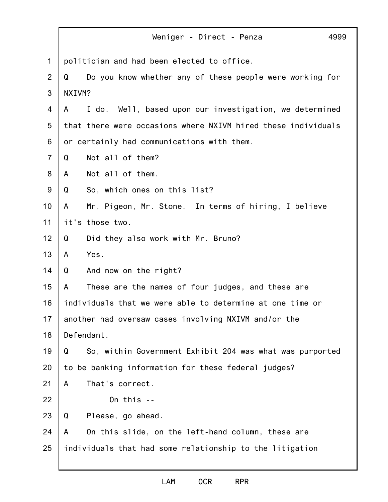|                | Weniger - Direct - Penza                                      | 4999 |
|----------------|---------------------------------------------------------------|------|
| $\mathbf{1}$   | politician and had been elected to office.                    |      |
| $\overline{2}$ | Do you know whether any of these people were working for<br>Q |      |
| 3              | NXIVM?                                                        |      |
| 4              | I do. Well, based upon our investigation, we determined<br>A  |      |
| 5              | that there were occasions where NXIVM hired these individuals |      |
| 6              | or certainly had communications with them.                    |      |
| $\overline{7}$ | Not all of them?<br>Q                                         |      |
| 8              | Not all of them.<br>A                                         |      |
| $9\,$          | So, which ones on this list?<br>Q                             |      |
| 10             | Mr. Pigeon, Mr. Stone. In terms of hiring, I believe<br>A     |      |
| 11             | it's those two.                                               |      |
| 12             | Did they also work with Mr. Bruno?<br>Q                       |      |
| 13             | Yes.<br>A                                                     |      |
| 14             | And now on the right?<br>Q                                    |      |
| 15             | These are the names of four judges, and these are<br>A        |      |
| 16             | individuals that we were able to determine at one time or     |      |
| 17             | another had oversaw cases involving NXIVM and/or the          |      |
| 18             | Defendant.                                                    |      |
| 19             | So, within Government Exhibit 204 was what was purported<br>Q |      |
| 20             | to be banking information for these federal judges?           |      |
| 21             | That's correct.<br>A                                          |      |
| 22             | On this $-$                                                   |      |
| 23             | Please, go ahead.<br>Q                                        |      |
| 24             | On this slide, on the left-hand column, these are<br>A        |      |
| 25             | individuals that had some relationship to the litigation      |      |
|                |                                                               |      |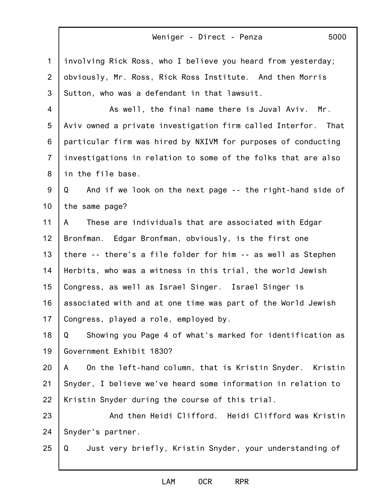| $\mathbf 1$     | involving Rick Ross, who I believe you heard from yesterday;   |
|-----------------|----------------------------------------------------------------|
| $\overline{2}$  | obviously, Mr. Ross, Rick Ross Institute. And then Morris      |
| 3               | Sutton, who was a defendant in that lawsuit.                   |
| $\overline{4}$  | As well, the final name there is Juval Aviv. Mr.               |
| $5\phantom{.0}$ | Aviv owned a private investigation firm called Interfor. That  |
| 6               | particular firm was hired by NXIVM for purposes of conducting  |
| $\overline{7}$  | investigations in relation to some of the folks that are also  |
| 8               | in the file base.                                              |
| 9               | Q<br>And if we look on the next page -- the right-hand side of |
| 10 <sub>1</sub> | the same page?                                                 |
| 11              | These are individuals that are associated with Edgar<br>A      |
| 12              | Bronfman. Edgar Bronfman, obviously, is the first one          |
| 13              | there -- there's a file folder for him -- as well as Stephen   |
| 14              | Herbits, who was a witness in this trial, the world Jewish     |
| 15              | Congress, as well as Israel Singer. Israel Singer is           |
| 16              | associated with and at one time was part of the World Jewish   |
| 17              | Congress, played a role, employed by.                          |
| 18              | Showing you Page 4 of what's marked for identification as<br>Q |
| 19              | Government Exhibit 1830?                                       |
| 20              | On the left-hand column, that is Kristin Snyder. Kristin<br>A  |
| 21              | Snyder, I believe we've heard some information in relation to  |
| 22              | Kristin Snyder during the course of this trial.                |
| 23              | And then Heidi Clifford. Heidi Clifford was Kristin            |
| 24              | Snyder's partner.                                              |
| 25              | Just very briefly, Kristin Snyder, your understanding of<br>Q  |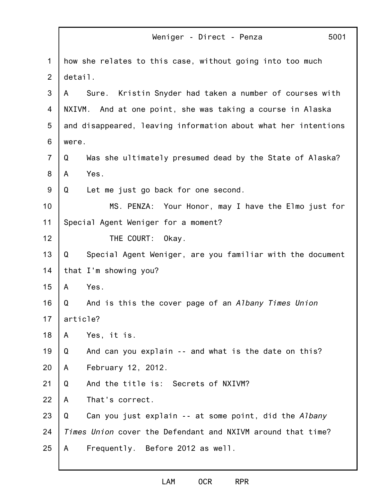|                | Weniger - Direct - Penza                                       | 5001 |
|----------------|----------------------------------------------------------------|------|
| $\mathbf 1$    | how she relates to this case, without going into too much      |      |
| $\overline{2}$ | detail.                                                        |      |
| 3              | Sure. Kristin Snyder had taken a number of courses with<br>A   |      |
| 4              | NXIVM. And at one point, she was taking a course in Alaska     |      |
| 5              | and disappeared, leaving information about what her intentions |      |
| 6              | were.                                                          |      |
| $\overline{7}$ | Was she ultimately presumed dead by the State of Alaska?<br>Q  |      |
| 8              | Yes.<br>A                                                      |      |
| $9$            | Q<br>Let me just go back for one second.                       |      |
| 10             | MS. PENZA: Your Honor, may I have the Elmo just for            |      |
| 11             | Special Agent Weniger for a moment?                            |      |
| 12             | THE COURT:<br>Okay.                                            |      |
| 13             | Q<br>Special Agent Weniger, are you familiar with the document |      |
| 14             | that I'm showing you?                                          |      |
| 15             | Yes.<br>A                                                      |      |
| 16             | Q<br>And is this the cover page of an Albany Times Union       |      |
| 17             | article?                                                       |      |
| 18             | A<br>Yes, it is.                                               |      |
| 19             | Q<br>And can you explain -- and what is the date on this?      |      |
| 20             | February 12, 2012.<br>A                                        |      |
| 21             | Q<br>And the title is: Secrets of NXIVM?                       |      |
| 22             | That's correct.<br>A                                           |      |
| 23             | Can you just explain -- at some point, did the Albany<br>Q     |      |
| 24             | Times Union cover the Defendant and NXIVM around that time?    |      |
| 25             | Frequently. Before 2012 as well.<br>A                          |      |
|                |                                                                |      |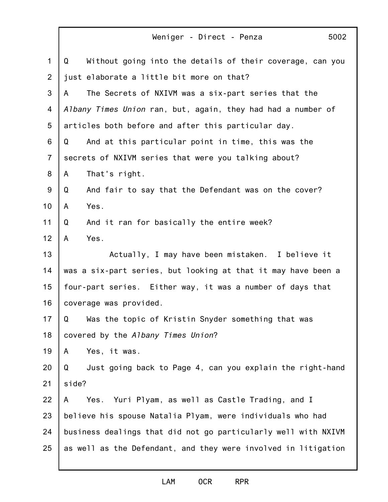|                | Weniger - Direct - Penza<br>5002                               |
|----------------|----------------------------------------------------------------|
| $\mathbf{1}$   | Without going into the details of their coverage, can you<br>Q |
| $\overline{2}$ | just elaborate a little bit more on that?                      |
| 3              | The Secrets of NXIVM was a six-part series that the<br>A       |
| 4              | Albany Times Union ran, but, again, they had had a number of   |
| 5              | articles both before and after this particular day.            |
| 6              | Q<br>And at this particular point in time, this was the        |
| $\overline{7}$ | secrets of NXIVM series that were you talking about?           |
| 8              | That's right.<br>A                                             |
| $9\,$          | And fair to say that the Defendant was on the cover?<br>Q      |
| 10             | Yes.<br>A                                                      |
| 11             | And it ran for basically the entire week?<br>Q                 |
| 12             | Yes.<br>$\mathsf{A}$                                           |
| 13             | Actually, I may have been mistaken. I believe it               |
| 14             | was a six-part series, but looking at that it may have been a  |
| 15             | four-part series. Either way, it was a number of days that     |
| 16             | coverage was provided.                                         |
| 17             | Q Was the topic of Kristin Snyder something that was           |
| 18             | covered by the Albany Times Union?                             |
| 19             | Yes, it was.<br>A                                              |
| 20             | Q<br>Just going back to Page 4, can you explain the right-hand |
| 21             | side?                                                          |
| 22             | Yes. Yuri Plyam, as well as Castle Trading, and I<br>A         |
| 23             | believe his spouse Natalia Plyam, were individuals who had     |
| 24             | business dealings that did not go particularly well with NXIVM |
| 25             | as well as the Defendant, and they were involved in litigation |
|                |                                                                |

Г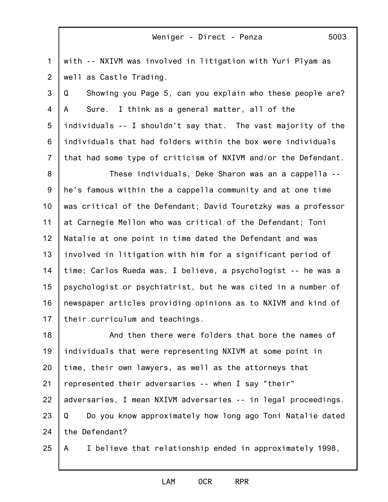1 2 with -- NXIVM was involved in litigation with Yuri Plyam as well as Castle Trading.

3 4 5 6 7 Q Showing you Page 5, can you explain who these people are? A Sure. I think as a general matter, all of the individuals -- I shouldn't say that. The vast majority of the individuals that had folders within the box were individuals that had some type of criticism of NXIVM and/or the Defendant.

8 9 10 11 12 13 14 15 16 17 These individuals, Deke Sharon was an a cappella - he's famous within the a cappella community and at one time was critical of the Defendant; David Touretzky was a professor at Carnegie Mellon who was critical of the Defendant; Toni Natalie at one point in time dated the Defendant and was involved in litigation with him for a significant period of time; Carlos Rueda was, I believe, a psychologist -- he was a psychologist or psychiatrist, but he was cited in a number of newspaper articles providing opinions as to NXIVM and kind of their curriculum and teachings.

18 19 20 21 22 23 24 And then there were folders that bore the names of individuals that were representing NXIVM at some point in time, their own lawyers, as well as the attorneys that represented their adversaries -- when I say "their" adversaries, I mean NXIVM adversaries -- in legal proceedings. Q Do you know approximately how long ago Toni Natalie dated the Defendant?

25 A I believe that relationship ended in approximately 1998,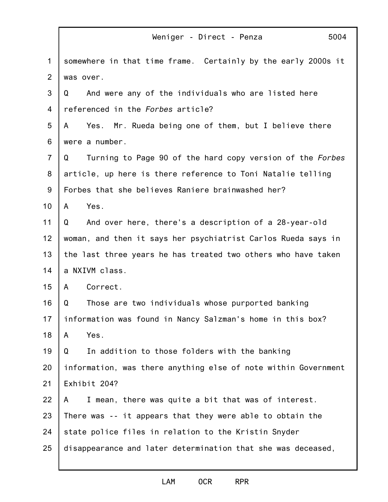|                | 5004<br>Weniger - Direct - Penza                               |
|----------------|----------------------------------------------------------------|
| $\mathbf 1$    | somewhere in that time frame. Certainly by the early 2000s it  |
| 2              | was over.                                                      |
| 3              | And were any of the individuals who are listed here<br>Q       |
| 4              | referenced in the Forbes article?                              |
| 5              | Yes. Mr. Rueda being one of them, but I believe there<br>A     |
| 6              | were a number.                                                 |
| $\overline{7}$ | Turning to Page 90 of the hard copy version of the Forbes<br>Q |
| 8              | article, up here is there reference to Toni Natalie telling    |
| 9              | Forbes that she believes Raniere brainwashed her?              |
| 10             | Yes.<br>A                                                      |
| 11             | And over here, there's a description of a 28-year-old<br>Q     |
| 12             | woman, and then it says her psychiatrist Carlos Rueda says in  |
| 13             | the last three years he has treated two others who have taken  |
| 14             | a NXIVM class.                                                 |
| 15             | Correct.<br>A                                                  |
| 16             | Those are two individuals whose purported banking<br>Q         |
| 17             | information was found in Nancy Salzman's home in this box?     |
| 18             | Yes.<br>A                                                      |
| 19             | In addition to those folders with the banking<br>Q             |
| 20             | information, was there anything else of note within Government |
| 21             | Exhibit 204?                                                   |
| 22             | I mean, there was quite a bit that was of interest.<br>A       |
| 23             | There was -- it appears that they were able to obtain the      |
| 24             | state police files in relation to the Kristin Snyder           |
| 25             | disappearance and later determination that she was deceased,   |
|                |                                                                |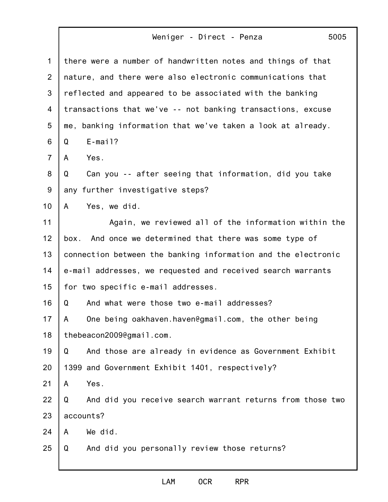|                | 5005<br>Weniger - Direct - Penza                               |
|----------------|----------------------------------------------------------------|
| $\mathbf 1$    | there were a number of handwritten notes and things of that    |
| 2              | nature, and there were also electronic communications that     |
| 3              | reflected and appeared to be associated with the banking       |
| 4              | transactions that we've -- not banking transactions, excuse    |
| 5              | me, banking information that we've taken a look at already.    |
| 6              | $E$ -mail?<br>Q                                                |
| $\overline{7}$ | Yes.<br>A                                                      |
| 8              | Can you -- after seeing that information, did you take<br>Q    |
| 9              | any further investigative steps?                               |
| 10             | Yes, we did.<br>A                                              |
| 11             | Again, we reviewed all of the information within the           |
| 12             | And once we determined that there was some type of<br>box.     |
| 13             | connection between the banking information and the electronic  |
| 14             | e-mail addresses, we requested and received search warrants    |
| 15             | for two specific e-mail addresses.                             |
| 16             | And what were those two e-mail addresses?<br>Q                 |
| 17             | One being oakhaven.haven@gmail.com, the other being<br>A       |
| 18             | thebeacon2009@gmail.com.                                       |
| 19             | Q<br>And those are already in evidence as Government Exhibit   |
| 20             | 1399 and Government Exhibit 1401, respectively?                |
| 21             | Yes.<br>A                                                      |
| 22             | And did you receive search warrant returns from those two<br>Q |
| 23             | accounts?                                                      |
| 24             | We did.<br>A                                                   |
| 25             | Q<br>And did you personally review those returns?              |
|                |                                                                |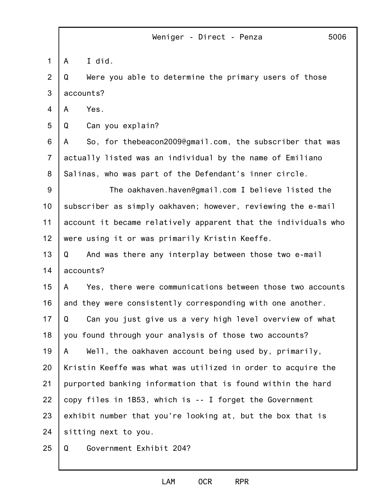|                | Weniger - Direct - Penza<br>5006                               |
|----------------|----------------------------------------------------------------|
| $\mathbf{1}$   | I did.<br>A                                                    |
| 2              | Were you able to determine the primary users of those<br>Q     |
| 3              | accounts?                                                      |
| $\overline{4}$ | Yes.<br>A                                                      |
| 5              | Can you explain?<br>Q                                          |
| 6              | So, for thebeacon2009@gmail.com, the subscriber that was<br>A  |
| $\overline{7}$ | actually listed was an individual by the name of Emiliano      |
| 8              | Salinas, who was part of the Defendant's inner circle.         |
| $9\,$          | The oakhaven.haven@gmail.com I believe listed the              |
| 10             | subscriber as simply oakhaven; however, reviewing the e-mail   |
| 11             | account it became relatively apparent that the individuals who |
| 12             | were using it or was primarily Kristin Keeffe.                 |
| 13             | And was there any interplay between those two e-mail<br>Q      |
| 14             | accounts?                                                      |
| 15             | Yes, there were communications between those two accounts<br>A |
| 16             | and they were consistently corresponding with one another.     |
| 17             | Can you just give us a very high level overview of what<br>Q   |
| 18             | you found through your analysis of those two accounts?         |
| 19             | Well, the oakhaven account being used by, primarily,<br>A      |
| 20             | Kristin Keeffe was what was utilized in order to acquire the   |
| 21             | purported banking information that is found within the hard    |
| 22             | copy files in 1B53, which is -- I forget the Government        |
| 23             | exhibit number that you're looking at, but the box that is     |
| 24             | sitting next to you.                                           |
| 25             | Government Exhibit 204?<br>Q                                   |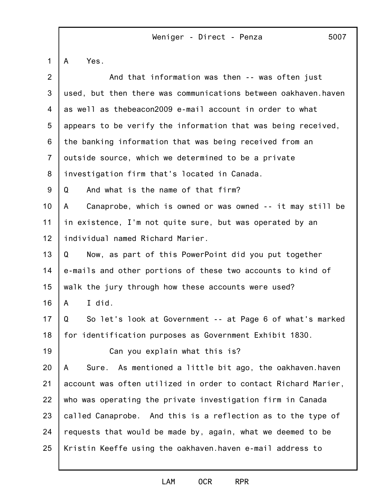A Yes.

| $\overline{2}$ | And that information was then -- was often just                |
|----------------|----------------------------------------------------------------|
| 3              | used, but then there was communications between oakhaven.haven |
| 4              | as well as thebeacon2009 e-mail account in order to what       |
| 5              | appears to be verify the information that was being received,  |
| 6              | the banking information that was being received from an        |
| $\overline{7}$ | outside source, which we determined to be a private            |
| 8              | investigation firm that's located in Canada.                   |
| 9              | Q<br>And what is the name of that firm?                        |
| 10             | Canaprobe, which is owned or was owned -- it may still be<br>A |
| 11             | in existence, I'm not quite sure, but was operated by an       |
| 12             | individual named Richard Marier.                               |
| 13             | Now, as part of this PowerPoint did you put together<br>Q      |
| 14             | e-mails and other portions of these two accounts to kind of    |
| 15             | walk the jury through how these accounts were used?            |
| 16             | I did.<br>A                                                    |
| 17             | So let's look at Government -- at Page 6 of what's marked<br>Q |
| 18             | for identification purposes as Government Exhibit 1830.        |
| 19             | Can you explain what this is?                                  |
| 20             | Sure. As mentioned a little bit ago, the oakhaven.haven<br>A   |
| 21             | account was often utilized in order to contact Richard Marier, |
| 22             | who was operating the private investigation firm in Canada     |
| 23             | called Canaprobe. And this is a reflection as to the type of   |
| 24             | requests that would be made by, again, what we deemed to be    |
| 25             | Kristin Keeffe using the oakhaven.haven e-mail address to      |
|                |                                                                |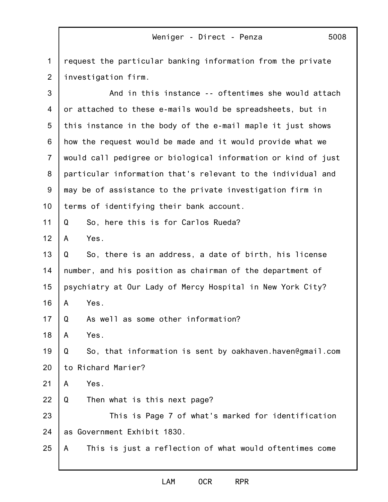1 2 request the particular banking information from the private investigation firm.

3 4 5 6 7 8 9 10 11 12 13 14 15 16 17 18 19 20 21 22 23 24 25 And in this instance -- oftentimes she would attach or attached to these e-mails would be spreadsheets, but in this instance in the body of the e-mail maple it just shows how the request would be made and it would provide what we would call pedigree or biological information or kind of just particular information that's relevant to the individual and may be of assistance to the private investigation firm in terms of identifying their bank account. Q So, here this is for Carlos Rueda? A Yes. Q So, there is an address, a date of birth, his license number, and his position as chairman of the department of psychiatry at Our Lady of Mercy Hospital in New York City? A Yes. Q As well as some other information? A Yes. Q So, that information is sent by oakhaven.haven@gmail.com to Richard Marier? A Yes. Q Then what is this next page? This is Page 7 of what's marked for identification as Government Exhibit 1830. A This is just a reflection of what would oftentimes come

### LAM OCR RPR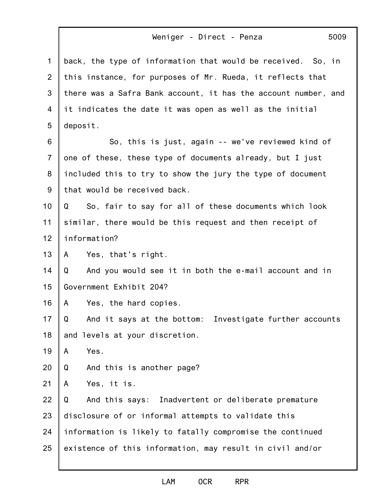|  | 5009 |
|--|------|
|  |      |

| 1              | back, the type of information that would be received. So, in   |
|----------------|----------------------------------------------------------------|
| 2              | this instance, for purposes of Mr. Rueda, it reflects that     |
| 3              | there was a Safra Bank account, it has the account number, and |
| 4              | it indicates the date it was open as well as the initial       |
| 5              | deposit.                                                       |
| 6              | So, this is just, again -- we've reviewed kind of              |
| $\overline{7}$ | one of these, these type of documents already, but I just      |
| 8              | included this to try to show the jury the type of document     |
| 9              | that would be received back.                                   |
| 10             | So, fair to say for all of these documents which look<br>Q     |
| 11             | similar, there would be this request and then receipt of       |
| 12             | information?                                                   |
| 13             | Yes, that's right.<br>A                                        |
| 14             | And you would see it in both the e-mail account and in<br>Q    |
| 15             | Government Exhibit 204?                                        |
| 16             | Yes, the hard copies.<br>A                                     |
| 17             | And it says at the bottom: Investigate further accounts<br>Q   |
| 18             | and levels at your discretion.                                 |
| 19             | Yes.<br>$\mathsf{A}$                                           |
| 20             | And this is another page?<br>Q                                 |
| 21             | Yes, it is.<br>A                                               |
| 22             | And this says: Inadvertent or deliberate premature<br>Q        |
| 23             | disclosure of or informal attempts to validate this            |
| 24             | information is likely to fatally compromise the continued      |
| 25             | existence of this information, may result in civil and/or      |
|                |                                                                |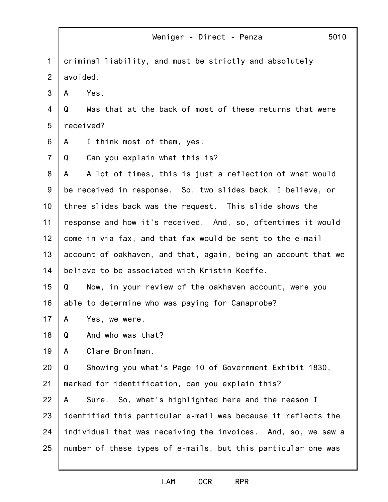|                | 5010<br>Weniger - Direct - Penza                               |
|----------------|----------------------------------------------------------------|
| $\mathbf 1$    | criminal liability, and must be strictly and absolutely        |
| $\overline{2}$ | avoided.                                                       |
| 3              | Yes.<br>A                                                      |
| 4              | Was that at the back of most of these returns that were<br>Q   |
| 5              | received?                                                      |
| 6              | I think most of them, yes.<br>A                                |
| $\overline{7}$ | Can you explain what this is?<br>Q                             |
| 8              | A lot of times, this is just a reflection of what would<br>A   |
| $9\,$          | be received in response. So, two slides back, I believe, or    |
| 10             | three slides back was the request. This slide shows the        |
| 11             | response and how it's received. And, so, oftentimes it would   |
| 12             | come in via fax, and that fax would be sent to the e-mail      |
| 13             | account of oakhaven, and that, again, being an account that we |
| 14             | believe to be associated with Kristin Keeffe.                  |
| 15             | Q<br>Now, in your review of the oakhaven account, were you     |
| 16             | able to determine who was paying for Canaprobe?                |
| 17             | A<br>Yes, we were.                                             |
| 18             | And who was that?<br>Q                                         |
| 19             | Clare Bronfman.<br>A                                           |
| 20             | Showing you what's Page 10 of Government Exhibit 1830,<br>Q    |
| 21             | marked for identification, can you explain this?               |
| 22             | Sure. So, what's highlighted here and the reason I<br>A        |
| 23             | identified this particular e-mail was because it reflects the  |
| 24             | individual that was receiving the invoices. And, so, we saw a  |
| 25             | number of these types of e-mails, but this particular one was  |
|                |                                                                |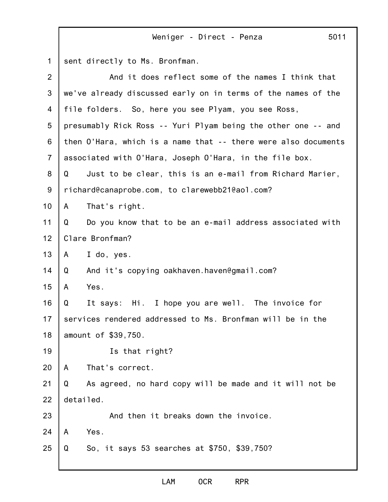1 2 3 4 5 6 7 8 9 10 11 12 13 14 15 16 17 18 19 20 21 22 23 24 25 sent directly to Ms. Bronfman. And it does reflect some of the names I think that we've already discussed early on in terms of the names of the file folders. So, here you see Plyam, you see Ross, presumably Rick Ross -- Yuri Plyam being the other one -- and then O'Hara, which is a name that -- there were also documents associated with O'Hara, Joseph O'Hara, in the file box. Q Just to be clear, this is an e-mail from Richard Marier, richard@canaprobe.com, to clarewebb21@aol.com? A That's right. Q Do you know that to be an e-mail address associated with Clare Bronfman? A I do, yes. Q And it's copying oakhaven.haven@gmail.com? A Yes. Q It says: Hi. I hope you are well. The invoice for services rendered addressed to Ms. Bronfman will be in the amount of \$39,750. Is that right? A That's correct. Q As agreed, no hard copy will be made and it will not be detailed. And then it breaks down the invoice. A Yes. Q So, it says 53 searches at \$750, \$39,750?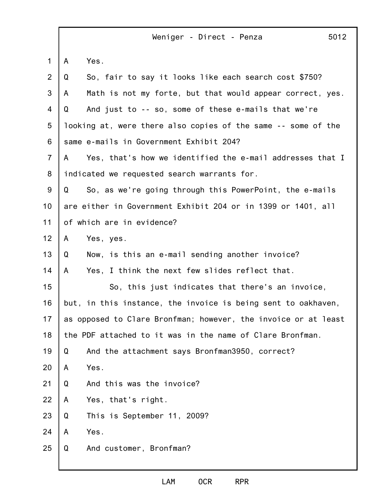|                |   | 5012<br>Weniger - Direct - Penza                               |
|----------------|---|----------------------------------------------------------------|
| $\mathbf 1$    | A | Yes.                                                           |
| $\overline{2}$ | Q | So, fair to say it looks like each search cost \$750?          |
| 3              | A | Math is not my forte, but that would appear correct, yes.      |
| 4              | Q | And just to -- so, some of these e-mails that we're            |
| 5              |   | looking at, were there also copies of the same -- some of the  |
| 6              |   | same e-mails in Government Exhibit 204?                        |
| $\overline{7}$ | A | Yes, that's how we identified the e-mail addresses that I      |
| 8              |   | indicated we requested search warrants for.                    |
| 9              | Q | So, as we're going through this PowerPoint, the e-mails        |
| 10             |   | are either in Government Exhibit 204 or in 1399 or 1401, all   |
| 11             |   | of which are in evidence?                                      |
| 12             | A | Yes, yes.                                                      |
| 13             | Q | Now, is this an e-mail sending another invoice?                |
| 14             | A | Yes, I think the next few slides reflect that.                 |
| 15             |   | So, this just indicates that there's an invoice,               |
| 16             |   | but, in this instance, the invoice is being sent to oakhaven,  |
| 17             |   | as opposed to Clare Bronfman; however, the invoice or at least |
| 18             |   | the PDF attached to it was in the name of Clare Bronfman.      |
| 19             | Q | And the attachment says Bronfman3950, correct?                 |
| 20             | A | Yes.                                                           |
| 21             | Q | And this was the invoice?                                      |
| 22             | A | Yes, that's right.                                             |
| 23             | Q | This is September 11, 2009?                                    |
| 24             | A | Yes.                                                           |
| 25             | Q | And customer, Bronfman?                                        |
|                |   |                                                                |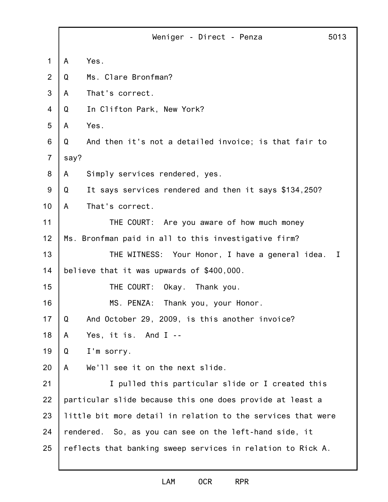|                | 5013<br>Weniger - Direct - Penza                             |  |
|----------------|--------------------------------------------------------------|--|
| 1              | Yes.<br>A                                                    |  |
| 2              | Ms. Clare Bronfman?<br>Q                                     |  |
| 3              | That's correct.<br>A                                         |  |
| $\overline{4}$ | In Clifton Park, New York?<br>Q                              |  |
| 5              | Yes.<br>A                                                    |  |
| 6              | Q<br>And then it's not a detailed invoice; is that fair to   |  |
| $\overline{7}$ | say?                                                         |  |
| 8              | Simply services rendered, yes.<br>A                          |  |
| 9              | Q<br>It says services rendered and then it says \$134,250?   |  |
| 10             | A<br>That's correct.                                         |  |
| 11             | THE COURT: Are you aware of how much money                   |  |
| 12             | Ms. Bronfman paid in all to this investigative firm?         |  |
| 13             | THE WITNESS: Your Honor, I have a general idea.<br>T         |  |
| 14             | believe that it was upwards of \$400,000.                    |  |
| 15             | THE COURT:<br>Okay. Thank you.                               |  |
| 16             | MS. PENZA: Thank you, your Honor.                            |  |
| 17             | Q<br>And October 29, 2009, is this another invoice?          |  |
| 18             | Yes, it is. And I --<br>A                                    |  |
| 19             | I'm sorry.<br>Q                                              |  |
| 20             | We'll see it on the next slide.<br>A                         |  |
| 21             | I pulled this particular slide or I created this             |  |
| 22             | particular slide because this one does provide at least a    |  |
| 23             | little bit more detail in relation to the services that were |  |
| 24             | rendered. So, as you can see on the left-hand side, it       |  |
| 25             | reflects that banking sweep services in relation to Rick A.  |  |
|                |                                                              |  |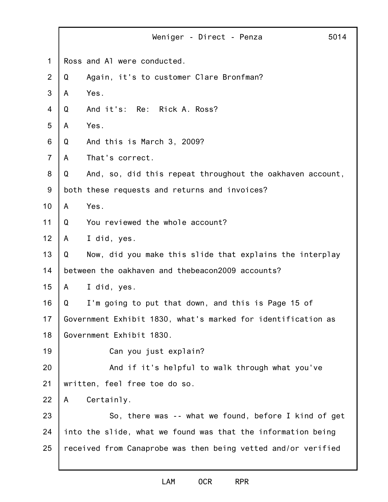|                | 5014<br>Weniger - Direct - Penza                               |
|----------------|----------------------------------------------------------------|
| $\mathbf 1$    | Ross and A1 were conducted.                                    |
| $\overline{2}$ | Again, it's to customer Clare Bronfman?<br>Q                   |
| 3              | Yes.<br>A                                                      |
| $\overline{4}$ | And it's: Re: Rick A. Ross?<br>Q                               |
| 5              | Yes.<br>A                                                      |
| 6              | And this is March 3, 2009?<br>Q                                |
| $\overline{7}$ | That's correct.<br>A                                           |
| 8              | Q<br>And, so, did this repeat throughout the oakhaven account, |
| 9              | both these requests and returns and invoices?                  |
| 10             | Yes.<br>A                                                      |
| 11             | You reviewed the whole account?<br>Q                           |
| 12             | I did, yes.<br>A                                               |
| 13             | Now, did you make this slide that explains the interplay<br>Q  |
| 14             | between the oakhaven and thebeacon2009 accounts?               |
| 15             | A<br>I did, yes.                                               |
| 16             | Q<br>I'm going to put that down, and this is Page 15 of        |
| 17             | Government Exhibit 1830, what's marked for identification as   |
| 18             | Government Exhibit 1830.                                       |
| 19             | Can you just explain?                                          |
| 20             | And if it's helpful to walk through what you've                |
| 21             | written, feel free toe do so.                                  |
| 22             | Certainly.<br>A                                                |
| 23             | So, there was -- what we found, before I kind of get           |
| 24             | into the slide, what we found was that the information being   |
| 25             | received from Canaprobe was then being vetted and/or verified  |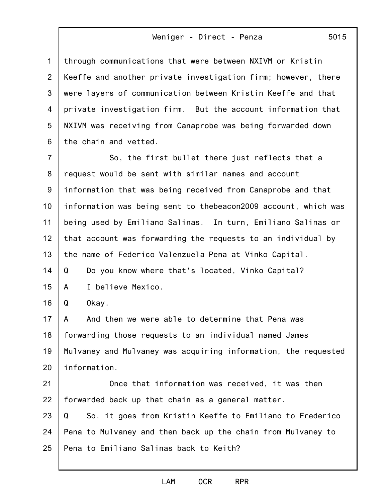5015

1 2 3 4 5 6 7 8 through communications that were between NXIVM or Kristin Keeffe and another private investigation firm; however, there were layers of communication between Kristin Keeffe and that private investigation firm. But the account information that NXIVM was receiving from Canaprobe was being forwarded down the chain and vetted. So, the first bullet there just reflects that a request would be sent with similar names and account

9 10 11 12 13 14 information that was being received from Canaprobe and that information was being sent to thebeacon2009 account, which was being used by Emiliano Salinas. In turn, Emiliano Salinas or that account was forwarding the requests to an individual by the name of Federico Valenzuela Pena at Vinko Capital. Q Do you know where that's located, Vinko Capital?

15 A I believe Mexico.

16 Q Okay.

17 18 19 20 A And then we were able to determine that Pena was forwarding those requests to an individual named James Mulvaney and Mulvaney was acquiring information, the requested information.

21 22 Once that information was received, it was then forwarded back up that chain as a general matter.

23 24 25 Q So, it goes from Kristin Keeffe to Emiliano to Frederico Pena to Mulvaney and then back up the chain from Mulvaney to Pena to Emiliano Salinas back to Keith?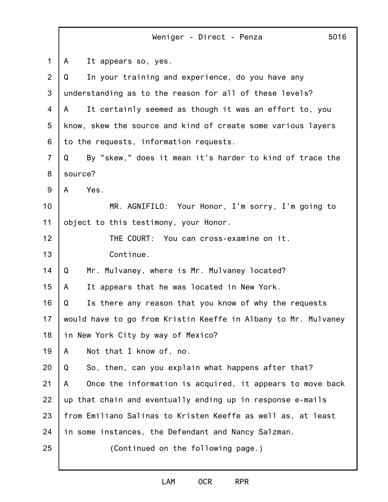|                | Weniger - Direct - Penza<br>5016                               |
|----------------|----------------------------------------------------------------|
| $\mathbf 1$    | It appears so, yes.<br>A                                       |
| $\overline{2}$ | In your training and experience, do you have any<br>Q          |
| 3              | understanding as to the reason for all of these levels?        |
| 4              | It certainly seemed as though it was an effort to, you<br>A    |
| 5              | know, skew the source and kind of create some various layers   |
| 6              | to the requests, information requests.                         |
| $\overline{7}$ | By "skew," does it mean it's harder to kind of trace the<br>Q  |
| 8              | source?                                                        |
| 9              | Yes.<br>A                                                      |
| 10             | MR. AGNIFILO: Your Honor, I'm sorry, I'm going to              |
| 11             | object to this testimony, your Honor.                          |
| 12             | THE COURT: You can cross-examine on it.                        |
| 13             | Continue.                                                      |
| 14             | Mr. Mulvaney, where is Mr. Mulvaney located?<br>Q              |
| 15             | It appears that he was located in New York.<br>$\mathsf{A}$    |
| 16             | Is there any reason that you know of why the requests<br>Q     |
| 17             | would have to go from Kristin Keeffe in Albany to Mr. Mulvaney |
| 18             | in New York City by way of Mexico?                             |
| 19             | Not that I know of, no.<br>A                                   |
| 20             | So, then, can you explain what happens after that?<br>Q        |
| 21             | Once the information is acquired, it appears to move back<br>A |
| 22             | up that chain and eventually ending up in response e-mails     |
| 23             | from Emiliano Salinas to Kristen Keeffe as well as, at least   |
| 24             | in some instances, the Defendant and Nancy Salzman.            |
| 25             | (Continued on the following page.)                             |
|                |                                                                |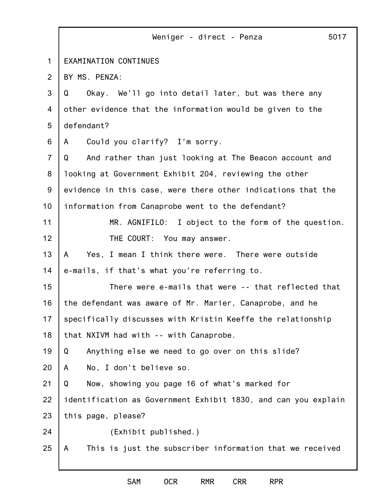|                | 5017<br>Weniger - direct - Penza                               |
|----------------|----------------------------------------------------------------|
| $\mathbf 1$    | EXAMINATION CONTINUES                                          |
| 2              | BY MS. PENZA:                                                  |
| 3              | Okay. We'll go into detail later, but was there any<br>Q       |
| $\overline{4}$ | other evidence that the information would be given to the      |
| 5              | defendant?                                                     |
| 6              | Could you clarify? I'm sorry.<br>A                             |
| $\overline{7}$ | And rather than just looking at The Beacon account and<br>Q    |
| 8              | looking at Government Exhibit 204, reviewing the other         |
| 9              | evidence in this case, were there other indications that the   |
| 10             | information from Canaprobe went to the defendant?              |
| 11             | MR. AGNIFILO: I object to the form of the question.            |
| 12             | THE COURT: You may answer.                                     |
| 13             | Yes, I mean I think there were. There were outside<br>A        |
| 14             | e-mails, if that's what you're referring to.                   |
| 15             | There were e-mails that were -- that reflected that            |
| 16             | the defendant was aware of Mr. Marier, Canaprobe, and he       |
| 17             | specifically discusses with Kristin Keeffe the relationship    |
| 18             | that NXIVM had with -- with Canaprobe.                         |
| 19             | Q<br>Anything else we need to go over on this slide?           |
| 20             | No, I don't believe so.<br>A                                   |
| 21             | Q<br>Now, showing you page 16 of what's marked for             |
| 22             | identification as Government Exhibit 1830, and can you explain |
| 23             | this page, please?                                             |
| 24             | (Exhibit published.)                                           |
| 25             | This is just the subscriber information that we received<br>A  |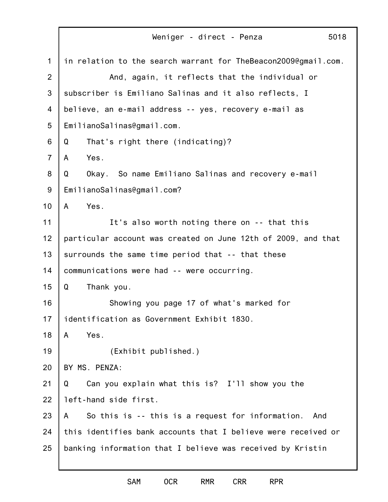|                | Weniger - direct - Penza<br>5018                               |
|----------------|----------------------------------------------------------------|
| $\mathbf 1$    | in relation to the search warrant for TheBeacon2009@gmail.com. |
| 2              | And, again, it reflects that the individual or                 |
| 3              | subscriber is Emiliano Salinas and it also reflects, I         |
| 4              | believe, an e-mail address -- yes, recovery e-mail as          |
| 5              | EmilianoSalinas@gmail.com.                                     |
| 6              | That's right there (indicating)?<br>Q                          |
| $\overline{7}$ | Yes.<br>A                                                      |
| 8              | Okay. So name Emiliano Salinas and recovery e-mail<br>Q        |
| $9$            | EmilianoSalinas@gmail.com?                                     |
| 10             | Yes.<br>$\mathsf{A}$                                           |
| 11             | It's also worth noting there on -- that this                   |
| 12             | particular account was created on June 12th of 2009, and that  |
| 13             | surrounds the same time period that -- that these              |
| 14             | communications were had -- were occurring.                     |
| 15             | Q<br>Thank you.                                                |
| 16             | Showing you page 17 of what's marked for                       |
| 17             | identification as Government Exhibit 1830.                     |
| 18             | Yes.<br>A                                                      |
| 19             | (Exhibit published.)                                           |
| 20             | BY MS. PENZA:                                                  |
| 21             | Q<br>Can you explain what this is? I'll show you the           |
| 22             | left-hand side first.                                          |
| 23             | So this is -- this is a request for information.<br>A<br>And   |
| 24             | this identifies bank accounts that I believe were received or  |
| 25             | banking information that I believe was received by Kristin     |
|                |                                                                |

SAM OCR RMR CRR RPR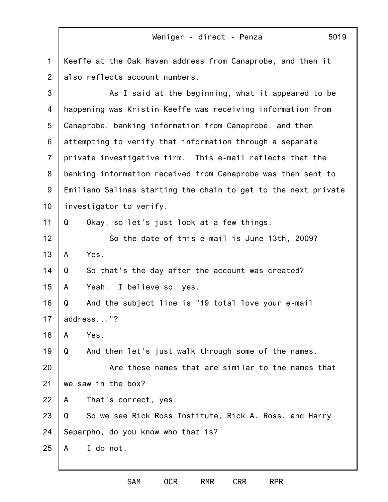1 2 3 4 5 6 7 8 9 10 11 12 13 14 15 16 17 18 19 20 21 22 23 24 25 Keeffe at the Oak Haven address from Canaprobe, and then it also reflects account numbers. As I said at the beginning, what it appeared to be happening was Kristin Keeffe was receiving information from Canaprobe, banking information from Canaprobe, and then attempting to verify that information through a separate private investigative firm. This e-mail reflects that the banking information received from Canaprobe was then sent to Emiliano Salinas starting the chain to get to the next private investigator to verify. Q Okay, so let's just look at a few things. So the date of this e-mail is June 13th, 2009? A Yes. Q So that's the day after the account was created? A Yeah. I believe so, yes. Q And the subject line is "19 total love your e-mail address..."? A Yes. Q And then let's just walk through some of the names. Are these names that are similar to the names that we saw in the box? A That's correct, yes. Q So we see Rick Ross Institute, Rick A. Ross, and Harry Separpho, do you know who that is? A I do not.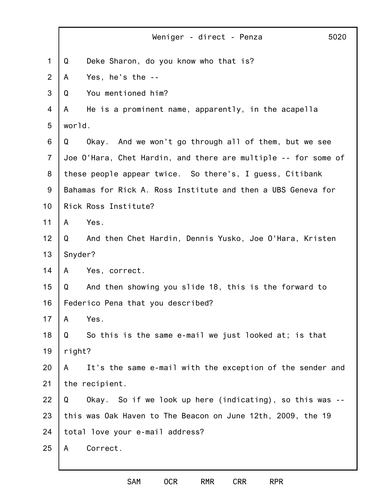|                  |         | Weniger - direct - Penza                                       | 5020 |
|------------------|---------|----------------------------------------------------------------|------|
| $\mathbf 1$      | Q       | Deke Sharon, do you know who that is?                          |      |
| $\overline{2}$   | A       | Yes, he's the --                                               |      |
| 3                | Q       | You mentioned him?                                             |      |
| 4                | A       | He is a prominent name, apparently, in the acapella            |      |
| 5                | world.  |                                                                |      |
| 6                | Q       | Okay. And we won't go through all of them, but we see          |      |
| $\overline{7}$   |         | Joe O'Hara, Chet Hardin, and there are multiple -- for some of |      |
| 8                |         | these people appear twice. So there's, I guess, Citibank       |      |
| $\boldsymbol{9}$ |         | Bahamas for Rick A. Ross Institute and then a UBS Geneva for   |      |
| 10               |         | Rick Ross Institute?                                           |      |
| 11               | A       | Yes.                                                           |      |
| 12               | Q       | And then Chet Hardin, Dennis Yusko, Joe O'Hara, Kristen        |      |
| 13               | Snyder? |                                                                |      |
| 14               | A       | Yes, correct.                                                  |      |
| 15               | Q       | And then showing you slide 18, this is the forward to          |      |
| 16               |         | Federico Pena that you described?                              |      |
| 17               | A       | Yes.                                                           |      |
| 18               | Q       | So this is the same e-mail we just looked at; is that          |      |
| 19               | right?  |                                                                |      |
| 20               | A       | It's the same e-mail with the exception of the sender and      |      |
| 21               |         | the recipient.                                                 |      |
| 22               | Q       | Okay. So if we look up here (indicating), so this was --       |      |
| 23               |         | this was Oak Haven to The Beacon on June 12th, 2009, the 19    |      |
| 24               |         | total love your e-mail address?                                |      |
| 25               | A       | Correct.                                                       |      |
|                  |         |                                                                |      |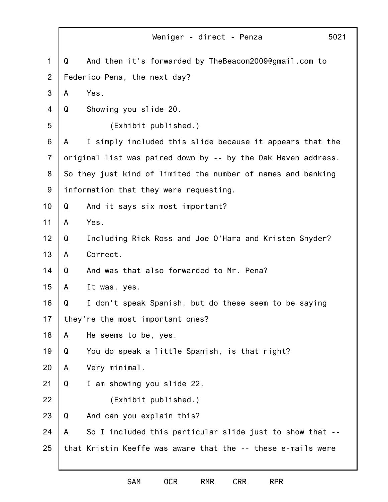|                |   | Weniger - direct - Penza<br>5021                              |  |
|----------------|---|---------------------------------------------------------------|--|
| $\mathbf 1$    | Q | And then it's forwarded by TheBeacon2009@gmail.com to         |  |
| $\overline{2}$ |   | Federico Pena, the next day?                                  |  |
| 3              | A | Yes.                                                          |  |
| $\overline{4}$ | Q | Showing you slide 20.                                         |  |
| 5              |   | (Exhibit published.)                                          |  |
| 6              | A | I simply included this slide because it appears that the      |  |
| $\overline{7}$ |   | original list was paired down by -- by the Oak Haven address. |  |
| 8              |   | So they just kind of limited the number of names and banking  |  |
| $9\,$          |   | information that they were requesting.                        |  |
| 10             | Q | And it says six most important?                               |  |
| 11             | A | Yes.                                                          |  |
| 12             | Q | Including Rick Ross and Joe O'Hara and Kristen Snyder?        |  |
| 13             | A | Correct.                                                      |  |
| 14             | Q | And was that also forwarded to Mr. Pena?                      |  |
| 15             | A | It was, yes.                                                  |  |
| 16             | Q | I don't speak Spanish, but do these seem to be saying         |  |
| 17             |   | they're the most important ones?                              |  |
| 18             | A | He seems to be, yes.                                          |  |
| 19             | Q | You do speak a little Spanish, is that right?                 |  |
| 20             | A | Very minimal.                                                 |  |
| 21             | Q | I am showing you slide 22.                                    |  |
| 22             |   | (Exhibit published.)                                          |  |
| 23             | Q | And can you explain this?                                     |  |
| 24             | A | So I included this particular slide just to show that --      |  |
| 25             |   | that Kristin Keeffe was aware that the -- these e-mails were  |  |
|                |   |                                                               |  |

SAM OCR RMR CRR RPR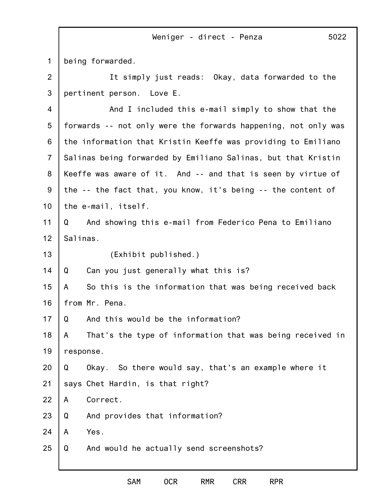1 being forwarded.

2 3 It simply just reads: Okay, data forwarded to the pertinent person. Love E.

4 5 6 7 8 9 10 11 12 13 14 15 16 17 18 19 20 21 22 23 24 25 And I included this e-mail simply to show that the forwards -- not only were the forwards happening, not only was the information that Kristin Keeffe was providing to Emiliano Salinas being forwarded by Emiliano Salinas, but that Kristin Keeffe was aware of it. And -- and that is seen by virtue of the -- the fact that, you know, it's being -- the content of the e-mail, itself. Q And showing this e-mail from Federico Pena to Emiliano Salinas. (Exhibit published.) Q Can you just generally what this is? A So this is the information that was being received back from Mr. Pena. Q And this would be the information? A That's the type of information that was being received in response. Q Okay. So there would say, that's an example where it says Chet Hardin, is that right? A Correct. Q And provides that information? A Yes. Q And would he actually send screenshots?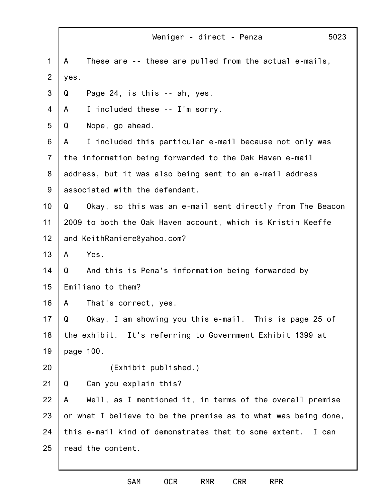|                | 5023<br>Weniger - direct - Penza                               |  |
|----------------|----------------------------------------------------------------|--|
| 1              | These are -- these are pulled from the actual e-mails,<br>A    |  |
| $\overline{2}$ | yes.                                                           |  |
| 3              | Page 24, is this -- ah, yes.<br>Q                              |  |
| 4              | I included these -- I'm sorry.<br>A                            |  |
| 5              | Nope, go ahead.<br>Q                                           |  |
| 6              | I included this particular e-mail because not only was<br>A    |  |
| $\overline{7}$ | the information being forwarded to the Oak Haven e-mail        |  |
| 8              | address, but it was also being sent to an e-mail address       |  |
| $9\,$          | associated with the defendant.                                 |  |
| 10             | Okay, so this was an e-mail sent directly from The Beacon<br>Q |  |
| 11             | 2009 to both the Oak Haven account, which is Kristin Keeffe    |  |
| 12             | and KeithRaniere@yahoo.com?                                    |  |
| 13             | Yes.<br>A                                                      |  |
| 14             | And this is Pena's information being forwarded by<br>Q         |  |
| 15             | Emiliano to them?                                              |  |
| 16             | A<br>That's correct, yes.                                      |  |
| 17             | Okay, I am showing you this e-mail. This is page 25 of<br>Q    |  |
| 18             | the exhibit. It's referring to Government Exhibit 1399 at      |  |
| 19             | page 100.                                                      |  |
| 20             | (Exhibit published.)                                           |  |
| 21             | Can you explain this?<br>Q                                     |  |
| 22             | Well, as I mentioned it, in terms of the overall premise<br>A  |  |
| 23             | or what I believe to be the premise as to what was being done, |  |
| 24             | this e-mail kind of demonstrates that to some extent. I can    |  |
| 25             | read the content.                                              |  |
|                |                                                                |  |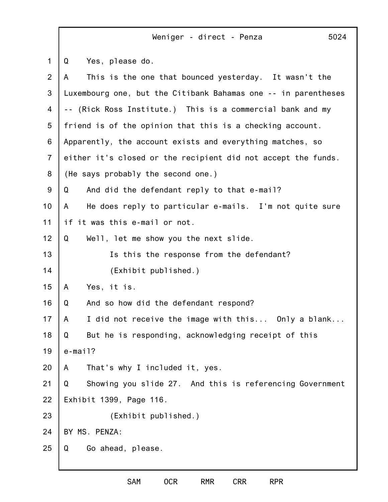1 2 3 4 5 6 7 8 9 10 11 12 13 14 15 16 17 18 19 20 21 22 23 24 25 Weniger - direct - Penza 5024 Q Yes, please do. A This is the one that bounced yesterday. It wasn't the Luxembourg one, but the Citibank Bahamas one -- in parentheses -- (Rick Ross Institute.) This is a commercial bank and my friend is of the opinion that this is a checking account. Apparently, the account exists and everything matches, so either it's closed or the recipient did not accept the funds. (He says probably the second one.) Q And did the defendant reply to that e-mail? A He does reply to particular e-mails. I'm not quite sure if it was this e-mail or not. Q Well, let me show you the next slide. Is this the response from the defendant? (Exhibit published.) A Yes, it is. Q And so how did the defendant respond? A I did not receive the image with this... Only a blank... Q But he is responding, acknowledging receipt of this e-mail? A That's why I included it, yes. Q Showing you slide 27. And this is referencing Government Exhibit 1399, Page 116. (Exhibit published.) BY MS. PENZA: Q Go ahead, please.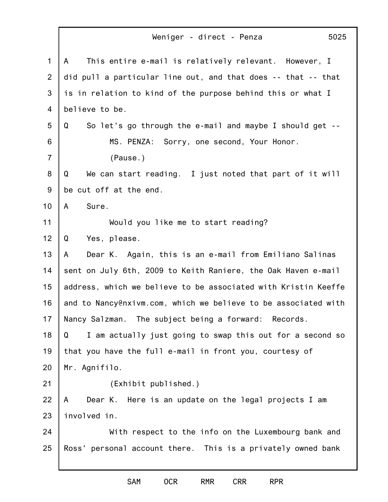| $\mathbf{1}$   | This entire e-mail is relatively relevant. However, I<br>A     |
|----------------|----------------------------------------------------------------|
| $\overline{2}$ | did pull a particular line out, and that does -- that -- that  |
| 3              | is in relation to kind of the purpose behind this or what I    |
| 4              | believe to be.                                                 |
| 5              | So let's go through the e-mail and maybe I should get --<br>Q  |
| 6              | MS. PENZA: Sorry, one second, Your Honor.                      |
| $\overline{7}$ | (Pause.)                                                       |
| 8              | We can start reading. I just noted that part of it will<br>Q   |
| 9              | be cut off at the end.                                         |
| 10             | Sure.<br>A                                                     |
| 11             | Would you like me to start reading?                            |
| 12             | Q<br>Yes, please.                                              |
| 13             | Dear K. Again, this is an e-mail from Emiliano Salinas<br>A    |
| 14             | sent on July 6th, 2009 to Keith Raniere, the Oak Haven e-mail  |
| 15             | address, which we believe to be associated with Kristin Keeffe |
| 16             | and to Nancy@nxivm.com, which we believe to be associated with |
| 17             | Nancy Salzman. The subject being a forward: Records.           |
| 18             | Q<br>I am actually just going to swap this out for a second so |
| 19             | that you have the full e-mail in front you, courtesy of        |
| 20             | Mr. Agnifilo.                                                  |
| 21             | (Exhibit published.)                                           |
| 22             | Dear K. Here is an update on the legal projects I am<br>A      |
| 23             | involved in.                                                   |
| 24             | With respect to the info on the Luxembourg bank and            |
| 25             | Ross' personal account there. This is a privately owned bank   |
|                |                                                                |
|                |                                                                |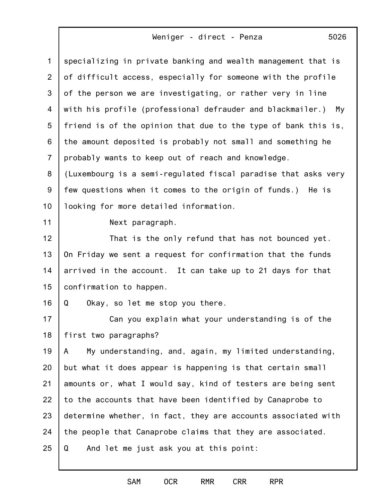| $\mathbf{1}$   | specializing in private banking and wealth management that is  |
|----------------|----------------------------------------------------------------|
| $\overline{2}$ | of difficult access, especially for someone with the profile   |
| 3              | of the person we are investigating, or rather very in line     |
| 4              | with his profile (professional defrauder and blackmailer.) My  |
| 5              | friend is of the opinion that due to the type of bank this is, |
| 6              | the amount deposited is probably not small and something he    |
| $\overline{7}$ | probably wants to keep out of reach and knowledge.             |
| 8              | (Luxembourg is a semi-regulated fiscal paradise that asks very |
| $9\,$          | few questions when it comes to the origin of funds.) He is     |
| 10             | looking for more detailed information.                         |
| 11             | Next paragraph.                                                |
| 12             | That is the only refund that has not bounced yet.              |
| 13             | On Friday we sent a request for confirmation that the funds    |
| 14             | arrived in the account. It can take up to 21 days for that     |
| 15             | confirmation to happen.                                        |
| 16             | Q<br>Okay, so let me stop you there.                           |
| 17             | Can you explain what your understanding is of the              |
| 18             | first two paragraphs?                                          |
| 19             | My understanding, and, again, my limited understanding,<br>A   |
| 20             | but what it does appear is happening is that certain small     |
| 21             | amounts or, what I would say, kind of testers are being sent   |
| 22             | to the accounts that have been identified by Canaprobe to      |
| 23             | determine whether, in fact, they are accounts associated with  |
| 24             | the people that Canaprobe claims that they are associated.     |
| 25             | Q<br>And let me just ask you at this point:                    |
|                |                                                                |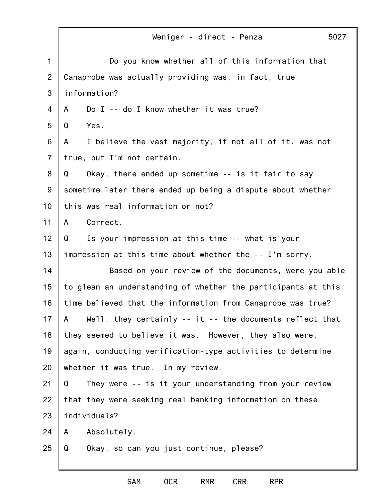|                | Weniger - direct - Penza<br>5027                              |
|----------------|---------------------------------------------------------------|
| 1              | Do you know whether all of this information that              |
| $\overline{2}$ | Canaprobe was actually providing was, in fact, true           |
| 3              | information?                                                  |
| 4              | Do I -- do I know whether it was true?<br>A                   |
| 5              | Yes.<br>Q                                                     |
| 6              | I believe the vast majority, if not all of it, was not<br>A   |
| $\overline{7}$ | true, but I'm not certain.                                    |
| 8              | Okay, there ended up sometime -- is it fair to say<br>Q       |
| 9              | sometime later there ended up being a dispute about whether   |
| 10             | this was real information or not?                             |
| 11             | Correct.<br>A                                                 |
| 12             | Is your impression at this time -- what is your<br>Q          |
| 13             | impression at this time about whether the -- I'm sorry.       |
| 14             | Based on your review of the documents, were you able          |
| 15             | to glean an understanding of whether the participants at this |
| 16             | time believed that the information from Canaprobe was true?   |
| 17             | Well, they certainly -- it -- the documents reflect that<br>A |
| 18             | they seemed to believe it was. However, they also were,       |
| 19             | again, conducting verification-type activities to determine   |
| 20             | whether it was true. In my review.                            |
| 21             | They were -- is it your understanding from your review<br>Q   |
| 22             | that they were seeking real banking information on these      |
| 23             | individuals?                                                  |
| 24             | Absolutely.<br>A                                              |
| 25             | Okay, so can you just continue, please?<br>Q                  |
|                |                                                               |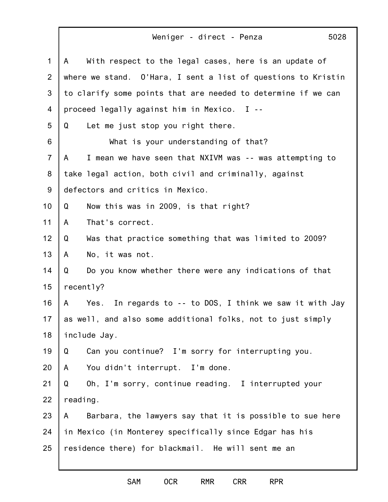| 1              | With respect to the legal cases, here is an update of<br>A    |
|----------------|---------------------------------------------------------------|
| 2              | where we stand. O'Hara, I sent a list of questions to Kristin |
| 3              | to clarify some points that are needed to determine if we can |
| 4              | proceed legally against him in Mexico. I --                   |
| 5              | Let me just stop you right there.<br>Q                        |
| 6              | What is your understanding of that?                           |
| $\overline{7}$ | I mean we have seen that NXIVM was -- was attempting to<br>A  |
| 8              | take legal action, both civil and criminally, against         |
| 9              | defectors and critics in Mexico.                              |
| 10             | Q<br>Now this was in 2009, is that right?                     |
| 11             | That's correct.<br>A                                          |
| 12             | Was that practice something that was limited to 2009?<br>Q    |
| 13             | No, it was not.<br>A                                          |
| 14             | Q<br>Do you know whether there were any indications of that   |
| 15             | recently?                                                     |
| 16             | Yes. In regards to -- to DOS, I think we saw it with Jay<br>A |
| 17             | as well, and also some additional folks, not to just simply   |
| 18             | include Jay.                                                  |
| 19             | Can you continue? I'm sorry for interrupting you.<br>Q        |
| 20             | You didn't interrupt. I'm done.<br>A                          |
| 21             | Oh, I'm sorry, continue reading. I interrupted your<br>Q      |
| 22             | reading.                                                      |
| 23             | Barbara, the lawyers say that it is possible to sue here<br>A |
| 24             | in Mexico (in Monterey specifically since Edgar has his       |
| 25             | residence there) for blackmail. He will sent me an            |
|                |                                                               |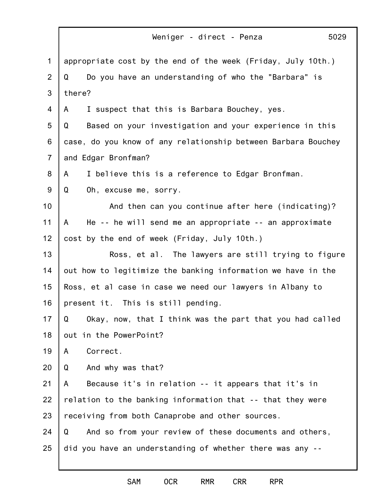1 2 3 4 5 6 7 8 9 10 11 12 13 14 15 16 17 18 19 20 21 22 23 24 25 Weniger - direct - Penza 5029 appropriate cost by the end of the week (Friday, July 10th.) Q Do you have an understanding of who the "Barbara" is there? A I suspect that this is Barbara Bouchey, yes. Q Based on your investigation and your experience in this case, do you know of any relationship between Barbara Bouchey and Edgar Bronfman? A I believe this is a reference to Edgar Bronfman. Q Oh, excuse me, sorry. And then can you continue after here (indicating)? A He -- he will send me an appropriate -- an approximate cost by the end of week (Friday, July 10th.) Ross, et al. The lawyers are still trying to figure out how to legitimize the banking information we have in the Ross, et al case in case we need our lawyers in Albany to present it. This is still pending. Q Okay, now, that I think was the part that you had called out in the PowerPoint? A Correct. Q And why was that? A Because it's in relation -- it appears that it's in relation to the banking information that -- that they were receiving from both Canaprobe and other sources. Q And so from your review of these documents and others, did you have an understanding of whether there was any --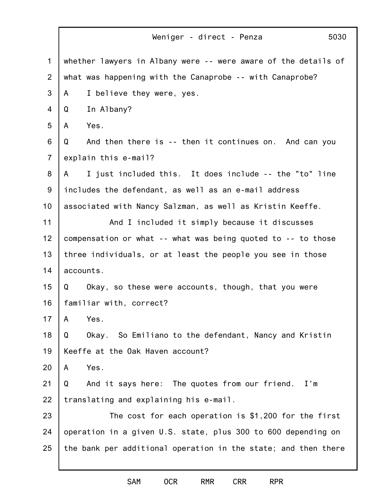1 2 3 4 5 6 7 8 9 10 11 12 13 14 15 16 17 18 19 20 21 22 23 24 25 Weniger - direct - Penza 5030 whether lawyers in Albany were -- were aware of the details of what was happening with the Canaprobe -- with Canaprobe? A I believe they were, yes. Q In Albany? A Yes. Q And then there is -- then it continues on. And can you explain this e-mail? A I just included this. It does include -- the "to" line includes the defendant, as well as an e-mail address associated with Nancy Salzman, as well as Kristin Keeffe. And I included it simply because it discusses compensation or what -- what was being quoted to -- to those three individuals, or at least the people you see in those accounts. Q Okay, so these were accounts, though, that you were familiar with, correct? A Yes. Q Okay. So Emiliano to the defendant, Nancy and Kristin Keeffe at the Oak Haven account? A Yes. Q And it says here: The quotes from our friend. I'm translating and explaining his e-mail. The cost for each operation is \$1,200 for the first operation in a given U.S. state, plus 300 to 600 depending on the bank per additional operation in the state; and then there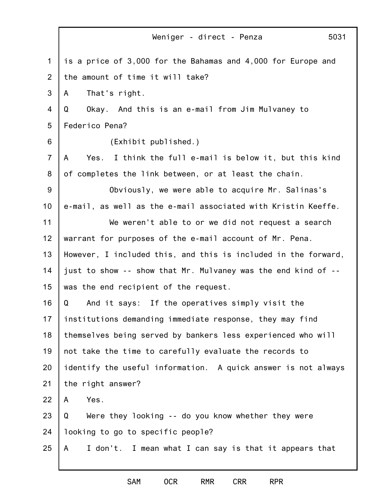|                | 5031<br>Weniger - direct - Penza                                |
|----------------|-----------------------------------------------------------------|
| 1              | is a price of 3,000 for the Bahamas and 4,000 for Europe and    |
| 2              | the amount of time it will take?                                |
| 3              | That's right.<br>A                                              |
| $\overline{4}$ | Okay. And this is an e-mail from Jim Mulvaney to<br>Q           |
| 5              | Federico Pena?                                                  |
| 6              | (Exhibit published.)                                            |
| $\overline{7}$ | I think the full e-mail is below it, but this kind<br>A<br>Yes. |
| 8              | of completes the link between, or at least the chain.           |
| 9              | Obviously, we were able to acquire Mr. Salinas's                |
| 10             | e-mail, as well as the e-mail associated with Kristin Keeffe.   |
| 11             | We weren't able to or we did not request a search               |
| 12             | warrant for purposes of the e-mail account of Mr. Pena.         |
| 13             | However, I included this, and this is included in the forward,  |
| 14             | just to show -- show that Mr. Mulvaney was the end kind of --   |
| 15             | was the end recipient of the request.                           |
| 16             | And it says: If the operatives simply visit the<br>Q            |
| 17             | institutions demanding immediate response, they may find        |
| 18             | themselves being served by bankers less experienced who will    |
| 19             | not take the time to carefully evaluate the records to          |
| 20             | identify the useful information. A quick answer is not always   |
| 21             | the right answer?                                               |
| 22             | Yes.<br>A                                                       |
| 23             | Were they looking -- do you know whether they were<br>Q         |
| 24             | looking to go to specific people?                               |
| 25             | I don't. I mean what I can say is that it appears that<br>A     |

SAM OCR RMR CRR RPR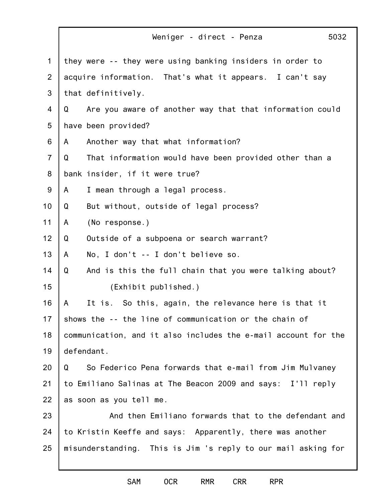|                | 5032<br>Weniger - direct - Penza                               |
|----------------|----------------------------------------------------------------|
| 1              | they were -- they were using banking insiders in order to      |
| $\overline{2}$ | acquire information. That's what it appears. I can't say       |
| 3              | that definitively.                                             |
| 4              | Are you aware of another way that that information could<br>Q  |
| 5              | have been provided?                                            |
| 6              | Another way that what information?<br>A                        |
| $\overline{7}$ | That information would have been provided other than a<br>Q    |
| 8              | bank insider, if it were true?                                 |
| 9              | I mean through a legal process.<br>A                           |
| 10             | But without, outside of legal process?<br>Q                    |
| 11             | (No response.)<br>A                                            |
| 12             | Outside of a subpoena or search warrant?<br>Q                  |
| 13             | No, I don't -- I don't believe so.<br>A                        |
| 14             | And is this the full chain that you were talking about?<br>Q   |
| 15             | (Exhibit published.)                                           |
| 16             | It is. So this, again, the relevance here is that it<br>A      |
| 17             | shows the -- the line of communication or the chain of         |
| 18             | communication, and it also includes the e-mail account for the |
| 19             | defendant.                                                     |
| 20             | So Federico Pena forwards that e-mail from Jim Mulvaney<br>Q   |
| 21             | to Emiliano Salinas at The Beacon 2009 and says: I'll reply    |
| 22             | as soon as you tell me.                                        |
| 23             | And then Emiliano forwards that to the defendant and           |
| 24             | to Kristin Keeffe and says: Apparently, there was another      |
| 25             | misunderstanding. This is Jim 's reply to our mail asking for  |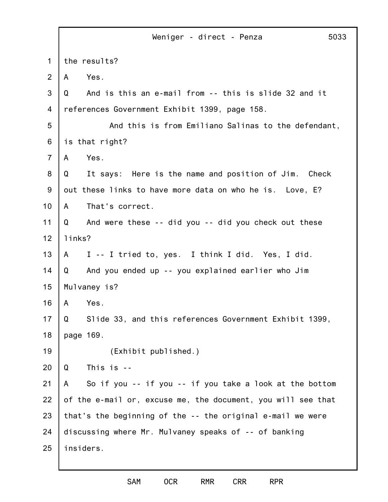|                | 5033<br>Weniger - direct - Penza                             |
|----------------|--------------------------------------------------------------|
| 1              | the results?                                                 |
| 2              | Yes.<br>A                                                    |
| 3              | And is this an e-mail from -- this is slide 32 and it<br>Q   |
| 4              | references Government Exhibit 1399, page 158.                |
| 5              | And this is from Emiliano Salinas to the defendant,          |
| 6              | is that right?                                               |
| $\overline{7}$ | Yes.<br>A                                                    |
| 8              | It says: Here is the name and position of Jim. Check<br>Q    |
| 9              | out these links to have more data on who he is. Love, E?     |
| 10             | That's correct.<br>A                                         |
| 11             | And were these -- did you -- did you check out these<br>Q    |
| 12             | links?                                                       |
| 13             | I -- I tried to, yes. I think I did. Yes, I did.<br>A        |
| 14             | And you ended up -- you explained earlier who Jim<br>Q       |
| 15             | Mulvaney is?                                                 |
| 16             | Yes.<br>A                                                    |
| 17             | Slide 33, and this references Government Exhibit 1399,<br>Q  |
| 18             | page 169.                                                    |
| 19             | (Exhibit published.)                                         |
| 20             | This is --<br>Q                                              |
| 21             | So if you -- if you -- if you take a look at the bottom<br>A |
| 22             | of the e-mail or, excuse me, the document, you will see that |
| 23             | that's the beginning of the -- the original e-mail we were   |
| 24             | discussing where Mr. Mulvaney speaks of -- of banking        |
| 25             | insiders.                                                    |
|                |                                                              |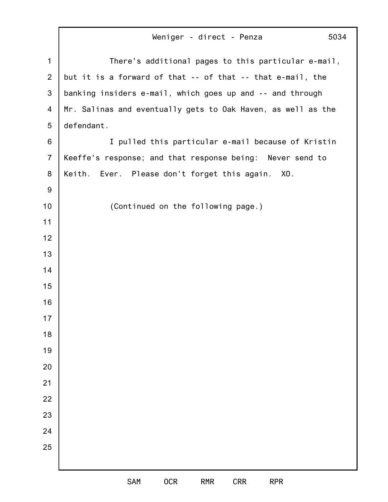|                | Weniger - direct - Penza<br>5034                             |
|----------------|--------------------------------------------------------------|
| $\mathbf 1$    | There's additional pages to this particular e-mail,          |
| $\overline{2}$ | but it is a forward of that -- of that -- that e-mail, the   |
| 3              | banking insiders e-mail, which goes up and -- and through    |
| 4              | Mr. Salinas and eventually gets to Oak Haven, as well as the |
| 5              | defendant.                                                   |
| 6              | I pulled this particular e-mail because of Kristin           |
| $\overline{7}$ | Keeffe's response; and that response being: Never send to    |
| 8              | Keith.<br>Ever. Please don't forget this again. XO.          |
| 9              |                                                              |
| 10             | (Continued on the following page.)                           |
| 11             |                                                              |
| 12             |                                                              |
| 13             |                                                              |
| 14             |                                                              |
| 15             |                                                              |
| 16             |                                                              |
| 17             |                                                              |
| 18             |                                                              |
| 19             |                                                              |
| 20             |                                                              |
| 21             |                                                              |
| 22             |                                                              |
| 23             |                                                              |
| 24             |                                                              |
| 25             |                                                              |
|                |                                                              |
|                | SAM<br>0CR<br><b>CRR</b><br><b>RMR</b><br><b>RPR</b>         |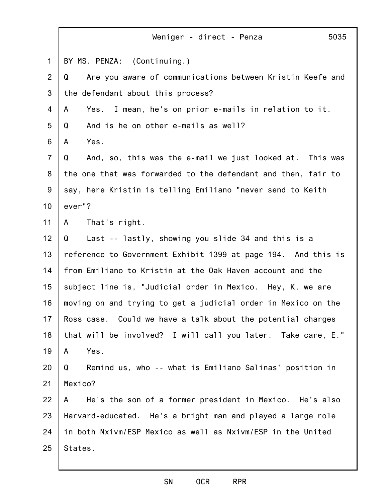|                | 5035<br>Weniger - direct - Penza                               |
|----------------|----------------------------------------------------------------|
| $\mathbf 1$    | BY MS. PENZA: (Continuing.)                                    |
| $\overline{2}$ | Are you aware of communications between Kristin Keefe and<br>Q |
| 3              | the defendant about this process?                              |
| 4              | Yes. I mean, he's on prior e-mails in relation to it.<br>A     |
| 5              | Q<br>And is he on other e-mails as well?                       |
| 6              | Yes.<br>$\mathsf{A}$                                           |
| $\overline{7}$ | Q<br>And, so, this was the e-mail we just looked at. This was  |
| 8              | the one that was forwarded to the defendant and then, fair to  |
| $9\,$          | say, here Kristin is telling Emiliano "never send to Keith     |
| 10             | ever"?                                                         |
| 11             | That's right.<br>$\mathsf{A}$                                  |
| 12             | Last -- lastly, showing you slide 34 and this is a<br>Q        |
| 13             | reference to Government Exhibit 1399 at page 194. And this is  |
| 14             | from Emiliano to Kristin at the Oak Haven account and the      |
| 15             | subject line is, "Judicial order in Mexico. Hey, K, we are     |
| 16             | moving on and trying to get a judicial order in Mexico on the  |
| 17             | Ross case. Could we have a talk about the potential charges    |
| 18             | that will be involved? I will call you later. Take care, E."   |
| 19             | Yes.<br>A                                                      |
| 20             | Q<br>Remind us, who -- what is Emiliano Salinas' position in   |
| 21             | Mexico?                                                        |
| 22             | He's the son of a former president in Mexico. He's also<br>A a |
| 23             | Harvard-educated. He's a bright man and played a large role    |
| 24             | in both Nxivm/ESP Mexico as well as Nxivm/ESP in the United    |
| 25             | States.                                                        |
|                |                                                                |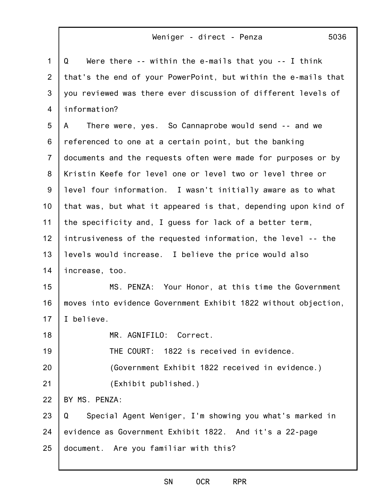| $\mathbf{1}$   | Were there $-$ - within the e-mails that you $-$ - I think<br>Q |
|----------------|-----------------------------------------------------------------|
| 2              | that's the end of your PowerPoint, but within the e-mails that  |
| 3              | you reviewed was there ever discussion of different levels of   |
| 4              | information?                                                    |
| 5              | There were, yes. So Cannaprobe would send -- and we<br>A        |
| 6              | referenced to one at a certain point, but the banking           |
| $\overline{7}$ | documents and the requests often were made for purposes or by   |
| 8              | Kristin Keefe for level one or level two or level three or      |
| $9\,$          | level four information. I wasn't initially aware as to what     |
| 10             | that was, but what it appeared is that, depending upon kind of  |
| 11             | the specificity and, I guess for lack of a better term,         |
| 12             | intrusiveness of the requested information, the level -- the    |
| 13             | levels would increase. I believe the price would also           |
| 14             | increase, too.                                                  |
| 15             | MS. PENZA: Your Honor, at this time the Government              |
| 16             | moves into evidence Government Exhibit 1822 without objection,  |
| 17             | I believe.                                                      |
| 18             | MR. AGNIFILO: Correct.                                          |
| 19             | THE COURT: 1822 is received in evidence.                        |
| 20             | (Government Exhibit 1822 received in evidence.)                 |
| 21             | (Exhibit published.)                                            |
| 22             | BY MS. PENZA:                                                   |
| 23             | Special Agent Weniger, I'm showing you what's marked in<br>Q    |
| 24             | evidence as Government Exhibit 1822. And it's a 22-page         |
| 25             | document. Are you familiar with this?                           |
|                |                                                                 |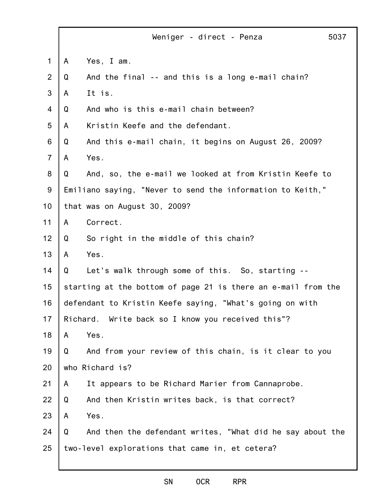|                |   | Weniger - direct - Penza                                      | 5037 |
|----------------|---|---------------------------------------------------------------|------|
| $\mathbf 1$    | A | Yes, I am.                                                    |      |
| $\overline{2}$ | Q | And the final -- and this is a long e-mail chain?             |      |
| 3              | A | It is.                                                        |      |
| $\overline{4}$ | Q | And who is this e-mail chain between?                         |      |
| 5              | A | Kristin Keefe and the defendant.                              |      |
| 6              | Q | And this e-mail chain, it begins on August 26, 2009?          |      |
| $\overline{7}$ | A | Yes.                                                          |      |
| 8              | Q | And, so, the e-mail we looked at from Kristin Keefe to        |      |
| $9\,$          |   | Emiliano saying, "Never to send the information to Keith,"    |      |
| 10             |   | that was on August 30, 2009?                                  |      |
| 11             | A | Correct.                                                      |      |
| 12             | Q | So right in the middle of this chain?                         |      |
| 13             | A | Yes.                                                          |      |
| 14             | Q | Let's walk through some of this. So, starting --              |      |
| 15             |   | starting at the bottom of page 21 is there an e-mail from the |      |
| 16             |   | defendant to Kristin Keefe saying, "What's going on with      |      |
| 17             |   | Richard. Write back so I know you received this"?             |      |
| 18             | A | Yes.                                                          |      |
| 19             | Q | And from your review of this chain, is it clear to you        |      |
| 20             |   | who Richard is?                                               |      |
| 21             | A | It appears to be Richard Marier from Cannaprobe.              |      |
| 22             | Q | And then Kristin writes back, is that correct?                |      |
| 23             | A | Yes.                                                          |      |
| 24             | Q | And then the defendant writes, "What did he say about the     |      |
| 25             |   | two-level explorations that came in, et cetera?               |      |
|                |   |                                                               |      |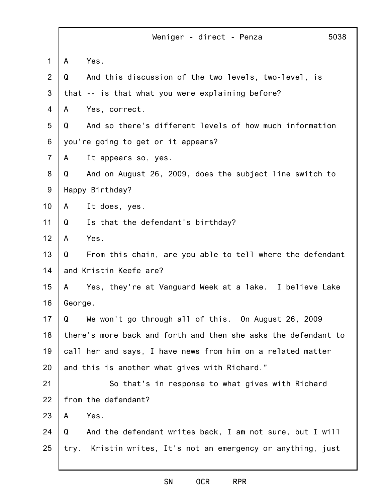|                |              | Weniger - direct - Penza<br>5038                               |
|----------------|--------------|----------------------------------------------------------------|
| 1              | $\mathsf{A}$ | Yes.                                                           |
| 2              | Q            | And this discussion of the two levels, two-level, is           |
| 3              |              | that -- is that what you were explaining before?               |
| 4              | A            | Yes, correct.                                                  |
| 5              | Q            | And so there's different levels of how much information        |
| 6              |              | you're going to get or it appears?                             |
| $\overline{7}$ | A            | It appears so, yes.                                            |
| 8              | Q            | And on August 26, 2009, does the subject line switch to        |
| $9\,$          |              | Happy Birthday?                                                |
| 10             | A            | It does, yes.                                                  |
| 11             | Q            | Is that the defendant's birthday?                              |
| 12             | A            | Yes.                                                           |
| 13             | Q            | From this chain, are you able to tell where the defendant      |
| 14             |              | and Kristin Keefe are?                                         |
| 15             | A            | Yes, they're at Vanguard Week at a lake. I believe Lake        |
| 16             | George.      |                                                                |
| 17             | Q            | We won't go through all of this. On August 26, 2009            |
| 18             |              | there's more back and forth and then she asks the defendant to |
| 19             |              | call her and says, I have news from him on a related matter    |
| 20             |              | and this is another what gives with Richard."                  |
| 21             |              | So that's in response to what gives with Richard               |
| 22             |              | from the defendant?                                            |
| 23             | A            | Yes.                                                           |
| 24             | Q            | And the defendant writes back, I am not sure, but I will       |
| 25             |              | try. Kristin writes, It's not an emergency or anything, just   |
|                |              |                                                                |

#### SN OCR RPR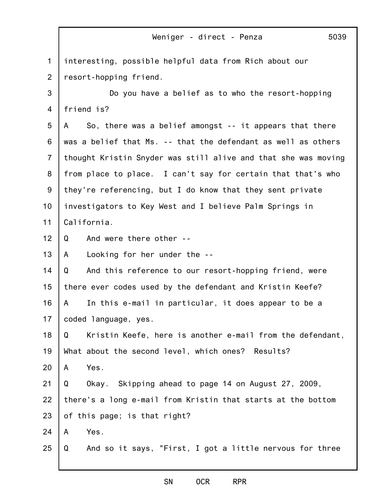|                | 5039<br>Weniger - direct - Penza                               |
|----------------|----------------------------------------------------------------|
| 1              | interesting, possible helpful data from Rich about our         |
| $\overline{2}$ | resort-hopping friend.                                         |
| 3              | Do you have a belief as to who the resort-hopping              |
| 4              | friend is?                                                     |
| 5              | So, there was a belief amongst -- it appears that there<br>A   |
| 6              | was a belief that Ms. -- that the defendant as well as others  |
| $\overline{7}$ | thought Kristin Snyder was still alive and that she was moving |
| 8              | from place to place. I can't say for certain that that's who   |
| 9              | they're referencing, but I do know that they sent private      |
| 10             | investigators to Key West and I believe Palm Springs in        |
| 11             | California.                                                    |
| 12             | And were there other --<br>Q                                   |
| 13             | Looking for her under the --<br>A                              |
| 14             | Q<br>And this reference to our resort-hopping friend, were     |
| 15             | there ever codes used by the defendant and Kristin Keefe?      |
| 16             | In this e-mail in particular, it does appear to be a<br>A      |
| 17             | coded language, yes.                                           |
| 18             | Kristin Keefe, here is another e-mail from the defendant,<br>Q |
| 19             | What about the second level, which ones? Results?              |
| 20             | Yes.<br>A                                                      |
| 21             | Q<br>Okay. Skipping ahead to page 14 on August 27, 2009,       |
| 22             | there's a long e-mail from Kristin that starts at the bottom   |
| 23             | of this page; is that right?                                   |
| 24             | Yes.<br>A                                                      |
| 25             | And so it says, "First, I got a little nervous for three<br>Q  |

# SN OCR RPR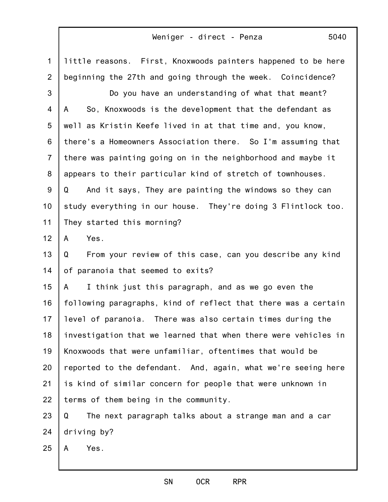1 2 3 4 5 6 7 8 9 10 11 12 13 14 15 16 17 18 19 20 21 22 23 24 25 little reasons. First, Knoxwoods painters happened to be here beginning the 27th and going through the week. Coincidence? Do you have an understanding of what that meant? A So, Knoxwoods is the development that the defendant as well as Kristin Keefe lived in at that time and, you know, there's a Homeowners Association there. So I'm assuming that there was painting going on in the neighborhood and maybe it appears to their particular kind of stretch of townhouses. Q And it says, They are painting the windows so they can study everything in our house. They're doing 3 Flintlock too. They started this morning? A Yes. Q From your review of this case, can you describe any kind of paranoia that seemed to exits? A I think just this paragraph, and as we go even the following paragraphs, kind of reflect that there was a certain level of paranoia. There was also certain times during the investigation that we learned that when there were vehicles in Knoxwoods that were unfamiliar, oftentimes that would be reported to the defendant. And, again, what we're seeing here is kind of similar concern for people that were unknown in terms of them being in the community. Q The next paragraph talks about a strange man and a car driving by? A Yes.

SN OCR RPR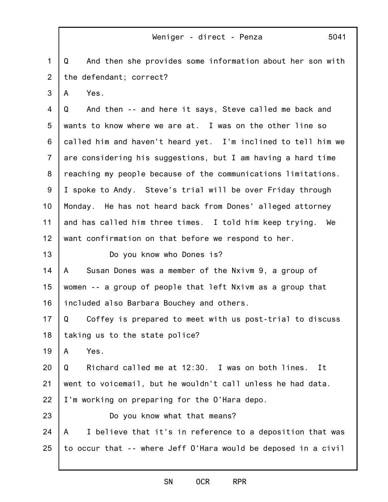1 2 Q And then she provides some information about her son with the defendant; correct?

3 A Yes.

4 5 6 7 8 9 10 11 12 Q And then -- and here it says, Steve called me back and wants to know where we are at. I was on the other line so called him and haven't heard yet. I'm inclined to tell him we are considering his suggestions, but I am having a hard time reaching my people because of the communications limitations. I spoke to Andy. Steve's trial will be over Friday through Monday. He has not heard back from Dones' alleged attorney and has called him three times. I told him keep trying. We want confirmation on that before we respond to her.

Do you know who Dones is?

14 15 16 A Susan Dones was a member of the Nxivm 9, a group of women -- a group of people that left Nxivm as a group that included also Barbara Bouchey and others.

17 18 Q Coffey is prepared to meet with us post-trial to discuss taking us to the state police?

19 A Yes.

13

23

20 21 22 Q Richard called me at 12:30. I was on both lines. It went to voicemail, but he wouldn't call unless he had data. I'm working on preparing for the O'Hara depo.

Do you know what that means?

24 25 A I believe that it's in reference to a deposition that was to occur that -- where Jeff O'Hara would be deposed in a civil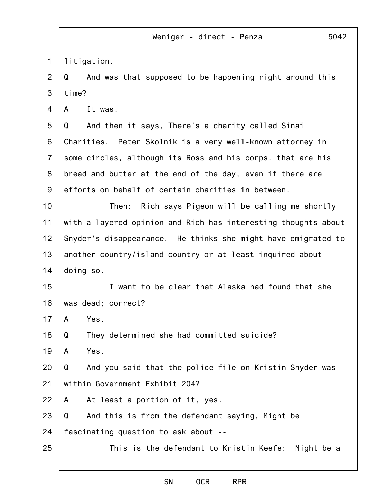1 litigation.

2 3 Q And was that supposed to be happening right around this time?

4 A It was.

5 6 7 8 9 Q And then it says, There's a charity called Sinai Charities. Peter Skolnik is a very well-known attorney in some circles, although its Ross and his corps. that are his bread and butter at the end of the day, even if there are efforts on behalf of certain charities in between.

10 11 12 13 14 Then: Rich says Pigeon will be calling me shortly with a layered opinion and Rich has interesting thoughts about Snyder's disappearance. He thinks she might have emigrated to another country/island country or at least inquired about doing so.

15 16 I want to be clear that Alaska had found that she was dead; correct?

17 A Yes.

18 Q They determined she had committed suicide?

19 A Yes.

25

20 21 Q And you said that the police file on Kristin Snyder was within Government Exhibit 204?

22 A At least a portion of it, yes.

23 Q And this is from the defendant saying, Might be

24 fascinating question to ask about --

This is the defendant to Kristin Keefe: Might be a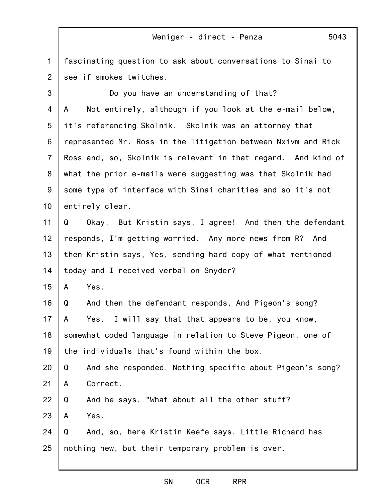1 2 fascinating question to ask about conversations to Sinai to see if smokes twitches.

3 4 5 6 7 8 9 10 11 12 13 14 15 16 17 18 19 20 21 22 23 24 25 Do you have an understanding of that? A Not entirely, although if you look at the e-mail below, it's referencing Skolnik. Skolnik was an attorney that represented Mr. Ross in the litigation between Nxivm and Rick Ross and, so, Skolnik is relevant in that regard. And kind of what the prior e-mails were suggesting was that Skolnik had some type of interface with Sinai charities and so it's not entirely clear. Q Okay. But Kristin says, I agree! And then the defendant responds, I'm getting worried. Any more news from R? And then Kristin says, Yes, sending hard copy of what mentioned today and I received verbal on Snyder? A Yes. Q And then the defendant responds, And Pigeon's song? A Yes. I will say that that appears to be, you know, somewhat coded language in relation to Steve Pigeon, one of the individuals that's found within the box. Q And she responded, Nothing specific about Pigeon's song? A Correct. Q And he says, "What about all the other stuff? A Yes. Q And, so, here Kristin Keefe says, Little Richard has nothing new, but their temporary problem is over.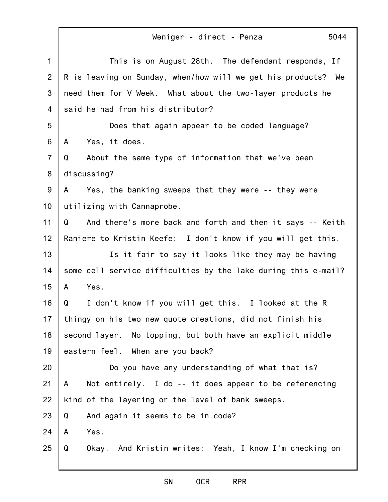|                | 5044<br>Weniger - direct - Penza                               |
|----------------|----------------------------------------------------------------|
| $\mathbf 1$    | This is on August 28th. The defendant responds, If             |
| $\overline{2}$ | R is leaving on Sunday, when/how will we get his products? We  |
| 3              | need them for V Week. What about the two-layer products he     |
| 4              | said he had from his distributor?                              |
| 5              | Does that again appear to be coded language?                   |
| 6              | Yes, it does.<br>A                                             |
| $\overline{7}$ | About the same type of information that we've been<br>Q        |
| 8              | discussing?                                                    |
| $9\,$          | Yes, the banking sweeps that they were -- they were<br>A       |
| 10             | utilizing with Cannaprobe.                                     |
| 11             | Q<br>And there's more back and forth and then it says -- Keith |
| 12             | Raniere to Kristin Keefe: I don't know if you will get this.   |
| 13             | Is it fair to say it looks like they may be having             |
| 14             | some cell service difficulties by the lake during this e-mail? |
| 15             | Yes.<br>A                                                      |
| 16             | I don't know if you will get this. I looked at the R<br>Q      |
| 17             | thingy on his two new quote creations, did not finish his      |
| 18             | second layer. No topping, but both have an explicit middle     |
| 19             | eastern feel. When are you back?                               |
| 20             | Do you have any understanding of what that is?                 |
| 21             | Not entirely. I do -- it does appear to be referencing<br>A    |
| 22             | kind of the layering or the level of bank sweeps.              |
| 23             | Q<br>And again it seems to be in code?                         |
| 24             | Yes.<br>A                                                      |
| 25             | Okay. And Kristin writes: Yeah, I know I'm checking on<br>Q    |
|                |                                                                |

# SN OCR RPR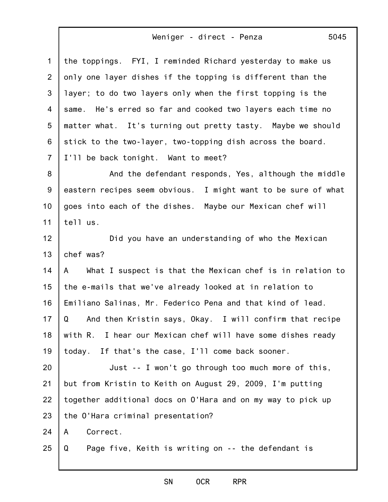| $\mathbf{1}$   | the toppings. FYI, I reminded Richard yesterday to make us     |
|----------------|----------------------------------------------------------------|
| $\overline{2}$ | only one layer dishes if the topping is different than the     |
| 3              | layer; to do two layers only when the first topping is the     |
| 4              | same. He's erred so far and cooked two layers each time no     |
| 5              | matter what. It's turning out pretty tasty. Maybe we should    |
| 6              | stick to the two-layer, two-topping dish across the board.     |
| $\overline{7}$ | I'll be back tonight. Want to meet?                            |
| 8              | And the defendant responds, Yes, although the middle           |
| 9              | eastern recipes seem obvious. I might want to be sure of what  |
| 10             | goes into each of the dishes. Maybe our Mexican chef will      |
| 11             | tell us.                                                       |
| 12             | Did you have an understanding of who the Mexican               |
| 13             | chef was?                                                      |
| 14             | What I suspect is that the Mexican chef is in relation to<br>A |
| 15             | the e-mails that we've already looked at in relation to        |
| 16             | Emiliano Salinas, Mr. Federico Pena and that kind of lead.     |
| 17             | Q<br>And then Kristin says, Okay. I will confirm that recipe   |
| 18             | with R. I hear our Mexican chef will have some dishes ready    |
| 19             | If that's the case, I'll come back sooner.<br>today.           |
| 20             | Just -- I won't go through too much more of this,              |
| 21             | but from Kristin to Keith on August 29, 2009, I'm putting      |
| 22             | together additional docs on O'Hara and on my way to pick up    |
| 23             | the O'Hara criminal presentation?                              |
| 24             | Correct.<br>A                                                  |
| 25             | Q<br>Page five, Keith is writing on -- the defendant is        |
|                |                                                                |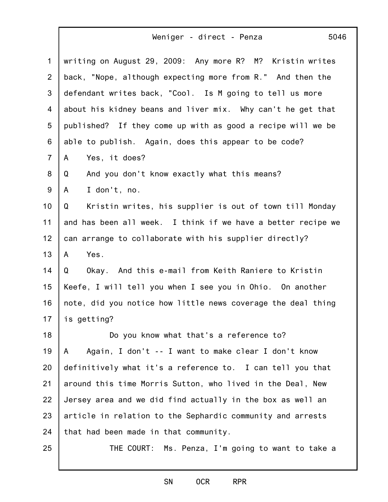| $\mathbf{1}$   | writing on August 29, 2009: Any more R? M? Kristin writes    |
|----------------|--------------------------------------------------------------|
| 2              | back, "Nope, although expecting more from R." And then the   |
| 3              | defendant writes back, "Cool. Is M going to tell us more     |
| 4              | about his kidney beans and liver mix. Why can't he get that  |
| 5              | published? If they come up with as good a recipe will we be  |
| 6              | able to publish. Again, does this appear to be code?         |
| $\overline{7}$ | Yes, it does?<br>A                                           |
| 8              | Q<br>And you don't know exactly what this means?             |
| 9              | I don't, no.<br>A                                            |
| 10             | Kristin writes, his supplier is out of town till Monday<br>Q |
| 11             | and has been all week. I think if we have a better recipe we |
| 12             | can arrange to collaborate with his supplier directly?       |
| 13             | Yes.<br>A                                                    |
| 14             | Okay. And this e-mail from Keith Raniere to Kristin<br>Q     |
| 15             | Keefe, I will tell you when I see you in Ohio. On another    |
| 16             | note, did you notice how little news coverage the deal thing |
| 17             | is getting?                                                  |
| 18             | Do you know what that's a reference to?                      |
| 19             | Again, I don't -- I want to make clear I don't know<br>A     |
| 20             | definitively what it's a reference to. I can tell you that   |
| 21             | around this time Morris Sutton, who lived in the Deal, New   |
| 22             | Jersey area and we did find actually in the box as well an   |
| 23             | article in relation to the Sephardic community and arrests   |
| 24             | that had been made in that community.                        |
| 25             | THE COURT: Ms. Penza, I'm going to want to take a            |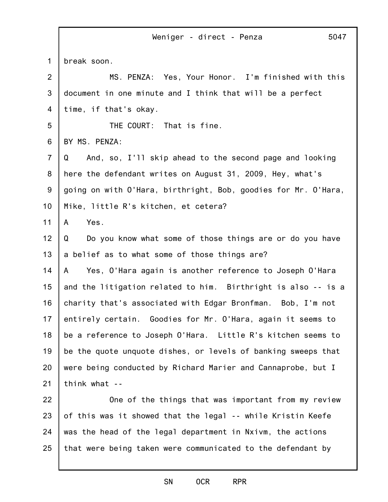|                 | Weniger - direct - Penza<br>5047                               |
|-----------------|----------------------------------------------------------------|
| $\mathbf{1}$    | break soon.                                                    |
| $\overline{2}$  | MS. PENZA: Yes, Your Honor. I'm finished with this             |
| 3               | document in one minute and I think that will be a perfect      |
| 4               | time, if that's okay.                                          |
| 5               | THE COURT: That is fine.                                       |
| 6               | BY MS. PENZA:                                                  |
| $\overline{7}$  | And, so, I'll skip ahead to the second page and looking<br>Q   |
| 8               | here the defendant writes on August 31, 2009, Hey, what's      |
| 9               | going on with O'Hara, birthright, Bob, goodies for Mr. O'Hara, |
| 10 <sub>1</sub> | Mike, little R's kitchen, et cetera?                           |
| 11              | Yes.<br>A                                                      |
| 12              | Do you know what some of those things are or do you have<br>Q  |
| 13              | a belief as to what some of those things are?                  |
| 14              | Yes, O'Hara again is another reference to Joseph O'Hara<br>A   |
| 15              | and the litigation related to him. Birthright is also -- is a  |
| 16              | charity that's associated with Edgar Bronfman. Bob, I'm not    |
| 17              | entirely certain. Goodies for Mr. O'Hara, again it seems to    |
| 18              | be a reference to Joseph O'Hara. Little R's kitchen seems to   |
| 19              | be the quote unquote dishes, or levels of banking sweeps that  |
| 20              | were being conducted by Richard Marier and Cannaprobe, but I   |
| 21              | think what --                                                  |
| 22              | One of the things that was important from my review            |
| 23              | of this was it showed that the legal -- while Kristin Keefe    |

25 was the head of the legal department in Nxivm, the actions that were being taken were communicated to the defendant by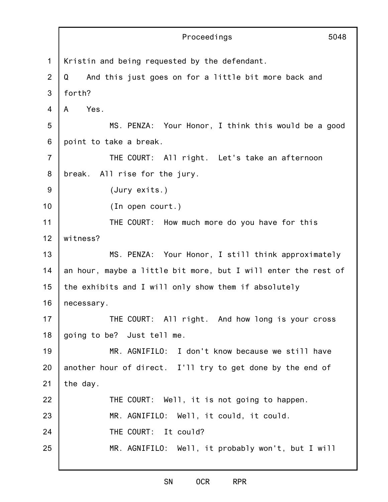|                | Proceedings<br>5048                                            |
|----------------|----------------------------------------------------------------|
| 1              | Kristin and being requested by the defendant.                  |
| 2              | And this just goes on for a little bit more back and<br>Q      |
| 3              | forth?                                                         |
| 4              | Yes.<br>A                                                      |
| 5              | MS. PENZA: Your Honor, I think this would be a good            |
| 6              | point to take a break.                                         |
| $\overline{7}$ | THE COURT: All right. Let's take an afternoon                  |
| 8              | break. All rise for the jury.                                  |
| 9              | (Jury exits.)                                                  |
| 10             | (In open court.)                                               |
| 11             | THE COURT: How much more do you have for this                  |
| 12             | witness?                                                       |
| 13             | MS. PENZA: Your Honor, I still think approximately             |
| 14             | an hour, maybe a little bit more, but I will enter the rest of |
| 15             | the exhibits and I will only show them if absolutely           |
| 16             | necessary.                                                     |
| 17             | THE COURT: All right. And how long is your cross               |
| 18             | going to be? Just tell me.                                     |
| 19             | MR. AGNIFILO: I don't know because we still have               |
| 20             | another hour of direct. I'll try to get done by the end of     |
| 21             | the day.                                                       |
| 22             | THE COURT: Well, it is not going to happen.                    |
| 23             | MR. AGNIFILO: Well, it could, it could.                        |
| 24             | THE COURT: It could?                                           |
| 25             | MR. AGNIFILO: Well, it probably won't, but I will              |
|                |                                                                |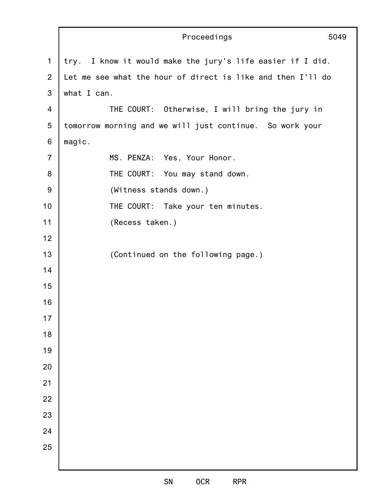|                | Proceedings<br>5049                                         |  |
|----------------|-------------------------------------------------------------|--|
| $\mathbf{1}$   | try. I know it would make the jury's life easier if I did.  |  |
| $\overline{2}$ | Let me see what the hour of direct is like and then I'll do |  |
| 3              | what I can.                                                 |  |
| 4              | THE COURT: Otherwise, I will bring the jury in              |  |
| $\sqrt{5}$     | tomorrow morning and we will just continue. So work your    |  |
| 6              | magic.                                                      |  |
| $\overline{7}$ | MS. PENZA: Yes, Your Honor.                                 |  |
| 8              | THE COURT: You may stand down.                              |  |
| $9\,$          | (Witness stands down.)                                      |  |
| 10             | THE COURT: Take your ten minutes.                           |  |
| 11             | (Recess taken.)                                             |  |
| 12             |                                                             |  |
| 13             | (Continued on the following page.)                          |  |
| 14             |                                                             |  |
| 15             |                                                             |  |
| 16             |                                                             |  |
| 17             |                                                             |  |
| 18             |                                                             |  |
| 19             |                                                             |  |
| 20             |                                                             |  |
| 21             |                                                             |  |
| 22             |                                                             |  |
| 23             |                                                             |  |
| 24             |                                                             |  |
| 25             |                                                             |  |
|                |                                                             |  |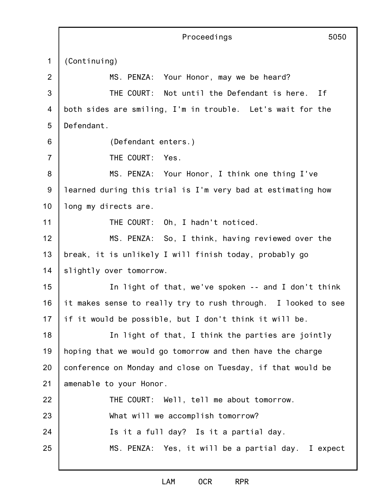|                | Proceedings<br>5050                                           |
|----------------|---------------------------------------------------------------|
| 1              | (Continuing)                                                  |
| $\overline{2}$ | Your Honor, may we be heard?<br>MS. PENZA:                    |
| 3              | THE COURT: Not until the Defendant is here. If                |
| 4              | both sides are smiling, I'm in trouble. Let's wait for the    |
| 5              | Defendant.                                                    |
| 6              | (Defendant enters.)                                           |
| $\overline{7}$ | THE COURT:<br>Yes.                                            |
| 8              | MS. PENZA: Your Honor, I think one thing I've                 |
| 9              | learned during this trial is I'm very bad at estimating how   |
| 10             | long my directs are.                                          |
| 11             | THE COURT: Oh, I hadn't noticed.                              |
| 12             | MS. PENZA: So, I think, having reviewed over the              |
| 13             | break, it is unlikely I will finish today, probably go        |
| 14             | slightly over tomorrow.                                       |
| 15             | In light of that, we've spoken -- and I don't think           |
| 16             | it makes sense to really try to rush through. I looked to see |
| 17             | if it would be possible, but I don't think it will be.        |
| 18             | In light of that, I think the parties are jointly             |
| 19             | hoping that we would go tomorrow and then have the charge     |
| 20             | conference on Monday and close on Tuesday, if that would be   |
| 21             | amenable to your Honor.                                       |
| 22             | THE COURT: Well, tell me about tomorrow.                      |
| 23             | What will we accomplish tomorrow?                             |
| 24             | Is it a full day? Is it a partial day.                        |
| 25             | MS. PENZA: Yes, it will be a partial day. I expect            |
|                |                                                               |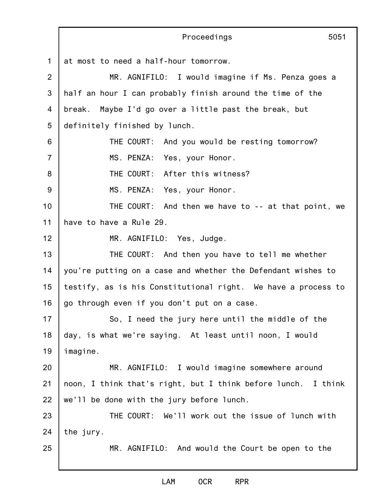|                | Proceedings<br>5051                                           |
|----------------|---------------------------------------------------------------|
| $\mathbf{1}$   | at most to need a half-hour tomorrow.                         |
| $\overline{2}$ | MR. AGNIFILO: I would imagine if Ms. Penza goes a             |
| 3              | half an hour I can probably finish around the time of the     |
| 4              | break. Maybe I'd go over a little past the break, but         |
| 5              | definitely finished by lunch.                                 |
| 6              | THE COURT:<br>And you would be resting tomorrow?              |
| $\overline{7}$ | MS. PENZA: Yes, your Honor.                                   |
| 8              | THE COURT: After this witness?                                |
| 9              | MS. PENZA: Yes, your Honor.                                   |
| 10             | THE COURT: And then we have to -- at that point, we           |
| 11             | have to have a Rule 29.                                       |
| 12             | MR. AGNIFILO: Yes, Judge.                                     |
| 13             | THE COURT: And then you have to tell me whether               |
| 14             | you're putting on a case and whether the Defendant wishes to  |
| 15             | testify, as is his Constitutional right. We have a process to |
| 16             | go through even if you don't put on a case.                   |
| 17             | So, I need the jury here until the middle of the              |
| 18             | day, is what we're saying. At least until noon, I would       |
| 19             | imagine.                                                      |
| 20             | MR. AGNIFILO: I would imagine somewhere around                |
| 21             | noon, I think that's right, but I think before lunch. I think |
| 22             | we'll be done with the jury before lunch.                     |
| 23             | THE COURT: We'll work out the issue of lunch with             |
| 24             | the jury.                                                     |
| 25             | MR. AGNIFILO: And would the Court be open to the              |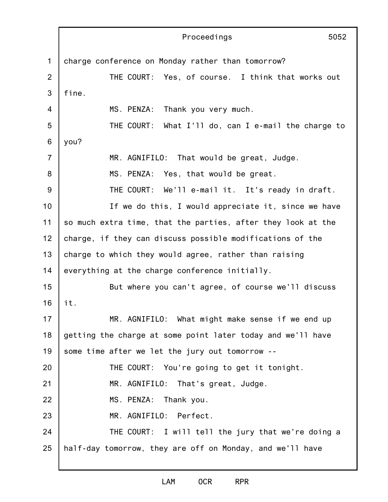1 2 3 4 5 6 7 8 9 10 11 12 13 14 15 16 17 18 19 20 21 22 23 24 25 Proceedings 5052 charge conference on Monday rather than tomorrow? THE COURT: Yes, of course. I think that works out fine. MS. PENZA: Thank you very much. THE COURT: What I'll do, can I e-mail the charge to you? MR. AGNIFILO: That would be great, Judge. MS. PENZA: Yes, that would be great. THE COURT: We'll e-mail it. It's ready in draft. If we do this, I would appreciate it, since we have so much extra time, that the parties, after they look at the charge, if they can discuss possible modifications of the charge to which they would agree, rather than raising everything at the charge conference initially. But where you can't agree, of course we'll discuss it. MR. AGNIFILO: What might make sense if we end up getting the charge at some point later today and we'll have some time after we let the jury out tomorrow -- THE COURT: You're going to get it tonight. MR. AGNIFILO: That's great, Judge. MS. PENZA: Thank you. MR. AGNIFILO: Perfect. THE COURT: I will tell the jury that we're doing a half-day tomorrow, they are off on Monday, and we'll have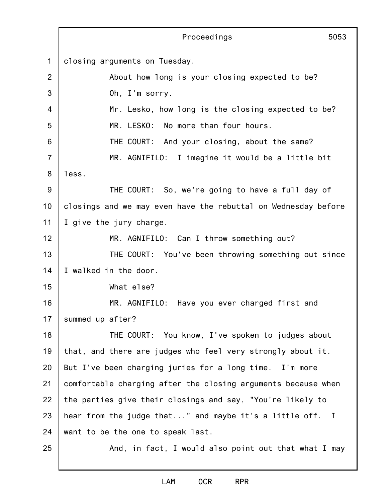1 2 3 4 5 6 7 8 9 10 11 12 13 14 15 16 17 18 19 20 21 22 23 24 25 Proceedings 5053 closing arguments on Tuesday. About how long is your closing expected to be? Oh, I'm sorry. Mr. Lesko, how long is the closing expected to be? MR. LESKO: No more than four hours. THE COURT: And your closing, about the same? MR. AGNIFILO: I imagine it would be a little bit less. THE COURT: So, we're going to have a full day of closings and we may even have the rebuttal on Wednesday before I give the jury charge. MR. AGNIFILO: Can I throw something out? THE COURT: You've been throwing something out since I walked in the door. What else? MR. AGNIFILO: Have you ever charged first and summed up after? THE COURT: You know, I've spoken to judges about that, and there are judges who feel very strongly about it. But I've been charging juries for a long time. I'm more comfortable charging after the closing arguments because when the parties give their closings and say, "You're likely to hear from the judge that..." and maybe it's a little off. I want to be the one to speak last. And, in fact, I would also point out that what I may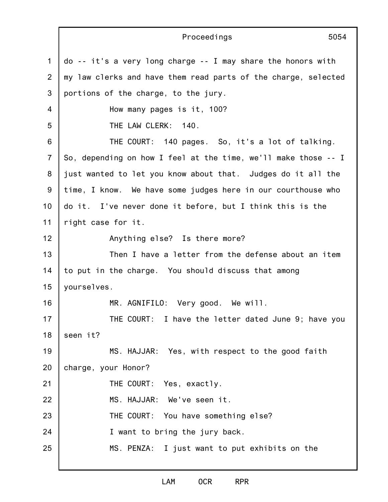1 2 3 4 5 6 7 8 9 10 11 12 13 14 15 16 17 18 19 20 21 22 23 24 25 Proceedings 5054 do -- it's a very long charge -- I may share the honors with my law clerks and have them read parts of the charge, selected portions of the charge, to the jury. How many pages is it, 100? THE LAW CLERK: 140. THE COURT: 140 pages. So, it's a lot of talking. So, depending on how I feel at the time, we'll make those -- I just wanted to let you know about that. Judges do it all the time, I know. We have some judges here in our courthouse who do it. I've never done it before, but I think this is the right case for it. Anything else? Is there more? Then I have a letter from the defense about an item to put in the charge. You should discuss that among yourselves. MR. AGNIFILO: Very good. We will. THE COURT: I have the letter dated June 9; have you seen it? MS. HAJJAR: Yes, with respect to the good faith charge, your Honor? THE COURT: Yes, exactly. MS. HAJJAR: We've seen it. THE COURT: You have something else? I want to bring the jury back. MS. PENZA: I just want to put exhibits on the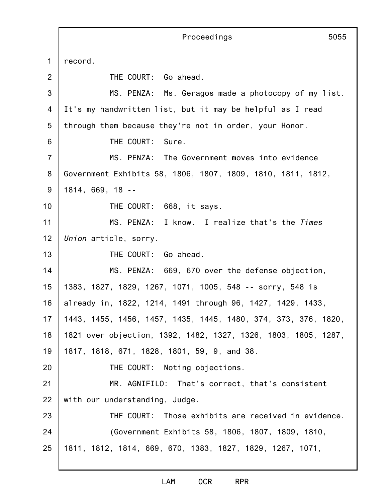1 2 3 4 5 6 7 8 9 10 11 12 13 14 15 16 17 18 19 20 21 22 23 24 25 Proceedings 5055 record. THE COURT: Go ahead. MS. PENZA: Ms. Geragos made a photocopy of my list. It's my handwritten list, but it may be helpful as I read through them because they're not in order, your Honor. THE COURT: Sure. MS. PENZA: The Government moves into evidence Government Exhibits 58, 1806, 1807, 1809, 1810, 1811, 1812, 1814, 669, 18 -- THE COURT: 668, it says. MS. PENZA: I know. I realize that's the *Times Union* article, sorry. THE COURT: Go ahead. MS. PENZA: 669, 670 over the defense objection, 1383, 1827, 1829, 1267, 1071, 1005, 548 -- sorry, 548 is already in, 1822, 1214, 1491 through 96, 1427, 1429, 1433, 1443, 1455, 1456, 1457, 1435, 1445, 1480, 374, 373, 376, 1820, 1821 over objection, 1392, 1482, 1327, 1326, 1803, 1805, 1287, 1817, 1818, 671, 1828, 1801, 59, 9, and 38. THE COURT: Noting objections. MR. AGNIFILO: That's correct, that's consistent with our understanding, Judge. THE COURT: Those exhibits are received in evidence. (Government Exhibits 58, 1806, 1807, 1809, 1810, 1811, 1812, 1814, 669, 670, 1383, 1827, 1829, 1267, 1071,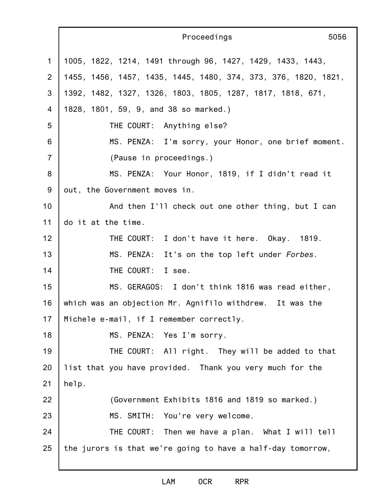|                | Proceedings<br>5056                                            |
|----------------|----------------------------------------------------------------|
| 1              | 1005, 1822, 1214, 1491 through 96, 1427, 1429, 1433, 1443,     |
| 2              | 1455, 1456, 1457, 1435, 1445, 1480, 374, 373, 376, 1820, 1821, |
| 3              | 1392, 1482, 1327, 1326, 1803, 1805, 1287, 1817, 1818, 671,     |
| $\overline{4}$ | 1828, 1801, 59, 9, and 38 so marked.)                          |
| 5              | THE COURT: Anything else?                                      |
| 6              | MS. PENZA: I'm sorry, your Honor, one brief moment.            |
| $\overline{7}$ | (Pause in proceedings.)                                        |
| 8              | MS. PENZA: Your Honor, 1819, if I didn't read it               |
| 9              | out, the Government moves in.                                  |
| 10             | And then I'll check out one other thing, but I can             |
| 11             | do it at the time.                                             |
| 12             | THE COURT: I don't have it here. Okay. 1819.                   |
| 13             | MS. PENZA: It's on the top left under Forbes.                  |
| 14             | THE COURT: I see.                                              |
| 15             | MS. GERAGOS: I don't think 1816 was read either,               |
| 16             | which was an objection Mr. Agnifilo withdrew. It was the       |
| 17             | Michele e-mail, if I remember correctly.                       |
| 18             | MS. PENZA: Yes I'm sorry.                                      |
| 19             | THE COURT: All right. They will be added to that               |
| 20             | list that you have provided. Thank you very much for the       |
| 21             | help.                                                          |
| 22             | (Government Exhibits 1816 and 1819 so marked.)                 |
| 23             | MS. SMITH: You're very welcome.                                |
| 24             | THE COURT: Then we have a plan. What I will tell               |
| 25             | the jurors is that we're going to have a half-day tomorrow,    |
|                |                                                                |

j.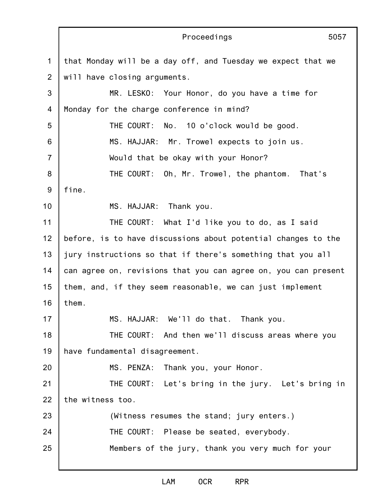|                 | Proceedings<br>5057                                            |
|-----------------|----------------------------------------------------------------|
| $\mathbf 1$     | that Monday will be a day off, and Tuesday we expect that we   |
| $\overline{2}$  | will have closing arguments.                                   |
| 3               | MR. LESKO: Your Honor, do you have a time for                  |
| $\overline{4}$  | Monday for the charge conference in mind?                      |
| 5               | THE COURT: No. 10 o'clock would be good.                       |
| 6               | MS. HAJJAR: Mr. Trowel expects to join us.                     |
| $\overline{7}$  | Would that be okay with your Honor?                            |
| 8               | THE COURT: Oh, Mr. Trowel, the phantom. That's                 |
| 9               | fine.                                                          |
| 10 <sup>1</sup> | MS. HAJJAR: Thank you.                                         |
| 11              | THE COURT: What I'd like you to do, as I said                  |
| 12              | before, is to have discussions about potential changes to the  |
| 13              | jury instructions so that if there's something that you all    |
| 14              | can agree on, revisions that you can agree on, you can present |
| 15              | them, and, if they seem reasonable, we can just implement      |
| 16              | them.                                                          |
| 17              | MS. HAJJAR: We'll do that. Thank you.                          |
| 18              | THE COURT: And then we'll discuss areas where you              |
| 19              | have fundamental disagreement.                                 |
| 20              | MS. PENZA: Thank you, your Honor.                              |
| 21              | THE COURT: Let's bring in the jury. Let's bring in             |
| 22              | the witness too.                                               |
| 23              | (Witness resumes the stand; jury enters.)                      |
| 24              | THE COURT: Please be seated, everybody.                        |
| 25              | Members of the jury, thank you very much for your              |
|                 |                                                                |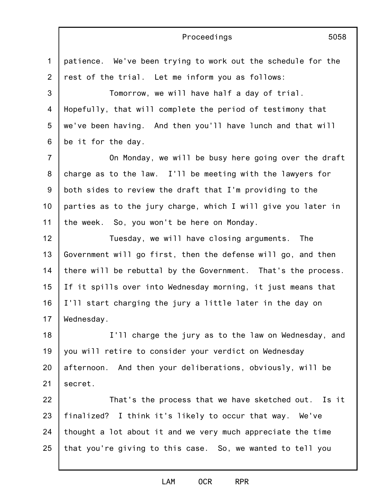## Proceedings

1 2 3 4 5 6 7 8 9 10 11 12 13 14 15 16 17 18 19 20 21 22 23 24 patience. We've been trying to work out the schedule for the rest of the trial. Let me inform you as follows: Tomorrow, we will have half a day of trial. Hopefully, that will complete the period of testimony that we've been having. And then you'll have lunch and that will be it for the day. On Monday, we will be busy here going over the draft charge as to the law. I'll be meeting with the lawyers for both sides to review the draft that I'm providing to the parties as to the jury charge, which I will give you later in the week. So, you won't be here on Monday. Tuesday, we will have closing arguments. The Government will go first, then the defense will go, and then there will be rebuttal by the Government. That's the process. If it spills over into Wednesday morning, it just means that I'll start charging the jury a little later in the day on Wednesday. I'll charge the jury as to the law on Wednesday, and you will retire to consider your verdict on Wednesday afternoon. And then your deliberations, obviously, will be secret. That's the process that we have sketched out. Is it finalized? I think it's likely to occur that way. We've thought a lot about it and we very much appreciate the time

25 that you're giving to this case. So, we wanted to tell you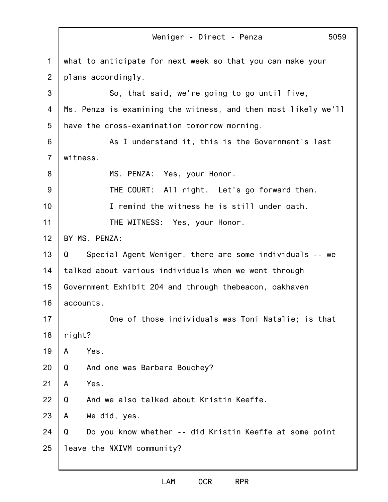|                | 5059<br>Weniger - Direct - Penza                               |  |
|----------------|----------------------------------------------------------------|--|
| 1              | what to anticipate for next week so that you can make your     |  |
| $\overline{2}$ | plans accordingly.                                             |  |
| 3              | So, that said, we're going to go until five,                   |  |
| 4              | Ms. Penza is examining the witness, and then most likely we'll |  |
| 5              | have the cross-examination tomorrow morning.                   |  |
| 6              | As I understand it, this is the Government's last              |  |
| $\overline{7}$ | witness.                                                       |  |
| 8              | MS. PENZA: Yes, your Honor.                                    |  |
| 9              | THE COURT: All right. Let's go forward then.                   |  |
| 10             | I remind the witness he is still under oath.                   |  |
| 11             | THE WITNESS: Yes, your Honor.                                  |  |
| 12             | BY MS. PENZA:                                                  |  |
| 13             | Special Agent Weniger, there are some individuals -- we<br>Q   |  |
| 14             | talked about various individuals when we went through          |  |
| 15             | Government Exhibit 204 and through thebeacon, oakhaven         |  |
| 16             | accounts.                                                      |  |
| 17             | One of those individuals was Toni Natalie; is that             |  |
| 18             | right?                                                         |  |
| 19             | Yes.<br>A                                                      |  |
| 20             | Q<br>And one was Barbara Bouchey?                              |  |
| 21             | Yes.<br>A                                                      |  |
| 22             | And we also talked about Kristin Keeffe.<br>Q                  |  |
| 23             | We did, yes.<br>A                                              |  |
| 24             | Do you know whether -- did Kristin Keeffe at some point<br>Q   |  |
| 25             | leave the NXIVM community?                                     |  |
|                |                                                                |  |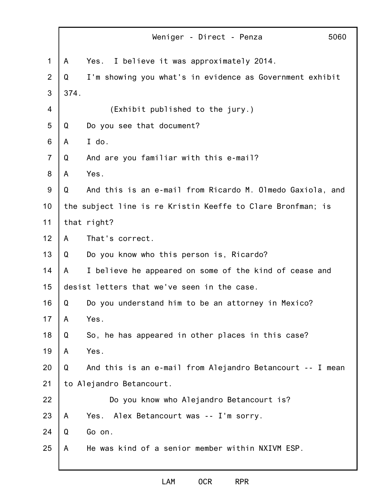|                | 5060<br>Weniger - Direct - Penza                               |
|----------------|----------------------------------------------------------------|
| $\mathbf 1$    | I believe it was approximately 2014.<br>A<br>Yes.              |
| $\overline{2}$ | I'm showing you what's in evidence as Government exhibit<br>Q  |
| 3              | 374.                                                           |
| 4              | (Exhibit published to the jury.)                               |
| 5              | Do you see that document?<br>Q                                 |
| 6              | I do.<br>A                                                     |
| $\overline{7}$ | And are you familiar with this e-mail?<br>Q                    |
| 8              | Yes.<br>A                                                      |
| 9              | And this is an e-mail from Ricardo M. Olmedo Gaxiola, and<br>Q |
| 10             | the subject line is re Kristin Keeffe to Clare Bronfman; is    |
| 11             | that right?                                                    |
| 12             | That's correct.<br>A                                           |
| 13             | Do you know who this person is, Ricardo?<br>Q                  |
| 14             | I believe he appeared on some of the kind of cease and<br>A    |
| 15             | desist letters that we've seen in the case.                    |
| 16             | Do you understand him to be an attorney in Mexico?<br>Q        |
| 17             | A<br>Yes.                                                      |
| 18             | So, he has appeared in other places in this case?<br>Q         |
| 19             | Yes.<br>A                                                      |
| 20             | And this is an e-mail from Alejandro Betancourt -- I mean<br>Q |
| 21             | to Alejandro Betancourt.                                       |
| 22             | Do you know who Alejandro Betancourt is?                       |
| 23             | Alex Betancourt was -- I'm sorry.<br>A<br>Yes.                 |
| 24             | Go on.<br>Q                                                    |
| 25             | He was kind of a senior member within NXIVM ESP.<br>A          |
|                |                                                                |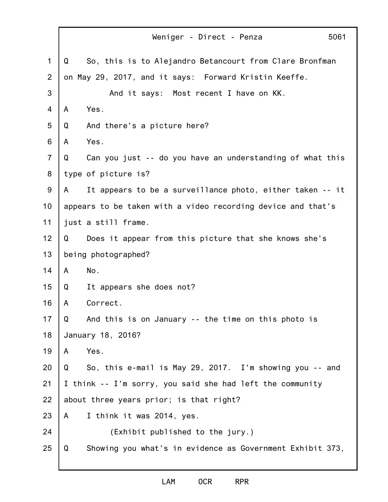|                |   | Weniger - Direct - Penza                                     | 5061 |
|----------------|---|--------------------------------------------------------------|------|
| $\mathbf 1$    | Q | So, this is to Alejandro Betancourt from Clare Bronfman      |      |
| 2              |   | on May 29, 2017, and it says: Forward Kristin Keeffe.        |      |
| 3              |   | And it says: Most recent I have on KK.                       |      |
| $\overline{4}$ | A | Yes.                                                         |      |
| 5              | Q | And there's a picture here?                                  |      |
| 6              | A | Yes.                                                         |      |
| $\overline{7}$ | Q | Can you just -- do you have an understanding of what this    |      |
| 8              |   | type of picture is?                                          |      |
| 9              | A | It appears to be a surveillance photo, either taken -- it    |      |
| 10             |   | appears to be taken with a video recording device and that's |      |
| 11             |   | just a still frame.                                          |      |
| 12             | Q | Does it appear from this picture that she knows she's        |      |
| 13             |   | being photographed?                                          |      |
| 14             | A | No.                                                          |      |
| 15             | Q | It appears she does not?                                     |      |
| 16             | A | Correct.                                                     |      |
| 17             | Q | And this is on January -- the time on this photo is          |      |
| 18             |   | January 18, 2016?                                            |      |
| 19             | A | Yes.                                                         |      |
| 20             | Q | So, this e-mail is May 29, 2017. I'm showing you -- and      |      |
| 21             |   | I think -- I'm sorry, you said she had left the community    |      |
| 22             |   | about three years prior; is that right?                      |      |
| 23             | A | I think it was 2014, yes.                                    |      |
| 24             |   | (Exhibit published to the jury.)                             |      |
| 25             | Q | Showing you what's in evidence as Government Exhibit 373,    |      |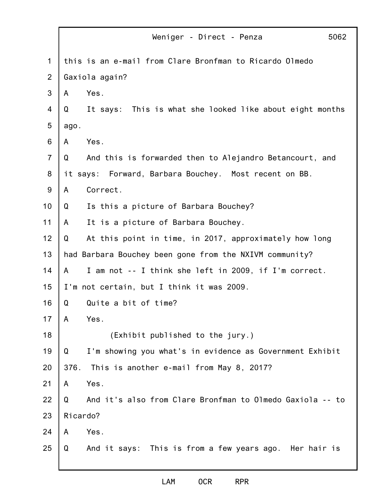|                | 5062<br>Weniger - Direct - Penza                               |
|----------------|----------------------------------------------------------------|
| 1              | this is an e-mail from Clare Bronfman to Ricardo Olmedo        |
| $\overline{2}$ | Gaxiola again?                                                 |
| 3              | Yes.<br>A                                                      |
| 4              | It says: This is what she looked like about eight months<br>Q  |
| 5              | ago.                                                           |
| 6              | Yes.<br>A                                                      |
| $\overline{7}$ | Q<br>And this is forwarded then to Alejandro Betancourt, and   |
| 8              | it says: Forward, Barbara Bouchey. Most recent on BB.          |
| 9              | Correct.<br>A                                                  |
| 10             | Is this a picture of Barbara Bouchey?<br>Q                     |
| 11             | It is a picture of Barbara Bouchey.<br>A                       |
| 12             | At this point in time, in 2017, approximately how long<br>Q    |
| 13             | had Barbara Bouchey been gone from the NXIVM community?        |
| 14             | I am not -- I think she left in 2009, if I'm correct.<br>A     |
| 15             | I'm not certain, but I think it was 2009.                      |
| 16             | Quite a bit of time?<br>Q                                      |
| 17             | A<br>Yes.                                                      |
| 18             | (Exhibit published to the jury.)                               |
| 19             | I'm showing you what's in evidence as Government Exhibit<br>Q  |
| 20             | 376.<br>This is another e-mail from May 8, 2017?               |
| 21             | Yes.<br>A                                                      |
| 22             | And it's also from Clare Bronfman to Olmedo Gaxiola -- to<br>Q |
| 23             | Ricardo?                                                       |
| 24             | Yes.<br>A                                                      |
| 25             | And it says: This is from a few years ago. Her hair is<br>Q    |
|                |                                                                |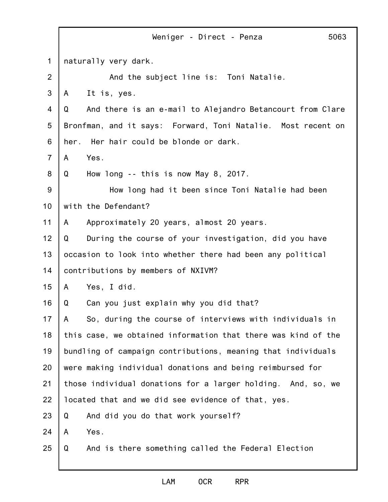|                | Weniger - Direct - Penza<br>5063                               |
|----------------|----------------------------------------------------------------|
| $\mathbf{1}$   | naturally very dark.                                           |
| $\overline{2}$ | And the subject line is: Toni Natalie.                         |
| 3              | It is, yes.<br>A                                               |
| 4              | And there is an e-mail to Alejandro Betancourt from Clare<br>Q |
| 5              | Bronfman, and it says: Forward, Toni Natalie. Most recent on   |
| 6              | Her hair could be blonde or dark.<br>her.                      |
| $\overline{7}$ | Yes.<br>A                                                      |
| 8              | How long -- this is now May 8, 2017.<br>Q                      |
| 9              | How long had it been since Toni Natalie had been               |
| 10             | with the Defendant?                                            |
| 11             | Approximately 20 years, almost 20 years.<br>A                  |
| 12             | Q<br>During the course of your investigation, did you have     |
| 13             | occasion to look into whether there had been any political     |
| 14             | contributions by members of NXIVM?                             |
| 15             | Yes, I did.<br>A                                               |
| 16             | Can you just explain why you did that?<br>Q                    |
| 17             | So, during the course of interviews with individuals in<br>A   |
| 18             | this case, we obtained information that there was kind of the  |
| 19             | bundling of campaign contributions, meaning that individuals   |
| 20             | were making individual donations and being reimbursed for      |
| 21             | those individual donations for a larger holding. And, so, we   |
| 22             | located that and we did see evidence of that, yes.             |
| 23             | And did you do that work yourself?<br>Q                        |
| 24             | Yes.<br>A                                                      |
| 25             | Q<br>And is there something called the Federal Election        |
|                |                                                                |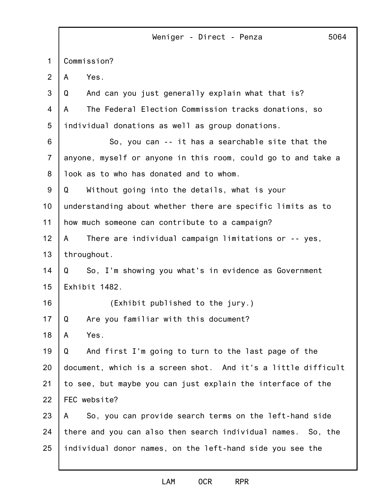1 2 3 4 5 6 7 8 9 10 11 12 13 14 15 16 17 18 19 20 21 22 23 24 25 Weniger - Direct - Penza 5064 Commission? A Yes. Q And can you just generally explain what that is? A The Federal Election Commission tracks donations, so individual donations as well as group donations. So, you can -- it has a searchable site that the anyone, myself or anyone in this room, could go to and take a look as to who has donated and to whom. Q Without going into the details, what is your understanding about whether there are specific limits as to how much someone can contribute to a campaign? A There are individual campaign limitations or -- yes, throughout. Q So, I'm showing you what's in evidence as Government Exhibit 1482. (Exhibit published to the jury.) Q Are you familiar with this document? A Yes. Q And first I'm going to turn to the last page of the document, which is a screen shot. And it's a little difficult to see, but maybe you can just explain the interface of the FEC website? A So, you can provide search terms on the left-hand side there and you can also then search individual names. So, the individual donor names, on the left-hand side you see the

## LAM OCR RPR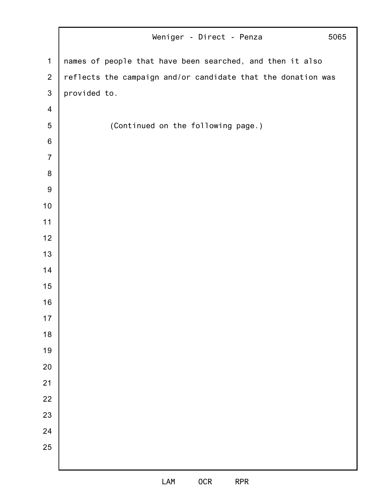|                         | 5065<br>Weniger - Direct - Penza                             |
|-------------------------|--------------------------------------------------------------|
| $\mathbf 1$             | names of people that have been searched, and then it also    |
| $\overline{2}$          | reflects the campaign and/or candidate that the donation was |
| $\mathfrak{S}$          | provided to.                                                 |
| $\overline{\mathbf{4}}$ |                                                              |
| $\overline{5}$          | (Continued on the following page.)                           |
| $\,6\,$                 |                                                              |
| $\overline{7}$          |                                                              |
| 8                       |                                                              |
| $\boldsymbol{9}$        |                                                              |
| 10                      |                                                              |
| 11                      |                                                              |
| 12                      |                                                              |
| 13                      |                                                              |
| 14                      |                                                              |
| 15                      |                                                              |
| 16                      |                                                              |
| 17                      |                                                              |
| 18                      |                                                              |
| 19                      |                                                              |
| 20                      |                                                              |
| 21                      |                                                              |
| 22                      |                                                              |
| 23                      |                                                              |
| 24                      |                                                              |
| 25                      |                                                              |
|                         |                                                              |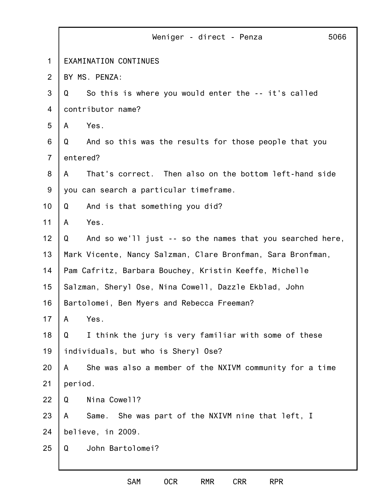|                | Weniger - direct - Penza<br>5066                               |
|----------------|----------------------------------------------------------------|
| $\mathbf 1$    | EXAMINATION CONTINUES                                          |
| 2              | BY MS. PENZA:                                                  |
| 3              | So this is where you would enter the -- it's called<br>Q       |
| 4              | contributor name?                                              |
| 5              | Yes.<br>A                                                      |
| 6              | And so this was the results for those people that you<br>Q     |
| $\overline{7}$ | entered?                                                       |
| 8              | That's correct. Then also on the bottom left-hand side<br>A    |
| 9              | you can search a particular timeframe.                         |
| 10             | And is that something you did?<br>Q                            |
| 11             | Yes.<br>A                                                      |
| 12             | And so we'll just -- so the names that you searched here,<br>Q |
| 13             | Mark Vicente, Nancy Salzman, Clare Bronfman, Sara Bronfman,    |
| 14             | Pam Cafritz, Barbara Bouchey, Kristin Keeffe, Michelle         |
| 15             | Salzman, Sheryl Ose, Nina Cowell, Dazzle Ekblad, John          |
| 16             | Bartolomei, Ben Myers and Rebecca Freeman?                     |
| 17             | Yes.<br>A                                                      |
| 18             | I think the jury is very familiar with some of these<br>Q      |
| 19             | individuals, but who is Sheryl Ose?                            |
| 20             | She was also a member of the NXIVM community for a time<br>A   |
| 21             | period.                                                        |
| 22             | Nina Cowell?<br>Q                                              |
| 23             | Same. She was part of the NXIVM nine that left, I<br>A         |
| 24             | believe, in 2009.                                              |
| 25             | John Bartolomei?<br>Q                                          |
|                |                                                                |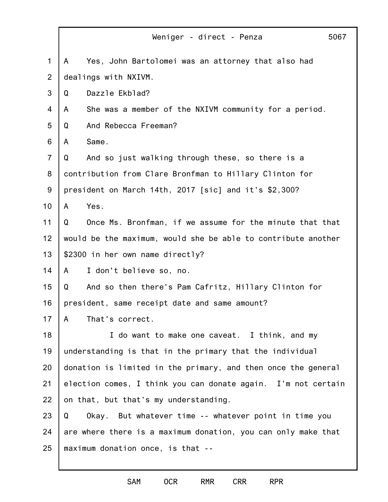|                | Weniger - direct - Penza<br>5067                              |
|----------------|---------------------------------------------------------------|
| $\mathbf 1$    | Yes, John Bartolomei was an attorney that also had<br>A       |
| $\overline{2}$ | dealings with NXIVM.                                          |
| 3              | Dazzle Ekblad?<br>Q                                           |
| 4              | She was a member of the NXIVM community for a period.<br>A    |
| 5              | And Rebecca Freeman?<br>Q                                     |
| 6              | Same.<br>A                                                    |
| $\overline{7}$ | And so just walking through these, so there is a<br>Q         |
| 8              | contribution from Clare Bronfman to Hillary Clinton for       |
| 9              | president on March 14th, 2017 [sic] and it's \$2,300?         |
| 10             | Yes.<br>A                                                     |
| 11             | Once Ms. Bronfman, if we assume for the minute that that<br>Q |
| 12             | would be the maximum, would she be able to contribute another |
| 13             | \$2300 in her own name directly?                              |
| 14             | I don't believe so, no.<br>$\mathsf{A}$                       |
| 15             | And so then there's Pam Cafritz, Hillary Clinton for<br>Q     |
| 16             | president, same receipt date and same amount?                 |
| 17             | That's correct.<br>$\mathsf{A}$                               |
| 18             | I do want to make one caveat. I think, and my                 |
| 19             | understanding is that in the primary that the individual      |
| 20             | donation is limited in the primary, and then once the general |
| 21             | election comes, I think you can donate again. I'm not certain |
| 22             | on that, but that's my understanding.                         |
| 23             | Q<br>Okay. But whatever time -- whatever point in time you    |
| 24             | are where there is a maximum donation, you can only make that |
| 25             | maximum donation once, is that --                             |
|                |                                                               |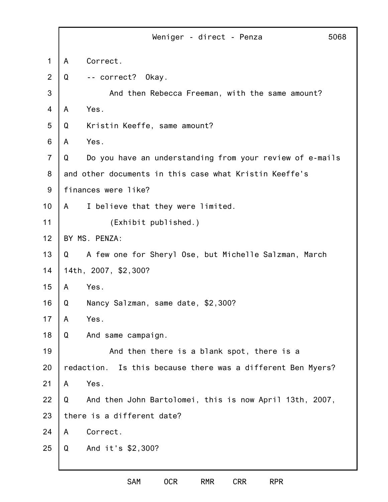|                |   | Weniger - direct - Penza<br>5068                               |
|----------------|---|----------------------------------------------------------------|
| $\mathbf 1$    | A | Correct.                                                       |
| 2              | Q | -- correct? Okay.                                              |
| 3              |   | And then Rebecca Freeman, with the same amount?                |
| $\overline{4}$ | A | Yes.                                                           |
| 5              | Q | Kristin Keeffe, same amount?                                   |
| 6              | A | Yes.                                                           |
| $\overline{7}$ | Q | Do you have an understanding from your review of e-mails       |
| 8              |   | and other documents in this case what Kristin Keeffe's         |
| 9              |   | finances were like?                                            |
| 10             | A | I believe that they were limited.                              |
| 11             |   | (Exhibit published.)                                           |
| 12             |   | BY MS. PENZA:                                                  |
| 13             | Q | A few one for Sheryl Ose, but Michelle Salzman, March          |
| 14             |   | 14th, 2007, \$2,300?                                           |
| 15             | A | Yes.                                                           |
| 16             | Q | Nancy Salzman, same date, \$2,300?                             |
| 17             | A | Yes.                                                           |
| 18             | Q | And same campaign.                                             |
| 19             |   | And then there is a blank spot, there is a                     |
| 20             |   | Is this because there was a different Ben Myers?<br>redaction. |
| 21             | A | Yes.                                                           |
| 22             | Q | And then John Bartolomei, this is now April 13th, 2007,        |
| 23             |   | there is a different date?                                     |
| 24             | A | Correct.                                                       |
| 25             | Q | And it's \$2,300?                                              |
|                |   |                                                                |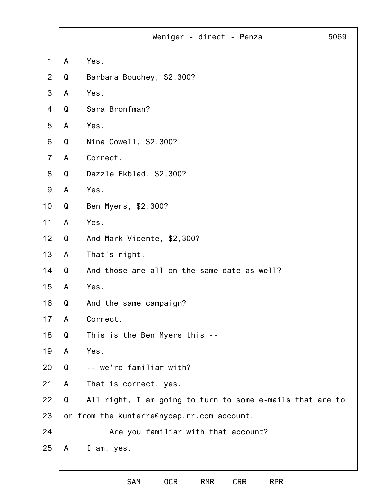|                |   | 5069<br>Weniger - direct - Penza                          |
|----------------|---|-----------------------------------------------------------|
| $\mathbf 1$    | A | Yes.                                                      |
| $\overline{2}$ | Q | Barbara Bouchey, \$2,300?                                 |
| 3              | A | Yes.                                                      |
| 4              | Q | Sara Bronfman?                                            |
| 5              | A | Yes.                                                      |
| 6              | Q | Nina Cowell, \$2,300?                                     |
| $\overline{7}$ | A | Correct.                                                  |
| 8              | Q | Dazzle Ekblad, \$2,300?                                   |
| $9\,$          | A | Yes.                                                      |
| 10             | Q | Ben Myers, \$2,300?                                       |
| 11             | A | Yes.                                                      |
| 12             | Q | And Mark Vicente, \$2,300?                                |
| 13             | A | That's right.                                             |
| 14             | Q | And those are all on the same date as well?               |
| 15             | A | Yes.                                                      |
| 16             | Q | And the same campaign?                                    |
| 17             | A | Correct.                                                  |
| 18             | Q | This is the Ben Myers this --                             |
| 19             | A | Yes.                                                      |
| 20             | Q | -- we're familiar with?                                   |
| 21             | A | That is correct, yes.                                     |
| 22             | Q | All right, I am going to turn to some e-mails that are to |
| 23             |   | or from the kunterre@nycap.rr.com account.                |
| 24             |   | Are you familiar with that account?                       |
| 25             | A | I am, yes.                                                |
|                |   |                                                           |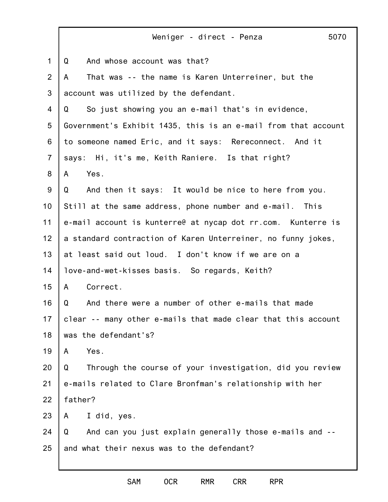1 2 3 4 5 6 7 8 9 10 11 12 13 14 15 16 17 18 19 20 21 22 23 24 25 Weniger - direct - Penza 5070 Q And whose account was that? A That was -- the name is Karen Unterreiner, but the account was utilized by the defendant. Q So just showing you an e-mail that's in evidence, Government's Exhibit 1435, this is an e-mail from that account to someone named Eric, and it says: Rereconnect. And it says: Hi, it's me, Keith Raniere. Is that right? A Yes. Q And then it says: It would be nice to here from you. Still at the same address, phone number and e-mail. This e-mail account is kunterre@ at nycap dot rr.com. Kunterre is a standard contraction of Karen Unterreiner, no funny jokes, at least said out loud. I don't know if we are on a love-and-wet-kisses basis. So regards, Keith? A Correct. Q And there were a number of other e-mails that made clear -- many other e-mails that made clear that this account was the defendant's? A Yes. Q Through the course of your investigation, did you review e-mails related to Clare Bronfman's relationship with her father? A I did, yes. Q And can you just explain generally those e-mails and - and what their nexus was to the defendant?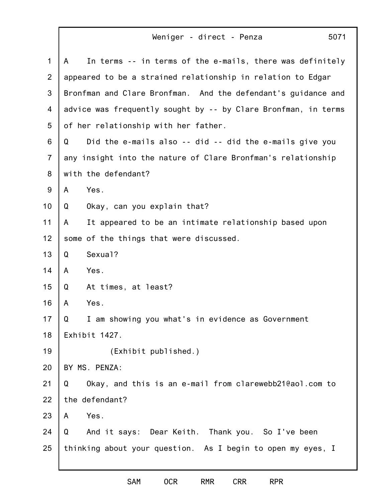Weniger - direct - Penza

| $\mathbf{1}$   | In terms -- in terms of the e-mails, there was definitely<br>A |
|----------------|----------------------------------------------------------------|
| $\overline{2}$ | appeared to be a strained relationship in relation to Edgar    |
| 3              | Bronfman and Clare Bronfman. And the defendant's guidance and  |
| 4              | advice was frequently sought by -- by Clare Bronfman, in terms |
| 5              | of her relationship with her father.                           |
| 6              | Did the e-mails also -- did -- did the e-mails give you<br>Q   |
| $\overline{7}$ | any insight into the nature of Clare Bronfman's relationship   |
| 8              | with the defendant?                                            |
| 9              | Yes.<br>A                                                      |
| 10             | Okay, can you explain that?<br>Q                               |
| 11             | It appeared to be an intimate relationship based upon<br>A     |
| 12             | some of the things that were discussed.                        |
| 13             | Sexual?<br>Q                                                   |
| 14             | Yes.<br>A                                                      |
| 15             | At times, at least?<br>Q                                       |
| 16             | Yes.<br>A                                                      |
| 17             | Q<br>I am showing you what's in evidence as Government         |
| 18             | Exhibit 1427.                                                  |
| 19             | (Exhibit published.)                                           |
| 20             | BY MS. PENZA:                                                  |
| 21             | Okay, and this is an e-mail from clarewebb21@aol.com to<br>Q   |
| 22             | the defendant?                                                 |
| 23             | Yes.<br>A                                                      |
| 24             | And it says: Dear Keith. Thank you. So I've been<br>Q          |
| 25             | thinking about your question. As I begin to open my eyes, I    |
|                |                                                                |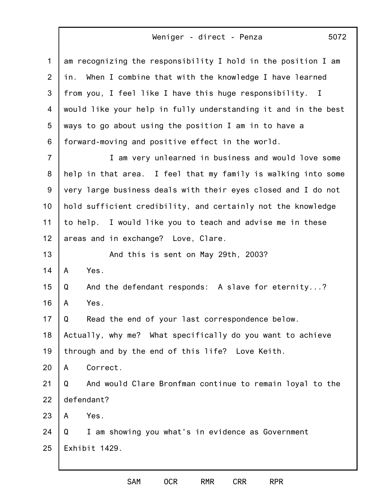## Weniger - direct - Penza

1 2 3 4 5 6 7 8 9 10 11 12 13 14 15 16 17 18 19 20 21 22 23 24 25 am recognizing the responsibility I hold in the position I am in. When I combine that with the knowledge I have learned from you, I feel like I have this huge responsibility. I would like your help in fully understanding it and in the best ways to go about using the position I am in to have a forward-moving and positive effect in the world. I am very unlearned in business and would love some help in that area. I feel that my family is walking into some very large business deals with their eyes closed and I do not hold sufficient credibility, and certainly not the knowledge to help. I would like you to teach and advise me in these areas and in exchange? Love, Clare. And this is sent on May 29th, 2003? A Yes. Q And the defendant responds: A slave for eternity...? A Yes. Q Read the end of your last correspondence below. Actually, why me? What specifically do you want to achieve through and by the end of this life? Love Keith. A Correct. Q And would Clare Bronfman continue to remain loyal to the defendant? A Yes. Q I am showing you what's in evidence as Government Exhibit 1429.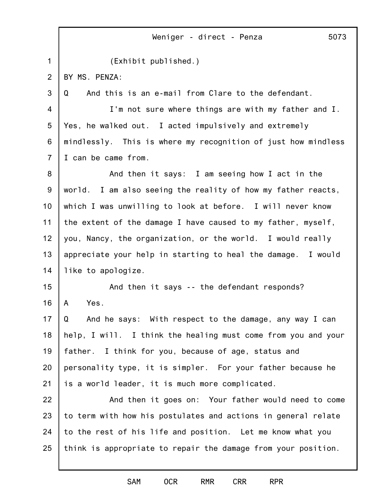1 2 3 4 5 6 7 8 9 10 11 12 13 14 15 16 17 18 19 20 21 22 23 24 25 Weniger - direct - Penza 5073 (Exhibit published.) BY MS. PENZA: Q And this is an e-mail from Clare to the defendant. I'm not sure where things are with my father and I. Yes, he walked out. I acted impulsively and extremely mindlessly. This is where my recognition of just how mindless I can be came from. And then it says: I am seeing how I act in the world. I am also seeing the reality of how my father reacts, which I was unwilling to look at before. I will never know the extent of the damage I have caused to my father, myself, you, Nancy, the organization, or the world. I would really appreciate your help in starting to heal the damage. I would like to apologize. And then it says -- the defendant responds? A Yes. Q And he says: With respect to the damage, any way I can help, I will. I think the healing must come from you and your father. I think for you, because of age, status and personality type, it is simpler. For your father because he is a world leader, it is much more complicated. And then it goes on: Your father would need to come to term with how his postulates and actions in general relate to the rest of his life and position. Let me know what you think is appropriate to repair the damage from your position.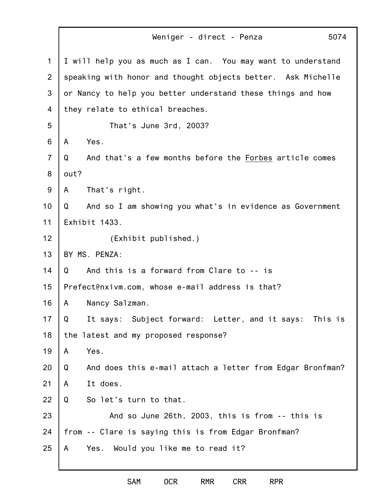1 2 3 4 5 6 7 8 9 10 11 12 13 14 15 16 17 18 19 20 21 22 23 24 25 Weniger - direct - Penza 5074 I will help you as much as I can. You may want to understand speaking with honor and thought objects better. Ask Michelle or Nancy to help you better understand these things and how they relate to ethical breaches. That's June 3rd, 2003? A Yes. Q And that's a few months before the Forbes article comes out? A That's right. Q And so I am showing you what's in evidence as Government Exhibit 1433. (Exhibit published.) BY MS. PENZA: Q And this is a forward from Clare to -- is Prefect@nxivm.com, whose e-mail address is that? A Nancy Salzman. Q It says: Subject forward: Letter, and it says: This is the latest and my proposed response? A Yes. Q And does this e-mail attach a letter from Edgar Bronfman? A It does. Q So let's turn to that. And so June 26th, 2003, this is from -- this is from -- Clare is saying this is from Edgar Bronfman? A Yes. Would you like me to read it?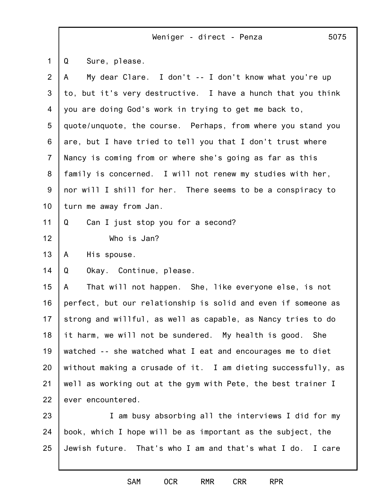|                | Weniger - direct - Penza<br>5075                               |
|----------------|----------------------------------------------------------------|
| $\mathbf{1}$   | Sure, please.<br>Q                                             |
| $\overline{2}$ | My dear Clare. I don't -- I don't know what you're up<br>A     |
| 3              | to, but it's very destructive. I have a hunch that you think   |
| 4              | you are doing God's work in trying to get me back to,          |
| 5              | quote/unquote, the course. Perhaps, from where you stand you   |
| 6              | are, but I have tried to tell you that I don't trust where     |
| $\overline{7}$ | Nancy is coming from or where she's going as far as this       |
| 8              | family is concerned. I will not renew my studies with her,     |
| 9              | nor will I shill for her. There seems to be a conspiracy to    |
| 10             | turn me away from Jan.                                         |
| 11             | Can I just stop you for a second?<br>Q                         |
| 12             | Who is Jan?                                                    |
| 13             | His spouse.<br>A                                               |
| 14             | Okay. Continue, please.<br>Q                                   |
| 15             | That will not happen. She, like everyone else, is not<br>A     |
| 16             | perfect, but our relationship is solid and even if someone as  |
| 17             | strong and willful, as well as capable, as Nancy tries to do   |
| 18             | it harm, we will not be sundered. My health is good. She       |
| 19             | watched -- she watched what I eat and encourages me to diet    |
| 20             | without making a crusade of it. I am dieting successfully, as  |
| 21             | well as working out at the gym with Pete, the best trainer I   |
| 22             | ever encountered.                                              |
| 23             | I am busy absorbing all the interviews I did for my            |
| 24             | book, which I hope will be as important as the subject, the    |
| 25             | Jewish future. That's who I am and that's what I do.<br>I care |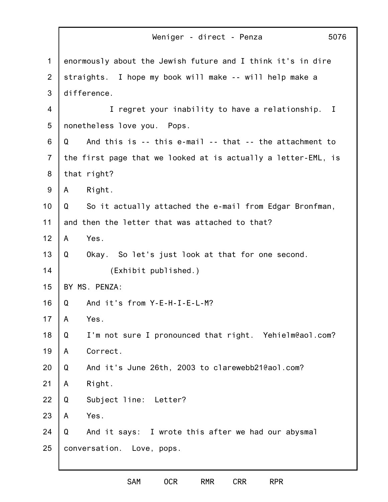|                | Weniger - direct - Penza<br>5076                              |
|----------------|---------------------------------------------------------------|
| $\mathbf 1$    | enormously about the Jewish future and I think it's in dire   |
| $\overline{2}$ | straights. I hope my book will make -- will help make a       |
| 3              | difference.                                                   |
| 4              | I regret your inability to have a relationship. I             |
| 5              | nonetheless love you. Pops.                                   |
| 6              | And this is -- this e-mail -- that -- the attachment to<br>Q  |
| $\overline{7}$ | the first page that we looked at is actually a letter-EML, is |
| 8              | that right?                                                   |
| 9              | Right.<br>A                                                   |
| 10             | Q<br>So it actually attached the e-mail from Edgar Bronfman,  |
| 11             | and then the letter that was attached to that?                |
| 12             | Yes.<br>A                                                     |
| 13             | Okay. So let's just look at that for one second.<br>Q         |
| 14             | (Exhibit published.)                                          |
| 15             | BY MS. PENZA:                                                 |
| 16             | And it's from Y-E-H-I-E-L-M?<br>Q                             |
| 17             | Yes.<br>A                                                     |
| 18             | I'm not sure I pronounced that right. Yehielm@aol.com?<br>Q   |
| 19             | Correct.<br>A                                                 |
| 20             | And it's June 26th, 2003 to clarewebb21@aol.com?<br>Q         |
| 21             | Right.<br>A                                                   |
| 22             | Subject line: Letter?<br>Q                                    |
| 23             | Yes.<br>A                                                     |
| 24             | And it says: I wrote this after we had our abysmal<br>Q       |
| 25             | conversation. Love, pops.                                     |
|                |                                                               |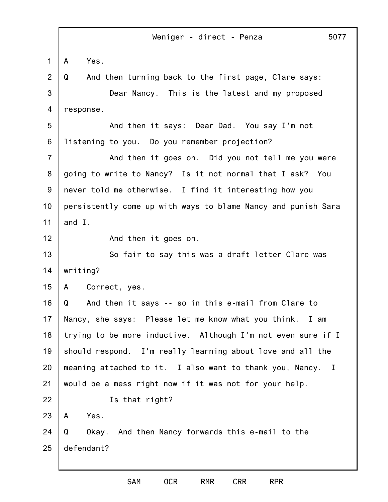1 2 3 4 5 6 7 8 9 10 11 12 13 14 15 16 17 18 19 20 21 22 23 24 25 Weniger - direct - Penza 5077 A Yes. Q And then turning back to the first page, Clare says: Dear Nancy. This is the latest and my proposed response. And then it says: Dear Dad. You say I'm not listening to you. Do you remember projection? And then it goes on. Did you not tell me you were going to write to Nancy? Is it not normal that I ask? You never told me otherwise. I find it interesting how you persistently come up with ways to blame Nancy and punish Sara and I. And then it goes on. So fair to say this was a draft letter Clare was writing? A Correct, yes. Q And then it says -- so in this e-mail from Clare to Nancy, she says: Please let me know what you think. I am trying to be more inductive. Although I'm not even sure if I should respond. I'm really learning about love and all the meaning attached to it. I also want to thank you, Nancy. I would be a mess right now if it was not for your help. Is that right? A Yes. Q Okay. And then Nancy forwards this e-mail to the defendant?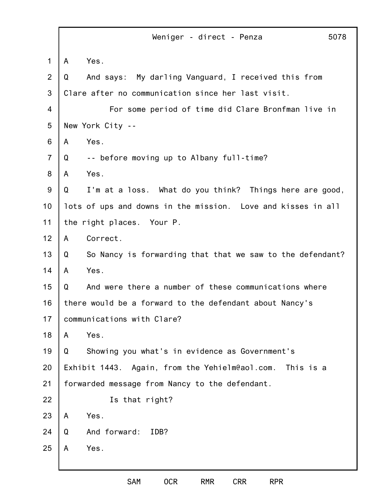|                |   | Weniger - direct - Penza                                     | 5078 |
|----------------|---|--------------------------------------------------------------|------|
| 1              | A | Yes.                                                         |      |
| $\overline{2}$ | Q | And says:<br>My darling Vanguard, I received this from       |      |
| 3              |   | Clare after no communication since her last visit.           |      |
| 4              |   | For some period of time did Clare Bronfman live in           |      |
| 5              |   | New York City --                                             |      |
| 6              | A | Yes.                                                         |      |
| $\overline{7}$ | Q | -- before moving up to Albany full-time?                     |      |
| 8              | A | Yes.                                                         |      |
| $9\,$          | Q | I'm at a loss. What do you think? Things here are good,      |      |
| 10             |   | lots of ups and downs in the mission. Love and kisses in all |      |
| 11             |   | the right places. Your P.                                    |      |
| 12             | A | Correct.                                                     |      |
| 13             | Q | So Nancy is forwarding that that we saw to the defendant?    |      |
| 14             | A | Yes.                                                         |      |
| 15             | Q | And were there a number of these communications where        |      |
| 16             |   | there would be a forward to the defendant about Nancy's      |      |
| 17             |   | communications with Clare?                                   |      |
| 18             | A | Yes.                                                         |      |
| 19             | Q | Showing you what's in evidence as Government's               |      |
| 20             |   | Exhibit 1443. Again, from the Yehielm@aol.com.<br>This is a  |      |
| 21             |   | forwarded message from Nancy to the defendant.               |      |
| 22             |   | Is that right?                                               |      |
| 23             | A | Yes.                                                         |      |
| 24             | Q | And forward:<br>IDB?                                         |      |
| 25             | A | Yes.                                                         |      |
|                |   |                                                              |      |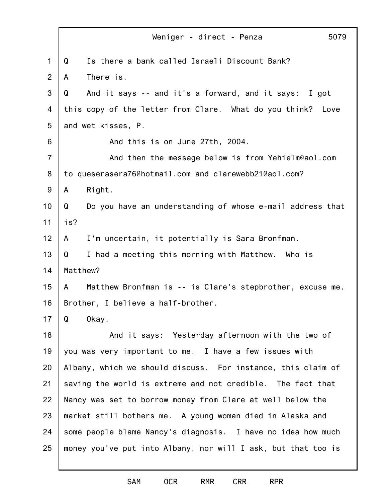|                | 5079<br>Weniger - direct - Penza                                 |
|----------------|------------------------------------------------------------------|
| 1              | Is there a bank called Israeli Discount Bank?<br>Q               |
| 2              | There is.<br>A                                                   |
| 3              | And it says -- and it's a forward, and it says: I got<br>Q       |
| 4              | this copy of the letter from Clare. What do you think? Love      |
| 5              | and wet kisses, P.                                               |
| 6              | And this is on June 27th, 2004.                                  |
| $\overline{7}$ | And then the message below is from Yehielm@aol.com               |
| 8              | to queserasera76@hotmail.com and clarewebb21@aol.com?            |
| 9              | Right.<br>A                                                      |
| 10             | Q<br>Do you have an understanding of whose e-mail address that   |
| 11             | is?                                                              |
| 12             | I'm uncertain, it potentially is Sara Bronfman.<br>A             |
| 13             | Q<br>I had a meeting this morning with Matthew. Who is           |
| 14             | Matthew?                                                         |
| 15             | Matthew Bronfman is -- is Clare's stepbrother, excuse me.<br>A a |
| 16             | Brother, I believe a half-brother.                               |
| 17             | Q<br>Okay.                                                       |
| 18             | And it says: Yesterday afternoon with the two of                 |
| 19             | you was very important to me. I have a few issues with           |
| 20             | Albany, which we should discuss. For instance, this claim of     |
| 21             | saving the world is extreme and not credible. The fact that      |
| 22             | Nancy was set to borrow money from Clare at well below the       |
| 23             | market still bothers me. A young woman died in Alaska and        |
| 24             | some people blame Nancy's diagnosis. I have no idea how much     |
| 25             | money you've put into Albany, nor will I ask, but that too is    |
|                |                                                                  |

SAM OCR RMR CRR RPR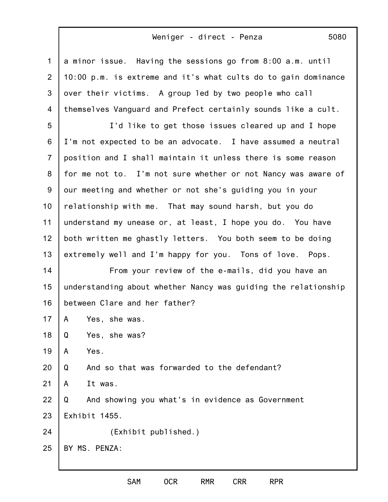## Weniger - direct - Penza

| $\mathbf 1$    | a minor issue. Having the sessions go from 8:00 a.m. until     |
|----------------|----------------------------------------------------------------|
| 2              | 10:00 p.m. is extreme and it's what cults do to gain dominance |
| 3              | over their victims. A group led by two people who call         |
| 4              | themselves Vanguard and Prefect certainly sounds like a cult.  |
| 5              | I'd like to get those issues cleared up and I hope             |
| 6              | I'm not expected to be an advocate. I have assumed a neutral   |
| $\overline{7}$ | position and I shall maintain it unless there is some reason   |
| 8              | for me not to. I'm not sure whether or not Nancy was aware of  |
| 9              | our meeting and whether or not she's guiding you in your       |
| 10             | relationship with me. That may sound harsh, but you do         |
| 11             | understand my unease or, at least, I hope you do. You have     |
| 12             | both written me ghastly letters. You both seem to be doing     |
| 13             | extremely well and I'm happy for you. Tons of love. Pops.      |
| 14             | From your review of the e-mails, did you have an               |
| 15             | understanding about whether Nancy was guiding the relationship |
| 16             | between Clare and her father?                                  |
| 17             | A<br>Yes, she was.                                             |
| 18             | Yes, she was?<br>Q                                             |
| 19             | Yes.<br>A                                                      |
| 20             | And so that was forwarded to the defendant?<br>Q               |
| 21             | It was.<br>A                                                   |
| 22             | And showing you what's in evidence as Government<br>Q          |
| 23             | Exhibit 1455.                                                  |
| 24             | (Exhibit published.)                                           |
| 25             | BY MS. PENZA:                                                  |
|                |                                                                |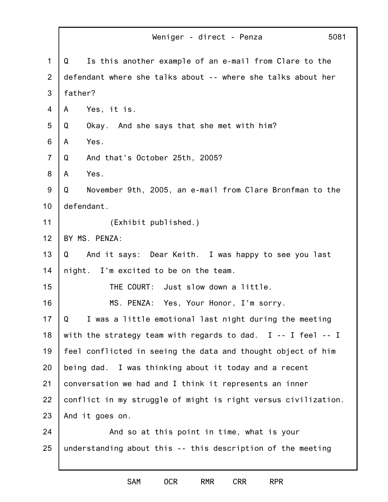|                | 5081<br>Weniger - direct - Penza                               |
|----------------|----------------------------------------------------------------|
| $\mathbf 1$    | Is this another example of an e-mail from Clare to the<br>Q    |
| 2              | defendant where she talks about -- where she talks about her   |
| 3              | father?                                                        |
| 4              | Yes, it is.<br>A                                               |
| 5              | Okay. And she says that she met with him?<br>Q                 |
| 6              | Yes.<br>A                                                      |
| $\overline{7}$ | Q<br>And that's October 25th, 2005?                            |
| 8              | Yes.<br>A                                                      |
| $9\,$          | November 9th, 2005, an e-mail from Clare Bronfman to the<br>Q  |
| 10             | defendant.                                                     |
| 11             | (Exhibit published.)                                           |
| 12             | BY MS. PENZA:                                                  |
| 13             | And it says: Dear Keith. I was happy to see you last<br>Q      |
| 14             | night. I'm excited to be on the team.                          |
| 15             | THE COURT: Just slow down a little.                            |
| 16             | MS. PENZA: Yes, Your Honor, I'm sorry.                         |
| 17             | Q<br>I was a little emotional last night during the meeting    |
| 18             | with the strategy team with regards to dad. I -- I feel -- I   |
| 19             | feel conflicted in seeing the data and thought object of him   |
| 20             | being dad. I was thinking about it today and a recent          |
| 21             | conversation we had and I think it represents an inner         |
| 22             | conflict in my struggle of might is right versus civilization. |
| 23             | And it goes on.                                                |
| 24             | And so at this point in time, what is your                     |
| 25             | understanding about this -- this description of the meeting    |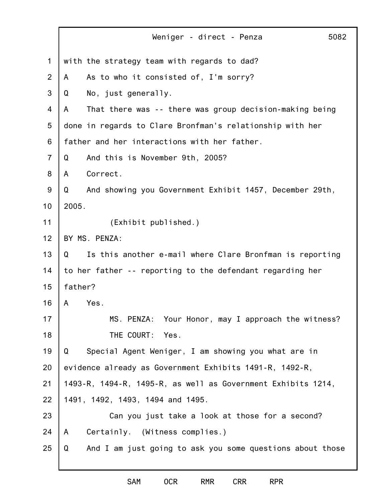|                | 5082<br>Weniger - direct - Penza                               |
|----------------|----------------------------------------------------------------|
| 1              | with the strategy team with regards to dad?                    |
| 2              | As to who it consisted of, I'm sorry?<br>A                     |
| 3              | No, just generally.<br>Q                                       |
| $\overline{4}$ | That there was -- there was group decision-making being<br>A   |
| 5              | done in regards to Clare Bronfman's relationship with her      |
| 6              | father and her interactions with her father.                   |
| $\overline{7}$ | And this is November 9th, 2005?<br>Q                           |
| 8              | Correct.<br>A                                                  |
| 9              | And showing you Government Exhibit 1457, December 29th,<br>Q   |
| 10             | 2005.                                                          |
| 11             | (Exhibit published.)                                           |
| 12             | BY MS. PENZA:                                                  |
| 13             | Is this another e-mail where Clare Bronfman is reporting<br>Q  |
| 14             | to her father -- reporting to the defendant regarding her      |
| 15             | father?                                                        |
| 16             | Yes.<br>A                                                      |
| 17             | Your Honor, may I approach the witness?<br>MS. PENZA:          |
| 18             | THE COURT:<br>Yes.                                             |
| 19             | Special Agent Weniger, I am showing you what are in<br>Q       |
| 20             | evidence already as Government Exhibits 1491-R, 1492-R,        |
| 21             | 1493-R, 1494-R, 1495-R, as well as Government Exhibits 1214,   |
| 22             | 1491, 1492, 1493, 1494 and 1495.                               |
| 23             | Can you just take a look at those for a second?                |
| 24             | Certainly. (Witness complies.)<br>A                            |
| 25             | And I am just going to ask you some questions about those<br>Q |
|                |                                                                |

SAM OCR RMR CRR RPR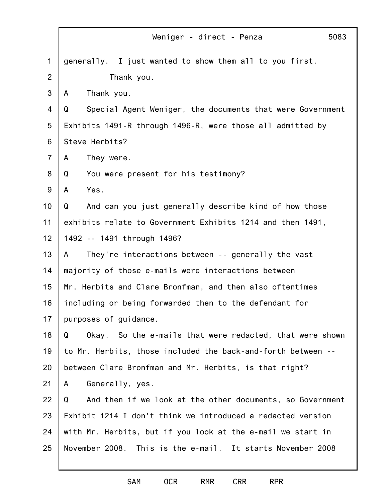|                | Weniger - direct - Penza<br>5083                               |
|----------------|----------------------------------------------------------------|
| $\mathbf 1$    | generally. I just wanted to show them all to you first.        |
| 2              | Thank you.                                                     |
| 3              | Thank you.<br>A                                                |
| 4              | Special Agent Weniger, the documents that were Government<br>Q |
| 5              | Exhibits 1491-R through 1496-R, were those all admitted by     |
| 6              | Steve Herbits?                                                 |
| $\overline{7}$ | They were.<br>A                                                |
| 8              | You were present for his testimony?<br>Q                       |
| $9\,$          | Yes.<br>A                                                      |
| 10             | And can you just generally describe kind of how those<br>Q     |
| 11             | exhibits relate to Government Exhibits 1214 and then 1491,     |
| 12             | 1492 -- 1491 through 1496?                                     |
| 13             | They're interactions between -- generally the vast<br>A        |
| 14             | majority of those e-mails were interactions between            |
| 15             | Mr. Herbits and Clare Bronfman, and then also oftentimes       |
| 16             | including or being forwarded then to the defendant for         |
| 17             | purposes of guidance.                                          |
| 18             | Q<br>Okay. So the e-mails that were redacted, that were shown  |
| 19             | to Mr. Herbits, those included the back-and-forth between --   |
| 20             | between Clare Bronfman and Mr. Herbits, is that right?         |
| 21             | Generally, yes.<br>A                                           |
| 22             | And then if we look at the other documents, so Government<br>Q |
| 23             | Exhibit 1214 I don't think we introduced a redacted version    |
| 24             | with Mr. Herbits, but if you look at the e-mail we start in    |
| 25             | November 2008. This is the e-mail. It starts November 2008     |
|                |                                                                |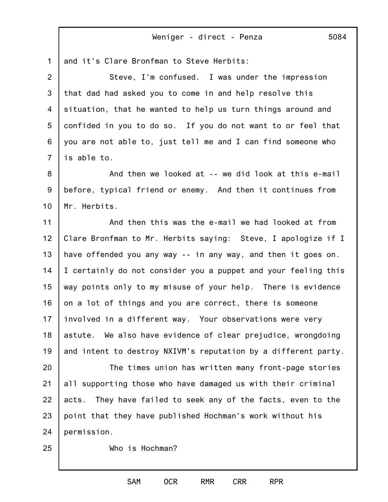1 and it's Clare Bronfman to Steve Herbits:

2 3 4 5 6 7 Steve, I'm confused. I was under the impression that dad had asked you to come in and help resolve this situation, that he wanted to help us turn things around and confided in you to do so. If you do not want to or feel that you are not able to, just tell me and I can find someone who is able to.

8 9 10 And then we looked at -- we did look at this e-mail before, typical friend or enemy. And then it continues from Mr. Herbits.

11 12 13 14 15 16 17 18 19 And then this was the e-mail we had looked at from Clare Bronfman to Mr. Herbits saying: Steve, I apologize if I have offended you any way -- in any way, and then it goes on. I certainly do not consider you a puppet and your feeling this way points only to my misuse of your help. There is evidence on a lot of things and you are correct, there is someone involved in a different way. Your observations were very astute. We also have evidence of clear prejudice, wrongdoing and intent to destroy NXIVM's reputation by a different party.

20 21 22 23 24 The times union has written many front-page stories all supporting those who have damaged us with their criminal acts. They have failed to seek any of the facts, even to the point that they have published Hochman's work without his permission.

25

Who is Hochman?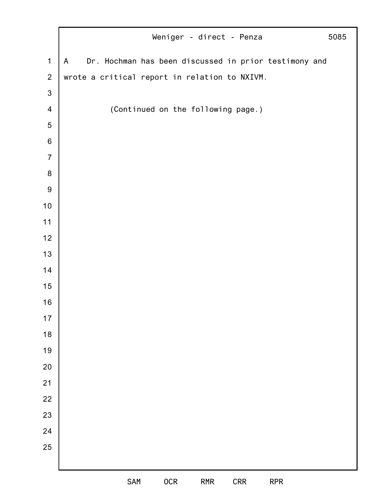|                  | Weniger - direct - Penza<br>5085                                      |
|------------------|-----------------------------------------------------------------------|
| $\mathbf 1$      | Dr. Hochman has been discussed in prior testimony and<br>$\mathsf{A}$ |
| $\overline{2}$   | wrote a critical report in relation to NXIVM.                         |
| $\mathbf{3}$     |                                                                       |
| $\overline{4}$   | (Continued on the following page.)                                    |
| $\sqrt{5}$       |                                                                       |
| $\,6$            |                                                                       |
| $\overline{7}$   |                                                                       |
| $\bf 8$          |                                                                       |
| $\boldsymbol{9}$ |                                                                       |
| $10$             |                                                                       |
| 11               |                                                                       |
| 12               |                                                                       |
| 13               |                                                                       |
| 14               |                                                                       |
| 15               |                                                                       |
| 16               |                                                                       |
| $17$             |                                                                       |
| $18$             |                                                                       |
| 19               |                                                                       |
| 20               |                                                                       |
| 21               |                                                                       |
| 22               |                                                                       |
| 23               |                                                                       |
| 24               |                                                                       |
| 25               |                                                                       |
|                  |                                                                       |
|                  | SAM<br><b>OCR</b><br>CRR<br><b>RPR</b><br><b>RMR</b>                  |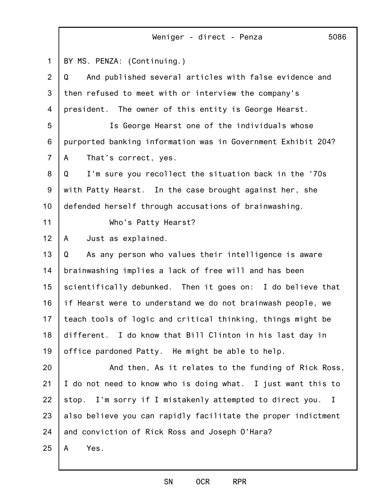|                | 5086<br>Weniger - direct - Penza                                            |
|----------------|-----------------------------------------------------------------------------|
| 1              | BY MS. PENZA: (Continuing.)                                                 |
| $\overline{2}$ | And published several articles with false evidence and<br>Q                 |
| 3              | then refused to meet with or interview the company's                        |
| 4              | president. The owner of this entity is George Hearst.                       |
| 5              | Is George Hearst one of the individuals whose                               |
| 6              | purported banking information was in Government Exhibit 204?                |
| $\overline{7}$ | That's correct, yes.<br>A                                                   |
| 8              | I'm sure you recollect the situation back in the '70s<br>Q                  |
| 9              | with Patty Hearst. In the case brought against her, she                     |
| 10             | defended herself through accusations of brainwashing.                       |
| 11             | Who's Patty Hearst?                                                         |
| 12             | Just as explained.<br>A                                                     |
| 13             | As any person who values their intelligence is aware<br>Q                   |
| 14             | brainwashing implies a lack of free will and has been                       |
| 15             | scientifically debunked. Then it goes on: I do believe that                 |
| 16             | if Hearst were to understand we do not brainwash people, we                 |
| 17             | teach tools of logic and critical thinking, things might be                 |
| 18             | different. I do know that Bill Clinton in his last day in                   |
| 19             | office pardoned Patty. He might be able to help.                            |
| 20             | And then, As it relates to the funding of Rick Ross,                        |
| 21             | I do not need to know who is doing what. I just want this to                |
| 22             | I'm sorry if I mistakenly attempted to direct you.<br>stop.<br>$\mathbf{I}$ |
| 23             | also believe you can rapidly facilitate the proper indictment               |
| 24             | and conviction of Rick Ross and Joseph O'Hara?                              |
| 25             | Yes.<br>A                                                                   |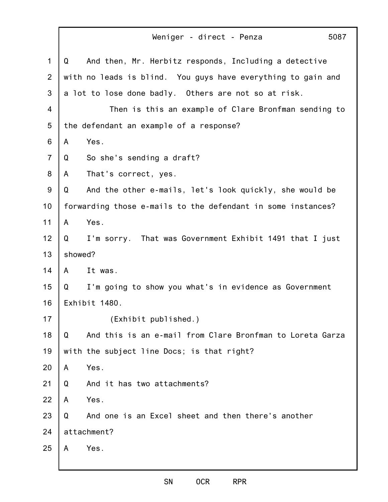|                |              | 5087<br>Weniger - direct - Penza                             |  |
|----------------|--------------|--------------------------------------------------------------|--|
| $\mathbf 1$    | Q            | And then, Mr. Herbitz responds, Including a detective        |  |
| $\overline{2}$ |              | with no leads is blind. You guys have everything to gain and |  |
| 3              |              | a lot to lose done badly. Others are not so at risk.         |  |
| 4              |              | Then is this an example of Clare Bronfman sending to         |  |
| 5              |              | the defendant an example of a response?                      |  |
| 6              | A            | Yes.                                                         |  |
| $\overline{7}$ | Q            | So she's sending a draft?                                    |  |
| 8              | A            | That's correct, yes.                                         |  |
| 9              | Q            | And the other e-mails, let's look quickly, she would be      |  |
| 10             |              | forwarding those e-mails to the defendant in some instances? |  |
| 11             | A            | Yes.                                                         |  |
| 12             | Q            | I'm sorry. That was Government Exhibit 1491 that I just      |  |
| 13             | showed?      |                                                              |  |
| 14             | $\mathsf{A}$ | It was.                                                      |  |
| 15             |              | Q I'm going to show you what's in evidence as Government     |  |
| 16             |              | Exhibit 1480.                                                |  |
| 17             |              | (Exhibit published.)                                         |  |
| 18             | Q            | And this is an e-mail from Clare Bronfman to Loreta Garza    |  |
| 19             |              | with the subject line Docs; is that right?                   |  |
| 20             | A            | Yes.                                                         |  |
| 21             | Q            | And it has two attachments?                                  |  |
| 22             | A            | Yes.                                                         |  |
| 23             | Q            | And one is an Excel sheet and then there's another           |  |
| 24             |              | attachment?                                                  |  |
| 25             | A            | Yes.                                                         |  |
|                |              |                                                              |  |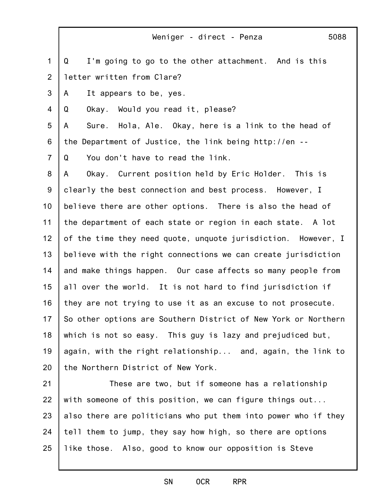1 2 3 4 5 6 7 8 9 10 11 12 13 14 15 16 17 18 19 20 21 Weniger - direct - Penza 5088 Q I'm going to go to the other attachment. And is this letter written from Clare? A It appears to be, yes. Q Okay. Would you read it, please? A Sure. Hola, Ale. Okay, here is a link to the head of the Department of Justice, the link being http://en -- Q You don't have to read the link. A Okay. Current position held by Eric Holder. This is clearly the best connection and best process. However, I believe there are other options. There is also the head of the department of each state or region in each state. A lot of the time they need quote, unquote jurisdiction. However, I believe with the right connections we can create jurisdiction and make things happen. Our case affects so many people from all over the world. It is not hard to find jurisdiction if they are not trying to use it as an excuse to not prosecute. So other options are Southern District of New York or Northern which is not so easy. This guy is lazy and prejudiced but, again, with the right relationship... and, again, the link to the Northern District of New York. These are two, but if someone has a relationship

22 23 24 25 with someone of this position, we can figure things out... also there are politicians who put them into power who if they tell them to jump, they say how high, so there are options like those. Also, good to know our opposition is Steve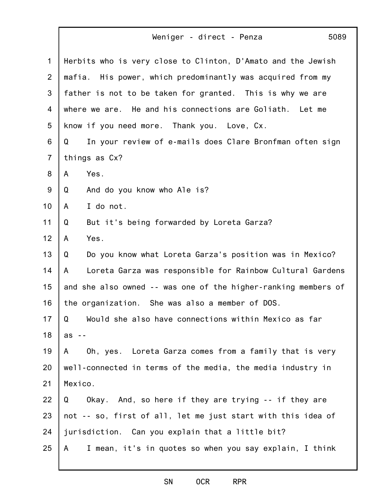|                | 5089<br>Weniger - direct - Penza                               |
|----------------|----------------------------------------------------------------|
| $\mathbf 1$    | Herbits who is very close to Clinton, D'Amato and the Jewish   |
| $\overline{2}$ | mafia. His power, which predominantly was acquired from my     |
| 3              | father is not to be taken for granted. This is why we are      |
| 4              | where we are. He and his connections are Goliath. Let me       |
| 5              | know if you need more. Thank you. Love, Cx.                    |
| 6              | In your review of e-mails does Clare Bronfman often sign<br>Q  |
| $\overline{7}$ | things as Cx?                                                  |
| 8              | Yes.<br>A                                                      |
| $9\,$          | And do you know who Ale is?<br>Q                               |
| 10             | I do not.<br>A                                                 |
| 11             | But it's being forwarded by Loreta Garza?<br>Q                 |
| 12             | Yes.<br>A                                                      |
| 13             | Do you know what Loreta Garza's position was in Mexico?<br>Q   |
| 14             | Loreta Garza was responsible for Rainbow Cultural Gardens<br>A |
| 15             | and she also owned -- was one of the higher-ranking members of |
| 16             | the organization. She was also a member of DOS.                |
| 17             | Would she also have connections within Mexico as far<br>Q      |
| 18             | $as - -$                                                       |
| 19             | Oh, yes. Loreta Garza comes from a family that is very<br>A    |
| 20             | well-connected in terms of the media, the media industry in    |
| 21             | Mexico.                                                        |
| 22             | Okay. And, so here if they are trying -- if they are<br>Q      |
| 23             | not -- so, first of all, let me just start with this idea of   |
| 24             | jurisdiction. Can you explain that a little bit?               |
| 25             | I mean, it's in quotes so when you say explain, I think<br>A   |
|                |                                                                |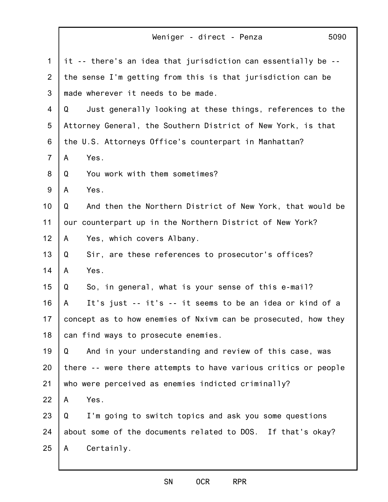|                | 5090<br>Weniger - direct - Penza                               |
|----------------|----------------------------------------------------------------|
| 1              | it -- there's an idea that jurisdiction can essentially be --  |
| $\overline{2}$ | the sense I'm getting from this is that jurisdiction can be    |
| 3              | made wherever it needs to be made.                             |
| 4              | Just generally looking at these things, references to the<br>Q |
| 5              | Attorney General, the Southern District of New York, is that   |
| 6              | the U.S. Attorneys Office's counterpart in Manhattan?          |
| $\overline{7}$ | Yes.<br>A                                                      |
| 8              | You work with them sometimes?<br>Q                             |
| $9\,$          | Yes.<br>A                                                      |
| 10             | And then the Northern District of New York, that would be<br>Q |
| 11             | our counterpart up in the Northern District of New York?       |
| 12             | Yes, which covers Albany.<br>A                                 |
| 13             | Sir, are these references to prosecutor's offices?<br>Q        |
| 14             | Yes.<br>A                                                      |
| 15             | So, in general, what is your sense of this e-mail?<br>Q        |
| 16             | It's just -- it's -- it seems to be an idea or kind of a<br>A  |
| 17             | concept as to how enemies of Nxivm can be prosecuted, how they |
| 18             | can find ways to prosecute enemies.                            |
| 19             | And in your understanding and review of this case, was<br>Q    |
| 20             | there -- were there attempts to have various critics or people |
| 21             | who were perceived as enemies indicted criminally?             |
| 22             | Yes.<br>A                                                      |
| 23             | I'm going to switch topics and ask you some questions<br>Q     |
| 24             | about some of the documents related to DOS. If that's okay?    |
| 25             | Certainly.<br>A                                                |
|                |                                                                |

Г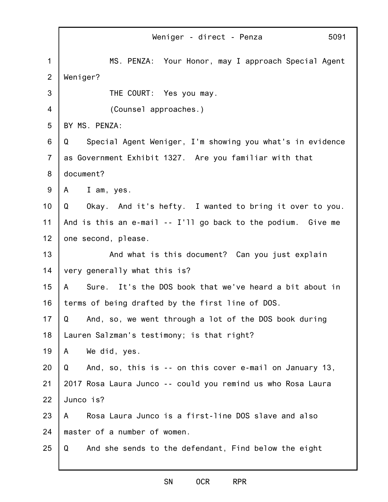|                | 5091<br>Weniger - direct - Penza                               |
|----------------|----------------------------------------------------------------|
| $\mathbf 1$    | MS. PENZA: Your Honor, may I approach Special Agent            |
| 2              | Weniger?                                                       |
| 3              | THE COURT: Yes you may.                                        |
| 4              | (Counsel approaches.)                                          |
| 5              | BY MS. PENZA:                                                  |
| 6              | Special Agent Weniger, I'm showing you what's in evidence<br>Q |
| $\overline{7}$ | as Government Exhibit 1327. Are you familiar with that         |
| 8              | document?                                                      |
| 9              | I am, yes.<br>A                                                |
| 10             | Okay. And it's hefty. I wanted to bring it over to you.<br>Q   |
| 11             | And is this an e-mail -- I'll go back to the podium. Give me   |
| 12             | one second, please.                                            |
| 13             | And what is this document? Can you just explain                |
| 14             | very generally what this is?                                   |
| 15             | Sure. It's the DOS book that we've heard a bit about in<br>A   |
| 16             | terms of being drafted by the first line of DOS.               |
| 17             | Q<br>And, so, we went through a lot of the DOS book during     |
| 18             | Lauren Salzman's testimony; is that right?                     |
| 19             | We did, yes.<br>A                                              |
| 20             | Q<br>And, so, this is -- on this cover e-mail on January 13,   |
| 21             | 2017 Rosa Laura Junco -- could you remind us who Rosa Laura    |
| 22             | Junco is?                                                      |
| 23             | Rosa Laura Junco is a first-line DOS slave and also<br>A       |
| 24             | master of a number of women.                                   |
| 25             | And she sends to the defendant, Find below the eight<br>Q      |

#### SN OCR RPR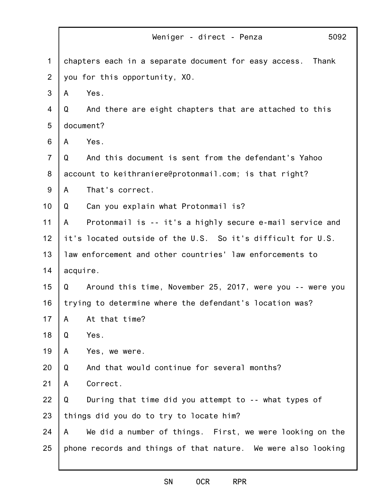|                | Weniger - direct - Penza<br>5092                               |
|----------------|----------------------------------------------------------------|
| $\mathbf 1$    | chapters each in a separate document for easy access.<br>Thank |
| $\overline{2}$ | you for this opportunity, XO.                                  |
| 3              | Yes.<br>A                                                      |
| 4              | Q<br>And there are eight chapters that are attached to this    |
| 5              | document?                                                      |
| 6              | Yes.<br>A                                                      |
| $\overline{7}$ | And this document is sent from the defendant's Yahoo<br>Q      |
| 8              | account to keithraniere@protonmail.com; is that right?         |
| $9\,$          | That's correct.<br>A                                           |
| 10             | Can you explain what Protonmail is?<br>Q                       |
| 11             | Protonmail is -- it's a highly secure e-mail service and<br>A  |
| 12             | it's located outside of the U.S. So it's difficult for U.S.    |
| 13             | law enforcement and other countries' law enforcements to       |
| 14             | acquire.                                                       |
| 15             | Around this time, November 25, 2017, were you -- were you<br>Q |
| 16             | trying to determine where the defendant's location was?        |
| 17             | At that time?<br>A                                             |
| 18             | Yes.<br>Q                                                      |
| 19             | Yes, we were.<br>A                                             |
| 20             | And that would continue for several months?<br>Q               |
| 21             | Correct.<br>A                                                  |
| 22             | Q<br>During that time did you attempt to -- what types of      |
| 23             | things did you do to try to locate him?                        |
| 24             | We did a number of things. First, we were looking on the<br>A  |
| 25             | phone records and things of that nature. We were also looking  |
|                |                                                                |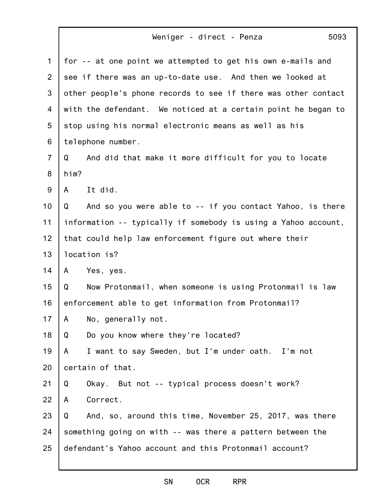| 1              | for -- at one point we attempted to get his own e-mails and    |
|----------------|----------------------------------------------------------------|
| 2              | see if there was an up-to-date use. And then we looked at      |
| 3              | other people's phone records to see if there was other contact |
| 4              | with the defendant. We noticed at a certain point he began to  |
| 5              | stop using his normal electronic means as well as his          |
| 6              | telephone number.                                              |
| $\overline{7}$ | And did that make it more difficult for you to locate<br>Q     |
| 8              | him?                                                           |
| 9              | It did.<br>A                                                   |
| 10             | And so you were able to -- if you contact Yahoo, is there<br>Q |
| 11             | information -- typically if somebody is using a Yahoo account, |
| 12             | that could help law enforcement figure out where their         |
| 13             | location is?                                                   |
| 14             | Yes, yes.<br>A                                                 |
| 15             | Now Protonmail, when someone is using Protonmail is law<br>Q   |
| 16             | enforcement able to get information from Protonmail?           |
| 17             | No, generally not.<br>A                                        |
| 18             | Do you know where they're located?<br>Q                        |
| 19             | I want to say Sweden, but I'm under oath. I'm not<br>A         |
| 20             | certain of that.                                               |
| 21             | Okay. But not -- typical process doesn't work?<br>Q            |
| 22             | Correct.<br>A                                                  |
| 23             | And, so, around this time, November 25, 2017, was there<br>Q   |
| 24             | something going on with -- was there a pattern between the     |
| 25             | defendant's Yahoo account and this Protonmail account?         |
|                |                                                                |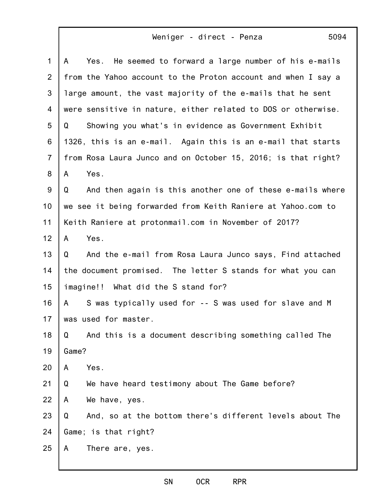| $\mathbf{1}$   | Yes. He seemed to forward a large number of his e-mails<br>A   |
|----------------|----------------------------------------------------------------|
| $\overline{2}$ | from the Yahoo account to the Proton account and when I say a  |
| 3              | large amount, the vast majority of the e-mails that he sent    |
| 4              | were sensitive in nature, either related to DOS or otherwise.  |
| 5              | Showing you what's in evidence as Government Exhibit<br>Q      |
| 6              | 1326, this is an e-mail. Again this is an e-mail that starts   |
| $\overline{7}$ | from Rosa Laura Junco and on October 15, 2016; is that right?  |
| 8              | Yes.<br>A                                                      |
| 9              | And then again is this another one of these e-mails where<br>Q |
| 10             | we see it being forwarded from Keith Raniere at Yahoo.com to   |
| 11             | Keith Raniere at protonmail.com in November of 2017?           |
| 12             | Yes.<br>A                                                      |
| 13             | And the e-mail from Rosa Laura Junco says, Find attached<br>Q  |
| 14             | the document promised. The letter S stands for what you can    |
| 15             | imagine!! What did the S stand for?                            |
| 16             | S was typically used for -- S was used for slave and M<br>A    |
| 17             | was used for master.                                           |
| 18             | Q<br>And this is a document describing something called The    |
| 19             | Game?                                                          |
| 20             | Yes.<br>A                                                      |
| 21             | We have heard testimony about The Game before?<br>Q            |
| 22             | We have, yes.<br>A                                             |
| 23             | And, so at the bottom there's different levels about The<br>Q  |
| 24             | Game; is that right?                                           |
| 25             | There are, yes.<br>A                                           |
|                |                                                                |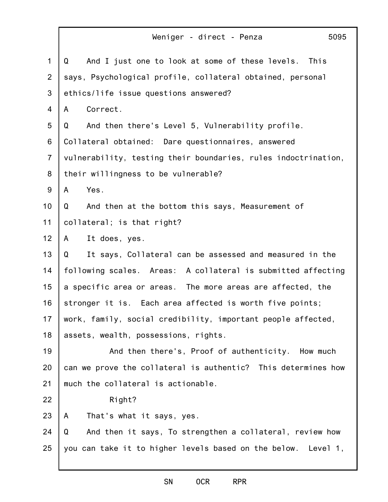|                | Weniger - direct - Penza<br>5095                               |
|----------------|----------------------------------------------------------------|
| $\mathbf 1$    | And I just one to look at some of these levels.<br>This<br>Q   |
| 2              | says, Psychological profile, collateral obtained, personal     |
| 3              | ethics/life issue questions answered?                          |
| 4              | Correct.<br>A                                                  |
| 5              | And then there's Level 5, Vulnerability profile.<br>Q          |
| 6              | Collateral obtained: Dare questionnaires, answered             |
| $\overline{7}$ | vulnerability, testing their boundaries, rules indoctrination, |
| 8              | their willingness to be vulnerable?                            |
| 9              | Yes.<br>A                                                      |
| 10             | And then at the bottom this says, Measurement of<br>Q          |
| 11             | collateral; is that right?                                     |
| 12             | It does, yes.<br>A                                             |
| 13             | It says, Collateral can be assessed and measured in the<br>Q   |
| 14             | following scales. Areas: A collateral is submitted affecting   |
| 15             | a specific area or areas. The more areas are affected, the     |
| 16             | stronger it is. Each area affected is worth five points;       |
| 17             | work, family, social credibility, important people affected,   |
| 18             | assets, wealth, possessions, rights.                           |
| 19             | And then there's, Proof of authenticity. How much              |
| 20             | can we prove the collateral is authentic? This determines how  |
| 21             | much the collateral is actionable.                             |
| 22             | Right?                                                         |
| 23             | That's what it says, yes.<br>A                                 |
| 24             | Q<br>And then it says, To strengthen a collateral, review how  |
| 25             | you can take it to higher levels based on the below. Level 1,  |
|                |                                                                |

#### SN OCR RPR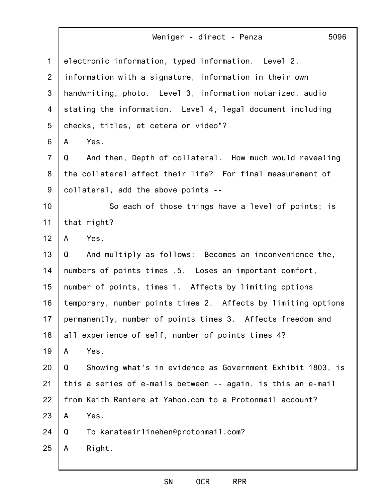| $\mathbf{1}$   | electronic information, typed information. Level 2,            |
|----------------|----------------------------------------------------------------|
| $\overline{2}$ | information with a signature, information in their own         |
| 3              | handwriting, photo. Level 3, information notarized, audio      |
| 4              | stating the information. Level 4, legal document including     |
| 5              | checks, titles, et cetera or video"?                           |
| 6              | Yes.<br>A                                                      |
| $\overline{7}$ | And then, Depth of collateral. How much would revealing<br>Q   |
| 8              | the collateral affect their life? For final measurement of     |
| 9              | collateral, add the above points --                            |
| 10             | So each of those things have a level of points; is             |
| 11             | that right?                                                    |
| 12             | Yes.<br>A                                                      |
| 13             | And multiply as follows: Becomes an inconvenience the,<br>Q    |
| 14             | numbers of points times .5. Loses an important comfort,        |
| 15             | number of points, times 1. Affects by limiting options         |
| 16             | temporary, number points times 2. Affects by limiting options  |
| 17             | permanently, number of points times 3. Affects freedom and     |
| 18             | all experience of self, number of points times 4?              |
| 19             | Yes.<br>A                                                      |
| 20             | Showing what's in evidence as Government Exhibit 1803, is<br>Q |
| 21             | this a series of e-mails between -- again, is this an e-mail   |
| 22             | from Keith Raniere at Yahoo.com to a Protonmail account?       |
| 23             | Yes.<br>A                                                      |
| 24             | To karateairlinehen@protonmail.com?<br>Q                       |
| 25             | Right.<br>A                                                    |
|                |                                                                |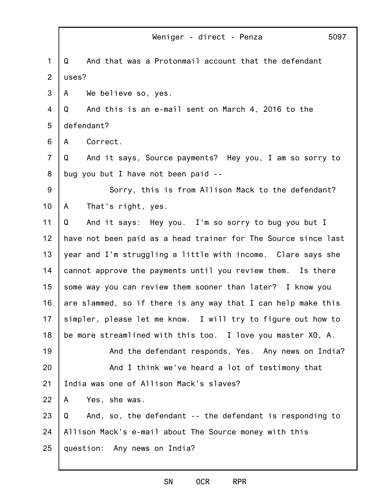|                | 5097<br>Weniger - direct - Penza                               |
|----------------|----------------------------------------------------------------|
| $\mathbf 1$    | And that was a Protonmail account that the defendant<br>Q      |
| $\overline{2}$ | uses?                                                          |
| 3              | We believe so, yes.<br>A                                       |
| 4              | And this is an e-mail sent on March 4, 2016 to the<br>Q        |
| 5              | defendant?                                                     |
| 6              | Correct.<br>A                                                  |
| $\overline{7}$ | And it says, Source payments? Hey you, I am so sorry to<br>Q   |
| 8              | bug you but I have not been paid --                            |
| 9              | Sorry, this is from Allison Mack to the defendant?             |
| 10             | That's right, yes.<br>A                                        |
| 11             | And it says: Hey you. I'm so sorry to bug you but I<br>Q       |
| 12             | have not been paid as a head trainer for The Source since last |
| 13             | year and I'm struggling a little with income. Clare says she   |
| 14             | cannot approve the payments until you review them. Is there    |
| 15             | some way you can review them sooner than later? I know you     |
| 16             | are slammed, so if there is any way that I can help make this  |
| 17             | simpler, please let me know. I will try to figure out how to   |
| 18             | be more streamlined with this too. I love you master XO, A.    |
| 19             | And the defendant responds, Yes. Any news on India?            |
| 20             | And I think we've heard a lot of testimony that                |
| 21             | India was one of Allison Mack's slaves?                        |
| 22             | Yes, she was.<br>A                                             |
| 23             | And, so, the defendant -- the defendant is responding to<br>Q  |
| 24             | Allison Mack's e-mail about The Source money with this         |
| 25             | question: Any news on India?                                   |
|                |                                                                |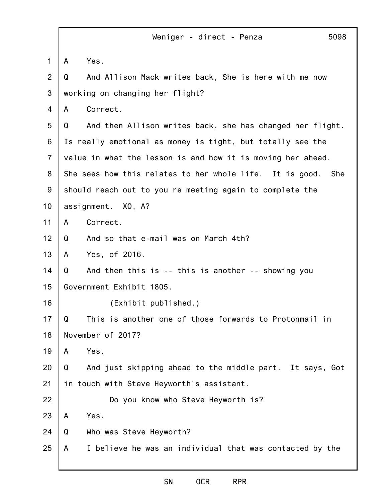5098

1 2 3 4 5 6 7 8 9 10 11 12 13 14 15 16 17 18 19 20 21 22 23 24 25 A Yes. Q And Allison Mack writes back, She is here with me now working on changing her flight? A Correct. Q And then Allison writes back, she has changed her flight. Is really emotional as money is tight, but totally see the value in what the lesson is and how it is moving her ahead. She sees how this relates to her whole life. It is good. She should reach out to you re meeting again to complete the assignment. XO, A? A Correct. Q And so that e-mail was on March 4th? A Yes, of 2016. Q And then this is -- this is another -- showing you Government Exhibit 1805. (Exhibit published.) Q This is another one of those forwards to Protonmail in November of 2017? A Yes. Q And just skipping ahead to the middle part. It says, Got in touch with Steve Heyworth's assistant. Do you know who Steve Heyworth is? A Yes. Q Who was Steve Heyworth? A I believe he was an individual that was contacted by the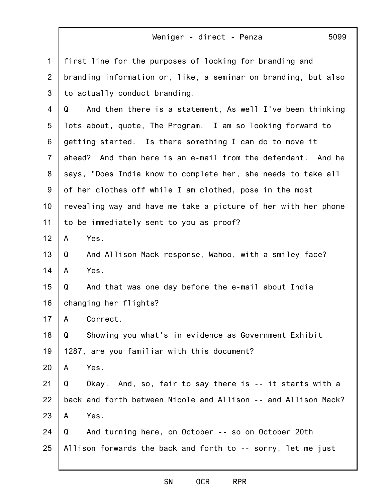| 1              | first line for the purposes of looking for branding and        |
|----------------|----------------------------------------------------------------|
| $\overline{2}$ | branding information or, like, a seminar on branding, but also |
| 3              | to actually conduct branding.                                  |
| 4              | And then there is a statement, As well I've been thinking<br>Q |
| 5              | lots about, quote, The Program. I am so looking forward to     |
| 6              | getting started. Is there something I can do to move it        |
| $\overline{7}$ | ahead? And then here is an e-mail from the defendant. And he   |
| 8              | says, "Does India know to complete her, she needs to take all  |
| $9\,$          | of her clothes off while I am clothed, pose in the most        |
| 10             | revealing way and have me take a picture of her with her phone |
| 11             | to be immediately sent to you as proof?                        |
| 12             | Yes.<br>A                                                      |
| 13             | And Allison Mack response, Wahoo, with a smiley face?<br>Q     |
| 14             | Yes.<br>A                                                      |
| 15             | And that was one day before the e-mail about India<br>Q        |
| 16             | changing her flights?                                          |
| 17             | Correct.<br>A                                                  |
| 18             | Showing you what's in evidence as Government Exhibit<br>Q      |
| 19             | 1287, are you familiar with this document?                     |
| 20             | Yes.<br>A                                                      |
| 21             | Q<br>Okay. And, so, fair to say there is -- it starts with a   |
| 22             | back and forth between Nicole and Allison -- and Allison Mack? |
| 23             | Yes.<br>A                                                      |
| 24             | And turning here, on October -- so on October 20th<br>Q        |
| 25             | Allison forwards the back and forth to -- sorry, let me just   |
|                |                                                                |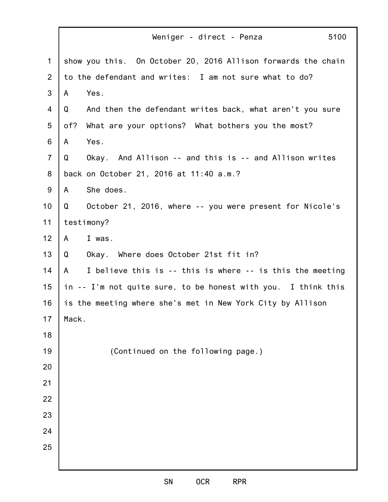|                | 5100<br>Weniger - direct - Penza                               |
|----------------|----------------------------------------------------------------|
| $\mathbf 1$    | show you this. On October 20, 2016 Allison forwards the chain  |
| 2              | to the defendant and writes: I am not sure what to do?         |
| 3              | Yes.<br>A                                                      |
| 4              | And then the defendant writes back, what aren't you sure<br>Q  |
| 5              | What are your options? What bothers you the most?<br>of?       |
| 6              | Yes.<br>A                                                      |
| $\overline{7}$ | Okay. And Allison -- and this is -- and Allison writes<br>Q    |
| 8              | back on October 21, 2016 at 11:40 a.m.?                        |
| 9              | She does.<br>A                                                 |
| 10             | October 21, 2016, where -- you were present for Nicole's<br>Q  |
| 11             | testimony?                                                     |
| 12             | I was.<br>A                                                    |
| 13             | Q<br>Okay. Where does October 21st fit in?                     |
| 14             | I believe this is -- this is where -- is this the meeting<br>A |
| 15             | in -- I'm not quite sure, to be honest with you. I think this  |
| 16             | is the meeting where she's met in New York City by Allison     |
| 17             | Mack.                                                          |
| 18             |                                                                |
| 19             | (Continued on the following page.)                             |
| 20             |                                                                |
| 21             |                                                                |
| 22             |                                                                |
| 23             |                                                                |
| 24             |                                                                |
| 25             |                                                                |
|                |                                                                |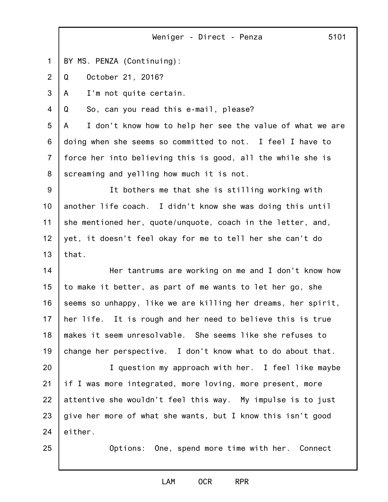1 BY MS. PENZA (Continuing):

2 Q October 21, 2016?

3 A I'm not quite certain.

4 Q So, can you read this e-mail, please?

5 6 7 8 A I don't know how to help her see the value of what we are doing when she seems so committed to not. I feel I have to force her into believing this is good, all the while she is screaming and yelling how much it is not.

9 10 11 12 13 It bothers me that she is stilling working with another life coach. I didn't know she was doing this until she mentioned her, quote/unquote, coach in the letter, and, yet, it doesn't feel okay for me to tell her she can't do that.

14 15 16 17 18 19 Her tantrums are working on me and I don't know how to make it better, as part of me wants to let her go, she seems so unhappy, like we are killing her dreams, her spirit, her life. It is rough and her need to believe this is true makes it seem unresolvable. She seems like she refuses to change her perspective. I don't know what to do about that.

20 21 22 23 24 I question my approach with her. I feel like maybe if I was more integrated, more loving, more present, more attentive she wouldn't feel this way. My impulse is to just give her more of what she wants, but I know this isn't good either.

25

Options: One, spend more time with her. Connect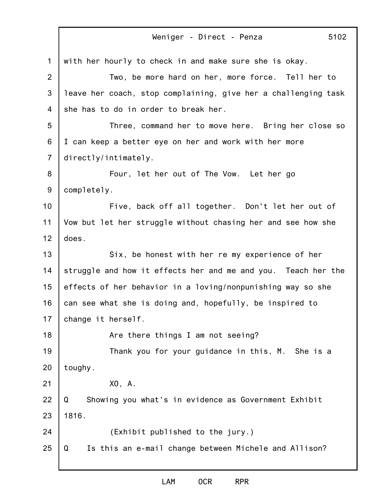1 2 3 4 5 6 7 8 9 10 11 12 13 14 15 16 17 18 19 20 21 22 23 24 25 Weniger - Direct - Penza 5102 with her hourly to check in and make sure she is okay. Two, be more hard on her, more force. Tell her to leave her coach, stop complaining, give her a challenging task she has to do in order to break her. Three, command her to move here. Bring her close so I can keep a better eye on her and work with her more directly/intimately. Four, let her out of The Vow. Let her go completely. Five, back off all together. Don't let her out of Vow but let her struggle without chasing her and see how she does. Six, be honest with her re my experience of her struggle and how it effects her and me and you. Teach her the effects of her behavior in a loving/nonpunishing way so she can see what she is doing and, hopefully, be inspired to change it herself. Are there things I am not seeing? Thank you for your guidance in this, M. She is a toughy. XO, A. Q Showing you what's in evidence as Government Exhibit 1816. (Exhibit published to the jury.) Q Is this an e-mail change between Michele and Allison?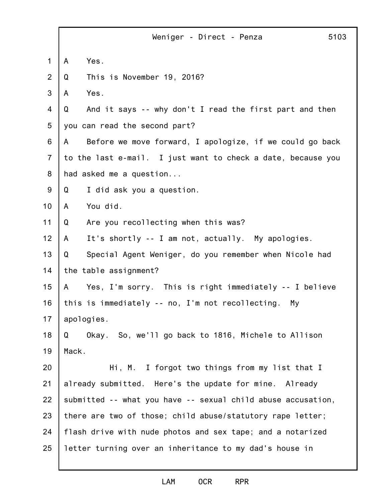|                | 5103<br>Weniger - Direct - Penza                              |
|----------------|---------------------------------------------------------------|
| 1              | Yes.<br>$\mathsf{A}$                                          |
| 2              | This is November 19, 2016?<br>Q                               |
| 3              | Yes.<br>A                                                     |
| 4              | And it says -- why don't I read the first part and then<br>Q  |
| 5              | you can read the second part?                                 |
| 6              | Before we move forward, I apologize, if we could go back<br>A |
| $\overline{7}$ | to the last e-mail. I just want to check a date, because you  |
| 8              | had asked me a question                                       |
| 9              | Q<br>I did ask you a question.                                |
| 10             | You did.<br>A                                                 |
| 11             | Are you recollecting when this was?<br>Q                      |
| 12             | It's shortly -- I am not, actually. My apologies.<br>A        |
| 13             | Special Agent Weniger, do you remember when Nicole had<br>Q   |
| 14             | the table assignment?                                         |
| 15             | Yes, I'm sorry. This is right immediately -- I believe<br>A   |
| 16             | this is immediately -- no, I'm not recollecting.<br>My        |
| 17             | apologies.                                                    |
| 18             | Okay. So, we'll go back to 1816, Michele to Allison<br>Q      |
| 19             | Mack.                                                         |
| 20             | Hi, M. I forgot two things from my list that I                |
| 21             | already submitted. Here's the update for mine. Already        |
| 22             | submitted -- what you have -- sexual child abuse accusation,  |
| 23             | there are two of those; child abuse/statutory rape letter;    |
| 24             | flash drive with nude photos and sex tape; and a notarized    |
| 25             | letter turning over an inheritance to my dad's house in       |
|                |                                                               |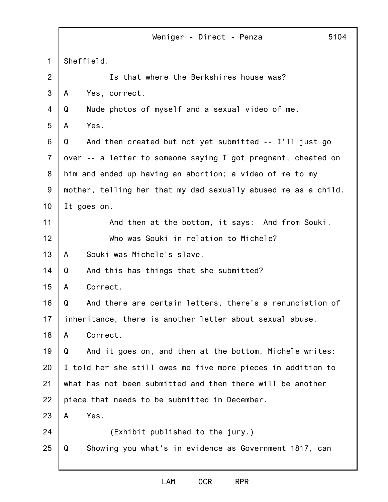|                | 5104<br>Weniger - Direct - Penza                               |
|----------------|----------------------------------------------------------------|
| $\mathbf 1$    | Sheffield.                                                     |
| $\overline{2}$ | Is that where the Berkshires house was?                        |
| 3              | Yes, correct.<br>A                                             |
| $\overline{4}$ | Nude photos of myself and a sexual video of me.<br>Q           |
| 5              | Yes.<br>A                                                      |
| 6              | And then created but not yet submitted -- I'll just go<br>Q    |
| $\overline{7}$ | over -- a letter to someone saying I got pregnant, cheated on  |
| 8              | him and ended up having an abortion; a video of me to my       |
| 9              | mother, telling her that my dad sexually abused me as a child. |
| 10             | It goes on.                                                    |
| 11             | And then at the bottom, it says: And from Souki.               |
| 12             | Who was Souki in relation to Michele?                          |
| 13             | Souki was Michele's slave.<br>A                                |
| 14             | Q<br>And this has things that she submitted?                   |
| 15             | Correct.<br>A                                                  |
| 16             | Q<br>And there are certain letters, there's a renunciation of  |
| 17             | inheritance, there is another letter about sexual abuse.       |
| 18             | Correct.<br>A                                                  |
| 19             | And it goes on, and then at the bottom, Michele writes:<br>Q   |
| 20             | I told her she still owes me five more pieces in addition to   |
| 21             | what has not been submitted and then there will be another     |
| 22             | piece that needs to be submitted in December.                  |
| 23             | Yes.<br>A                                                      |
| 24             | (Exhibit published to the jury.)                               |
| 25             | Showing you what's in evidence as Government 1817, can<br>Q    |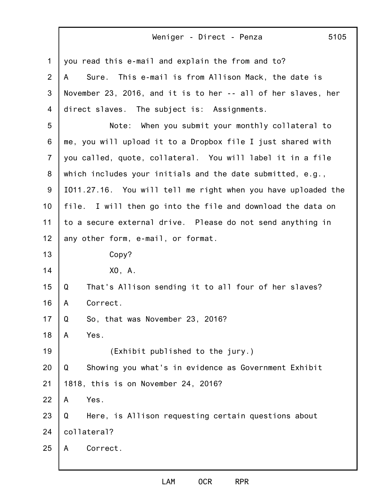| 1              | you read this e-mail and explain the from and to?             |
|----------------|---------------------------------------------------------------|
| $\overline{2}$ | Sure. This e-mail is from Allison Mack, the date is<br>A      |
| 3              | November 23, 2016, and it is to her -- all of her slaves, her |
| 4              | direct slaves. The subject is: Assignments.                   |
| 5              | When you submit your monthly collateral to<br>Note:           |
| 6              | me, you will upload it to a Dropbox file I just shared with   |
| $\overline{7}$ | you called, quote, collateral. You will label it in a file    |
| 8              | which includes your initials and the date submitted, e.g.,    |
| 9              | I011.27.16. You will tell me right when you have uploaded the |
| 10             | file. I will then go into the file and download the data on   |
| 11             | to a secure external drive. Please do not send anything in    |
| 12             | any other form, e-mail, or format.                            |
| 13             | Copy?                                                         |
| 14             | X0, A.                                                        |
| 15             | That's Allison sending it to all four of her slaves?<br>Q     |
| 16             | Correct.<br>A                                                 |
| 17             | So, that was November 23, 2016?<br>Q                          |
| 18             | Yes.<br>A                                                     |
| 19             | (Exhibit published to the jury.)                              |
| 20             | Showing you what's in evidence as Government Exhibit<br>Q     |
| 21             | 1818, this is on November 24, 2016?                           |
| 22             | Yes.<br>A                                                     |
| 23             | Here, is Allison requesting certain questions about<br>Q      |
| 24             | collateral?                                                   |
| 25             | Correct.<br>A                                                 |
|                |                                                               |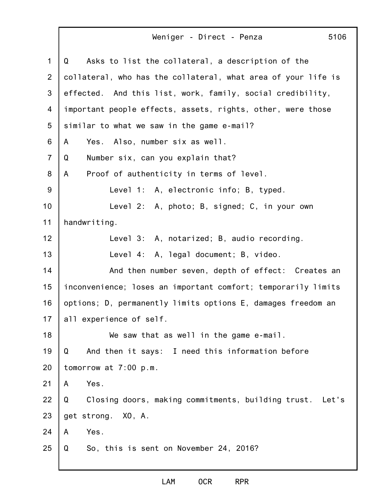| 1              | Asks to list the collateral, a description of the<br>Q        |
|----------------|---------------------------------------------------------------|
| 2              | collateral, who has the collateral, what area of your life is |
| 3              | effected. And this list, work, family, social credibility,    |
| 4              | important people effects, assets, rights, other, were those   |
| 5              | similar to what we saw in the game e-mail?                    |
| 6              | Yes.<br>Also, number six as well.<br>A                        |
| $\overline{7}$ | Number six, can you explain that?<br>Q                        |
| 8              | Proof of authenticity in terms of level.<br>A                 |
| 9              | Level 1: A, electronic info; B, typed.                        |
| 10             | Level 2: A, photo; B, signed; C, in your own                  |
| 11             | handwriting.                                                  |
| 12             | Level 3: A, notarized; B, audio recording.                    |
| 13             | Level 4: A, legal document; B, video.                         |
| 14             | And then number seven, depth of effect: Creates an            |
| 15             | inconvenience; loses an important comfort; temporarily limits |
| 16             | options; D, permanently limits options E, damages freedom an  |
| 17             | all experience of self.                                       |
| 18             | We saw that as well in the game e-mail.                       |
| 19             | And then it says: I need this information before<br>Q         |
| 20             | tomorrow at $7:00$ p.m.                                       |
| 21             | Yes.<br>A                                                     |
| 22             | Closing doors, making commitments, building trust. Let's<br>Q |
| 23             | get strong. XO, A.                                            |
| 24             | Yes.<br>A                                                     |
| 25             | Q<br>So, this is sent on November 24, 2016?                   |
|                |                                                               |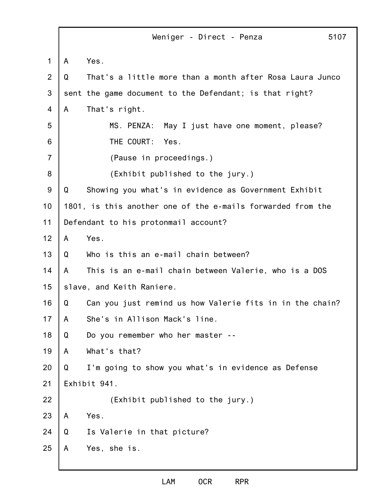1 2 3 4 5 6 7 8 9 10 11 12 13 14 15 16 17 18 19 20 21 22 23 24 25 Weniger - Direct - Penza 5107 A Yes. Q That's a little more than a month after Rosa Laura Junco sent the game document to the Defendant; is that right? A That's right. MS. PENZA: May I just have one moment, please? THE COURT: Yes. (Pause in proceedings.) (Exhibit published to the jury.) Q Showing you what's in evidence as Government Exhibit 1801, is this another one of the e-mails forwarded from the Defendant to his protonmail account? A Yes. Q Who is this an e-mail chain between? A This is an e-mail chain between Valerie, who is a DOS slave, and Keith Raniere. Q Can you just remind us how Valerie fits in in the chain? A She's in Allison Mack's line. Q Do you remember who her master -- A What's that? Q I'm going to show you what's in evidence as Defense Exhibit 941. (Exhibit published to the jury.) A Yes. Q Is Valerie in that picture? A Yes, she is.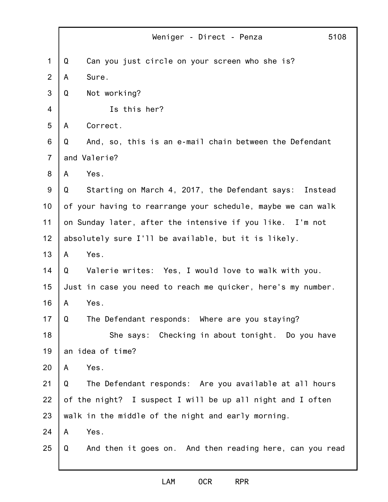|                | Weniger - Direct - Penza<br>5108                              |
|----------------|---------------------------------------------------------------|
| 1              | Can you just circle on your screen who she is?<br>Q           |
| $\overline{2}$ | Sure.<br>A                                                    |
| 3              | Not working?<br>Q                                             |
| 4              | Is this her?                                                  |
| 5              | Correct.<br>A                                                 |
| 6              | And, so, this is an e-mail chain between the Defendant<br>Q   |
| $\overline{7}$ | and Valerie?                                                  |
| 8              | Yes.<br>A                                                     |
| 9              | Starting on March 4, 2017, the Defendant says: Instead<br>Q   |
| 10             | of your having to rearrange your schedule, maybe we can walk  |
| 11             | on Sunday later, after the intensive if you like. I'm not     |
| 12             | absolutely sure I'll be available, but it is likely.          |
| 13             | Yes.<br>A                                                     |
| 14             | Valerie writes: Yes, I would love to walk with you.<br>Q      |
| 15             | Just in case you need to reach me quicker, here's my number.  |
| 16             | Yes.<br>A                                                     |
| 17             | Q<br>The Defendant responds: Where are you staying?           |
| 18             | She says: Checking in about tonight. Do you have              |
| 19             | an idea of time?                                              |
| 20             | Yes.<br>A                                                     |
| 21             | The Defendant responds: Are you available at all hours<br>Q   |
| 22             | of the night? I suspect I will be up all night and I often    |
| 23             | walk in the middle of the night and early morning.            |
| 24             | Yes.<br>A                                                     |
| 25             | And then it goes on. And then reading here, can you read<br>Q |
|                |                                                               |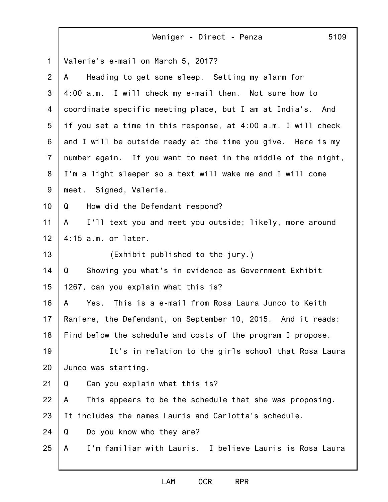|                | 5109<br>Weniger - Direct - Penza                              |
|----------------|---------------------------------------------------------------|
| 1              | Valerie's e-mail on March 5, 2017?                            |
| 2              | Heading to get some sleep. Setting my alarm for<br>A          |
| 3              | 4:00 a.m. I will check my e-mail then. Not sure how to        |
| 4              | coordinate specific meeting place, but I am at India's. And   |
| 5              | if you set a time in this response, at 4:00 a.m. I will check |
| 6              | and I will be outside ready at the time you give. Here is my  |
| $\overline{7}$ | number again. If you want to meet in the middle of the night, |
| 8              | I'm a light sleeper so a text will wake me and I will come    |
| $9\,$          | meet. Signed, Valerie.                                        |
| 10             | How did the Defendant respond?<br>Q                           |
| 11             | I'll text you and meet you outside; likely, more around<br>A  |
| 12             | $4:15$ a.m. or later.                                         |
| 13             | (Exhibit published to the jury.)                              |
| 14             | Showing you what's in evidence as Government Exhibit<br>Q     |
| 15             | 1267, can you explain what this is?                           |
| 16             | This is a e-mail from Rosa Laura Junco to Keith<br>Yes.<br>A  |
| 17             | Raniere, the Defendant, on September 10, 2015. And it reads:  |
| 18             | Find below the schedule and costs of the program I propose.   |
| 19             | It's in relation to the girls school that Rosa Laura          |
| 20             | Junco was starting.                                           |
| 21             | Can you explain what this is?<br>Q                            |
| 22             | This appears to be the schedule that she was proposing.<br>A  |
| 23             | It includes the names Lauris and Carlotta's schedule.         |
| 24             | Q<br>Do you know who they are?                                |
| 25             | I'm familiar with Lauris. I believe Lauris is Rosa Laura<br>A |
|                |                                                               |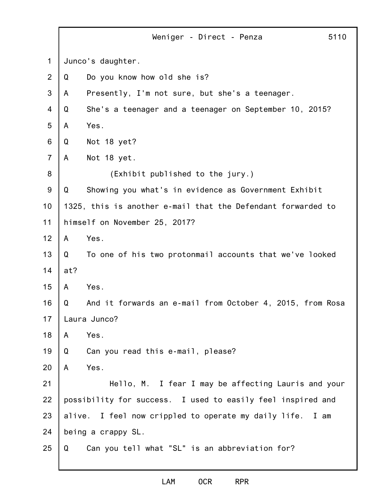|                |        | Weniger - Direct - Penza                                     | 5110 |
|----------------|--------|--------------------------------------------------------------|------|
| $\mathbf 1$    |        | Junco's daughter.                                            |      |
| 2              | Q      | Do you know how old she is?                                  |      |
| 3              | A      | Presently, I'm not sure, but she's a teenager.               |      |
| 4              | Q      | She's a teenager and a teenager on September 10, 2015?       |      |
| 5              | A      | Yes.                                                         |      |
| 6              | Q      | Not 18 yet?                                                  |      |
| $\overline{7}$ | A      | Not 18 yet.                                                  |      |
| 8              |        | (Exhibit published to the jury.)                             |      |
| $9\,$          | Q      | Showing you what's in evidence as Government Exhibit         |      |
| 10             |        | 1325, this is another e-mail that the Defendant forwarded to |      |
| 11             |        | himself on November 25, 2017?                                |      |
| 12             | A      | Yes.                                                         |      |
| 13             | Q      | To one of his two protonmail accounts that we've looked      |      |
| 14             | at?    |                                                              |      |
| 15             | A      | Yes.                                                         |      |
| 16             | Q      | And it forwards an e-mail from October 4, 2015, from Rosa    |      |
| 17             |        | Laura Junco?                                                 |      |
| 18             | A      | Yes.                                                         |      |
| 19             | Q      | Can you read this e-mail, please?                            |      |
| 20             | A      | Yes.                                                         |      |
| 21             |        | Hello, M. I fear I may be affecting Lauris and your          |      |
| 22             |        | possibility for success. I used to easily feel inspired and  |      |
| 23             | alive. | I feel now crippled to operate my daily life.<br>I am        |      |
| 24             |        | being a crappy SL.                                           |      |
| 25             | Q      | Can you tell what "SL" is an abbreviation for?               |      |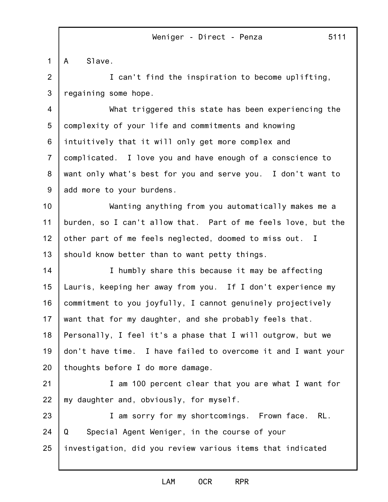1 A Slave.

2 3 I can't find the inspiration to become uplifting, regaining some hope.

4 5 6 7 8 9 What triggered this state has been experiencing the complexity of your life and commitments and knowing intuitively that it will only get more complex and complicated. I love you and have enough of a conscience to want only what's best for you and serve you. I don't want to add more to your burdens.

10 11 12 13 Wanting anything from you automatically makes me a burden, so I can't allow that. Part of me feels love, but the other part of me feels neglected, doomed to miss out. I should know better than to want petty things.

14 15 16 17 18 19 20 I humbly share this because it may be affecting Lauris, keeping her away from you. If I don't experience my commitment to you joyfully, I cannot genuinely projectively want that for my daughter, and she probably feels that. Personally, I feel it's a phase that I will outgrow, but we don't have time. I have failed to overcome it and I want your thoughts before I do more damage.

21 22 I am 100 percent clear that you are what I want for my daughter and, obviously, for myself.

23 24 25 I am sorry for my shortcomings. Frown face. RL. Q Special Agent Weniger, in the course of your investigation, did you review various items that indicated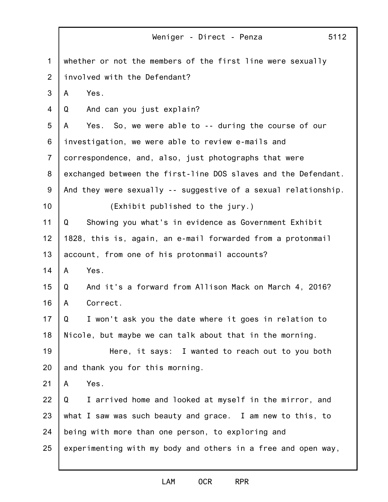|                 | 5112<br>Weniger - Direct - Penza                               |
|-----------------|----------------------------------------------------------------|
| 1               | whether or not the members of the first line were sexually     |
| 2               | involved with the Defendant?                                   |
| 3               | Yes.<br>A                                                      |
| $\overline{4}$  | And can you just explain?<br>Q                                 |
| 5               | Yes. So, we were able to -- during the course of our<br>A      |
| 6               | investigation, we were able to review e-mails and              |
| $\overline{7}$  | correspondence, and, also, just photographs that were          |
| 8               | exchanged between the first-line DOS slaves and the Defendant. |
| 9               | And they were sexually -- suggestive of a sexual relationship. |
| 10 <sub>1</sub> | (Exhibit published to the jury.)                               |
| 11              | Showing you what's in evidence as Government Exhibit<br>Q      |
| 12              | 1828, this is, again, an e-mail forwarded from a protonmail    |
| 13              | account, from one of his protonmail accounts?                  |
| 14              | Yes.<br>A                                                      |
| 15              | And it's a forward from Allison Mack on March 4, 2016?<br>Q    |
| 16              | Correct.<br>A                                                  |
| 17              | Q<br>I won't ask you the date where it goes in relation to     |
| 18              | Nicole, but maybe we can talk about that in the morning.       |
| 19              | Here, it says: I wanted to reach out to you both               |
| 20              | and thank you for this morning.                                |
| 21              | Yes.<br>A                                                      |
| 22              | I arrived home and looked at myself in the mirror, and<br>Q    |
| 23              | what I saw was such beauty and grace. I am new to this, to     |
| 24              | being with more than one person, to exploring and              |
| 25              | experimenting with my body and others in a free and open way,  |
|                 |                                                                |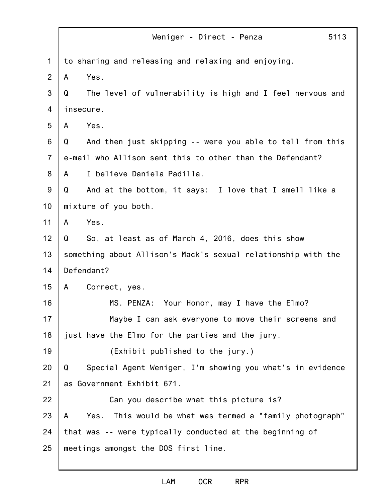|                | 5113<br>Weniger - Direct - Penza                                 |
|----------------|------------------------------------------------------------------|
| 1              | to sharing and releasing and relaxing and enjoying.              |
| 2              | Yes.<br>A                                                        |
| 3              | The level of vulnerability is high and I feel nervous and<br>Q   |
| 4              | insecure.                                                        |
| 5              | Yes.<br>A                                                        |
| 6              | And then just skipping -- were you able to tell from this<br>Q   |
| $\overline{7}$ | e-mail who Allison sent this to other than the Defendant?        |
| 8              | I believe Daniela Padilla.<br>A                                  |
| 9              | And at the bottom, it says: I love that I smell like a<br>Q      |
| 10             | mixture of you both.                                             |
| 11             | Yes.<br>A                                                        |
| 12             | So, at least as of March 4, 2016, does this show<br>Q            |
| 13             | something about Allison's Mack's sexual relationship with the    |
| 14             | Defendant?                                                       |
| 15             | Correct, yes.<br>A                                               |
| 16             | MS. PENZA: Your Honor, may I have the Elmo?                      |
| 17             | Maybe I can ask everyone to move their screens and               |
| 18             | just have the Elmo for the parties and the jury.                 |
| 19             | (Exhibit published to the jury.)                                 |
| 20             | Special Agent Weniger, I'm showing you what's in evidence<br>Q   |
| 21             | as Government Exhibit 671.                                       |
| 22             | Can you describe what this picture is?                           |
| 23             | This would be what was termed a "family photograph"<br>A<br>Yes. |
| 24             | that was -- were typically conducted at the beginning of         |
| 25             | meetings amongst the DOS first line.                             |
|                |                                                                  |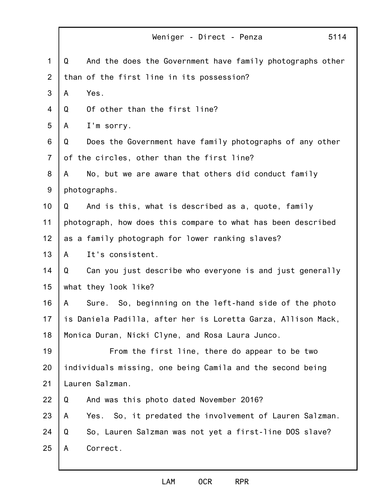|                | 5114<br>Weniger - Direct - Penza                               |
|----------------|----------------------------------------------------------------|
| $\mathbf 1$    | And the does the Government have family photographs other<br>Q |
| 2              | than of the first line in its possession?                      |
| 3              | Yes.<br>A                                                      |
| 4              | Of other than the first line?<br>Q                             |
| 5              | I'm sorry.<br>A                                                |
| 6              | Does the Government have family photographs of any other<br>Q  |
| $\overline{7}$ | of the circles, other than the first line?                     |
| 8              | No, but we are aware that others did conduct family<br>A       |
| 9              | photographs.                                                   |
| 10             | And is this, what is described as a, quote, family<br>Q        |
| 11             | photograph, how does this compare to what has been described   |
| 12             | as a family photograph for lower ranking slaves?               |
| 13             | It's consistent.<br>A                                          |
| 14             | Q<br>Can you just describe who everyone is and just generally  |
| 15             | what they look like?                                           |
| 16             | Sure. So, beginning on the left-hand side of the photo<br>A    |
| 17             | is Daniela Padilla, after her is Loretta Garza, Allison Mack,  |
| 18             | Monica Duran, Nicki Clyne, and Rosa Laura Junco.               |
| 19             | From the first line, there do appear to be two                 |
| 20             | individuals missing, one being Camila and the second being     |
| 21             | Lauren Salzman.                                                |
| 22             | Q<br>And was this photo dated November 2016?                   |
| 23             | Yes. So, it predated the involvement of Lauren Salzman.<br>A   |
| 24             | So, Lauren Salzman was not yet a first-line DOS slave?<br>Q    |
| 25             | Correct.<br>A                                                  |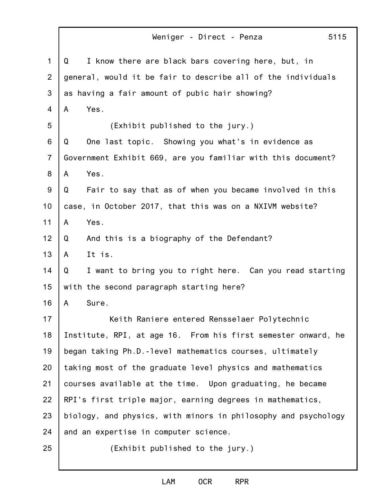1 2 3 4 5 6 7 8 9 10 11 12 13 14 15 16 17 18 19 20 21 22 23 24 25 Weniger - Direct - Penza 5115 Q I know there are black bars covering here, but, in general, would it be fair to describe all of the individuals as having a fair amount of pubic hair showing? A Yes. (Exhibit published to the jury.) Q One last topic. Showing you what's in evidence as Government Exhibit 669, are you familiar with this document? A Yes. Q Fair to say that as of when you became involved in this case, in October 2017, that this was on a NXIVM website? A Yes. Q And this is a biography of the Defendant? A It is. Q I want to bring you to right here. Can you read starting with the second paragraph starting here? A Sure. Keith Raniere entered Rensselaer Polytechnic Institute, RPI, at age 16. From his first semester onward, he began taking Ph.D.-level mathematics courses, ultimately taking most of the graduate level physics and mathematics courses available at the time. Upon graduating, he became RPI's first triple major, earning degrees in mathematics, biology, and physics, with minors in philosophy and psychology and an expertise in computer science. (Exhibit published to the jury.)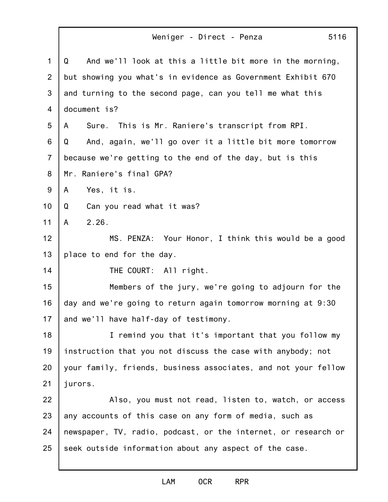1 2 3 4 5 6 7 8 9 10 11 12 13 14 15 16 17 18 19 20 21 22 23 24 25 Weniger - Direct - Penza 5116 Q And we'll look at this a little bit more in the morning, but showing you what's in evidence as Government Exhibit 670 and turning to the second page, can you tell me what this document is? A Sure. This is Mr. Raniere's transcript from RPI. Q And, again, we'll go over it a little bit more tomorrow because we're getting to the end of the day, but is this Mr. Raniere's final GPA? A Yes, it is. Q Can you read what it was? A 2.26. MS. PENZA: Your Honor, I think this would be a good place to end for the day. THE COURT: All right. Members of the jury, we're going to adjourn for the day and we're going to return again tomorrow morning at 9:30 and we'll have half-day of testimony. I remind you that it's important that you follow my instruction that you not discuss the case with anybody; not your family, friends, business associates, and not your fellow jurors. Also, you must not read, listen to, watch, or access any accounts of this case on any form of media, such as newspaper, TV, radio, podcast, or the internet, or research or seek outside information about any aspect of the case.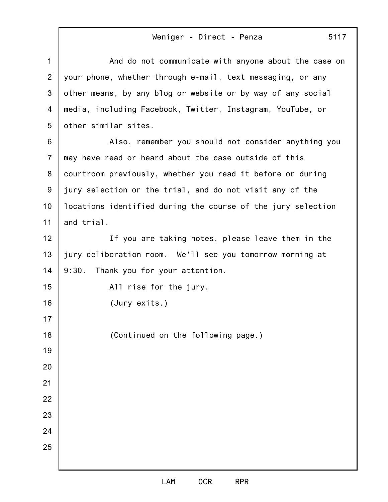| 1              | And do not communicate with anyone about the case on         |
|----------------|--------------------------------------------------------------|
| $\overline{2}$ | your phone, whether through e-mail, text messaging, or any   |
| 3              | other means, by any blog or website or by way of any social  |
| 4              | media, including Facebook, Twitter, Instagram, YouTube, or   |
| 5              | other similar sites.                                         |
| 6              | Also, remember you should not consider anything you          |
| $\overline{7}$ | may have read or heard about the case outside of this        |
| 8              | courtroom previously, whether you read it before or during   |
| $9\,$          | jury selection or the trial, and do not visit any of the     |
| 10             | locations identified during the course of the jury selection |
| 11             | and trial.                                                   |
| 12             | If you are taking notes, please leave them in the            |
| 13             | jury deliberation room. We'll see you tomorrow morning at    |
| 14             | Thank you for your attention.<br>9:30.                       |
| 15             | All rise for the jury.                                       |
| 16             | (Jury exits.)                                                |
| 17             |                                                              |
| 18             | (Continued on the following page.)                           |
| 19             |                                                              |
| 20             |                                                              |
| 21             |                                                              |
| 22             |                                                              |
| 23             |                                                              |
| 24             |                                                              |
| 25             |                                                              |
|                |                                                              |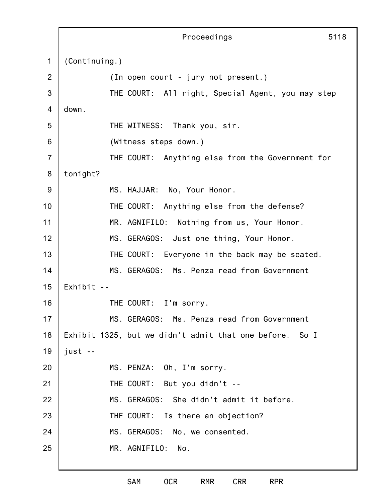1 2 3 4 5 6 7 8 9 10 11 12 13 14 15 16 17 18 19 20 21 22 23 24 25 Proceedings (Continuing.) (In open court - jury not present.) THE COURT: All right, Special Agent, you may step down. THE WITNESS: Thank you, sir. (Witness steps down.) THE COURT: Anything else from the Government for tonight? MS. HAJJAR: No, Your Honor. THE COURT: Anything else from the defense? MR. AGNIFILO: Nothing from us, Your Honor. MS. GERAGOS: Just one thing, Your Honor. THE COURT: Everyone in the back may be seated. MS. GERAGOS: Ms. Penza read from Government Exhibit -- THE COURT: I'm sorry. MS. GERAGOS: Ms. Penza read from Government Exhibit 1325, but we didn't admit that one before. So I just -- MS. PENZA: Oh, I'm sorry. THE COURT: But you didn't -- MS. GERAGOS: She didn't admit it before. THE COURT: Is there an objection? MS. GERAGOS: No, we consented. MR. AGNIFILO: No.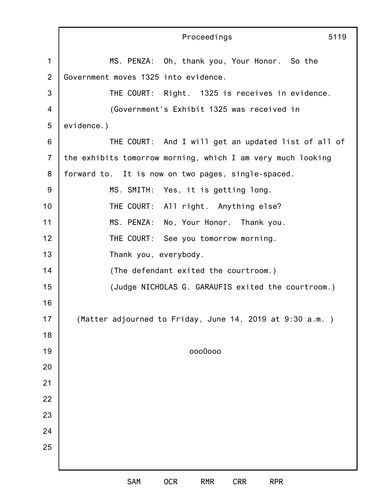|                | Proceedings<br>5119                                         |
|----------------|-------------------------------------------------------------|
| $\mathbf 1$    | MS. PENZA: Oh, thank you, Your Honor. So the                |
| $\overline{2}$ | Government moves 1325 into evidence.                        |
| 3              | THE COURT: Right. 1325 is receives in evidence.             |
| 4              | (Government's Exhibit 1325 was received in                  |
| 5              | evidence.)                                                  |
| 6              | THE COURT: And I will get an updated list of all of         |
| $\overline{7}$ | the exhibits tomorrow morning, which I am very much looking |
| 8              | forward to. It is now on two pages, single-spaced.          |
| $9\,$          | MS. SMITH: Yes, it is getting long.                         |
| 10             | THE COURT: All right. Anything else?                        |
| 11             | MS. PENZA: No, Your Honor. Thank you.                       |
| 12             | THE COURT: See you tomorrow morning.                        |
| 13             | Thank you, everybody.                                       |
| 14             | (The defendant exited the courtroom.)                       |
| 15             | (Judge NICHOLAS G. GARAUFIS exited the courtroom.)          |
| 16             |                                                             |
| 17             | (Matter adjourned to Friday, June 14, 2019 at 9:30 a.m.)    |
| 18             |                                                             |
| 19             | 0000000                                                     |
| 20             |                                                             |
| 21             |                                                             |
| 22             |                                                             |
| 23             |                                                             |
| 24             |                                                             |
| 25             |                                                             |
|                | 0CR<br>SAM<br><b>CRR</b><br><b>RMR</b><br><b>RPR</b>        |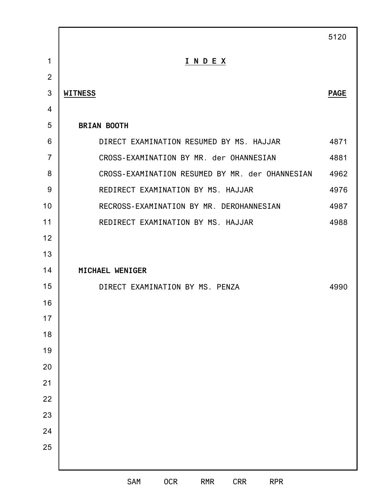|                |                                                             | 5120        |
|----------------|-------------------------------------------------------------|-------------|
| $\mathbf{1}$   | INDEX                                                       |             |
| $\overline{2}$ |                                                             |             |
| 3              | <b>WITNESS</b>                                              | <b>PAGE</b> |
| $\overline{4}$ |                                                             |             |
| 5              | <b>BRIAN BOOTH</b>                                          |             |
| 6              | DIRECT EXAMINATION RESUMED BY MS. HAJJAR                    | 4871        |
| $\overline{7}$ | CROSS-EXAMINATION BY MR. der OHANNESIAN                     | 4881        |
| 8              | CROSS-EXAMINATION RESUMED BY MR. der OHANNESIAN             | 4962        |
| 9              | REDIRECT EXAMINATION BY MS. HAJJAR                          | 4976        |
| 10             | RECROSS-EXAMINATION BY MR. DEROHANNESIAN                    | 4987        |
| 11             | REDIRECT EXAMINATION BY MS. HAJJAR                          | 4988        |
| 12             |                                                             |             |
| 13             |                                                             |             |
| 14             | MICHAEL WENIGER                                             |             |
| 15             | DIRECT EXAMINATION BY MS. PENZA                             | 4990        |
| 16             |                                                             |             |
| $17$           |                                                             |             |
| 18             |                                                             |             |
| 19             |                                                             |             |
| 20             |                                                             |             |
| 21             |                                                             |             |
| 22             |                                                             |             |
| 23             |                                                             |             |
| 24             |                                                             |             |
| 25             |                                                             |             |
|                |                                                             |             |
|                | SAM<br><b>OCR</b><br><b>RPR</b><br><b>RMR</b><br><b>CRR</b> |             |